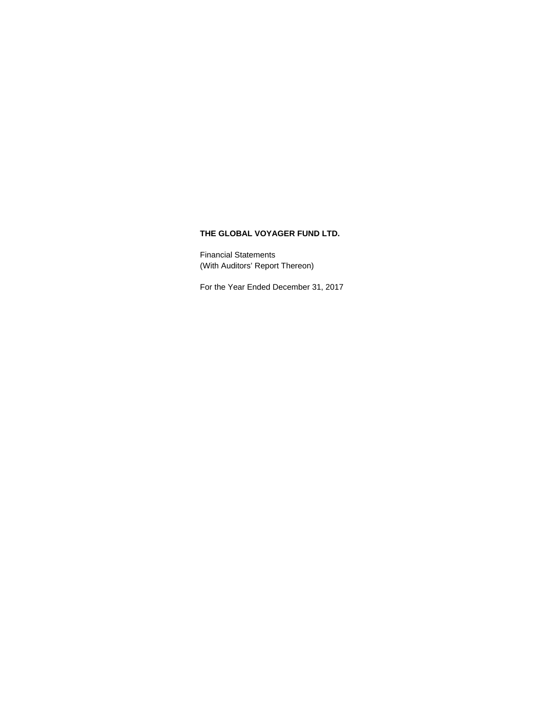Financial Statements (With Auditors' Report Thereon)

For the Year Ended December 31, 2017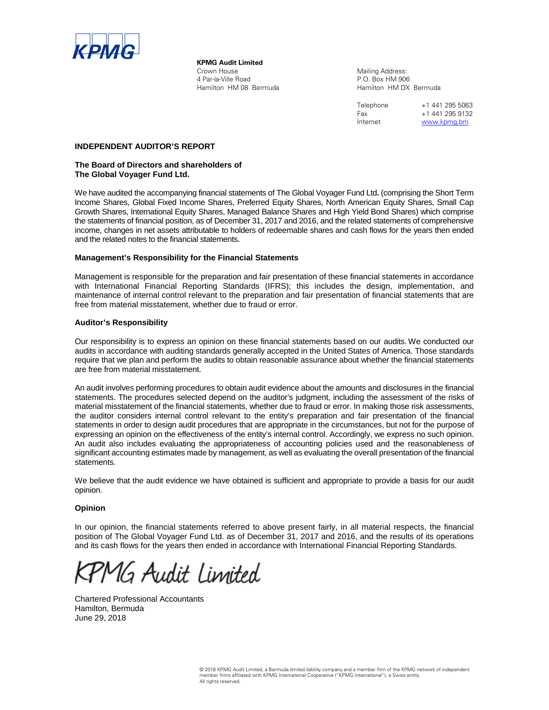

**KPMG Audit Limited**

Crown House 4 Par-la-Ville Road Hamilton HM 08 Bermuda Mailing Address: P.O. Box HM 906 Hamilton HM DX Bermuda

Telephone +1 441 295 5063 Fax +1 441 295 9132 Internet [www.kpmg.bm](http://www.kpmg.bm/)

### **INDEPENDENT AUDITOR'S REPORT**

# **The Board of Directors and shareholders of The Global Voyager Fund Ltd.**

We have audited the accompanying financial statements of The Global Voyager Fund Ltd**.** (comprising the Short Term Income Shares, Global Fixed Income Shares, Preferred Equity Shares, North American Equity Shares, Small Cap Growth Shares, International Equity Shares, Managed Balance Shares and High Yield Bond Shares) which comprise the statements of financial position, as of December 31, 2017 and 2016, and the related statements of comprehensive income, changes in net assets attributable to holders of redeemable shares and cash flows for the years then ended and the related notes to the financial statements.

# **Management's Responsibility for the Financial Statements**

Management is responsible for the preparation and fair presentation of these financial statements in accordance with International Financial Reporting Standards (IFRS); this includes the design, implementation, and maintenance of internal control relevant to the preparation and fair presentation of financial statements that are free from material misstatement, whether due to fraud or error.

### **Auditor's Responsibility**

Our responsibility is to express an opinion on these financial statements based on our audits. We conducted our audits in accordance with auditing standards generally accepted in the United States of America. Those standards require that we plan and perform the audits to obtain reasonable assurance about whether the financial statements are free from material misstatement.

An audit involves performing procedures to obtain audit evidence about the amounts and disclosures in the financial statements. The procedures selected depend on the auditor's judgment, including the assessment of the risks of material misstatement of the financial statements, whether due to fraud or error. In making those risk assessments, the auditor considers internal control relevant to the entity's preparation and fair presentation of the financial statements in order to design audit procedures that are appropriate in the circumstances, but not for the purpose of expressing an opinion on the effectiveness of the entity's internal control. Accordingly, we express no such opinion. An audit also includes evaluating the appropriateness of accounting policies used and the reasonableness of significant accounting estimates made by management, as well as evaluating the overall presentation of the financial statements.

We believe that the audit evidence we have obtained is sufficient and appropriate to provide a basis for our audit opinion.

# **Opinion**

In our opinion, the financial statements referred to above present fairly, in all material respects, the financial position of The Global Voyager Fund Ltd. as of December 31, 2017 and 2016, and the results of its operations and its cash flows for the years then ended in accordance with International Financial Reporting Standards.

PMG Audit Limited

Chartered Professional Accountants Hamilton, Bermuda June 29, 2018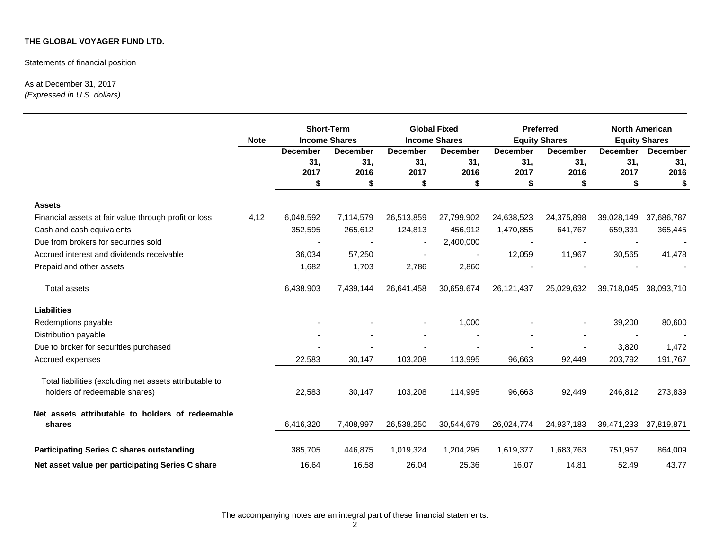Statements of financial position

# As at December 31, 2017

*(Expressed in U.S. dollars)* 

|                                                            |             | <b>Short-Term</b> |                      |                 | <b>Global Fixed</b>  |                 | <b>Preferred</b>     | <b>North American</b> |                      |  |
|------------------------------------------------------------|-------------|-------------------|----------------------|-----------------|----------------------|-----------------|----------------------|-----------------------|----------------------|--|
|                                                            | <b>Note</b> |                   | <b>Income Shares</b> |                 | <b>Income Shares</b> |                 | <b>Equity Shares</b> |                       | <b>Equity Shares</b> |  |
|                                                            |             | <b>December</b>   | <b>December</b>      | <b>December</b> | <b>December</b>      | <b>December</b> | <b>December</b>      | <b>December</b>       | December             |  |
|                                                            |             | 31,               | 31,                  | 31,             | 31,                  | 31,             | 31,                  | 31,                   | 31,                  |  |
|                                                            |             | 2017              | 2016                 | 2017<br>\$      | 2016<br>\$           | 2017<br>\$      | 2016<br>\$           | 2017<br>\$            | 2016                 |  |
|                                                            |             | \$                | \$                   |                 |                      |                 |                      |                       | \$                   |  |
| <b>Assets</b>                                              |             |                   |                      |                 |                      |                 |                      |                       |                      |  |
| Financial assets at fair value through profit or loss      | 4,12        | 6,048,592         | 7,114,579            | 26,513,859      | 27,799,902           | 24,638,523      | 24,375,898           | 39,028,149            | 37,686,787           |  |
| Cash and cash equivalents                                  |             | 352,595           | 265,612              | 124,813         | 456,912              | 1,470,855       | 641,767              | 659,331               | 365,445              |  |
| Due from brokers for securities sold                       |             |                   |                      |                 | 2,400,000            |                 |                      |                       |                      |  |
| Accrued interest and dividends receivable                  |             | 36,034            | 57,250               |                 |                      | 12,059          | 11,967               | 30,565                | 41,478               |  |
| Prepaid and other assets                                   |             | 1,682             | 1,703                | 2,786           | 2,860                |                 |                      |                       |                      |  |
| <b>Total assets</b>                                        |             | 6,438,903         | 7,439,144            | 26,641,458      | 30,659,674           | 26, 121, 437    | 25,029,632           | 39,718,045            | 38,093,710           |  |
| <b>Liabilities</b>                                         |             |                   |                      |                 |                      |                 |                      |                       |                      |  |
| Redemptions payable                                        |             |                   |                      |                 | 1,000                |                 |                      | 39,200                | 80,600               |  |
| Distribution payable                                       |             |                   |                      |                 |                      |                 |                      |                       |                      |  |
| Due to broker for securities purchased                     |             |                   |                      |                 |                      |                 |                      | 3,820                 | 1,472                |  |
| Accrued expenses                                           |             | 22,583            | 30,147               | 103,208         | 113,995              | 96,663          | 92,449               | 203,792               | 191,767              |  |
| Total liabilities (excluding net assets attributable to    |             |                   |                      |                 |                      |                 |                      |                       |                      |  |
| holders of redeemable shares)                              |             | 22,583            | 30,147               | 103,208         | 114,995              | 96,663          | 92,449               | 246,812               | 273,839              |  |
| Net assets attributable to holders of redeemable<br>shares |             | 6,416,320         | 7,408,997            | 26,538,250      | 30,544,679           | 26,024,774      | 24,937,183           | 39,471,233            | 37,819,871           |  |
| <b>Participating Series C shares outstanding</b>           |             | 385,705           | 446,875              | 1,019,324       | 1,204,295            | 1,619,377       | 1,683,763            | 751,957               | 864,009              |  |
| Net asset value per participating Series C share           |             | 16.64             | 16.58                | 26.04           | 25.36                | 16.07           | 14.81                | 52.49                 | 43.77                |  |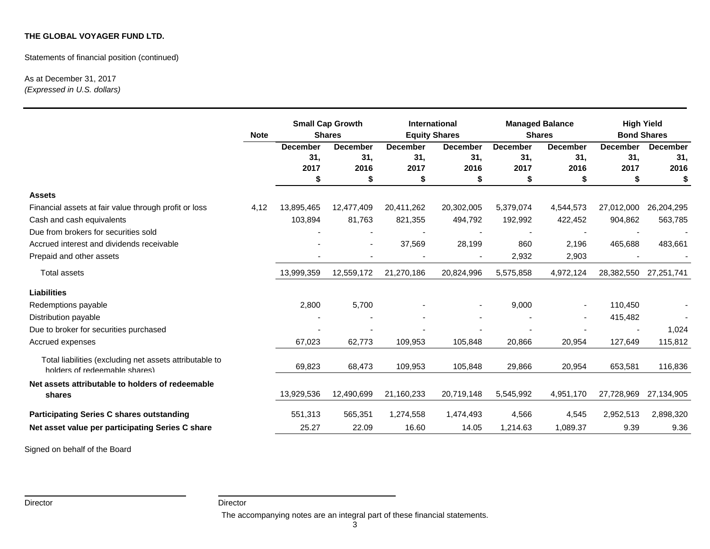# Statements of financial position (continued)

# As at December 31, 2017 *(Expressed in U.S. dollars)*

|                                                                                          | <b>Note</b> |                                | <b>Small Cap Growth</b><br><b>Shares</b> |                                | <b>International</b><br><b>Equity Shares</b> |                                | <b>Managed Balance</b><br><b>Shares</b> | <b>High Yield</b><br><b>Bond Shares</b> |                         |
|------------------------------------------------------------------------------------------|-------------|--------------------------------|------------------------------------------|--------------------------------|----------------------------------------------|--------------------------------|-----------------------------------------|-----------------------------------------|-------------------------|
|                                                                                          |             | <b>December</b><br>31,<br>2017 | <b>December</b><br>31,<br>2016           | <b>December</b><br>31,<br>2017 | <b>December</b><br>31,<br>2016               | <b>December</b><br>31,<br>2017 | <b>December</b><br>31,<br>2016          | <b>December</b><br>31,<br>2017          | December<br>31,<br>2016 |
|                                                                                          |             | S                              | S                                        | \$                             | \$                                           | \$                             | S                                       | \$                                      | \$                      |
| <b>Assets</b>                                                                            |             |                                |                                          |                                |                                              |                                |                                         |                                         |                         |
| Financial assets at fair value through profit or loss                                    | 4,12        | 13,895,465                     | 12,477,409                               | 20,411,262                     | 20,302,005                                   | 5,379,074                      | 4,544,573                               | 27,012,000                              | 26,204,295              |
| Cash and cash equivalents                                                                |             | 103,894                        | 81,763                                   | 821,355                        | 494,792                                      | 192,992                        | 422,452                                 | 904,862                                 | 563,785                 |
| Due from brokers for securities sold                                                     |             |                                |                                          |                                |                                              |                                |                                         |                                         |                         |
| Accrued interest and dividends receivable                                                |             |                                | $\overline{\phantom{0}}$                 | 37,569                         | 28,199                                       | 860                            | 2,196                                   | 465,688                                 | 483,661                 |
| Prepaid and other assets                                                                 |             |                                |                                          |                                |                                              | 2,932                          | 2,903                                   |                                         |                         |
| Total assets                                                                             |             | 13,999,359                     | 12,559,172                               | 21,270,186                     | 20,824,996                                   | 5,575,858                      | 4,972,124                               | 28,382,550                              | 27,251,741              |
| <b>Liabilities</b>                                                                       |             |                                |                                          |                                |                                              |                                |                                         |                                         |                         |
| Redemptions payable                                                                      |             | 2,800                          | 5,700                                    |                                |                                              | 9,000                          | $\blacksquare$                          | 110,450                                 |                         |
| Distribution payable                                                                     |             |                                |                                          |                                |                                              |                                |                                         | 415,482                                 |                         |
| Due to broker for securities purchased                                                   |             |                                |                                          |                                |                                              |                                |                                         |                                         | 1,024                   |
| Accrued expenses                                                                         |             | 67,023                         | 62,773                                   | 109,953                        | 105,848                                      | 20,866                         | 20,954                                  | 127,649                                 | 115,812                 |
| Total liabilities (excluding net assets attributable to<br>holders of redeemable shares) |             | 69,823                         | 68,473                                   | 109,953                        | 105,848                                      | 29,866                         | 20,954                                  | 653,581                                 | 116,836                 |
| Net assets attributable to holders of redeemable<br>shares                               |             | 13,929,536                     | 12,490,699                               | 21,160,233                     | 20,719,148                                   | 5,545,992                      | 4,951,170                               | 27,728,969                              | 27,134,905              |
| <b>Participating Series C shares outstanding</b>                                         |             | 551,313                        | 565,351                                  | 1,274,558                      | 1,474,493                                    | 4,566                          | 4,545                                   | 2,952,513                               | 2,898,320               |
| Net asset value per participating Series C share                                         |             | 25.27                          | 22.09                                    | 16.60                          | 14.05                                        | 1,214.63                       | 1,089.37                                | 9.39                                    | 9.36                    |

Signed on behalf of the Board

The accompanying notes are an integral part of these financial statements.

Director **Director** Director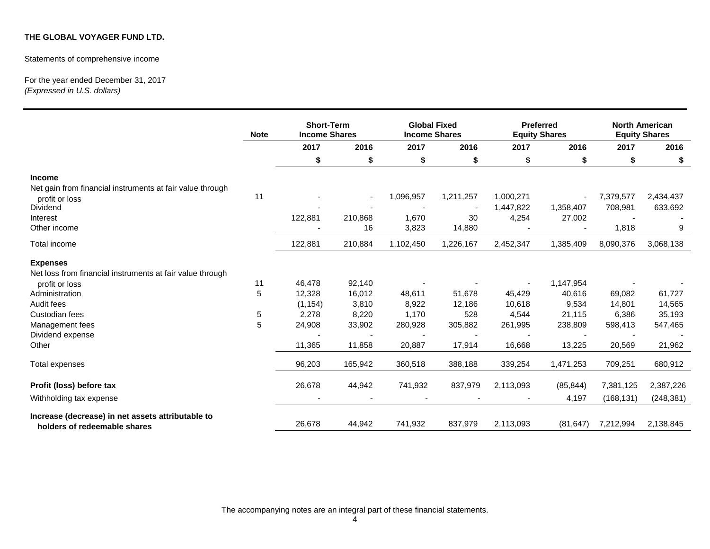# Statements of comprehensive income

|                                                           | <b>Note</b> | <b>Short-Term</b><br><b>Income Shares</b> |                          | <b>Global Fixed</b><br><b>Income Shares</b> |                          |           | <b>Preferred</b><br><b>Equity Shares</b> |            | <b>North American</b><br><b>Equity Shares</b> |
|-----------------------------------------------------------|-------------|-------------------------------------------|--------------------------|---------------------------------------------|--------------------------|-----------|------------------------------------------|------------|-----------------------------------------------|
|                                                           |             | 2017                                      | 2016                     | 2017                                        | 2016                     | 2017      | 2016                                     | 2017       | 2016                                          |
|                                                           |             | \$                                        | \$                       | \$                                          | \$                       | \$        | \$                                       | \$         | \$                                            |
| <b>Income</b>                                             |             |                                           |                          |                                             |                          |           |                                          |            |                                               |
| Net gain from financial instruments at fair value through |             |                                           |                          |                                             |                          |           |                                          |            |                                               |
| profit or loss                                            | 11          |                                           | $\overline{\phantom{a}}$ | 1,096,957                                   | 1,211,257                | 1,000,271 |                                          | 7,379,577  | 2,434,437                                     |
| Dividend                                                  |             |                                           |                          |                                             | $\overline{\phantom{a}}$ | 1,447,822 | 1,358,407                                | 708,981    | 633,692                                       |
| Interest                                                  |             | 122,881                                   | 210,868                  | 1,670                                       | 30                       | 4,254     | 27,002                                   |            |                                               |
| Other income                                              |             |                                           | 16                       | 3,823                                       | 14,880                   |           |                                          | 1,818      | 9                                             |
| Total income                                              |             | 122,881                                   | 210,884                  | 1,102,450                                   | 1,226,167                | 2,452,347 | 1,385,409                                | 8,090,376  | 3,068,138                                     |
| <b>Expenses</b>                                           |             |                                           |                          |                                             |                          |           |                                          |            |                                               |
| Net loss from financial instruments at fair value through |             |                                           |                          |                                             |                          |           |                                          |            |                                               |
| profit or loss                                            | 11          | 46,478                                    | 92,140                   |                                             |                          |           | 1,147,954                                |            |                                               |
| Administration                                            | 5           | 12,328                                    | 16,012                   | 48,611                                      | 51,678                   | 45,429    | 40,616                                   | 69,082     | 61,727                                        |
| Audit fees                                                |             | (1, 154)                                  | 3,810                    | 8,922                                       | 12,186                   | 10,618    | 9,534                                    | 14,801     | 14,565                                        |
| Custodian fees                                            | 5           | 2,278                                     | 8,220                    | 1,170                                       | 528                      | 4,544     | 21,115                                   | 6,386      | 35,193                                        |
| Management fees                                           | 5           | 24,908                                    | 33,902                   | 280,928                                     | 305,882                  | 261,995   | 238,809                                  | 598,413    | 547,465                                       |
| Dividend expense                                          |             |                                           |                          |                                             |                          |           |                                          |            |                                               |
| Other                                                     |             | 11,365                                    | 11,858                   | 20,887                                      | 17,914                   | 16,668    | 13,225                                   | 20,569     | 21,962                                        |
| Total expenses                                            |             | 96,203                                    | 165,942                  | 360,518                                     | 388,188                  | 339,254   | 1,471,253                                | 709,251    | 680,912                                       |
| Profit (loss) before tax                                  |             | 26,678                                    | 44,942                   | 741,932                                     | 837,979                  | 2,113,093 | (85, 844)                                | 7,381,125  | 2,387,226                                     |
| Withholding tax expense                                   |             |                                           |                          |                                             |                          |           | 4,197                                    | (168, 131) | (248, 381)                                    |
| Increase (decrease) in net assets attributable to         |             |                                           |                          |                                             |                          |           |                                          |            |                                               |
| holders of redeemable shares                              |             | 26,678                                    | 44,942                   | 741,932                                     | 837,979                  | 2,113,093 | (81, 647)                                | 7,212,994  | 2,138,845                                     |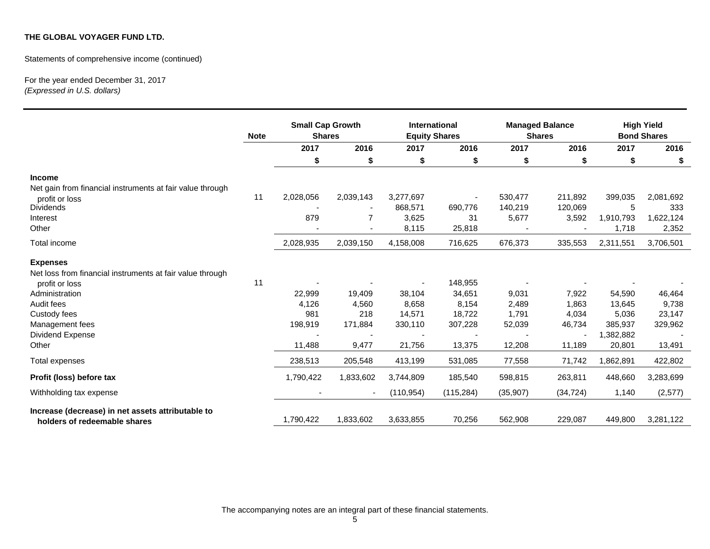# Statements of comprehensive income (continued)

|                                                                                   | <b>Note</b> | <b>Small Cap Growth</b><br><b>Shares</b> |           | <b>International</b> | <b>Equity Shares</b> |           | <b>Managed Balance</b><br><b>Shares</b> | <b>High Yield</b><br><b>Bond Shares</b> |           |
|-----------------------------------------------------------------------------------|-------------|------------------------------------------|-----------|----------------------|----------------------|-----------|-----------------------------------------|-----------------------------------------|-----------|
|                                                                                   |             | 2017                                     | 2016      | 2017                 | 2016                 | 2017      | 2016                                    | 2017                                    | 2016      |
|                                                                                   |             | \$                                       | S         | \$                   | \$                   | \$        | S                                       | \$                                      | \$        |
| <b>Income</b>                                                                     |             |                                          |           |                      |                      |           |                                         |                                         |           |
| Net gain from financial instruments at fair value through<br>profit or loss       | 11          | 2,028,056                                | 2,039,143 | 3,277,697            |                      | 530,477   | 211,892                                 | 399,035                                 | 2,081,692 |
| <b>Dividends</b>                                                                  |             |                                          |           | 868,571              | 690,776              | 140,219   | 120,069                                 | 5                                       | 333       |
| Interest                                                                          |             | 879                                      | 7         | 3,625                | 31                   | 5,677     | 3,592                                   | 1,910,793                               | 1,622,124 |
| Other                                                                             |             |                                          |           | 8,115                | 25,818               |           |                                         | 1,718                                   | 2,352     |
| Total income                                                                      |             | 2,028,935                                | 2,039,150 | 4,158,008            | 716,625              | 676,373   | 335,553                                 | 2,311,551                               | 3,706,501 |
| <b>Expenses</b>                                                                   |             |                                          |           |                      |                      |           |                                         |                                         |           |
| Net loss from financial instruments at fair value through                         |             |                                          |           |                      |                      |           |                                         |                                         |           |
| profit or loss                                                                    | 11          |                                          |           | $\blacksquare$       | 148,955              |           |                                         |                                         |           |
| Administration                                                                    |             | 22,999                                   | 19,409    | 38,104               | 34,651               | 9,031     | 7,922                                   | 54,590                                  | 46,464    |
| Audit fees                                                                        |             | 4,126                                    | 4,560     | 8,658                | 8,154                | 2,489     | 1,863                                   | 13,645                                  | 9,738     |
| Custody fees                                                                      |             | 981                                      | 218       | 14,571               | 18,722               | 1,791     | 4,034                                   | 5,036                                   | 23,147    |
| Management fees                                                                   |             | 198,919                                  | 171,884   | 330,110              | 307,228              | 52,039    | 46,734                                  | 385,937                                 | 329,962   |
| Dividend Expense                                                                  |             |                                          |           |                      |                      |           |                                         | 1,382,882                               |           |
| Other                                                                             |             | 11,488                                   | 9,477     | 21,756               | 13,375               | 12,208    | 11,189                                  | 20,801                                  | 13,491    |
| Total expenses                                                                    |             | 238,513                                  | 205,548   | 413,199              | 531,085              | 77,558    | 71,742                                  | 1,862,891                               | 422,802   |
| Profit (loss) before tax                                                          |             | 1,790,422                                | 1,833,602 | 3,744,809            | 185,540              | 598,815   | 263,811                                 | 448,660                                 | 3,283,699 |
| Withholding tax expense                                                           |             |                                          |           | (110, 954)           | (115, 284)           | (35, 907) | (34, 724)                               | 1,140                                   | (2, 577)  |
| Increase (decrease) in net assets attributable to<br>holders of redeemable shares |             | 1,790,422                                | 1,833,602 | 3,633,855            | 70,256               | 562,908   | 229,087                                 | 449,800                                 | 3,281,122 |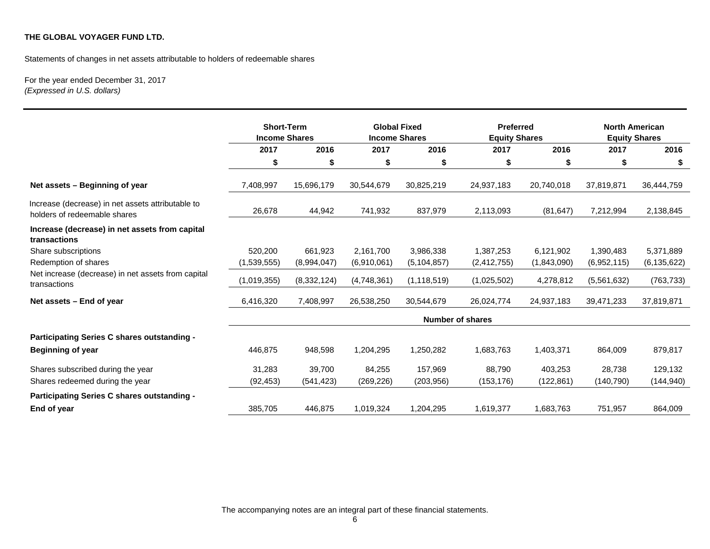Statements of changes in net assets attributable to holders of redeemable shares

|                                                                                   | <b>Short-Term</b><br><b>Income Shares</b> |             | <b>Global Fixed</b><br><b>Income Shares</b> |                  | <b>Preferred</b><br><b>Equity Shares</b> |             | <b>North American</b><br><b>Equity Shares</b> |               |  |
|-----------------------------------------------------------------------------------|-------------------------------------------|-------------|---------------------------------------------|------------------|------------------------------------------|-------------|-----------------------------------------------|---------------|--|
|                                                                                   | 2017                                      | 2016        | 2017                                        | 2016             | 2017                                     | 2016        | 2017                                          | 2016          |  |
|                                                                                   | S                                         | \$          | \$                                          | S                | \$                                       | S           | \$                                            | \$            |  |
| Net assets - Beginning of year                                                    | 7,408,997                                 | 15,696,179  | 30,544,679                                  | 30,825,219       | 24,937,183                               | 20,740,018  | 37,819,871                                    | 36,444,759    |  |
| Increase (decrease) in net assets attributable to<br>holders of redeemable shares | 26,678                                    | 44,942      | 741,932                                     | 837,979          | 2,113,093                                | (81, 647)   | 7,212,994                                     | 2,138,845     |  |
| Increase (decrease) in net assets from capital<br>transactions                    |                                           |             |                                             |                  |                                          |             |                                               |               |  |
| Share subscriptions                                                               | 520,200                                   | 661,923     | 2,161,700                                   | 3,986,338        | 1,387,253                                | 6,121,902   | 1,390,483                                     | 5,371,889     |  |
| Redemption of shares                                                              | (1,539,555)                               | (8,994,047) | (6,910,061)                                 | (5, 104, 857)    | (2, 412, 755)                            | (1,843,090) | (6,952,115)                                   | (6, 135, 622) |  |
| Net increase (decrease) in net assets from capital<br>transactions                | (1,019,355)                               | (8,332,124) | (4,748,361)                                 | (1, 118, 519)    | (1,025,502)                              | 4,278,812   | (5,561,632)                                   | (763, 733)    |  |
| Net assets – End of year                                                          | 6,416,320                                 | 7,408,997   | 26,538,250                                  | 30,544,679       | 26,024,774                               | 24,937,183  | 39,471,233                                    | 37,819,871    |  |
|                                                                                   |                                           |             |                                             | Number of shares |                                          |             |                                               |               |  |
| Participating Series C shares outstanding -                                       |                                           |             |                                             |                  |                                          |             |                                               |               |  |
| Beginning of year                                                                 | 446,875                                   | 948,598     | 1,204,295                                   | 1,250,282        | 1,683,763                                | 1,403,371   | 864,009                                       | 879,817       |  |
| Shares subscribed during the year                                                 | 31,283                                    | 39,700      | 84,255                                      | 157,969          | 88,790                                   | 403,253     | 28,738                                        | 129,132       |  |
| Shares redeemed during the year                                                   | (92, 453)                                 | (541, 423)  | (269, 226)                                  | (203, 956)       | (153, 176)                               | (122, 861)  | (140, 790)                                    | (144, 940)    |  |
| Participating Series C shares outstanding -                                       |                                           |             |                                             |                  |                                          |             |                                               |               |  |
| End of year                                                                       | 385,705                                   | 446,875     | 1,019,324                                   | 1,204,295        | 1,619,377                                | 1,683,763   | 751,957                                       | 864,009       |  |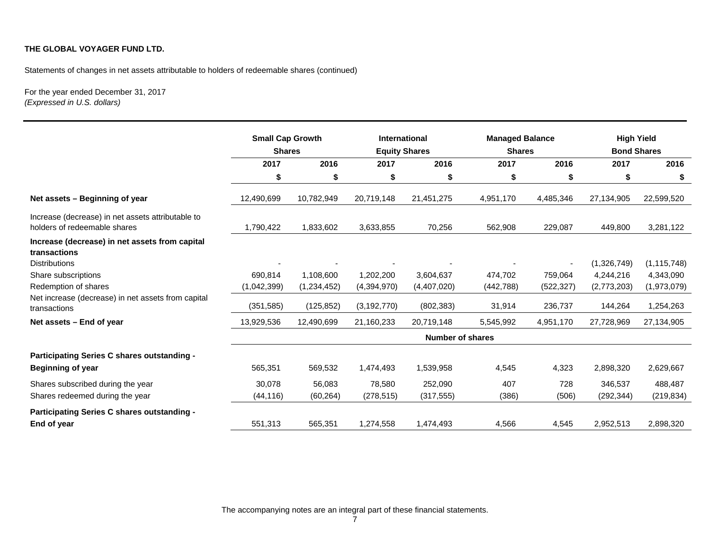Statements of changes in net assets attributable to holders of redeemable shares (continued)

|                                                                                   | <b>Small Cap Growth</b> |             | <b>International</b> |                         | <b>Managed Balance</b> |            | <b>High Yield</b>  |               |  |
|-----------------------------------------------------------------------------------|-------------------------|-------------|----------------------|-------------------------|------------------------|------------|--------------------|---------------|--|
|                                                                                   | <b>Shares</b>           |             | <b>Equity Shares</b> |                         | <b>Shares</b>          |            | <b>Bond Shares</b> |               |  |
|                                                                                   | 2017                    | 2016        | 2017                 | 2016                    | 2017                   | 2016       | 2017               | 2016          |  |
|                                                                                   | \$                      | S           | \$                   | \$                      | \$                     | S          | \$                 | \$            |  |
| Net assets - Beginning of year                                                    | 12,490,699              | 10,782,949  | 20,719,148           | 21,451,275              | 4,951,170              | 4,485,346  | 27,134,905         | 22,599,520    |  |
| Increase (decrease) in net assets attributable to<br>holders of redeemable shares | 1,790,422               | 1,833,602   | 3,633,855            | 70,256                  | 562,908                | 229,087    | 449,800            | 3,281,122     |  |
| Increase (decrease) in net assets from capital<br>transactions                    |                         |             |                      |                         |                        |            |                    |               |  |
| <b>Distributions</b>                                                              |                         |             |                      |                         |                        |            | (1,326,749)        | (1, 115, 748) |  |
| Share subscriptions                                                               | 690,814                 | 1,108,600   | 1,202,200            | 3,604,637               | 474,702                | 759,064    | 4,244,216          | 4,343,090     |  |
| Redemption of shares                                                              | (1,042,399)             | (1,234,452) | (4,394,970)          | (4,407,020)             | (442, 788)             | (522, 327) | (2,773,203)        | (1,973,079)   |  |
| Net increase (decrease) in net assets from capital<br>transactions                | (351, 585)              | (125, 852)  | (3, 192, 770)        | (802, 383)              | 31,914                 | 236,737    | 144,264            | 1,254,263     |  |
| Net assets – End of year                                                          | 13,929,536              | 12,490,699  | 21,160,233           | 20,719,148              | 5,545,992              | 4,951,170  | 27,728,969         | 27,134,905    |  |
|                                                                                   |                         |             |                      | <b>Number of shares</b> |                        |            |                    |               |  |
| Participating Series C shares outstanding -                                       |                         |             |                      |                         |                        |            |                    |               |  |
| <b>Beginning of year</b>                                                          | 565,351                 | 569,532     | 1,474,493            | 1,539,958               | 4,545                  | 4,323      | 2,898,320          | 2,629,667     |  |
| Shares subscribed during the year                                                 | 30,078                  | 56,083      | 78,580               | 252,090                 | 407                    | 728        | 346,537            | 488,487       |  |
| Shares redeemed during the year                                                   | (44,116)                | (60, 264)   | (278, 515)           | (317, 555)              | (386)                  | (506)      | (292, 344)         | (219, 834)    |  |
| Participating Series C shares outstanding -                                       |                         |             |                      |                         |                        |            |                    |               |  |
| End of year                                                                       | 551,313                 | 565,351     | 1,274,558            | 1,474,493               | 4,566                  | 4,545      | 2,952,513          | 2,898,320     |  |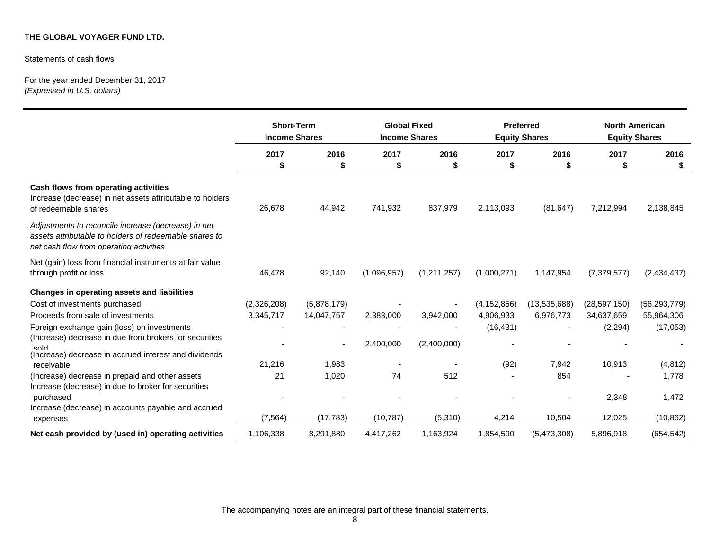#### Statements of cash flows

|                                                                                                                                                          | <b>Short-Term</b><br><b>Income Shares</b> |             | <b>Global Fixed</b><br><b>Income Shares</b> |             | <b>Preferred</b> | <b>Equity Shares</b> | <b>North American</b><br><b>Equity Shares</b> |                |  |
|----------------------------------------------------------------------------------------------------------------------------------------------------------|-------------------------------------------|-------------|---------------------------------------------|-------------|------------------|----------------------|-----------------------------------------------|----------------|--|
|                                                                                                                                                          | 2017<br>\$                                | 2016<br>S   | 2017<br>\$                                  | 2016<br>\$  | 2017<br>\$       | 2016<br>\$           | 2017<br>\$                                    | 2016<br>\$     |  |
| Cash flows from operating activities<br>Increase (decrease) in net assets attributable to holders<br>of redeemable shares                                | 26,678                                    | 44,942      | 741,932                                     | 837,979     | 2,113,093        | (81, 647)            | 7,212,994                                     | 2,138,845      |  |
| Adjustments to reconcile increase (decrease) in net<br>assets attributable to holders of redeemable shares to<br>net cash flow from operating activities |                                           |             |                                             |             |                  |                      |                                               |                |  |
| Net (gain) loss from financial instruments at fair value<br>through profit or loss                                                                       | 46,478                                    | 92,140      | (1,096,957)                                 | (1,211,257) | (1,000,271)      | 1,147,954            | (7, 379, 577)                                 | (2,434,437)    |  |
| Changes in operating assets and liabilities                                                                                                              |                                           |             |                                             |             |                  |                      |                                               |                |  |
| Cost of investments purchased                                                                                                                            | (2,326,208)                               | (5,878,179) |                                             |             | (4, 152, 856)    | (13,535,688)         | (28, 597, 150)                                | (56, 293, 779) |  |
| Proceeds from sale of investments                                                                                                                        | 3,345,717                                 | 14,047,757  | 2,383,000                                   | 3,942,000   | 4,906,933        | 6,976,773            | 34,637,659                                    | 55,964,306     |  |
| Foreign exchange gain (loss) on investments                                                                                                              |                                           |             |                                             |             | (16, 431)        |                      | (2, 294)                                      | (17,053)       |  |
| (Increase) decrease in due from brokers for securities<br><b>Ald</b><br>(Increase) decrease in accrued interest and dividends                            |                                           |             | 2,400,000                                   | (2,400,000) |                  |                      |                                               |                |  |
| receivable                                                                                                                                               | 21,216                                    | 1,983       |                                             |             | (92)             | 7,942                | 10,913                                        | (4, 812)       |  |
| (Increase) decrease in prepaid and other assets<br>Increase (decrease) in due to broker for securities                                                   | 21                                        | 1,020       | 74                                          | 512         |                  | 854                  |                                               | 1,778          |  |
| purchased                                                                                                                                                |                                           |             |                                             |             |                  |                      | 2,348                                         | 1,472          |  |
| Increase (decrease) in accounts payable and accrued<br>expenses                                                                                          | (7, 564)                                  | (17,783)    | (10, 787)                                   | (5,310)     | 4,214            | 10,504               | 12,025                                        | (10, 862)      |  |
| Net cash provided by (used in) operating activities                                                                                                      | 1,106,338                                 | 8,291,880   | 4,417,262                                   | 1,163,924   | 1,854,590        | (5,473,308)          | 5,896,918                                     | (654, 542)     |  |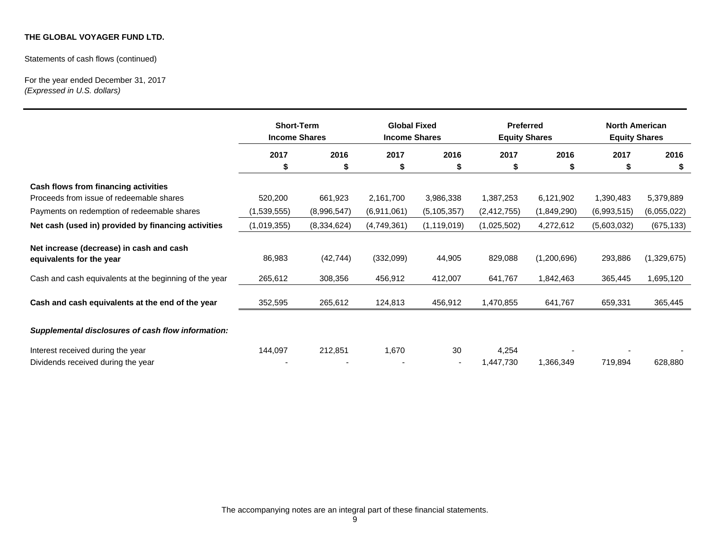Statements of cash flows (continued)

For the year ended December 31, 2017 *(Expressed in U.S. dollars)* 

|                                                                      | <b>Short-Term</b><br><b>Income Shares</b> |               |             | <b>Global Fixed</b><br><b>Income Shares</b> |               | <b>Preferred</b><br><b>Equity Shares</b> | <b>North American</b><br><b>Equity Shares</b> |             |  |
|----------------------------------------------------------------------|-------------------------------------------|---------------|-------------|---------------------------------------------|---------------|------------------------------------------|-----------------------------------------------|-------------|--|
|                                                                      | 2017                                      | 2016          | 2017        | 2016                                        | 2017          | 2016                                     | 2017                                          | 2016        |  |
|                                                                      | \$                                        | æ.            | \$          | S                                           | S             | Ъ                                        | S.                                            | \$          |  |
| Cash flows from financing activities                                 |                                           |               |             |                                             |               |                                          |                                               |             |  |
| Proceeds from issue of redeemable shares                             | 520,200                                   | 661,923       | 2,161,700   | 3,986,338                                   | 1,387,253     | 6,121,902                                | 1,390,483                                     | 5,379,889   |  |
| Payments on redemption of redeemable shares                          | (1,539,555)                               | (8,996,547)   | (6,911,061) | (5, 105, 357)                               | (2, 412, 755) | (1,849,290)                              | (6,993,515)                                   | (6,055,022) |  |
| Net cash (used in) provided by financing activities                  | (1,019,355)                               | (8, 334, 624) | (4,749,361) | (1, 119, 019)                               | (1,025,502)   | 4,272,612                                | (5,603,032)                                   | (675, 133)  |  |
| Net increase (decrease) in cash and cash<br>equivalents for the year | 86,983                                    | (42, 744)     | (332,099)   | 44,905                                      | 829,088       | (1,200,696)                              | 293,886                                       | (1,329,675) |  |
| Cash and cash equivalents at the beginning of the year               | 265,612                                   | 308,356       | 456,912     | 412,007                                     | 641,767       | 1,842,463                                | 365,445                                       | 1,695,120   |  |
| Cash and cash equivalents at the end of the year                     | 352,595                                   | 265,612       | 124,813     | 456,912                                     | 1,470,855     | 641,767                                  | 659,331                                       | 365,445     |  |
| Supplemental disclosures of cash flow information:                   |                                           |               |             |                                             |               |                                          |                                               |             |  |
| Interest received during the year                                    | 144,097                                   | 212,851       | 1,670       | 30                                          | 4,254         |                                          |                                               |             |  |
| Dividends received during the year                                   |                                           |               |             | $\overline{\phantom{a}}$                    | 1,447,730     | 1,366,349                                | 719,894                                       | 628,880     |  |

The accompanying notes are an integral part of these financial statements.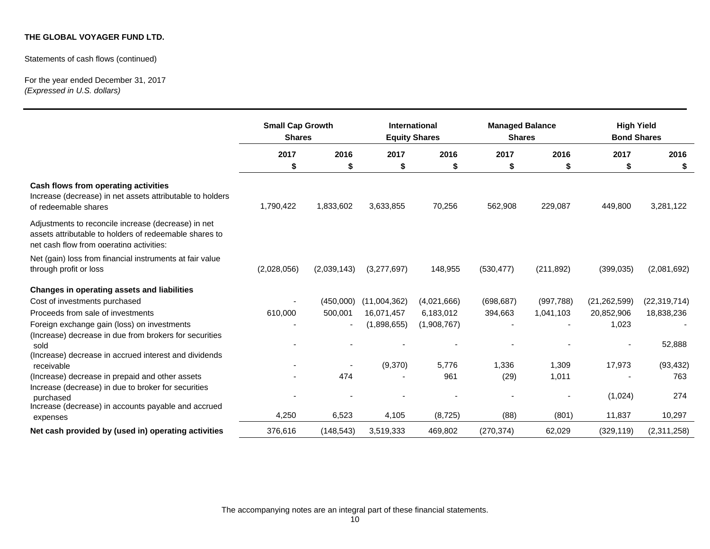# Statements of cash flows (continued)

|                                                                                                                                                           | <b>Small Cap Growth</b><br><b>Shares</b> |             |              | <b>International</b><br><b>Equity Shares</b> | <b>Managed Balance</b><br><b>Shares</b> |            | <b>High Yield</b><br><b>Bond Shares</b> |                |
|-----------------------------------------------------------------------------------------------------------------------------------------------------------|------------------------------------------|-------------|--------------|----------------------------------------------|-----------------------------------------|------------|-----------------------------------------|----------------|
|                                                                                                                                                           | 2017                                     | 2016        | 2017         | 2016                                         | 2017                                    | 2016       | 2017                                    | 2016           |
|                                                                                                                                                           | S                                        | \$          | \$           | \$                                           | \$                                      | S          | S                                       | \$             |
| Cash flows from operating activities<br>Increase (decrease) in net assets attributable to holders<br>of redeemable shares                                 | 1,790,422                                | 1,833,602   | 3,633,855    | 70,256                                       | 562,908                                 | 229,087    | 449,800                                 | 3,281,122      |
| Adjustments to reconcile increase (decrease) in net<br>assets attributable to holders of redeemable shares to<br>net cash flow from operating activities: |                                          |             |              |                                              |                                         |            |                                         |                |
| Net (gain) loss from financial instruments at fair value<br>through profit or loss                                                                        | (2,028,056)                              | (2,039,143) | (3,277,697)  | 148,955                                      | (530, 477)                              | (211, 892) | (399, 035)                              | (2,081,692)    |
| Changes in operating assets and liabilities                                                                                                               |                                          |             |              |                                              |                                         |            |                                         |                |
| Cost of investments purchased                                                                                                                             |                                          | (450,000)   | (11,004,362) | (4,021,666)                                  | (698, 687)                              | (997, 788) | (21, 262, 599)                          | (22, 319, 714) |
| Proceeds from sale of investments                                                                                                                         | 610,000                                  | 500,001     | 16,071,457   | 6,183,012                                    | 394,663                                 | 1,041,103  | 20,852,906                              | 18,838,236     |
| Foreign exchange gain (loss) on investments<br>(Increase) decrease in due from brokers for securities                                                     |                                          |             | (1,898,655)  | (1,908,767)                                  |                                         |            | 1,023                                   |                |
| sold                                                                                                                                                      |                                          |             |              |                                              |                                         |            |                                         | 52,888         |
| (Increase) decrease in accrued interest and dividends<br>receivable                                                                                       |                                          |             | (9,370)      | 5,776                                        | 1,336                                   | 1,309      | 17,973                                  | (93, 432)      |
| (Increase) decrease in prepaid and other assets                                                                                                           |                                          | 474         |              | 961                                          | (29)                                    | 1,011      |                                         | 763            |
| Increase (decrease) in due to broker for securities<br>purchased<br>Increase (decrease) in accounts payable and accrued                                   |                                          |             |              |                                              |                                         |            | (1,024)                                 | 274            |
| expenses                                                                                                                                                  | 4,250                                    | 6,523       | 4,105        | (8, 725)                                     | (88)                                    | (801)      | 11,837                                  | 10,297         |
| Net cash provided by (used in) operating activities                                                                                                       | 376,616                                  | (148, 543)  | 3,519,333    | 469,802                                      | (270, 374)                              | 62,029     | (329, 119)                              | (2,311,258)    |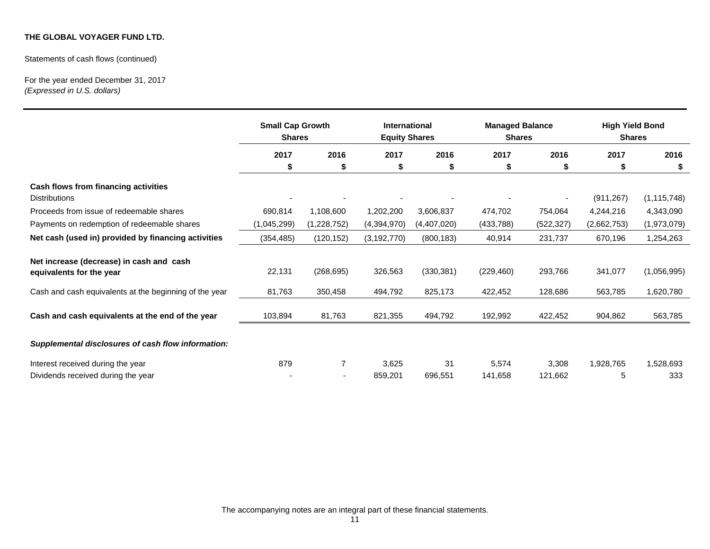Statements of cash flows (continued)

|                                                                      | <b>Small Cap Growth</b><br><b>Shares</b> |                | <b>International</b><br><b>Equity Shares</b> |             | <b>Managed Balance</b><br><b>Shares</b> |            | <b>High Yield Bond</b><br><b>Shares</b> |               |  |
|----------------------------------------------------------------------|------------------------------------------|----------------|----------------------------------------------|-------------|-----------------------------------------|------------|-----------------------------------------|---------------|--|
|                                                                      | 2017<br>S                                | 2016<br>S      | 2017<br>S                                    | 2016<br>S   | 2017<br>S                               | 2016<br>S  | 2017<br>S                               | 2016<br>\$    |  |
| Cash flows from financing activities<br><b>Distributions</b>         |                                          |                |                                              |             |                                         |            | (911, 267)                              | (1, 115, 748) |  |
| Proceeds from issue of redeemable shares                             | 690,814                                  | 1,108,600      | 1,202,200                                    | 3,606,837   | 474,702                                 | 754,064    | 4,244,216                               | 4,343,090     |  |
| Payments on redemption of redeemable shares                          | (1,045,299)                              | (1,228,752)    | (4,394,970)                                  | (4,407,020) | (433,788)                               | (522, 327) | (2,662,753)                             | (1,973,079)   |  |
| Net cash (used in) provided by financing activities                  | (354, 485)                               | (120, 152)     | (3, 192, 770)                                | (800, 183)  | 40,914                                  | 231,737    | 670,196                                 | 1,254,263     |  |
| Net increase (decrease) in cash and cash<br>equivalents for the year | 22,131                                   | (268, 695)     | 326,563                                      | (330, 381)  | (229, 460)                              | 293,766    | 341,077                                 | (1,056,995)   |  |
| Cash and cash equivalents at the beginning of the year               | 81,763                                   | 350,458        | 494,792                                      | 825,173     | 422,452                                 | 128,686    | 563,785                                 | 1,620,780     |  |
| Cash and cash equivalents at the end of the year                     | 103,894                                  | 81,763         | 821,355                                      | 494,792     | 192,992                                 | 422,452    | 904,862                                 | 563,785       |  |
| Supplemental disclosures of cash flow information:                   |                                          |                |                                              |             |                                         |            |                                         |               |  |
| Interest received during the year                                    | 879                                      | $\overline{7}$ | 3,625                                        | 31          | 5,574                                   | 3,308      | 1,928,765                               | 1,528,693     |  |
| Dividends received during the year                                   |                                          |                | 859,201                                      | 696,551     | 141,658                                 | 121,662    | 5                                       | 333           |  |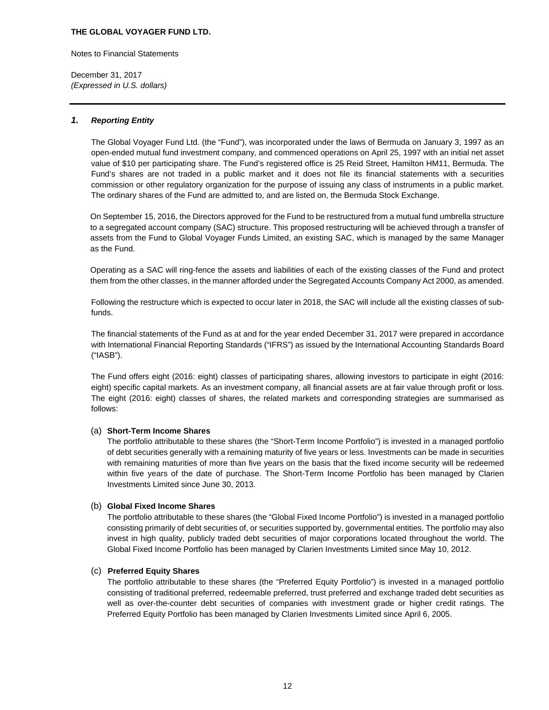Notes to Financial Statements

December 31, 2017 *(Expressed in U.S. dollars)* 

# *1. Reporting Entity*

The Global Voyager Fund Ltd. (the "Fund"), was incorporated under the laws of Bermuda on January 3, 1997 as an open-ended mutual fund investment company, and commenced operations on April 25, 1997 with an initial net asset value of \$10 per participating share. The Fund's registered office is 25 Reid Street, Hamilton HM11, Bermuda. The Fund's shares are not traded in a public market and it does not file its financial statements with a securities commission or other regulatory organization for the purpose of issuing any class of instruments in a public market. The ordinary shares of the Fund are admitted to, and are listed on, the Bermuda Stock Exchange.

On September 15, 2016, the Directors approved for the Fund to be restructured from a mutual fund umbrella structure to a segregated account company (SAC) structure. This proposed restructuring will be achieved through a transfer of assets from the Fund to Global Voyager Funds Limited, an existing SAC, which is managed by the same Manager as the Fund.

Operating as a SAC will ring-fence the assets and liabilities of each of the existing classes of the Fund and protect them from the other classes, in the manner afforded under the Segregated Accounts Company Act 2000, as amended.

Following the restructure which is expected to occur later in 2018, the SAC will include all the existing classes of subfunds.

The financial statements of the Fund as at and for the year ended December 31, 2017 were prepared in accordance with International Financial Reporting Standards ("IFRS") as issued by the International Accounting Standards Board ("IASB").

The Fund offers eight (2016: eight) classes of participating shares, allowing investors to participate in eight (2016: eight) specific capital markets. As an investment company, all financial assets are at fair value through profit or loss. The eight (2016: eight) classes of shares, the related markets and corresponding strategies are summarised as follows:

# (a) **Short-Term Income Shares**

The portfolio attributable to these shares (the "Short-Term Income Portfolio") is invested in a managed portfolio of debt securities generally with a remaining maturity of five years or less. Investments can be made in securities with remaining maturities of more than five years on the basis that the fixed income security will be redeemed within five years of the date of purchase. The Short-Term Income Portfolio has been managed by Clarien Investments Limited since June 30, 2013.

# (b) **Global Fixed Income Shares**

The portfolio attributable to these shares (the "Global Fixed Income Portfolio") is invested in a managed portfolio consisting primarily of debt securities of, or securities supported by, governmental entities. The portfolio may also invest in high quality, publicly traded debt securities of major corporations located throughout the world. The Global Fixed Income Portfolio has been managed by Clarien Investments Limited since May 10, 2012.

# (c) **Preferred Equity Shares**

The portfolio attributable to these shares (the "Preferred Equity Portfolio") is invested in a managed portfolio consisting of traditional preferred, redeemable preferred, trust preferred and exchange traded debt securities as well as over-the-counter debt securities of companies with investment grade or higher credit ratings. The Preferred Equity Portfolio has been managed by Clarien Investments Limited since April 6, 2005.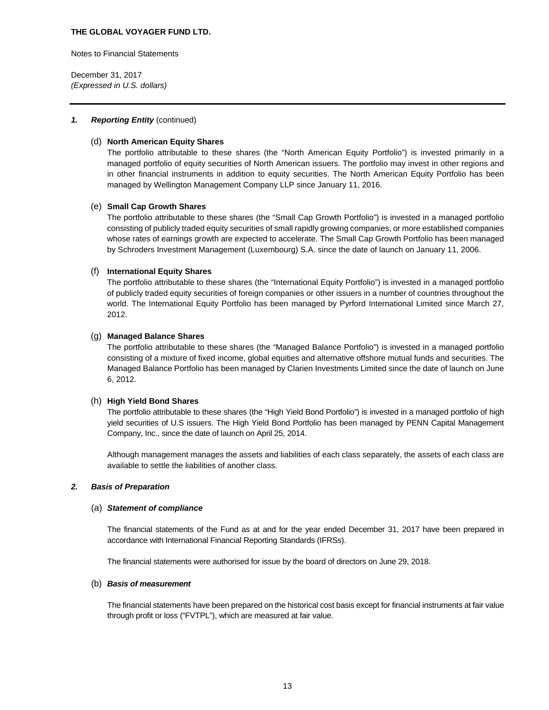Notes to Financial Statements

December 31, 2017 *(Expressed in U.S. dollars)* 

### *1. Reporting Entity* (continued)

# (d) **North American Equity Shares**

The portfolio attributable to these shares (the "North American Equity Portfolio") is invested primarily in a managed portfolio of equity securities of North American issuers. The portfolio may invest in other regions and in other financial instruments in addition to equity securities. The North American Equity Portfolio has been managed by Wellington Management Company LLP since January 11, 2016.

# (e) **Small Cap Growth Shares**

The portfolio attributable to these shares (the "Small Cap Growth Portfolio") is invested in a managed portfolio consisting of publicly traded equity securities of small rapidly growing companies, or more established companies whose rates of earnings growth are expected to accelerate. The Small Cap Growth Portfolio has been managed by Schroders Investment Management (Luxembourg) S.A. since the date of launch on January 11, 2006.

# (f) **International Equity Shares**

The portfolio attributable to these shares (the "International Equity Portfolio") is invested in a managed portfolio of publicly traded equity securities of foreign companies or other issuers in a number of countries throughout the world. The International Equity Portfolio has been managed by Pyrford International Limited since March 27, 2012.

# (g) **Managed Balance Shares**

The portfolio attributable to these shares (the "Managed Balance Portfolio") is invested in a managed portfolio consisting of a mixture of fixed income, global equities and alternative offshore mutual funds and securities. The Managed Balance Portfolio has been managed by Clarien Investments Limited since the date of launch on June 6, 2012.

# (h) **High Yield Bond Shares**

The portfolio attributable to these shares (the "High Yield Bond Portfolio") is invested in a managed portfolio of high yield securities of U.S issuers. The High Yield Bond Portfolio has been managed by PENN Capital Management Company, Inc., since the date of launch on April 25, 2014.

Although management manages the assets and liabilities of each class separately, the assets of each class are available to settle the liabilities of another class.

# *2. Basis of Preparation*

# (a) *Statement of compliance*

The financial statements of the Fund as at and for the year ended December 31, 2017 have been prepared in accordance with International Financial Reporting Standards (IFRSs).

The financial statements were authorised for issue by the board of directors on June 29, 2018.

# (b) *Basis of measurement*

The financial statements have been prepared on the historical cost basis except for financial instruments at fair value through profit or loss ("FVTPL"), which are measured at fair value.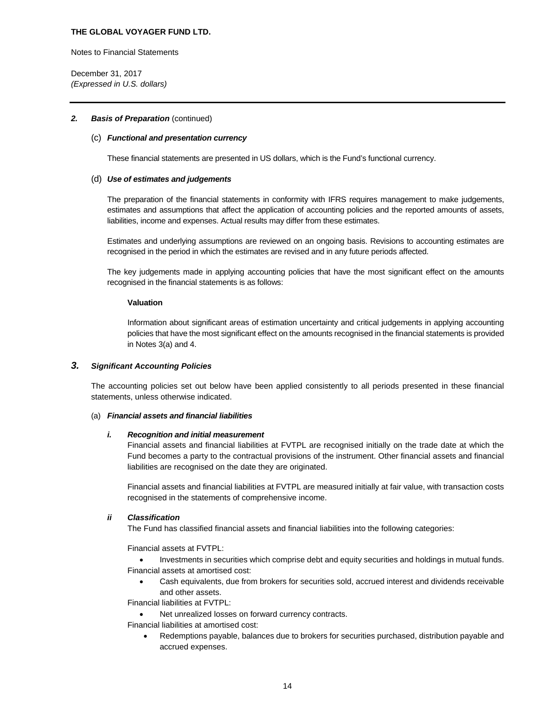Notes to Financial Statements

December 31, 2017 *(Expressed in U.S. dollars)* 

# *2. Basis of Preparation* (continued)

### (c) *Functional and presentation currency*

These financial statements are presented in US dollars, which is the Fund's functional currency.

### (d) *Use of estimates and judgements*

The preparation of the financial statements in conformity with IFRS requires management to make judgements, estimates and assumptions that affect the application of accounting policies and the reported amounts of assets, liabilities, income and expenses. Actual results may differ from these estimates.

Estimates and underlying assumptions are reviewed on an ongoing basis. Revisions to accounting estimates are recognised in the period in which the estimates are revised and in any future periods affected.

The key judgements made in applying accounting policies that have the most significant effect on the amounts recognised in the financial statements is as follows:

### **Valuation**

Information about significant areas of estimation uncertainty and critical judgements in applying accounting policies that have the most significant effect on the amounts recognised in the financial statements is provided in Notes 3(a) and 4.

# *3. Significant Accounting Policies*

The accounting policies set out below have been applied consistently to all periods presented in these financial statements, unless otherwise indicated.

#### (a) *Financial assets and financial liabilities*

# *i. Recognition and initial measurement*

Financial assets and financial liabilities at FVTPL are recognised initially on the trade date at which the Fund becomes a party to the contractual provisions of the instrument. Other financial assets and financial liabilities are recognised on the date they are originated.

Financial assets and financial liabilities at FVTPL are measured initially at fair value, with transaction costs recognised in the statements of comprehensive income.

# *ii Classification*

The Fund has classified financial assets and financial liabilities into the following categories:

Financial assets at FVTPL:

 Investments in securities which comprise debt and equity securities and holdings in mutual funds. Financial assets at amortised cost:

 Cash equivalents, due from brokers for securities sold, accrued interest and dividends receivable and other assets.

Financial liabilities at FVTPL:

Net unrealized losses on forward currency contracts.

Financial liabilities at amortised cost:

 Redemptions payable, balances due to brokers for securities purchased, distribution payable and accrued expenses.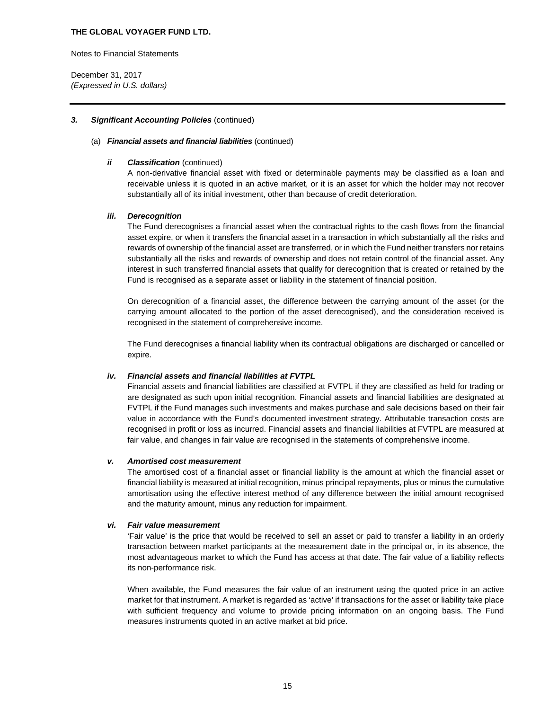Notes to Financial Statements

December 31, 2017 *(Expressed in U.S. dollars)* 

### *3. Significant Accounting Policies* (continued)

### (a) *Financial assets and financial liabilities* (continued)

### *ii* Classification (continued)

A non-derivative financial asset with fixed or determinable payments may be classified as a loan and receivable unless it is quoted in an active market, or it is an asset for which the holder may not recover substantially all of its initial investment, other than because of credit deterioration.

# *iii. Derecognition*

The Fund derecognises a financial asset when the contractual rights to the cash flows from the financial asset expire, or when it transfers the financial asset in a transaction in which substantially all the risks and rewards of ownership of the financial asset are transferred, or in which the Fund neither transfers nor retains substantially all the risks and rewards of ownership and does not retain control of the financial asset. Any interest in such transferred financial assets that qualify for derecognition that is created or retained by the Fund is recognised as a separate asset or liability in the statement of financial position.

On derecognition of a financial asset, the difference between the carrying amount of the asset (or the carrying amount allocated to the portion of the asset derecognised), and the consideration received is recognised in the statement of comprehensive income.

The Fund derecognises a financial liability when its contractual obligations are discharged or cancelled or expire.

# *iv. Financial assets and financial liabilities at FVTPL*

Financial assets and financial liabilities are classified at FVTPL if they are classified as held for trading or are designated as such upon initial recognition. Financial assets and financial liabilities are designated at FVTPL if the Fund manages such investments and makes purchase and sale decisions based on their fair value in accordance with the Fund's documented investment strategy. Attributable transaction costs are recognised in profit or loss as incurred. Financial assets and financial liabilities at FVTPL are measured at fair value, and changes in fair value are recognised in the statements of comprehensive income.

#### *v. Amortised cost measurement*

The amortised cost of a financial asset or financial liability is the amount at which the financial asset or financial liability is measured at initial recognition, minus principal repayments, plus or minus the cumulative amortisation using the effective interest method of any difference between the initial amount recognised and the maturity amount, minus any reduction for impairment.

# *vi. Fair value measurement*

'Fair value' is the price that would be received to sell an asset or paid to transfer a liability in an orderly transaction between market participants at the measurement date in the principal or, in its absence, the most advantageous market to which the Fund has access at that date. The fair value of a liability reflects its non-performance risk.

When available, the Fund measures the fair value of an instrument using the quoted price in an active market for that instrument. A market is regarded as 'active' if transactions for the asset or liability take place with sufficient frequency and volume to provide pricing information on an ongoing basis. The Fund measures instruments quoted in an active market at bid price.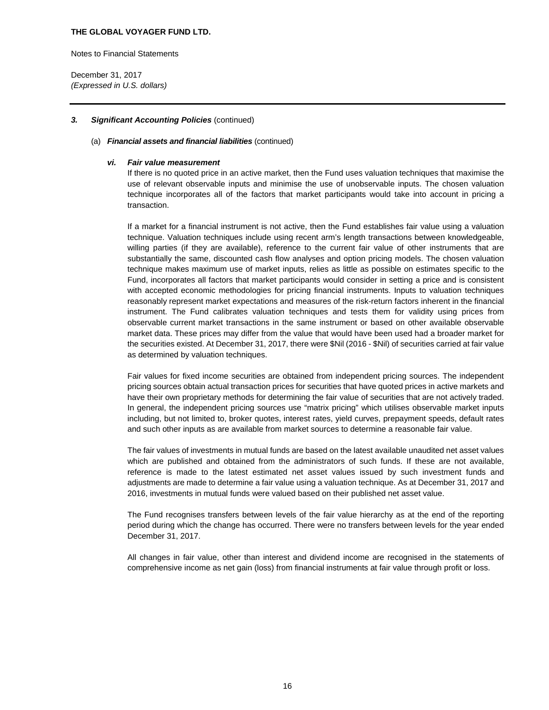Notes to Financial Statements

December 31, 2017 *(Expressed in U.S. dollars)* 

### *3. Significant Accounting Policies* (continued)

### (a) *Financial assets and financial liabilities* (continued)

### *vi. Fair value measurement*

If there is no quoted price in an active market, then the Fund uses valuation techniques that maximise the use of relevant observable inputs and minimise the use of unobservable inputs. The chosen valuation technique incorporates all of the factors that market participants would take into account in pricing a transaction.

If a market for a financial instrument is not active, then the Fund establishes fair value using a valuation technique. Valuation techniques include using recent arm's length transactions between knowledgeable, willing parties (if they are available), reference to the current fair value of other instruments that are substantially the same, discounted cash flow analyses and option pricing models. The chosen valuation technique makes maximum use of market inputs, relies as little as possible on estimates specific to the Fund, incorporates all factors that market participants would consider in setting a price and is consistent with accepted economic methodologies for pricing financial instruments. Inputs to valuation techniques reasonably represent market expectations and measures of the risk-return factors inherent in the financial instrument. The Fund calibrates valuation techniques and tests them for validity using prices from observable current market transactions in the same instrument or based on other available observable market data. These prices may differ from the value that would have been used had a broader market for the securities existed. At December 31, 2017, there were \$Nil (2016 - \$Nil) of securities carried at fair value as determined by valuation techniques.

Fair values for fixed income securities are obtained from independent pricing sources. The independent pricing sources obtain actual transaction prices for securities that have quoted prices in active markets and have their own proprietary methods for determining the fair value of securities that are not actively traded. In general, the independent pricing sources use "matrix pricing" which utilises observable market inputs including, but not limited to, broker quotes, interest rates, yield curves, prepayment speeds, default rates and such other inputs as are available from market sources to determine a reasonable fair value.

The fair values of investments in mutual funds are based on the latest available unaudited net asset values which are published and obtained from the administrators of such funds. If these are not available, reference is made to the latest estimated net asset values issued by such investment funds and adjustments are made to determine a fair value using a valuation technique. As at December 31, 2017 and 2016, investments in mutual funds were valued based on their published net asset value.

The Fund recognises transfers between levels of the fair value hierarchy as at the end of the reporting period during which the change has occurred. There were no transfers between levels for the year ended December 31, 2017.

All changes in fair value, other than interest and dividend income are recognised in the statements of comprehensive income as net gain (loss) from financial instruments at fair value through profit or loss.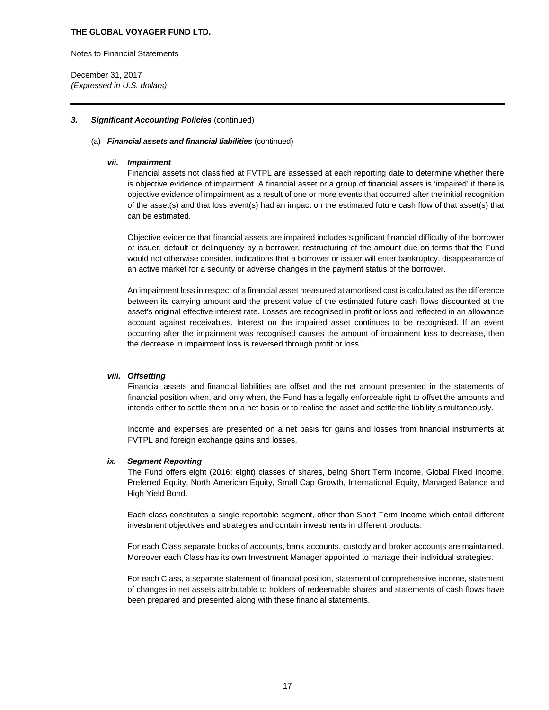Notes to Financial Statements

December 31, 2017 *(Expressed in U.S. dollars)* 

# *3. Significant Accounting Policies* (continued)

### (a) *Financial assets and financial liabilities* (continued)

### *vii. Impairment*

Financial assets not classified at FVTPL are assessed at each reporting date to determine whether there is objective evidence of impairment. A financial asset or a group of financial assets is 'impaired' if there is objective evidence of impairment as a result of one or more events that occurred after the initial recognition of the asset(s) and that loss event(s) had an impact on the estimated future cash flow of that asset(s) that can be estimated.

Objective evidence that financial assets are impaired includes significant financial difficulty of the borrower or issuer, default or delinquency by a borrower, restructuring of the amount due on terms that the Fund would not otherwise consider, indications that a borrower or issuer will enter bankruptcy, disappearance of an active market for a security or adverse changes in the payment status of the borrower.

An impairment loss in respect of a financial asset measured at amortised cost is calculated as the difference between its carrying amount and the present value of the estimated future cash flows discounted at the asset's original effective interest rate. Losses are recognised in profit or loss and reflected in an allowance account against receivables. Interest on the impaired asset continues to be recognised. If an event occurring after the impairment was recognised causes the amount of impairment loss to decrease, then the decrease in impairment loss is reversed through profit or loss.

#### *viii. Offsetting*

Financial assets and financial liabilities are offset and the net amount presented in the statements of financial position when, and only when, the Fund has a legally enforceable right to offset the amounts and intends either to settle them on a net basis or to realise the asset and settle the liability simultaneously.

Income and expenses are presented on a net basis for gains and losses from financial instruments at FVTPL and foreign exchange gains and losses.

#### *ix. Segment Reporting*

The Fund offers eight (2016: eight) classes of shares, being Short Term Income, Global Fixed Income, Preferred Equity, North American Equity, Small Cap Growth, International Equity, Managed Balance and High Yield Bond.

Each class constitutes a single reportable segment, other than Short Term Income which entail different investment objectives and strategies and contain investments in different products.

For each Class separate books of accounts, bank accounts, custody and broker accounts are maintained. Moreover each Class has its own Investment Manager appointed to manage their individual strategies.

For each Class, a separate statement of financial position, statement of comprehensive income, statement of changes in net assets attributable to holders of redeemable shares and statements of cash flows have been prepared and presented along with these financial statements.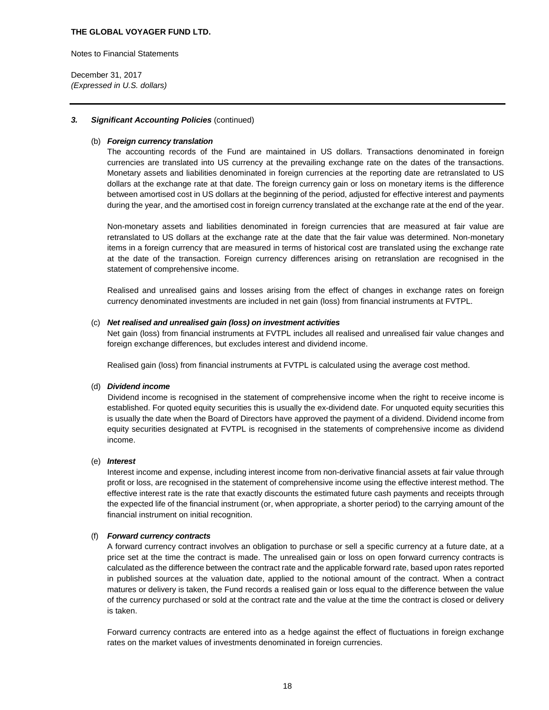Notes to Financial Statements

December 31, 2017 *(Expressed in U.S. dollars)* 

### *3. Significant Accounting Policies* (continued)

### (b) *Foreign currency translation*

The accounting records of the Fund are maintained in US dollars. Transactions denominated in foreign currencies are translated into US currency at the prevailing exchange rate on the dates of the transactions. Monetary assets and liabilities denominated in foreign currencies at the reporting date are retranslated to US dollars at the exchange rate at that date. The foreign currency gain or loss on monetary items is the difference between amortised cost in US dollars at the beginning of the period, adjusted for effective interest and payments during the year, and the amortised cost in foreign currency translated at the exchange rate at the end of the year.

Non-monetary assets and liabilities denominated in foreign currencies that are measured at fair value are retranslated to US dollars at the exchange rate at the date that the fair value was determined. Non-monetary items in a foreign currency that are measured in terms of historical cost are translated using the exchange rate at the date of the transaction. Foreign currency differences arising on retranslation are recognised in the statement of comprehensive income.

Realised and unrealised gains and losses arising from the effect of changes in exchange rates on foreign currency denominated investments are included in net gain (loss) from financial instruments at FVTPL.

### (c) *Net realised and unrealised gain (loss) on investment activities*

Net gain (loss) from financial instruments at FVTPL includes all realised and unrealised fair value changes and foreign exchange differences, but excludes interest and dividend income.

Realised gain (loss) from financial instruments at FVTPL is calculated using the average cost method.

# (d) *Dividend income*

Dividend income is recognised in the statement of comprehensive income when the right to receive income is established. For quoted equity securities this is usually the ex-dividend date. For unquoted equity securities this is usually the date when the Board of Directors have approved the payment of a dividend. Dividend income from equity securities designated at FVTPL is recognised in the statements of comprehensive income as dividend income.

# (e) *Interest*

Interest income and expense, including interest income from non-derivative financial assets at fair value through profit or loss, are recognised in the statement of comprehensive income using the effective interest method. The effective interest rate is the rate that exactly discounts the estimated future cash payments and receipts through the expected life of the financial instrument (or, when appropriate, a shorter period) to the carrying amount of the financial instrument on initial recognition.

#### (f) *Forward currency contracts*

A forward currency contract involves an obligation to purchase or sell a specific currency at a future date, at a price set at the time the contract is made. The unrealised gain or loss on open forward currency contracts is calculated as the difference between the contract rate and the applicable forward rate, based upon rates reported in published sources at the valuation date, applied to the notional amount of the contract. When a contract matures or delivery is taken, the Fund records a realised gain or loss equal to the difference between the value of the currency purchased or sold at the contract rate and the value at the time the contract is closed or delivery is taken.

Forward currency contracts are entered into as a hedge against the effect of fluctuations in foreign exchange rates on the market values of investments denominated in foreign currencies.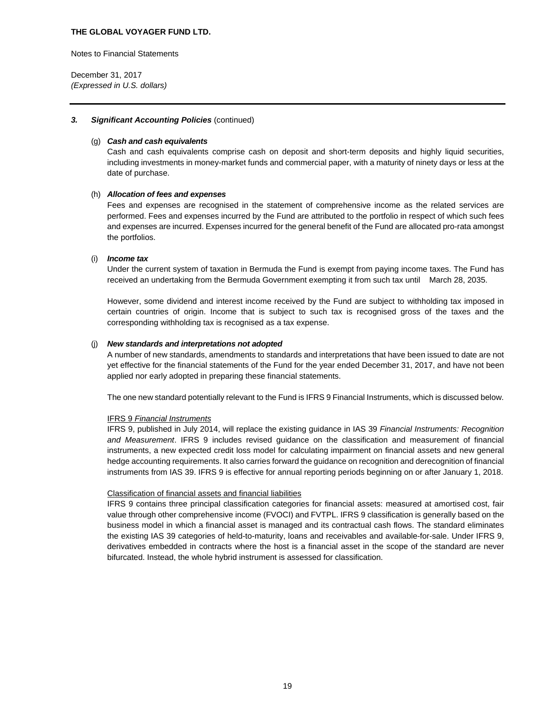Notes to Financial Statements

December 31, 2017 *(Expressed in U.S. dollars)* 

### *3. Significant Accounting Policies* (continued)

### (g) *Cash and cash equivalents*

Cash and cash equivalents comprise cash on deposit and short-term deposits and highly liquid securities, including investments in money-market funds and commercial paper, with a maturity of ninety days or less at the date of purchase.

# (h) *Allocation of fees and expenses*

Fees and expenses are recognised in the statement of comprehensive income as the related services are performed. Fees and expenses incurred by the Fund are attributed to the portfolio in respect of which such fees and expenses are incurred. Expenses incurred for the general benefit of the Fund are allocated pro-rata amongst the portfolios.

### (i) *Income tax*

Under the current system of taxation in Bermuda the Fund is exempt from paying income taxes. The Fund has received an undertaking from the Bermuda Government exempting it from such tax until March 28, 2035.

However, some dividend and interest income received by the Fund are subject to withholding tax imposed in certain countries of origin. Income that is subject to such tax is recognised gross of the taxes and the corresponding withholding tax is recognised as a tax expense.

### (j) *New standards and interpretations not adopted*

A number of new standards, amendments to standards and interpretations that have been issued to date are not yet effective for the financial statements of the Fund for the year ended December 31, 2017, and have not been applied nor early adopted in preparing these financial statements.

The one new standard potentially relevant to the Fund is IFRS 9 Financial Instruments, which is discussed below.

# IFRS 9 *Financial Instruments*

IFRS 9, published in July 2014, will replace the existing guidance in IAS 39 *Financial Instruments: Recognition and Measurement*. IFRS 9 includes revised guidance on the classification and measurement of financial instruments, a new expected credit loss model for calculating impairment on financial assets and new general hedge accounting requirements. It also carries forward the guidance on recognition and derecognition of financial instruments from IAS 39. IFRS 9 is effective for annual reporting periods beginning on or after January 1, 2018.

# Classification of financial assets and financial liabilities

IFRS 9 contains three principal classification categories for financial assets: measured at amortised cost, fair value through other comprehensive income (FVOCI) and FVTPL. IFRS 9 classification is generally based on the business model in which a financial asset is managed and its contractual cash flows. The standard eliminates the existing IAS 39 categories of held-to-maturity, loans and receivables and available-for-sale. Under IFRS 9, derivatives embedded in contracts where the host is a financial asset in the scope of the standard are never bifurcated. Instead, the whole hybrid instrument is assessed for classification.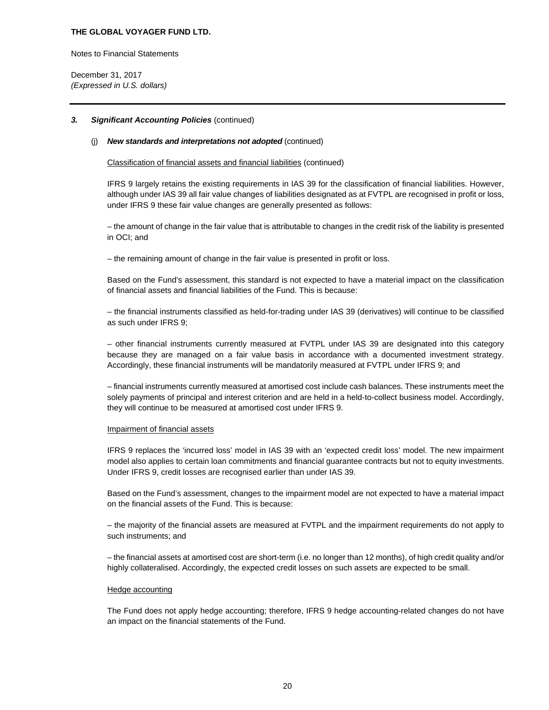Notes to Financial Statements

December 31, 2017 *(Expressed in U.S. dollars)* 

# *3. Significant Accounting Policies* (continued)

### (j) *New standards and interpretations not adopted* (continued)

Classification of financial assets and financial liabilities (continued)

IFRS 9 largely retains the existing requirements in IAS 39 for the classification of financial liabilities. However, although under IAS 39 all fair value changes of liabilities designated as at FVTPL are recognised in profit or loss, under IFRS 9 these fair value changes are generally presented as follows:

– the amount of change in the fair value that is attributable to changes in the credit risk of the liability is presented in OCI; and

– the remaining amount of change in the fair value is presented in profit or loss.

Based on the Fund's assessment, this standard is not expected to have a material impact on the classification of financial assets and financial liabilities of the Fund. This is because:

– the financial instruments classified as held-for-trading under IAS 39 (derivatives) will continue to be classified as such under IFRS 9;

– other financial instruments currently measured at FVTPL under IAS 39 are designated into this category because they are managed on a fair value basis in accordance with a documented investment strategy. Accordingly, these financial instruments will be mandatorily measured at FVTPL under IFRS 9; and

– financial instruments currently measured at amortised cost include cash balances. These instruments meet the solely payments of principal and interest criterion and are held in a held-to-collect business model. Accordingly, they will continue to be measured at amortised cost under IFRS 9.

#### Impairment of financial assets

IFRS 9 replaces the 'incurred loss' model in IAS 39 with an 'expected credit loss' model. The new impairment model also applies to certain loan commitments and financial guarantee contracts but not to equity investments. Under IFRS 9, credit losses are recognised earlier than under IAS 39.

Based on the Fund's assessment, changes to the impairment model are not expected to have a material impact on the financial assets of the Fund. This is because:

– the majority of the financial assets are measured at FVTPL and the impairment requirements do not apply to such instruments; and

– the financial assets at amortised cost are short-term (i.e. no longer than 12 months), of high credit quality and/or highly collateralised. Accordingly, the expected credit losses on such assets are expected to be small.

#### Hedge accounting

The Fund does not apply hedge accounting; therefore, IFRS 9 hedge accounting-related changes do not have an impact on the financial statements of the Fund.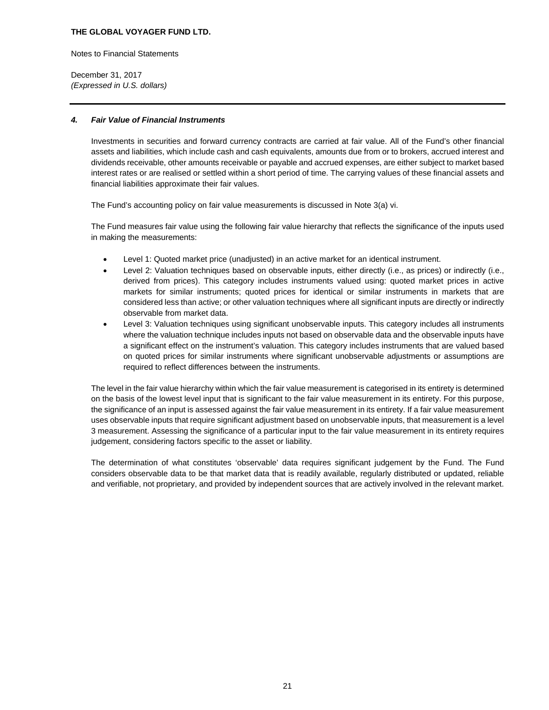Notes to Financial Statements

December 31, 2017 *(Expressed in U.S. dollars)* 

# *4. Fair Value of Financial Instruments*

Investments in securities and forward currency contracts are carried at fair value. All of the Fund's other financial assets and liabilities, which include cash and cash equivalents, amounts due from or to brokers, accrued interest and dividends receivable, other amounts receivable or payable and accrued expenses, are either subject to market based interest rates or are realised or settled within a short period of time. The carrying values of these financial assets and financial liabilities approximate their fair values.

The Fund's accounting policy on fair value measurements is discussed in Note 3(a) vi.

The Fund measures fair value using the following fair value hierarchy that reflects the significance of the inputs used in making the measurements:

- Level 1: Quoted market price (unadjusted) in an active market for an identical instrument.
- Level 2: Valuation techniques based on observable inputs, either directly (i.e., as prices) or indirectly (i.e., derived from prices). This category includes instruments valued using: quoted market prices in active markets for similar instruments; quoted prices for identical or similar instruments in markets that are considered less than active; or other valuation techniques where all significant inputs are directly or indirectly observable from market data.
- Level 3: Valuation techniques using significant unobservable inputs. This category includes all instruments where the valuation technique includes inputs not based on observable data and the observable inputs have a significant effect on the instrument's valuation. This category includes instruments that are valued based on quoted prices for similar instruments where significant unobservable adjustments or assumptions are required to reflect differences between the instruments.

The level in the fair value hierarchy within which the fair value measurement is categorised in its entirety is determined on the basis of the lowest level input that is significant to the fair value measurement in its entirety. For this purpose, the significance of an input is assessed against the fair value measurement in its entirety. If a fair value measurement uses observable inputs that require significant adjustment based on unobservable inputs, that measurement is a level 3 measurement. Assessing the significance of a particular input to the fair value measurement in its entirety requires judgement, considering factors specific to the asset or liability.

The determination of what constitutes 'observable' data requires significant judgement by the Fund. The Fund considers observable data to be that market data that is readily available, regularly distributed or updated, reliable and verifiable, not proprietary, and provided by independent sources that are actively involved in the relevant market.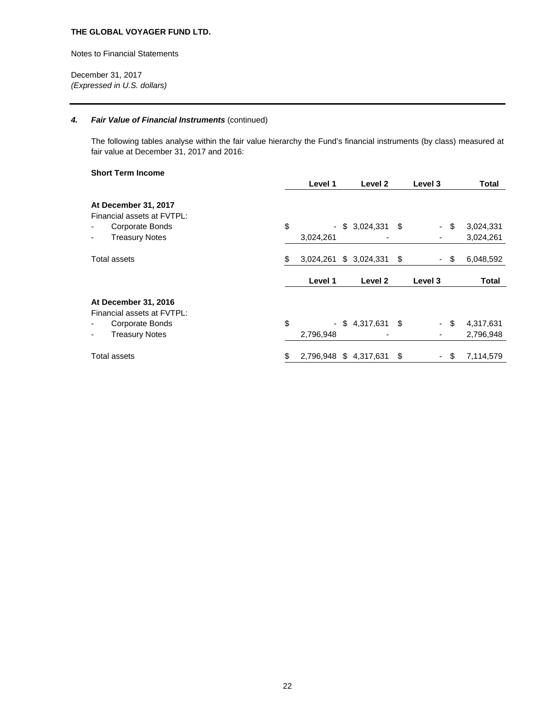Notes to Financial Statements

December 31, 2017 *(Expressed in U.S. dollars)* 

# *4. Fair Value of Financial Instruments* (continued)

The following tables analyse within the fair value hierarchy the Fund's financial instruments (by class) measured at fair value at December 31, 2017 and 2016:

### **Short Term Income**

|                                                                                                                                 | Level 1         | Level <sub>2</sub> |      | Level 3 | Total                        |
|---------------------------------------------------------------------------------------------------------------------------------|-----------------|--------------------|------|---------|------------------------------|
| At December 31, 2017<br>Financial assets at FVTPL:<br>Corporate Bonds<br>-<br><b>Treasury Notes</b><br>$\overline{\phantom{a}}$ | \$<br>3,024,261 | \$3,024,331        | S.   | $\sim$  | \$<br>3,024,331<br>3,024,261 |
| Total assets                                                                                                                    | \$<br>3,024,261 | \$3,024,331        | S.   | $\sim$  | \$<br>6,048,592              |
|                                                                                                                                 |                 |                    |      |         |                              |
|                                                                                                                                 | Level 1         | Level <sub>2</sub> |      | Level 3 | <b>Total</b>                 |
| At December 31, 2016<br>Financial assets at FVTPL:<br>Corporate Bonds<br>٠                                                      | \$              | $-$ \$ 4,317,631   | - \$ | $\sim$  | \$<br>4,317,631              |
| <b>Treasury Notes</b><br>$\overline{\phantom{a}}$                                                                               | 2,796,948       |                    |      |         | 2,796,948                    |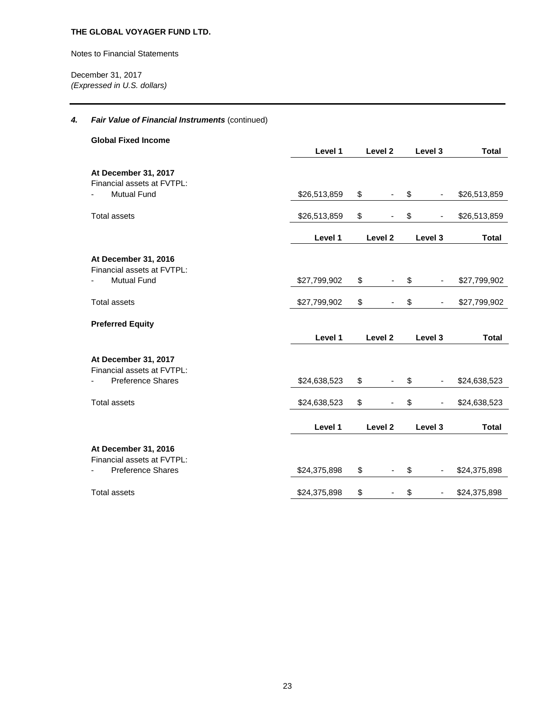Notes to Financial Statements

December 31, 2017 *(Expressed in U.S. dollars)* 

# *4. Fair Value of Financial Instruments* (continued)

| <b>Global Fixed Income</b>                         |              |                                    |         |              |
|----------------------------------------------------|--------------|------------------------------------|---------|--------------|
|                                                    | Level 1      | Level <sub>2</sub>                 | Level 3 | <b>Total</b> |
| At December 31, 2017<br>Financial assets at FVTPL: |              |                                    |         |              |
| <b>Mutual Fund</b>                                 | \$26,513,859 | \$                                 | \$      | \$26,513,859 |
| <b>Total assets</b>                                | \$26,513,859 | \$                                 | \$      | \$26,513,859 |
|                                                    | Level 1      | Level <sub>2</sub>                 | Level 3 | <b>Total</b> |
| At December 31, 2016<br>Financial assets at FVTPL: |              |                                    |         |              |
| <b>Mutual Fund</b>                                 | \$27,799,902 | \$                                 | \$      | \$27,799,902 |
| <b>Total assets</b>                                | \$27,799,902 | \$                                 | \$      | \$27,799,902 |
| <b>Preferred Equity</b>                            |              |                                    |         |              |
|                                                    | Level 1      | Level <sub>2</sub>                 | Level 3 | <b>Total</b> |
| At December 31, 2017<br>Financial assets at FVTPL: |              |                                    |         |              |
| <b>Preference Shares</b>                           | \$24,638,523 | \$                                 | \$      | \$24,638,523 |
| <b>Total assets</b>                                | \$24,638,523 | \$                                 | \$      | \$24,638,523 |
|                                                    | Level 1      | Level <sub>2</sub>                 | Level 3 | <b>Total</b> |
| At December 31, 2016<br>Financial assets at FVTPL: |              |                                    |         |              |
| <b>Preference Shares</b>                           | \$24,375,898 | \$<br>$\qquad \qquad \blacksquare$ | \$      | \$24,375,898 |
| <b>Total assets</b>                                | \$24,375,898 | \$                                 | \$      | \$24,375,898 |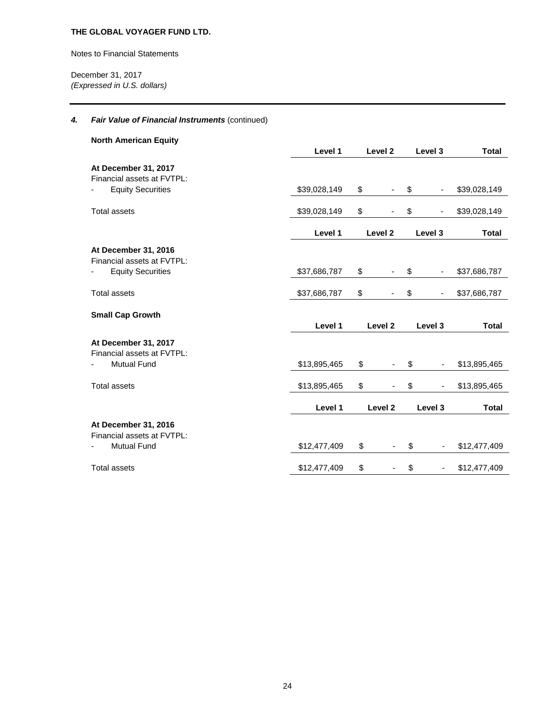Notes to Financial Statements

December 31, 2017 *(Expressed in U.S. dollars)* 

# *4. Fair Value of Financial Instruments* (continued)

| <b>North American Equity</b>                       |              |                                |                                |              |
|----------------------------------------------------|--------------|--------------------------------|--------------------------------|--------------|
|                                                    | Level 1      | Level 2                        | Level 3                        | <b>Total</b> |
| At December 31, 2017<br>Financial assets at FVTPL: |              |                                |                                |              |
| <b>Equity Securities</b>                           | \$39,028,149 | \$                             | \$                             | \$39,028,149 |
| <b>Total assets</b>                                | \$39,028,149 | \$                             | \$<br>$\overline{\phantom{a}}$ | \$39,028,149 |
|                                                    | Level 1      | Level <sub>2</sub>             | Level 3                        | <b>Total</b> |
| At December 31, 2016<br>Financial assets at FVTPL: |              |                                |                                |              |
| <b>Equity Securities</b>                           | \$37,686,787 | \$                             | \$                             | \$37,686,787 |
| <b>Total assets</b>                                | \$37,686,787 | \$                             | \$                             | \$37,686,787 |
| <b>Small Cap Growth</b>                            |              |                                |                                |              |
|                                                    | Level 1      | Level <sub>2</sub>             | Level 3                        | <b>Total</b> |
| At December 31, 2017<br>Financial assets at FVTPL: |              |                                |                                |              |
| <b>Mutual Fund</b>                                 | \$13,895,465 | \$<br>$\overline{\phantom{a}}$ | \$                             | \$13,895,465 |
| <b>Total assets</b>                                | \$13,895,465 | \$                             | \$                             | \$13,895,465 |
|                                                    | Level 1      | Level <sub>2</sub>             | Level 3                        | <b>Total</b> |
| At December 31, 2016<br>Financial assets at FVTPL: |              |                                |                                |              |
| <b>Mutual Fund</b>                                 | \$12,477,409 | \$<br>$\overline{\phantom{a}}$ | \$                             | \$12,477,409 |
| <b>Total assets</b>                                | \$12,477,409 | \$                             | \$<br>$\overline{\phantom{a}}$ | \$12,477,409 |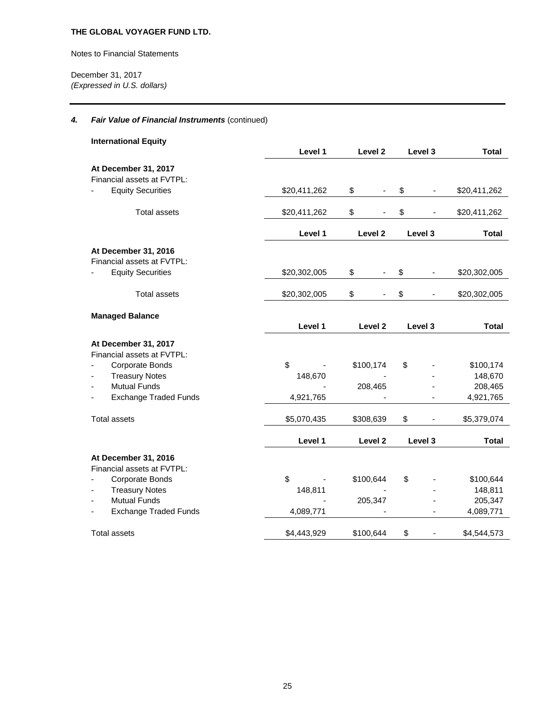Notes to Financial Statements

December 31, 2017 *(Expressed in U.S. dollars)* 

# *4. Fair Value of Financial Instruments* (continued)

| <b>International Equity</b>  |              |                                |                      |              |
|------------------------------|--------------|--------------------------------|----------------------|--------------|
|                              | Level 1      | Level <sub>2</sub>             | Level 3              | <b>Total</b> |
| At December 31, 2017         |              |                                |                      |              |
| Financial assets at FVTPL:   |              |                                |                      |              |
| <b>Equity Securities</b>     | \$20,411,262 | \$<br>÷,                       | \$                   | \$20,411,262 |
| <b>Total assets</b>          | \$20,411,262 | \$                             | \$                   | \$20,411,262 |
|                              | Level 1      | Level <sub>2</sub>             | Level 3              | <b>Total</b> |
| At December 31, 2016         |              |                                |                      |              |
| Financial assets at FVTPL:   |              |                                |                      |              |
| <b>Equity Securities</b>     | \$20,302,005 | \$<br>$\overline{\phantom{0}}$ | \$<br>$\blacksquare$ | \$20,302,005 |
| <b>Total assets</b>          | \$20,302,005 | \$                             | \$                   | \$20,302,005 |
| <b>Managed Balance</b>       |              |                                |                      |              |
|                              | Level 1      | Level <sub>2</sub>             | Level 3              | <b>Total</b> |
| At December 31, 2017         |              |                                |                      |              |
| Financial assets at FVTPL:   |              |                                |                      |              |
| Corporate Bonds              | \$           | \$100,174                      | \$                   | \$100,174    |
| <b>Treasury Notes</b>        | 148,670      |                                |                      | 148,670      |
| <b>Mutual Funds</b>          |              | 208,465                        |                      | 208,465      |
| <b>Exchange Traded Funds</b> | 4,921,765    |                                |                      | 4,921,765    |
| <b>Total assets</b>          | \$5,070,435  | \$308,639                      | \$                   | \$5,379,074  |
|                              | Level 1      | Level <sub>2</sub>             | Level 3              | <b>Total</b> |
| At December 31, 2016         |              |                                |                      |              |
| Financial assets at FVTPL:   |              |                                |                      |              |
| Corporate Bonds              | \$           | \$100,644                      | \$                   | \$100,644    |
| <b>Treasury Notes</b>        | 148,811      |                                |                      | 148,811      |
| <b>Mutual Funds</b>          |              | 205,347                        |                      | 205,347      |
| <b>Exchange Traded Funds</b> | 4,089,771    |                                | ÷,                   | 4,089,771    |
| <b>Total assets</b>          | \$4,443,929  | \$100,644                      | \$                   | \$4,544,573  |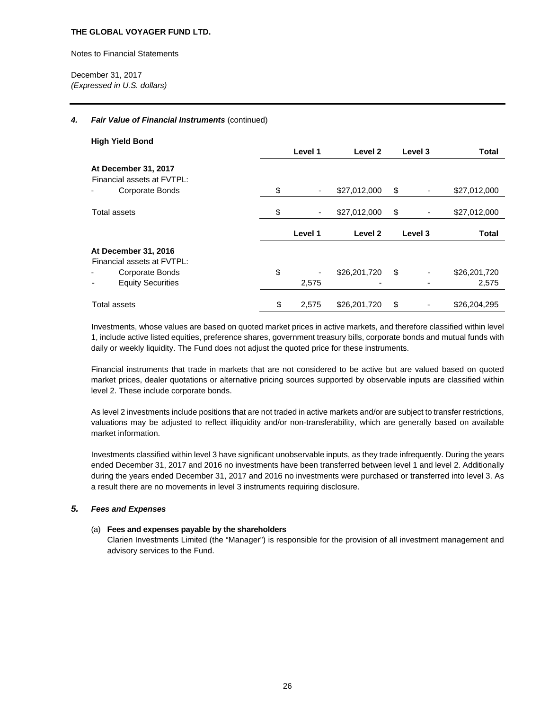Notes to Financial Statements

# December 31, 2017 *(Expressed in U.S. dollars)*

# *4. Fair Value of Financial Instruments* (continued)

| <b>High Yield Bond</b>                             |                                |              |         |              |
|----------------------------------------------------|--------------------------------|--------------|---------|--------------|
|                                                    | Level 1                        | Level 2      | Level 3 | Total        |
| At December 31, 2017<br>Financial assets at FVTPL: |                                |              |         |              |
| Corporate Bonds                                    | \$<br>-                        | \$27,012,000 | \$      | \$27,012,000 |
| Total assets                                       | \$<br>-                        | \$27,012,000 | \$      | \$27,012,000 |
|                                                    |                                |              |         |              |
|                                                    | Level 1                        | Level 2      | Level 3 | Total        |
| At December 31, 2016<br>Financial assets at FVTPL: |                                |              |         |              |
| Corporate Bonds                                    | \$<br>$\overline{\phantom{a}}$ | \$26,201,720 | \$      | \$26,201,720 |
| <b>Equity Securities</b>                           | 2,575                          |              |         | 2,575        |

Investments, whose values are based on quoted market prices in active markets, and therefore classified within level 1, include active listed equities, preference shares, government treasury bills, corporate bonds and mutual funds with daily or weekly liquidity. The Fund does not adjust the quoted price for these instruments.

Financial instruments that trade in markets that are not considered to be active but are valued based on quoted market prices, dealer quotations or alternative pricing sources supported by observable inputs are classified within level 2. These include corporate bonds.

As level 2 investments include positions that are not traded in active markets and/or are subject to transfer restrictions, valuations may be adjusted to reflect illiquidity and/or non-transferability, which are generally based on available market information.

Investments classified within level 3 have significant unobservable inputs, as they trade infrequently. During the years ended December 31, 2017 and 2016 no investments have been transferred between level 1 and level 2. Additionally during the years ended December 31, 2017 and 2016 no investments were purchased or transferred into level 3. As a result there are no movements in level 3 instruments requiring disclosure.

# *5. Fees and Expenses*

# (a) **Fees and expenses payable by the shareholders**

Clarien Investments Limited (the "Manager") is responsible for the provision of all investment management and advisory services to the Fund.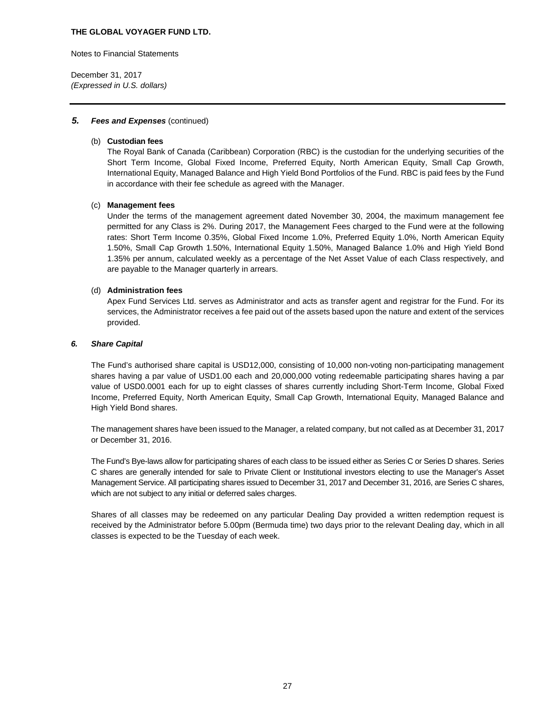Notes to Financial Statements

December 31, 2017 *(Expressed in U.S. dollars)* 

### *5. Fees and Expenses* (continued)

### (b) **Custodian fees**

The Royal Bank of Canada (Caribbean) Corporation (RBC) is the custodian for the underlying securities of the Short Term Income, Global Fixed Income, Preferred Equity, North American Equity, Small Cap Growth, International Equity, Managed Balance and High Yield Bond Portfolios of the Fund. RBC is paid fees by the Fund in accordance with their fee schedule as agreed with the Manager.

# (c) **Management fees**

Under the terms of the management agreement dated November 30, 2004, the maximum management fee permitted for any Class is 2%. During 2017, the Management Fees charged to the Fund were at the following rates: Short Term Income 0.35%, Global Fixed Income 1.0%, Preferred Equity 1.0%, North American Equity 1.50%, Small Cap Growth 1.50%, International Equity 1.50%, Managed Balance 1.0% and High Yield Bond 1.35% per annum, calculated weekly as a percentage of the Net Asset Value of each Class respectively, and are payable to the Manager quarterly in arrears.

# (d) **Administration fees**

Apex Fund Services Ltd. serves as Administrator and acts as transfer agent and registrar for the Fund. For its services, the Administrator receives a fee paid out of the assets based upon the nature and extent of the services provided.

### *6. Share Capital*

The Fund's authorised share capital is USD12,000, consisting of 10,000 non-voting non-participating management shares having a par value of USD1.00 each and 20,000,000 voting redeemable participating shares having a par value of USD0.0001 each for up to eight classes of shares currently including Short-Term Income, Global Fixed Income, Preferred Equity, North American Equity, Small Cap Growth, International Equity, Managed Balance and High Yield Bond shares.

The management shares have been issued to the Manager, a related company, but not called as at December 31, 2017 or December 31, 2016.

The Fund's Bye-laws allow for participating shares of each class to be issued either as Series C or Series D shares. Series C shares are generally intended for sale to Private Client or Institutional investors electing to use the Manager's Asset Management Service. All participating shares issued to December 31, 2017 and December 31, 2016, are Series C shares, which are not subject to any initial or deferred sales charges.

Shares of all classes may be redeemed on any particular Dealing Day provided a written redemption request is received by the Administrator before 5.00pm (Bermuda time) two days prior to the relevant Dealing day, which in all classes is expected to be the Tuesday of each week.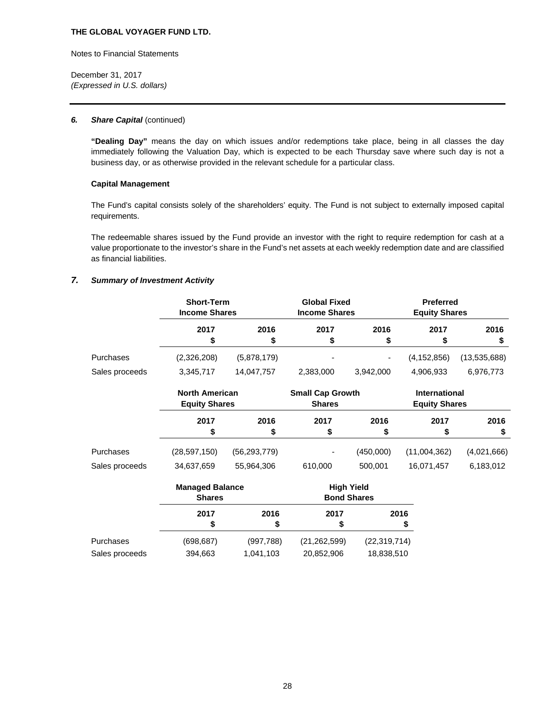Notes to Financial Statements

December 31, 2017 *(Expressed in U.S. dollars)* 

# *6. Share Capital* (continued)

**"Dealing Day"** means the day on which issues and/or redemptions take place, being in all classes the day immediately following the Valuation Day, which is expected to be each Thursday save where such day is not a business day, or as otherwise provided in the relevant schedule for a particular class.

# **Capital Management**

The Fund's capital consists solely of the shareholders' equity. The Fund is not subject to externally imposed capital requirements.

The redeemable shares issued by the Fund provide an investor with the right to require redemption for cash at a value proportionate to the investor's share in the Fund's net assets at each weekly redemption date and are classified as financial liabilities.

# *7. Summary of Investment Activity*

|                | <b>Short-Term</b><br><b>Income Shares</b> |             | <b>Global Fixed</b><br><b>Income Shares</b> |           | <b>Preferred</b><br><b>Equity Shares</b> |              |
|----------------|-------------------------------------------|-------------|---------------------------------------------|-----------|------------------------------------------|--------------|
|                | 2017<br>\$                                | 2016<br>\$  | 2017<br>\$                                  | 2016<br>S | 2017                                     | 2016         |
| Purchases      | (2,326,208)                               | (5,878,179) | $\overline{\phantom{0}}$                    | ۰         | (4, 152, 856)                            | (13.535.688) |
| Sales proceeds | 3,345,717                                 | 14,047,757  | 2,383,000                                   | 3,942,000 | 4,906,933                                | 6,976,773    |
|                | North American                            |             | Small Can Growth                            |           | International                            |              |

|                | <b>North American</b><br><b>Equity Shares</b> |                | <b>Small Cap Growth</b><br><b>Shares</b> |            | <b>International</b><br><b>Equity Shares</b> |             |
|----------------|-----------------------------------------------|----------------|------------------------------------------|------------|----------------------------------------------|-------------|
|                | 2017                                          | 2016<br>\$     | 2017<br>\$                               | 2016<br>\$ | 2017<br>S                                    | 2016        |
| Purchases      | (28, 597, 150)                                | (56, 293, 779) | $\overline{\phantom{0}}$                 | (450.000)  | (11,004,362)                                 | (4,021,666) |
| Sales proceeds | 34,637,659                                    | 55,964,306     | 610,000                                  | 500.001    | 16,071,457                                   | 6,183,012   |

|                | <b>Managed Balance</b><br><b>Shares</b> |            | <b>High Yield</b><br><b>Bond Shares</b> |                |  |  |
|----------------|-----------------------------------------|------------|-----------------------------------------|----------------|--|--|
|                | 2017<br>\$                              | 2016       | 2017<br>S                               | 2016<br>\$     |  |  |
| Purchases      | (698, 687)                              | (997, 788) | (21, 262, 599)                          | (22, 319, 714) |  |  |
| Sales proceeds | 394,663                                 | 1,041,103  | 20,852,906                              | 18,838,510     |  |  |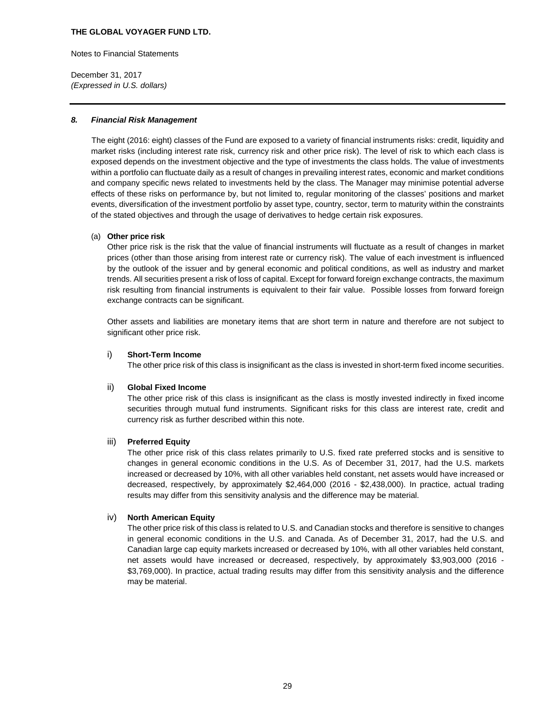Notes to Financial Statements

December 31, 2017 *(Expressed in U.S. dollars)* 

### *8. Financial Risk Management*

The eight (2016: eight) classes of the Fund are exposed to a variety of financial instruments risks: credit, liquidity and market risks (including interest rate risk, currency risk and other price risk). The level of risk to which each class is exposed depends on the investment objective and the type of investments the class holds. The value of investments within a portfolio can fluctuate daily as a result of changes in prevailing interest rates, economic and market conditions and company specific news related to investments held by the class. The Manager may minimise potential adverse effects of these risks on performance by, but not limited to, regular monitoring of the classes' positions and market events, diversification of the investment portfolio by asset type, country, sector, term to maturity within the constraints of the stated objectives and through the usage of derivatives to hedge certain risk exposures.

# (a) **Other price risk**

Other price risk is the risk that the value of financial instruments will fluctuate as a result of changes in market prices (other than those arising from interest rate or currency risk). The value of each investment is influenced by the outlook of the issuer and by general economic and political conditions, as well as industry and market trends. All securities present a risk of loss of capital. Except for forward foreign exchange contracts, the maximum risk resulting from financial instruments is equivalent to their fair value. Possible losses from forward foreign exchange contracts can be significant.

Other assets and liabilities are monetary items that are short term in nature and therefore are not subject to significant other price risk.

# i) **Short-Term Income**

The other price risk of this class is insignificant as the class is invested in short-term fixed income securities.

# ii) **Global Fixed Income**

The other price risk of this class is insignificant as the class is mostly invested indirectly in fixed income securities through mutual fund instruments. Significant risks for this class are interest rate, credit and currency risk as further described within this note.

# iii) **Preferred Equity**

The other price risk of this class relates primarily to U.S. fixed rate preferred stocks and is sensitive to changes in general economic conditions in the U.S. As of December 31, 2017, had the U.S. markets increased or decreased by 10%, with all other variables held constant, net assets would have increased or decreased, respectively, by approximately \$2,464,000 (2016 - \$2,438,000). In practice, actual trading results may differ from this sensitivity analysis and the difference may be material.

# iv) **North American Equity**

The other price risk of this class is related to U.S. and Canadian stocks and therefore is sensitive to changes in general economic conditions in the U.S. and Canada. As of December 31, 2017, had the U.S. and Canadian large cap equity markets increased or decreased by 10%, with all other variables held constant, net assets would have increased or decreased, respectively, by approximately \$3,903,000 (2016 - \$3,769,000). In practice, actual trading results may differ from this sensitivity analysis and the difference may be material.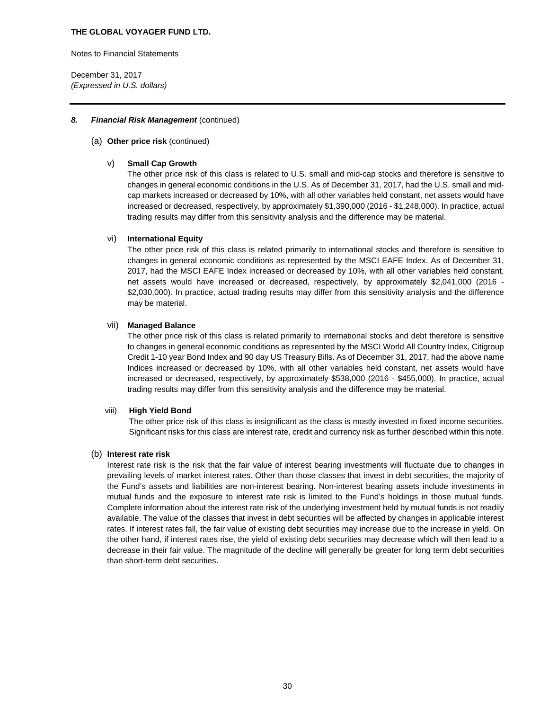Notes to Financial Statements

December 31, 2017 *(Expressed in U.S. dollars)* 

### *8. Financial Risk Management* (continued)

# (a) **Other price risk** (continued)

# v) **Small Cap Growth**

The other price risk of this class is related to U.S. small and mid-cap stocks and therefore is sensitive to changes in general economic conditions in the U.S. As of December 31, 2017, had the U.S. small and midcap markets increased or decreased by 10%, with all other variables held constant, net assets would have increased or decreased, respectively, by approximately \$1,390,000 (2016 - \$1,248,000). In practice, actual trading results may differ from this sensitivity analysis and the difference may be material.

# vi) **International Equity**

The other price risk of this class is related primarily to international stocks and therefore is sensitive to changes in general economic conditions as represented by the MSCI EAFE Index. As of December 31, 2017, had the MSCI EAFE Index increased or decreased by 10%, with all other variables held constant, net assets would have increased or decreased, respectively, by approximately \$2,041,000 (2016 - \$2,030,000). In practice, actual trading results may differ from this sensitivity analysis and the difference may be material.

# vii) **Managed Balance**

The other price risk of this class is related primarily to international stocks and debt therefore is sensitive to changes in general economic conditions as represented by the MSCI World All Country Index, Citigroup Credit 1-10 year Bond Index and 90 day US Treasury Bills. As of December 31, 2017, had the above name Indices increased or decreased by 10%, with all other variables held constant, net assets would have increased or decreased, respectively, by approximately \$538,000 (2016 - \$455,000). In practice, actual trading results may differ from this sensitivity analysis and the difference may be material.

# viii) **High Yield Bond**

The other price risk of this class is insignificant as the class is mostly invested in fixed income securities. Significant risks for this class are interest rate, credit and currency risk as further described within this note.

# (b) **Interest rate risk**

Interest rate risk is the risk that the fair value of interest bearing investments will fluctuate due to changes in prevailing levels of market interest rates. Other than those classes that invest in debt securities, the majority of the Fund's assets and liabilities are non-interest bearing. Non-interest bearing assets include investments in mutual funds and the exposure to interest rate risk is limited to the Fund's holdings in those mutual funds. Complete information about the interest rate risk of the underlying investment held by mutual funds is not readily available. The value of the classes that invest in debt securities will be affected by changes in applicable interest rates. If interest rates fall, the fair value of existing debt securities may increase due to the increase in yield. On the other hand, if interest rates rise, the yield of existing debt securities may decrease which will then lead to a decrease in their fair value. The magnitude of the decline will generally be greater for long term debt securities than short-term debt securities.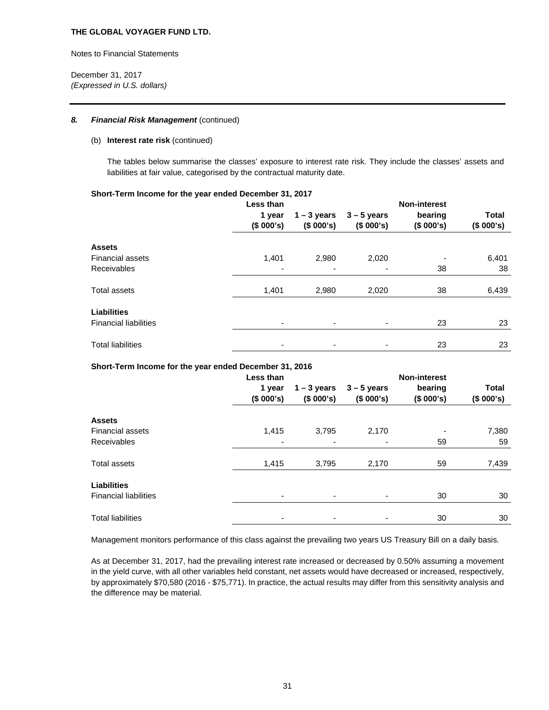Notes to Financial Statements

December 31, 2017 *(Expressed in U.S. dollars)* 

### *8. Financial Risk Management* (continued)

### (b) **Interest rate risk** (continued)

The tables below summarise the classes' exposure to interest rate risk. They include the classes' assets and liabilities at fair value, categorised by the contractual maturity date.

### **Short-Term Income for the year ended December 31, 2017**

|                                                        | Less than |               |               | <b>Non-interest</b> |              |
|--------------------------------------------------------|-----------|---------------|---------------|---------------------|--------------|
|                                                        | 1 year    | $1 - 3$ years | $3 - 5$ years | bearing             | <b>Total</b> |
|                                                        | (\$000's) | (\$000's)     | (\$000's)     | (\$000's)           | (\$000's)    |
| <b>Assets</b>                                          |           |               |               |                     |              |
| <b>Financial assets</b>                                | 1,401     | 2,980         | 2,020         |                     | 6,401        |
| <b>Receivables</b>                                     |           |               |               | 38                  | 38           |
| <b>Total assets</b>                                    | 1,401     | 2,980         | 2,020         | 38                  | 6,439        |
| <b>Liabilities</b>                                     |           |               |               |                     |              |
| <b>Financial liabilities</b>                           |           |               |               | 23                  | 23           |
| <b>Total liabilities</b>                               |           |               |               | 23                  | 23           |
| Short-Term Income for the year ended December 31, 2016 |           |               |               |                     |              |
|                                                        | Less than |               |               | <b>Non-interest</b> |              |
|                                                        | 1 year    | $1 - 3$ years | $3 - 5$ years | bearing             | <b>Total</b> |
|                                                        | (\$000's) | (\$000's)     | (\$000's)     | (\$000's)           | (\$000's)    |
| <b>Assets</b>                                          |           |               |               |                     |              |
| <b>Financial assets</b>                                | 1,415     | 3,795         | 2,170         |                     | 7,380        |
| Receivables                                            |           |               |               | 59                  | 59           |
|                                                        |           |               |               |                     |              |

| Total assets                 | 1.415                    | 3.795                    | 2.170                    | 59 | 7,439 |
|------------------------------|--------------------------|--------------------------|--------------------------|----|-------|
| <b>Liabilities</b>           |                          |                          |                          |    |       |
| <b>Financial liabilities</b> | $\blacksquare$           | $\overline{\phantom{0}}$ | $\overline{a}$           | 30 | 30    |
| <b>Total liabilities</b>     | $\overline{\phantom{0}}$ | $\overline{\phantom{0}}$ | $\overline{\phantom{0}}$ | 30 | 30    |

Management monitors performance of this class against the prevailing two years US Treasury Bill on a daily basis.

As at December 31, 2017, had the prevailing interest rate increased or decreased by 0.50% assuming a movement in the yield curve, with all other variables held constant, net assets would have decreased or increased, respectively, by approximately \$70,580 (2016 - \$75,771). In practice, the actual results may differ from this sensitivity analysis and the difference may be material.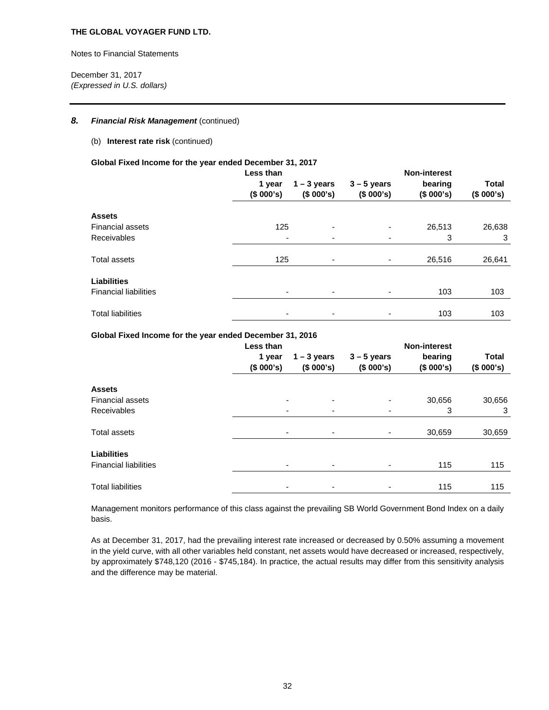Notes to Financial Statements

December 31, 2017 *(Expressed in U.S. dollars)* 

# 8. Financial Risk Management (continued)

# (b) **Interest rate risk** (continued)

# **Global Fixed Income for the year ended December 31, 2017**

|                              | Less than<br>1 year<br>(\$000's) | $1 - 3$ years<br>(\$000's) | $3 - 5$ years<br>(\$000's) | <b>Non-interest</b><br>bearing<br>(\$000's) | <b>Total</b><br>(\$000's) |
|------------------------------|----------------------------------|----------------------------|----------------------------|---------------------------------------------|---------------------------|
| <b>Assets</b>                |                                  |                            |                            |                                             |                           |
| <b>Financial assets</b>      | 125                              | ٠                          | ۰                          | 26,513                                      | 26,638                    |
| Receivables                  |                                  | ۰                          |                            | 3                                           | 3                         |
| <b>Total assets</b>          | 125                              | ۰                          | ۰                          | 26,516                                      | 26,641                    |
| <b>Liabilities</b>           |                                  |                            |                            |                                             |                           |
| <b>Financial liabilities</b> | $\overline{\phantom{0}}$         | ٠                          | $\overline{\phantom{a}}$   | 103                                         | 103                       |
| <b>Total liabilities</b>     |                                  |                            |                            | 103                                         | 103                       |

# **Global Fixed Income for the year ended December 31, 2016**

|                              | Less than<br>1 year<br>(\$000's) | $1 - 3$ years<br>(\$000's) | $3 - 5$ years<br>(\$000's) | <b>Non-interest</b><br>bearing<br>(\$000's) | <b>Total</b><br>(\$000's) |
|------------------------------|----------------------------------|----------------------------|----------------------------|---------------------------------------------|---------------------------|
| <b>Assets</b>                |                                  |                            |                            |                                             |                           |
| <b>Financial assets</b>      |                                  |                            |                            | 30,656                                      | 30,656                    |
| Receivables                  |                                  | ٠<br>۰                     | ۰                          | 3                                           | 3                         |
| <b>Total assets</b>          |                                  |                            |                            | 30,659                                      | 30,659                    |
| <b>Liabilities</b>           |                                  |                            |                            |                                             |                           |
| <b>Financial liabilities</b> |                                  | ٠<br>۰                     | ۰                          | 115                                         | 115                       |
| <b>Total liabilities</b>     |                                  | ۰                          |                            | 115                                         | 115                       |

Management monitors performance of this class against the prevailing SB World Government Bond Index on a daily basis.

As at December 31, 2017, had the prevailing interest rate increased or decreased by 0.50% assuming a movement in the yield curve, with all other variables held constant, net assets would have decreased or increased, respectively, by approximately \$748,120 (2016 - \$745,184). In practice, the actual results may differ from this sensitivity analysis and the difference may be material.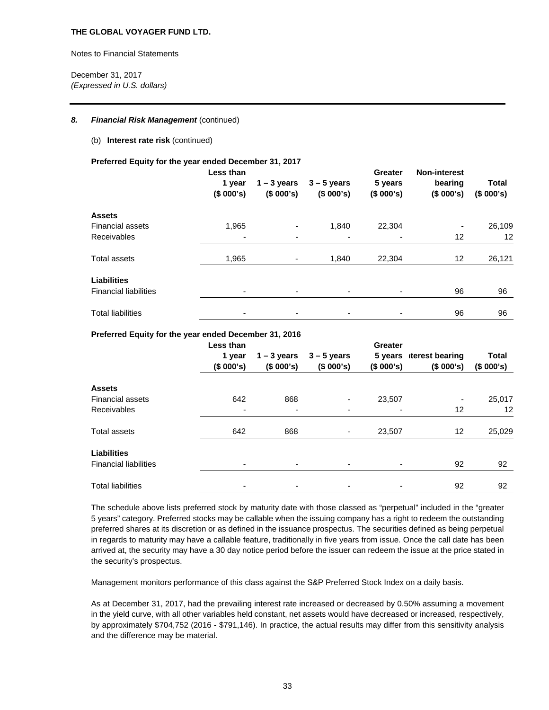Notes to Financial Statements

December 31, 2017 *(Expressed in U.S. dollars)* 

# 8. Financial Risk Management (continued)

# (b) **Interest rate risk** (continued)

# **Preferred Equity for the year ended December 31, 2017**

|                              | Less than<br>1 year<br>(\$000's) | $1 - 3$ years<br>(\$000's) | $3 - 5$ years<br>(S 000's) | <b>Greater</b><br>5 years<br>(\$000's) | <b>Non-interest</b><br>bearing<br>(\$000's) | <b>Total</b><br>(\$000's) |
|------------------------------|----------------------------------|----------------------------|----------------------------|----------------------------------------|---------------------------------------------|---------------------------|
| <b>Assets</b>                |                                  |                            |                            |                                        |                                             |                           |
| <b>Financial assets</b>      | 1,965                            | ٠                          | 1,840                      | 22,304                                 | ۰                                           | 26,109                    |
| <b>Receivables</b>           | $\overline{\phantom{a}}$         | ٠                          | ٠                          | $\overline{\phantom{0}}$               | $12 \overline{ }$                           | $12 \overline{ }$         |
| <b>Total assets</b>          | 1,965                            | ٠                          | 1,840                      | 22,304                                 | 12                                          | 26,121                    |
| <b>Liabilities</b>           |                                  |                            |                            |                                        |                                             |                           |
| <b>Financial liabilities</b> | $\overline{\phantom{0}}$         | ۰                          | ٠                          |                                        | 96                                          | 96                        |
| <b>Total liabilities</b>     |                                  |                            | -                          |                                        | 96                                          | 96                        |

# **Preferred Equity for the year ended December 31, 2016**

|                              | Less than<br>1 year<br>(\$000's) | $1 - 3$ years<br>(\$000's) | $3 - 5$ years<br>(\$000's) | <b>Greater</b><br>(\$000's) | 5 years iterest bearing<br>(\$000's) | <b>Total</b><br>(\$000's) |
|------------------------------|----------------------------------|----------------------------|----------------------------|-----------------------------|--------------------------------------|---------------------------|
| <b>Assets</b>                |                                  |                            |                            |                             |                                      |                           |
| <b>Financial assets</b>      | 642                              | 868                        | -                          | 23,507                      |                                      | 25,017                    |
| <b>Receivables</b>           |                                  | ٠                          |                            |                             | $12 \overline{ }$                    | 12                        |
| <b>Total assets</b>          | 642                              | 868                        | $\overline{a}$             | 23,507                      | $12 \overline{ }$                    | 25,029                    |
| <b>Liabilities</b>           |                                  |                            |                            |                             |                                      |                           |
| <b>Financial liabilities</b> | $\overline{\phantom{0}}$         | $\overline{\phantom{a}}$   | ٠                          | ۰                           | 92                                   | 92                        |
| <b>Total liabilities</b>     |                                  | $\overline{\phantom{a}}$   | ٠                          |                             | 92                                   | 92                        |

The schedule above lists preferred stock by maturity date with those classed as "perpetual" included in the "greater 5 years" category. Preferred stocks may be callable when the issuing company has a right to redeem the outstanding preferred shares at its discretion or as defined in the issuance prospectus. The securities defined as being perpetual in regards to maturity may have a callable feature, traditionally in five years from issue. Once the call date has been arrived at, the security may have a 30 day notice period before the issuer can redeem the issue at the price stated in the security's prospectus.

Management monitors performance of this class against the S&P Preferred Stock Index on a daily basis.

As at December 31, 2017, had the prevailing interest rate increased or decreased by 0.50% assuming a movement in the yield curve, with all other variables held constant, net assets would have decreased or increased, respectively, by approximately \$704,752 (2016 - \$791,146). In practice, the actual results may differ from this sensitivity analysis and the difference may be material.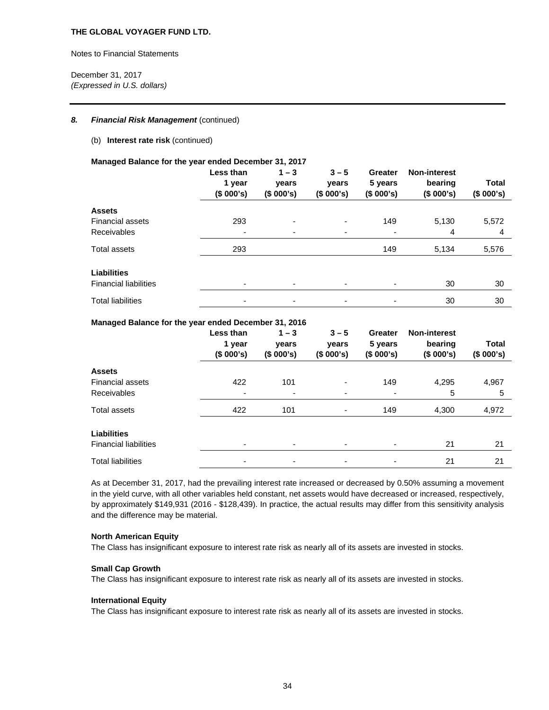Notes to Financial Statements

December 31, 2017 *(Expressed in U.S. dollars)* 

# 8. Financial Risk Management (continued)

### (b) **Interest rate risk** (continued)

# **Managed Balance for the year ended December 31, 2017**

|                              | Less than<br>1 year<br>(\$000's) | $1 - 3$<br>years<br>(\$000's) | $3 - 5$<br>vears<br>(\$000's) | <b>Greater</b><br>5 years<br>(\$000's) | Non-interest<br>bearing<br>(\$000's) | <b>Total</b><br>(\$000's) |
|------------------------------|----------------------------------|-------------------------------|-------------------------------|----------------------------------------|--------------------------------------|---------------------------|
| <b>Assets</b>                |                                  |                               |                               |                                        |                                      |                           |
| <b>Financial assets</b>      | 293                              | ٠                             | ٠                             | 149                                    | 5,130                                | 5,572                     |
| <b>Receivables</b>           |                                  | $\overline{\phantom{a}}$      | -                             | ٠                                      | 4                                    | 4                         |
| <b>Total assets</b>          | 293                              |                               |                               | 149                                    | 5,134                                | 5,576                     |
| <b>Liabilities</b>           |                                  |                               |                               |                                        |                                      |                           |
| <b>Financial liabilities</b> | ٠                                | ۰                             | ٠                             | ٠                                      | 30                                   | 30                        |
| <b>Total liabilities</b>     |                                  | $\overline{a}$                |                               |                                        | 30                                   | 30                        |

### **Managed Balance for the year ended December 31, 2016**

|                              | Less than<br>1 year<br>(\$000's) | $1 - 3$<br>years<br>(\$000's) | $3 - 5$<br>vears<br>(\$000's) | <b>Greater</b><br>5 years<br>(\$000's) | <b>Non-interest</b><br>bearing<br>(\$000's) | <b>Total</b><br>(\$000's) |
|------------------------------|----------------------------------|-------------------------------|-------------------------------|----------------------------------------|---------------------------------------------|---------------------------|
| <b>Assets</b>                |                                  |                               |                               |                                        |                                             |                           |
| <b>Financial assets</b>      | 422                              | 101                           | ۰                             | 149                                    | 4,295                                       | 4,967                     |
| <b>Receivables</b>           |                                  |                               |                               | ٠                                      | 5                                           | 5                         |
| Total assets                 | 422                              | 101                           | ۰                             | 149                                    | 4,300                                       | 4,972                     |
| <b>Liabilities</b>           |                                  |                               |                               |                                        |                                             |                           |
| <b>Financial liabilities</b> | -                                | ٠                             | ٠                             |                                        | 21                                          | 21                        |
| <b>Total liabilities</b>     | -                                |                               | ۰                             |                                        | 21                                          | 21                        |

As at December 31, 2017, had the prevailing interest rate increased or decreased by 0.50% assuming a movement in the yield curve, with all other variables held constant, net assets would have decreased or increased, respectively, by approximately \$149,931 (2016 - \$128,439). In practice, the actual results may differ from this sensitivity analysis and the difference may be material.

### **North American Equity**

The Class has insignificant exposure to interest rate risk as nearly all of its assets are invested in stocks.

# **Small Cap Growth**

The Class has insignificant exposure to interest rate risk as nearly all of its assets are invested in stocks.

#### **International Equity**

The Class has insignificant exposure to interest rate risk as nearly all of its assets are invested in stocks.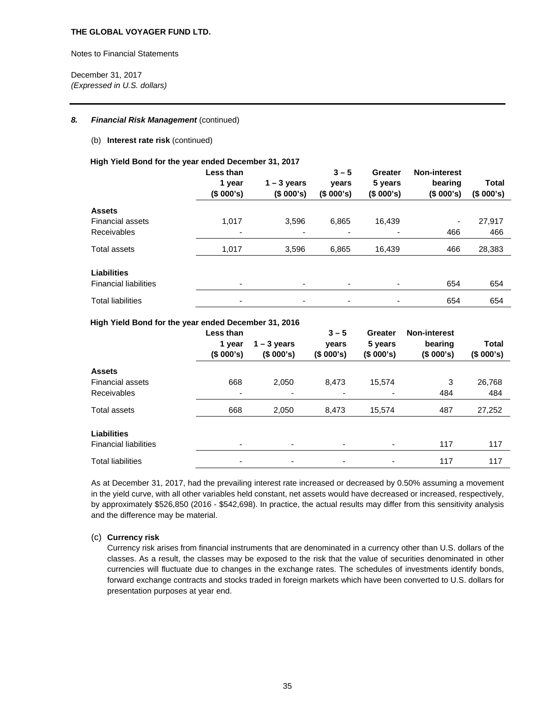Notes to Financial Statements

December 31, 2017 *(Expressed in U.S. dollars)* 

# 8. Financial Risk Management (continued)

# (b) **Interest rate risk** (continued)

# **High Yield Bond for the year ended December 31, 2017**

|                              | Less than<br>1 year<br>(\$000's) | $1 - 3$ years<br>(\$000's) | $3 - 5$<br>years<br>(\$000's) | Greater<br>5 years<br>(\$000's) | <b>Non-interest</b><br>bearing<br>(\$000's) | <b>Total</b><br>(\$000's) |
|------------------------------|----------------------------------|----------------------------|-------------------------------|---------------------------------|---------------------------------------------|---------------------------|
| <b>Assets</b>                |                                  |                            |                               |                                 |                                             |                           |
| <b>Financial assets</b>      | 1,017                            | 3,596                      | 6,865                         | 16.439                          | ۰                                           | 27,917                    |
| Receivables                  | ۰                                | $\overline{\phantom{0}}$   | ۰                             |                                 | 466                                         | 466                       |
| Total assets                 | 1,017                            | 3,596                      | 6,865                         | 16,439                          | 466                                         | 28,383                    |
| Liabilities                  |                                  |                            |                               |                                 |                                             |                           |
| <b>Financial liabilities</b> | ۰                                | ٠                          | ۰                             |                                 | 654                                         | 654                       |
| <b>Total liabilities</b>     |                                  |                            | ٠                             |                                 | 654                                         | 654                       |

# **High Yield Bond for the year ended December 31, 2016**

|                              | Less than<br>1 year<br>(\$000's) | $1 - 3$ years<br>(\$000's) | $3 - 5$<br>vears<br>(\$000's) | Greater<br>5 years<br>(\$000's) | <b>Non-interest</b><br>bearing<br>(\$000's) | Total<br>(\$000's) |
|------------------------------|----------------------------------|----------------------------|-------------------------------|---------------------------------|---------------------------------------------|--------------------|
| <b>Assets</b>                |                                  |                            |                               |                                 |                                             |                    |
| <b>Financial assets</b>      | 668                              | 2,050                      | 8.473                         | 15,574                          | 3                                           | 26,768             |
| Receivables                  |                                  |                            |                               |                                 | 484                                         | 484                |
| Total assets                 | 668                              | 2,050                      | 8,473                         | 15,574                          | 487                                         | 27,252             |
| <b>Liabilities</b>           |                                  |                            |                               |                                 |                                             |                    |
| <b>Financial liabilities</b> |                                  |                            |                               |                                 | 117                                         | 117                |
| <b>Total liabilities</b>     |                                  |                            |                               |                                 | 117                                         | 117                |

As at December 31, 2017, had the prevailing interest rate increased or decreased by 0.50% assuming a movement in the yield curve, with all other variables held constant, net assets would have decreased or increased, respectively, by approximately \$526,850 (2016 - \$542,698). In practice, the actual results may differ from this sensitivity analysis and the difference may be material.

# (c) **Currency risk**

Currency risk arises from financial instruments that are denominated in a currency other than U.S. dollars of the classes. As a result, the classes may be exposed to the risk that the value of securities denominated in other currencies will fluctuate due to changes in the exchange rates. The schedules of investments identify bonds, forward exchange contracts and stocks traded in foreign markets which have been converted to U.S. dollars for presentation purposes at year end.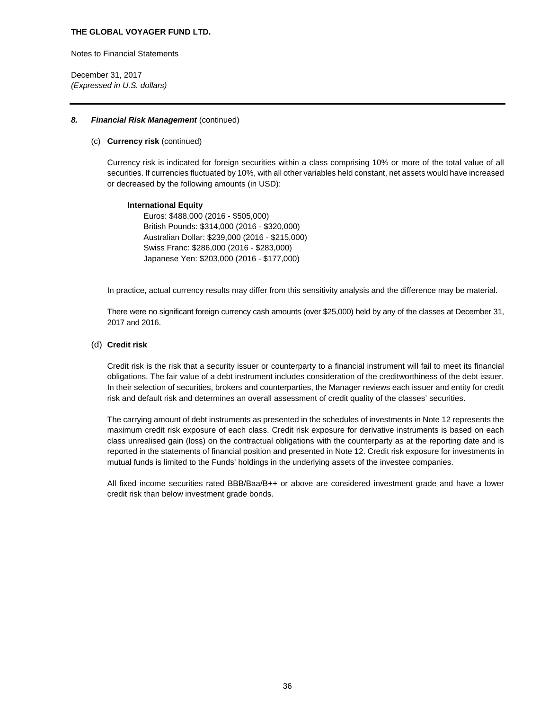Notes to Financial Statements

December 31, 2017 *(Expressed in U.S. dollars)* 

#### *8. Financial Risk Management* (continued)

#### (c) **Currency risk** (continued)

Currency risk is indicated for foreign securities within a class comprising 10% or more of the total value of all securities. If currencies fluctuated by 10%, with all other variables held constant, net assets would have increased or decreased by the following amounts (in USD):

#### **International Equity**

 Euros: \$488,000 (2016 - \$505,000) British Pounds: \$314,000 (2016 - \$320,000) Australian Dollar: \$239,000 (2016 - \$215,000) Swiss Franc: \$286,000 (2016 - \$283,000) Japanese Yen: \$203,000 (2016 - \$177,000)

In practice, actual currency results may differ from this sensitivity analysis and the difference may be material.

There were no significant foreign currency cash amounts (over \$25,000) held by any of the classes at December 31, 2017 and 2016.

#### (d) **Credit risk**

Credit risk is the risk that a security issuer or counterparty to a financial instrument will fail to meet its financial obligations. The fair value of a debt instrument includes consideration of the creditworthiness of the debt issuer. In their selection of securities, brokers and counterparties, the Manager reviews each issuer and entity for credit risk and default risk and determines an overall assessment of credit quality of the classes' securities.

The carrying amount of debt instruments as presented in the schedules of investments in Note 12 represents the maximum credit risk exposure of each class. Credit risk exposure for derivative instruments is based on each class unrealised gain (loss) on the contractual obligations with the counterparty as at the reporting date and is reported in the statements of financial position and presented in Note 12. Credit risk exposure for investments in mutual funds is limited to the Funds' holdings in the underlying assets of the investee companies.

All fixed income securities rated BBB/Baa/B++ or above are considered investment grade and have a lower credit risk than below investment grade bonds.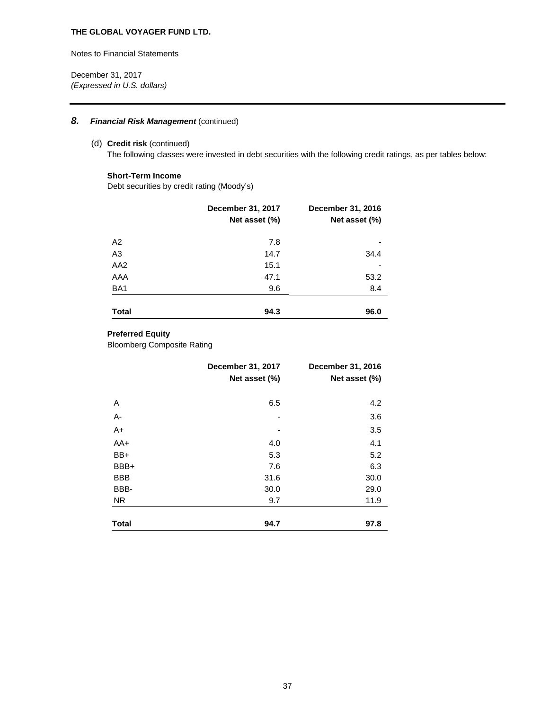Notes to Financial Statements

December 31, 2017 *(Expressed in U.S. dollars)* 

## 8. Financial Risk Management (continued)

# (d) **Credit risk** (continued)

The following classes were invested in debt securities with the following credit ratings, as per tables below:

#### **Short-Term Income**

Debt securities by credit rating (Moody's)

|                 | December 31, 2017<br>Net asset (%) | December 31, 2016<br>Net asset (%) |
|-----------------|------------------------------------|------------------------------------|
| A <sub>2</sub>  | 7.8                                |                                    |
| A <sub>3</sub>  | 14.7                               | 34.4                               |
| AA <sub>2</sub> | 15.1                               |                                    |
| AAA             | 47.1                               | 53.2                               |
| BA1             | 9.6                                | 8.4                                |
| <b>Total</b>    | 94.3                               | 96.0                               |

#### **Preferred Equity**

Bloomberg Composite Rating

|              | December 31, 2017<br>Net asset (%) | December 31, 2016<br>Net asset (%) |
|--------------|------------------------------------|------------------------------------|
| Α            | 6.5                                | 4.2                                |
| A-           |                                    | 3.6                                |
| $A+$         |                                    | 3.5                                |
| AA+          | 4.0                                | 4.1                                |
| BB+          | 5.3                                | 5.2                                |
| BBB+         | 7.6                                | 6.3                                |
| BBB          | 31.6                               | 30.0                               |
| BBB-         | 30.0                               | 29.0                               |
| NR.          | 9.7                                | 11.9                               |
| <b>Total</b> | 94.7                               | 97.8                               |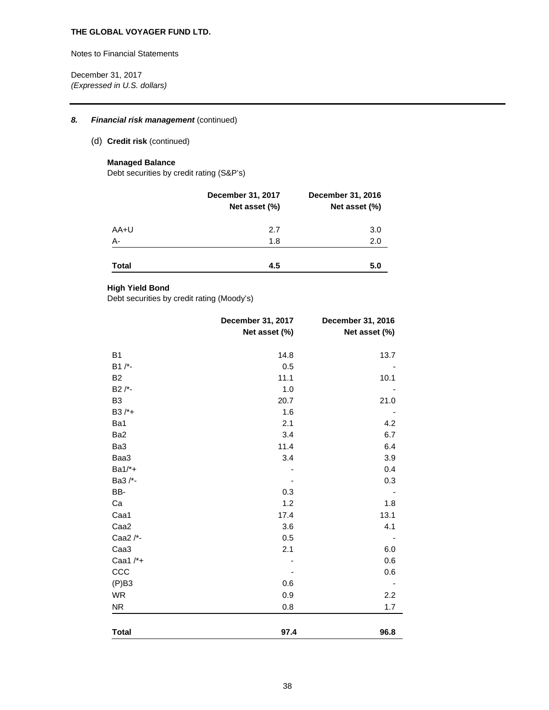Notes to Financial Statements

December 31, 2017 *(Expressed in U.S. dollars)* 

## 8. Financial risk management (continued)

## (d) **Credit risk** (continued)

## **Managed Balance**

Debt securities by credit rating (S&P's)

| Total | 4.5                                | 5.0                                |
|-------|------------------------------------|------------------------------------|
|       | 1.8                                | 2.0                                |
| A-    |                                    |                                    |
| AA+U  | 2.7                                | 3.0                                |
|       | December 31, 2017<br>Net asset (%) | December 31, 2016<br>Net asset (%) |

# **High Yield Bond**

Debt securities by credit rating (Moody's)

|                  | December 31, 2017 | December 31, 2016 |
|------------------|-------------------|-------------------|
|                  | Net asset (%)     | Net asset (%)     |
| B <sub>1</sub>   | 14.8              | 13.7              |
| $B1$ /*-         | 0.5               |                   |
| B <sub>2</sub>   | 11.1              | 10.1              |
| $B2$ /*-         | 1.0               |                   |
| B <sub>3</sub>   | 20.7              | 21.0              |
| $B3/*+$          | 1.6               |                   |
| Ba1              | 2.1               | 4.2               |
| Ba <sub>2</sub>  | 3.4               | 6.7               |
| Ba3              | 11.4              | 6.4               |
| Baa3             | 3.4               | 3.9               |
| $Ba1/*+$         |                   | 0.4               |
| Ba3 /*-          |                   | 0.3               |
| BB-              | 0.3               |                   |
| Ca               | 1.2               | 1.8               |
| Caa1             | 17.4              | 13.1              |
| Caa <sub>2</sub> | 3.6               | 4.1               |
| Caa2 /*-         | 0.5               |                   |
| Caa3             | 2.1               | 6.0               |
| Caa1 /*+         |                   | 0.6               |
| CCC              |                   | 0.6               |
| (P)B3            | 0.6               |                   |
| <b>WR</b>        | 0.9               | 2.2               |
| <b>NR</b>        | 0.8               | 1.7               |
| <b>Total</b>     | 97.4              | 96.8              |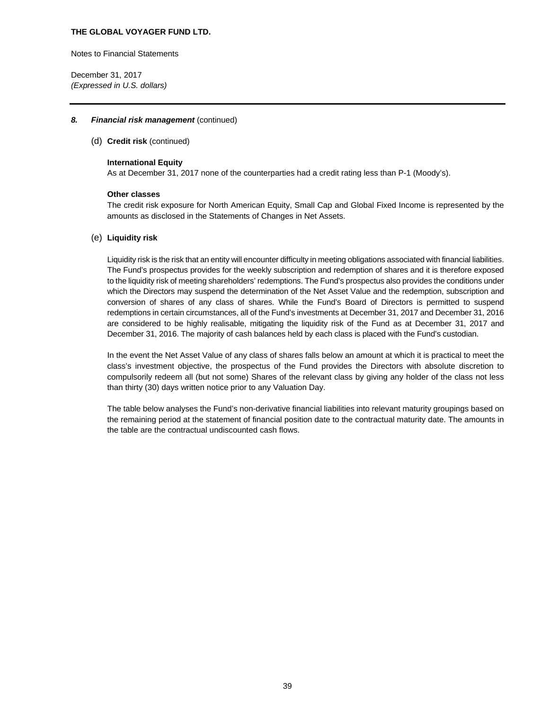Notes to Financial Statements

December 31, 2017 *(Expressed in U.S. dollars)* 

#### *8. Financial risk management* (continued)

#### (d) **Credit risk** (continued)

#### **International Equity**

As at December 31, 2017 none of the counterparties had a credit rating less than P-1 (Moody's).

#### **Other classes**

The credit risk exposure for North American Equity, Small Cap and Global Fixed Income is represented by the amounts as disclosed in the Statements of Changes in Net Assets.

#### (e) **Liquidity risk**

Liquidity risk is the risk that an entity will encounter difficulty in meeting obligations associated with financial liabilities. The Fund's prospectus provides for the weekly subscription and redemption of shares and it is therefore exposed to the liquidity risk of meeting shareholders' redemptions. The Fund's prospectus also provides the conditions under which the Directors may suspend the determination of the Net Asset Value and the redemption, subscription and conversion of shares of any class of shares. While the Fund's Board of Directors is permitted to suspend redemptions in certain circumstances, all of the Fund's investments at December 31, 2017 and December 31, 2016 are considered to be highly realisable, mitigating the liquidity risk of the Fund as at December 31, 2017 and December 31, 2016. The majority of cash balances held by each class is placed with the Fund's custodian.

In the event the Net Asset Value of any class of shares falls below an amount at which it is practical to meet the class's investment objective, the prospectus of the Fund provides the Directors with absolute discretion to compulsorily redeem all (but not some) Shares of the relevant class by giving any holder of the class not less than thirty (30) days written notice prior to any Valuation Day.

The table below analyses the Fund's non-derivative financial liabilities into relevant maturity groupings based on the remaining period at the statement of financial position date to the contractual maturity date. The amounts in the table are the contractual undiscounted cash flows.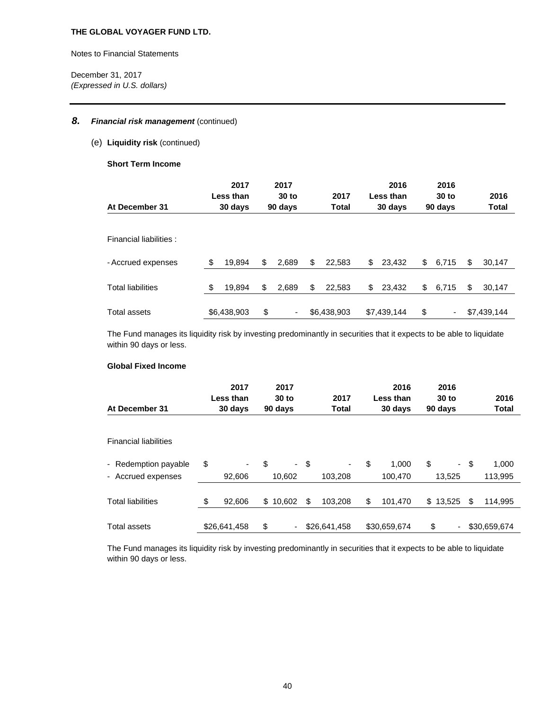Notes to Financial Statements

December 31, 2017 *(Expressed in U.S. dollars)* 

## 8. Financial risk management (continued)

## (e) **Liquidity risk** (continued)

**Short Term Income** 

| At December 31           | 2017<br>Less than<br>30 days |             | 2017<br>30 <sub>to</sub><br>90 days |                          | 2017<br>Total | 2016<br>Less than<br>30 days | 2016<br>30 <sub>to</sub><br>90 days | 2016<br><b>Total</b> |
|--------------------------|------------------------------|-------------|-------------------------------------|--------------------------|---------------|------------------------------|-------------------------------------|----------------------|
| Financial liabilities :  |                              |             |                                     |                          |               |                              |                                     |                      |
| - Accrued expenses       | \$                           | 19,894      | \$                                  | 2,689                    | \$<br>22,583  | \$<br>23,432                 | \$<br>6,715                         | \$<br>30,147         |
| <b>Total liabilities</b> | \$                           | 19.894      | \$                                  | 2.689                    | \$<br>22.583  | \$<br>23,432                 | \$<br>6,715                         | \$<br>30,147         |
| Total assets             |                              | \$6,438,903 | \$                                  | $\overline{\phantom{a}}$ | \$6,438,903   | \$7,439,144                  | \$<br>$\overline{\phantom{a}}$      | \$7,439,144          |

The Fund manages its liquidity risk by investing predominantly in securities that it expects to be able to liquidate within 90 days or less.

## **Global Fixed Income**

| At December 31                             | 2017<br>Less than<br>30 days   | 2017<br>30 <sub>to</sub><br>90 days |          | 2016<br>2017<br>Less than<br>Total<br>30 days |              | 2016<br>30 <sub>to</sub><br>90 days |                  |    | 2016<br><b>Total</b> |    |                  |
|--------------------------------------------|--------------------------------|-------------------------------------|----------|-----------------------------------------------|--------------|-------------------------------------|------------------|----|----------------------|----|------------------|
| <b>Financial liabilities</b>               |                                |                                     |          |                                               |              |                                     |                  |    |                      |    |                  |
| - Redemption payable<br>- Accrued expenses | \$<br>$\blacksquare$<br>92,606 | \$                                  | 10,602   | - \$                                          | 103,208      | \$                                  | 1.000<br>100,470 | \$ | $\sim$<br>13,525     | \$ | 1,000<br>113,995 |
| <b>Total liabilities</b>                   | \$<br>92,606                   |                                     | \$10,602 | \$                                            | 103.208      | \$                                  | 101,470          | \$ | 13,525               | \$ | 114,995          |
| Total assets                               | \$26,641,458                   | \$                                  | ۰.       |                                               | \$26,641,458 |                                     | \$30,659,674     | \$ | ٠                    |    | \$30,659,674     |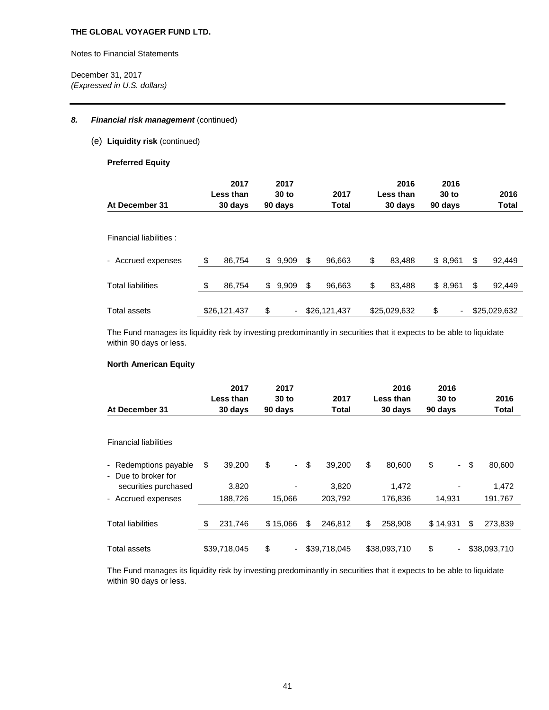Notes to Financial Statements

December 31, 2017 *(Expressed in U.S. dollars)* 

#### 8. Financial risk management (continued)

## (e) **Liquidity risk** (continued)

# **Preferred Equity**

| At December 31           | 2017<br>Less than<br>30 days | 2017<br>30 <sub>to</sub><br>90 days | 2017<br>Total | 2016<br>Less than<br>30 days | 2016<br>30 to<br>90 days | 2016<br><b>Total</b> |
|--------------------------|------------------------------|-------------------------------------|---------------|------------------------------|--------------------------|----------------------|
| Financial liabilities:   |                              |                                     |               |                              |                          |                      |
| - Accrued expenses       | \$<br>86,754                 | \$<br>9,909                         | \$<br>96,663  | \$<br>83,488                 | \$8,961                  | \$<br>92,449         |
| <b>Total liabilities</b> | \$<br>86,754                 | \$<br>9,909                         | \$<br>96,663  | \$<br>83,488                 | \$8,961                  | \$<br>92,449         |
| Total assets             | \$26,121,437                 | \$                                  | \$26,121,437  | \$25,029,632                 | \$                       | \$25,029,632         |

The Fund manages its liquidity risk by investing predominantly in securities that it expects to be able to liquidate within 90 days or less.

## **North American Equity**

| At December 31                               | 2017<br>Less than<br>30 days | 2017<br>30 <sub>to</sub><br>90 days | 2017<br>Total | 2016<br>Less than<br>30 days | 90 days  | 2016<br>30 to            | 2016<br>Total |
|----------------------------------------------|------------------------------|-------------------------------------|---------------|------------------------------|----------|--------------------------|---------------|
| <b>Financial liabilities</b>                 |                              |                                     |               |                              |          |                          |               |
| - Redemptions payable<br>- Due to broker for | \$<br>39,200                 | \$<br>$\sim$                        | \$<br>39,200  | \$<br>80,600                 | \$       | $\overline{\phantom{m}}$ | \$<br>80,600  |
| securities purchased                         | 3,820                        |                                     | 3,820         | 1,472                        |          |                          | 1,472         |
| - Accrued expenses                           | 188,726                      | 15,066                              | 203,792       | 176,836                      |          | 14,931                   | 191,767       |
| Total liabilities                            | \$<br>231,746                | \$15,066                            | \$<br>246,812 | \$<br>258,908                | \$14,931 |                          | \$<br>273,839 |
| Total assets                                 | \$39,718,045                 | \$<br>٠                             | \$39,718,045  | \$38,093,710                 | \$       | $\overline{\phantom{0}}$ | \$38,093,710  |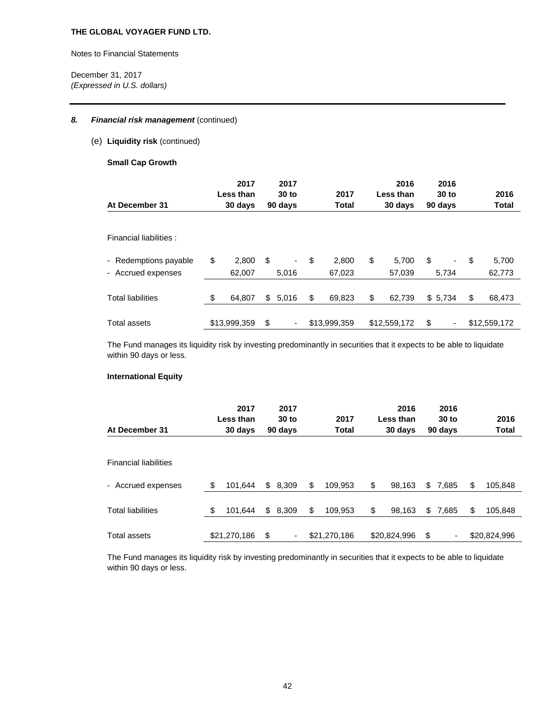Notes to Financial Statements

December 31, 2017 *(Expressed in U.S. dollars)* 

#### 8. Financial risk management (continued)

## (e) **Liquidity risk** (continued)

**Small Cap Growth** 

| At December 31                              | 2017<br>Less than<br>30 days | 2017<br>30 to<br>90 days | 2017<br><b>Total</b>  | 2016<br>Less than<br>30 days | 2016<br>30 to<br>90 days       | 2016<br><b>Total</b>  |
|---------------------------------------------|------------------------------|--------------------------|-----------------------|------------------------------|--------------------------------|-----------------------|
| Financial liabilities :                     |                              |                          |                       |                              |                                |                       |
| - Redemptions payable<br>- Accrued expenses | \$<br>2,800<br>62,007        | \$<br>٠<br>5,016         | \$<br>2,800<br>67,023 | \$<br>5,700<br>57,039        | \$<br>٠<br>5,734               | \$<br>5,700<br>62,773 |
| <b>Total liabilities</b>                    | \$<br>64,807                 | \$<br>5,016              | \$<br>69,823          | \$<br>62,739                 | \$5,734                        | \$<br>68,473          |
| Total assets                                | \$13,999,359                 | \$<br>-                  | \$13,999,359          | \$12,559,172                 | \$<br>$\overline{\phantom{a}}$ | \$12,559,172          |

The Fund manages its liquidity risk by investing predominantly in securities that it expects to be able to liquidate within 90 days or less.

## **International Equity**

| At December 31               | 2017<br>Less than<br>30 days | 2017<br>$30$ to<br>90 days | 2017<br>Total | 2016<br>Less than<br>30 days | 2016<br>30 to<br>90 days | 2016<br><b>Total</b> |
|------------------------------|------------------------------|----------------------------|---------------|------------------------------|--------------------------|----------------------|
| <b>Financial liabilities</b> |                              |                            |               |                              |                          |                      |
| - Accrued expenses           | \$<br>101.644                | \$<br>8,309                | \$<br>109,953 | \$<br>98,163                 | \$<br>7.685              | \$<br>105,848        |
| <b>Total liabilities</b>     | \$<br>101.644                | \$<br>8.309                | \$<br>109.953 | \$<br>98,163                 | \$<br>7.685              | \$<br>105,848        |
| Total assets                 | \$21,270,186                 | \$<br>۰                    | \$21,270,186  | \$20,824,996                 | \$                       | \$20,824,996         |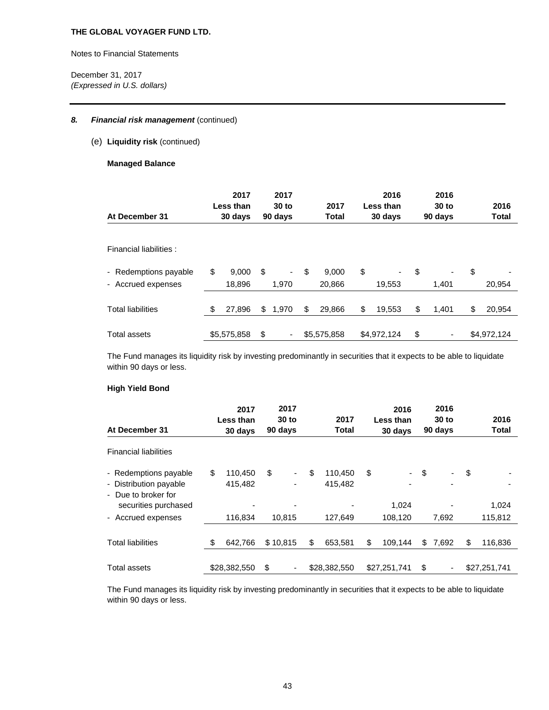Notes to Financial Statements

December 31, 2017 *(Expressed in U.S. dollars)* 

#### 8. Financial risk management (continued)

#### (e) **Liquidity risk** (continued)

## **Managed Balance**

| At December 31                              | 2017<br>Less than<br>30 days | 2017<br>30 <sub>to</sub><br>90 days |    | 2017<br>Total   |    | 2016<br>Less than<br>30 days | 2016<br>30 to<br>90 days       | 2016<br><b>Total</b> |  |  |
|---------------------------------------------|------------------------------|-------------------------------------|----|-----------------|----|------------------------------|--------------------------------|----------------------|--|--|
| Financial liabilities :                     |                              |                                     |    |                 |    |                              |                                |                      |  |  |
| - Redemptions payable<br>- Accrued expenses | \$<br>9.000<br>18,896        | \$<br>٠<br>1,970                    | \$ | 9.000<br>20,866 | \$ | ٠<br>19,553                  | \$<br>$\blacksquare$<br>1,401  | \$<br>20,954         |  |  |
| <b>Total liabilities</b>                    | \$<br>27,896                 | \$<br>1,970                         | \$ | 29,866          | \$ | 19,553                       | \$<br>1,401                    | \$<br>20,954         |  |  |
| Total assets                                | \$5,575,858                  | \$<br>۰                             |    | \$5.575.858     |    | \$4.972.124                  | \$<br>$\overline{\phantom{a}}$ | \$4.972.124          |  |  |

The Fund manages its liquidity risk by investing predominantly in securities that it expects to be able to liquidate within 90 days or less.

#### **High Yield Bond**

| At December 31                                                         | 2017<br>Less than<br>30 days | 90 days  | 2017<br>30 to                 | 2017<br><b>Total</b>     | 2016<br>Less than<br>30 days |      | 2016<br>30 to<br>90 days                             | 2016<br><b>Total</b> |
|------------------------------------------------------------------------|------------------------------|----------|-------------------------------|--------------------------|------------------------------|------|------------------------------------------------------|----------------------|
| <b>Financial liabilities</b>                                           |                              |          |                               |                          |                              |      |                                                      |                      |
| - Redemptions payable<br>- Distribution payable<br>- Due to broker for | \$<br>110,450<br>415,482     | \$       | $\overline{\phantom{0}}$<br>- | \$<br>110,450<br>415,482 | \$<br>$\sim$                 | - \$ | $\overline{\phantom{0}}$<br>$\overline{\phantom{a}}$ | \$                   |
| securities purchased                                                   |                              |          |                               |                          | 1,024                        |      |                                                      | 1,024                |
| - Accrued expenses                                                     | 116,834                      |          | 10,815                        | 127,649                  | 108,120                      |      | 7,692                                                | 115,812              |
| <b>Total liabilities</b>                                               | \$<br>642,766                | \$10,815 |                               | \$<br>653,581            | \$<br>109.144                | \$   | 7,692                                                | \$<br>116,836        |
| Total assets                                                           | \$28,382,550                 | \$       | ٠                             | \$28,382,550             | \$27,251,741                 | \$   | $\overline{\phantom{a}}$                             | \$27,251,741         |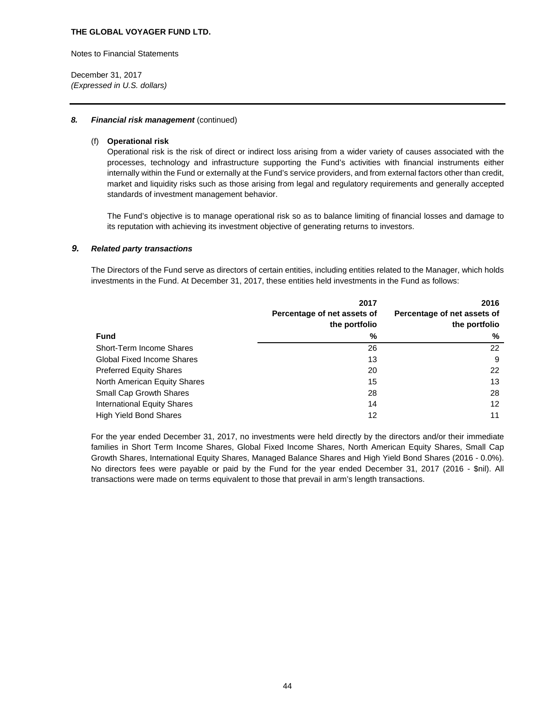Notes to Financial Statements

December 31, 2017 *(Expressed in U.S. dollars)* 

#### 8. Financial risk management (continued)

#### (f) **Operational risk**

Operational risk is the risk of direct or indirect loss arising from a wider variety of causes associated with the processes, technology and infrastructure supporting the Fund's activities with financial instruments either internally within the Fund or externally at the Fund's service providers, and from external factors other than credit, market and liquidity risks such as those arising from legal and regulatory requirements and generally accepted standards of investment management behavior.

The Fund's objective is to manage operational risk so as to balance limiting of financial losses and damage to its reputation with achieving its investment objective of generating returns to investors.

#### *9. Related party transactions*

The Directors of the Fund serve as directors of certain entities, including entities related to the Manager, which holds investments in the Fund. At December 31, 2017, these entities held investments in the Fund as follows:

|                                    | 2017<br>Percentage of net assets of<br>the portfolio | 2016<br>Percentage of net assets of<br>the portfolio |
|------------------------------------|------------------------------------------------------|------------------------------------------------------|
| <b>Fund</b>                        | %                                                    | %                                                    |
| Short-Term Income Shares           | 26                                                   | 22                                                   |
| <b>Global Fixed Income Shares</b>  | 13                                                   | 9                                                    |
| <b>Preferred Equity Shares</b>     | 20                                                   | 22                                                   |
| North American Equity Shares       | 15                                                   | 13                                                   |
| Small Cap Growth Shares            | 28                                                   | 28                                                   |
| <b>International Equity Shares</b> | 14                                                   | $12 \overline{ }$                                    |
| <b>High Yield Bond Shares</b>      | 12                                                   | 11                                                   |

For the year ended December 31, 2017, no investments were held directly by the directors and/or their immediate families in Short Term Income Shares, Global Fixed Income Shares, North American Equity Shares, Small Cap Growth Shares, International Equity Shares, Managed Balance Shares and High Yield Bond Shares (2016 - 0.0%). No directors fees were payable or paid by the Fund for the year ended December 31, 2017 (2016 - \$nil). All transactions were made on terms equivalent to those that prevail in arm's length transactions.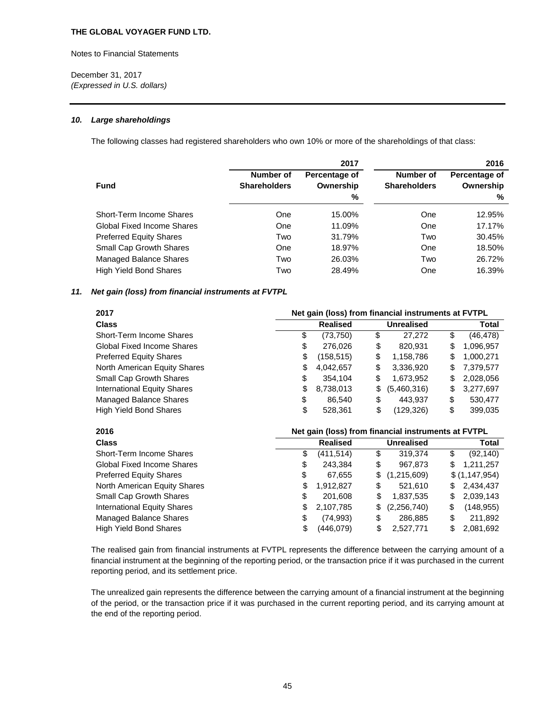Notes to Financial Statements

## December 31, 2017 *(Expressed in U.S. dollars)*

#### *10. Large shareholdings*

The following classes had registered shareholders who own 10% or more of the shareholdings of that class:

|                                   |                                  | 2017                            |                                  | 2016                            |
|-----------------------------------|----------------------------------|---------------------------------|----------------------------------|---------------------------------|
| <b>Fund</b>                       | Number of<br><b>Shareholders</b> | Percentage of<br>Ownership<br>% | Number of<br><b>Shareholders</b> | Percentage of<br>Ownership<br>% |
| Short-Term Income Shares          | One                              | 15.00%                          | One                              | 12.95%                          |
| <b>Global Fixed Income Shares</b> | One                              | 11.09%                          | One                              | 17.17%                          |
| <b>Preferred Equity Shares</b>    | Two                              | 31.79%                          | Two                              | 30.45%                          |
| Small Cap Growth Shares           | One                              | 18.97%                          | One                              | 18.50%                          |
| Managed Balance Shares            | Two                              | 26.03%                          | Two                              | 26.72%                          |
| <b>High Yield Bond Shares</b>     | Two                              | 28.49%                          | One                              | 16.39%                          |

## *11. Net gain (loss) from financial instruments at FVTPL*

| 2017                               | Net gain (loss) from financial instruments at FVTPL |                 |    |             |    |           |
|------------------------------------|-----------------------------------------------------|-----------------|----|-------------|----|-----------|
| <b>Class</b>                       |                                                     | <b>Realised</b> |    | Unrealised  |    | Total     |
| Short-Term Income Shares           | \$                                                  | (73, 750)       | \$ | 27.272      | \$ | (46, 478) |
| Global Fixed Income Shares         | \$                                                  | 276,026         | \$ | 820,931     | \$ | 1,096,957 |
| <b>Preferred Equity Shares</b>     | \$                                                  | (158, 515)      | \$ | 1,158,786   | S  | 1,000,271 |
| North American Equity Shares       | \$                                                  | 4,042,657       | \$ | 3,336,920   | \$ | 7,379,577 |
| <b>Small Cap Growth Shares</b>     | \$                                                  | 354.104         | \$ | 1,673,952   | S  | 2,028,056 |
| <b>International Equity Shares</b> | \$                                                  | 8,738,013       | S  | (5,460,316) | S  | 3,277,697 |
| <b>Managed Balance Shares</b>      | \$                                                  | 86.540          | \$ | 443.937     | \$ | 530,477   |
| <b>High Yield Bond Shares</b>      | \$                                                  | 528,361         | \$ | (129, 326)  | \$ | 399,035   |

#### **2016 Net gain (loss) from financial instruments at FVTPL**

| <b>Class</b>                       | <b>Realised</b>  |     | <b>Unrealised</b> |     | Total         |
|------------------------------------|------------------|-----|-------------------|-----|---------------|
| Short-Term Income Shares           | \$<br>(411, 514) | \$  | 319,374           | \$  | (92, 140)     |
| Global Fixed Income Shares         | \$<br>243,384    | S   | 967,873           | \$. | 1,211,257     |
| <b>Preferred Equity Shares</b>     | \$<br>67.655     | \$. | (1,215,609)       |     | \$(1,147,954) |
| North American Equity Shares       | \$<br>1,912,827  | \$  | 521.610           | S.  | 2,434,437     |
| Small Cap Growth Shares            | \$<br>201,608    | \$  | 1,837,535         | \$. | 2,039,143     |
| <b>International Equity Shares</b> | \$<br>2,107,785  | \$. | (2,256,740)       | S   | (148, 955)    |
| <b>Managed Balance Shares</b>      | \$<br>(74, 993)  | \$  | 286,885           |     | 211,892       |
| <b>High Yield Bond Shares</b>      | \$<br>(446,079)  | S   | 2,527,771         |     | 2,081,692     |

The realised gain from financial instruments at FVTPL represents the difference between the carrying amount of a financial instrument at the beginning of the reporting period, or the transaction price if it was purchased in the current reporting period, and its settlement price.

The unrealized gain represents the difference between the carrying amount of a financial instrument at the beginning of the period, or the transaction price if it was purchased in the current reporting period, and its carrying amount at the end of the reporting period.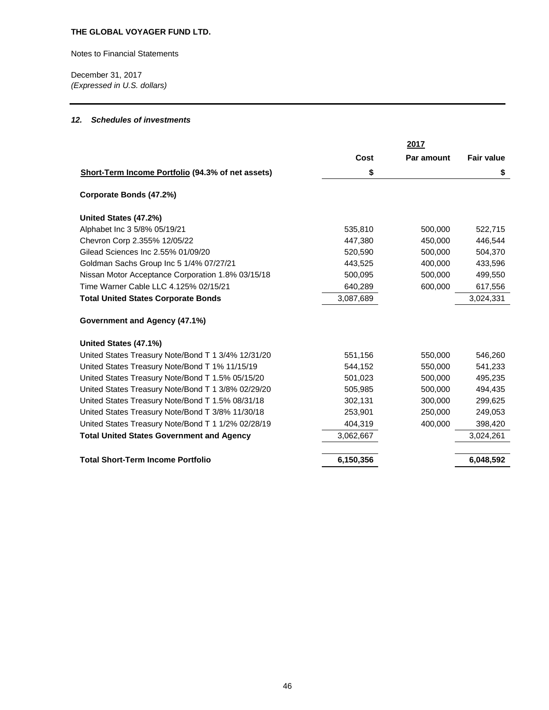Notes to Financial Statements

December 31, 2017 *(Expressed in U.S. dollars)* 

## *12. Schedules of investments*

|                                                    |           | 2017       |                   |
|----------------------------------------------------|-----------|------------|-------------------|
|                                                    | Cost      | Par amount | <b>Fair value</b> |
| Short-Term Income Portfolio (94.3% of net assets)  | \$        |            | \$                |
| Corporate Bonds (47.2%)                            |           |            |                   |
| United States (47.2%)                              |           |            |                   |
| Alphabet Inc 3 5/8% 05/19/21                       | 535,810   | 500,000    | 522,715           |
| Chevron Corp 2.355% 12/05/22                       | 447,380   | 450,000    | 446,544           |
| Gilead Sciences Inc 2.55% 01/09/20                 | 520,590   | 500,000    | 504,370           |
| Goldman Sachs Group Inc 5 1/4% 07/27/21            | 443,525   | 400,000    | 433,596           |
| Nissan Motor Acceptance Corporation 1.8% 03/15/18  | 500,095   | 500,000    | 499,550           |
| Time Warner Cable LLC 4.125% 02/15/21              | 640,289   | 600,000    | 617,556           |
| <b>Total United States Corporate Bonds</b>         | 3,087,689 |            | 3,024,331         |
| Government and Agency (47.1%)                      |           |            |                   |
| United States (47.1%)                              |           |            |                   |
| United States Treasury Note/Bond T 1 3/4% 12/31/20 | 551,156   | 550,000    | 546,260           |
| United States Treasury Note/Bond T 1% 11/15/19     | 544,152   | 550,000    | 541,233           |
| United States Treasury Note/Bond T 1.5% 05/15/20   | 501,023   | 500,000    | 495,235           |
| United States Treasury Note/Bond T 1 3/8% 02/29/20 | 505,985   | 500,000    | 494,435           |
| United States Treasury Note/Bond T 1.5% 08/31/18   | 302,131   | 300,000    | 299,625           |
| United States Treasury Note/Bond T 3/8% 11/30/18   | 253,901   | 250,000    | 249,053           |
| United States Treasury Note/Bond T 1 1/2% 02/28/19 | 404,319   | 400,000    | 398,420           |
| <b>Total United States Government and Agency</b>   | 3,062,667 |            | 3,024,261         |
|                                                    |           |            |                   |
| <b>Total Short-Term Income Portfolio</b>           | 6,150,356 |            | 6,048,592         |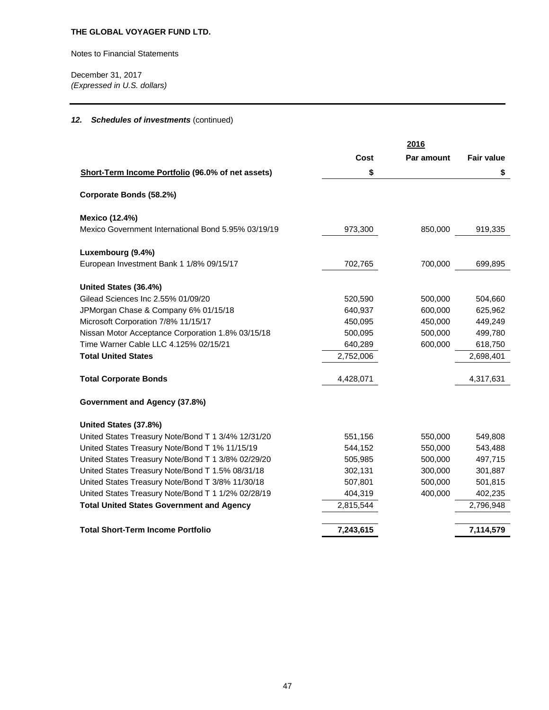Notes to Financial Statements

December 31, 2017 *(Expressed in U.S. dollars)* 

|                                                     |           | 2016       |                   |
|-----------------------------------------------------|-----------|------------|-------------------|
|                                                     | Cost      | Par amount | <b>Fair value</b> |
| Short-Term Income Portfolio (96.0% of net assets)   | \$        |            | \$                |
| Corporate Bonds (58.2%)                             |           |            |                   |
| <b>Mexico (12.4%)</b>                               |           |            |                   |
| Mexico Government International Bond 5.95% 03/19/19 | 973,300   | 850,000    | 919,335           |
| Luxembourg (9.4%)                                   |           |            |                   |
| European Investment Bank 1 1/8% 09/15/17            | 702,765   | 700,000    | 699,895           |
| United States (36.4%)                               |           |            |                   |
| Gilead Sciences Inc 2.55% 01/09/20                  | 520,590   | 500,000    | 504,660           |
| JPMorgan Chase & Company 6% 01/15/18                | 640,937   | 600,000    | 625,962           |
| Microsoft Corporation 7/8% 11/15/17                 | 450,095   | 450,000    | 449,249           |
| Nissan Motor Acceptance Corporation 1.8% 03/15/18   | 500,095   | 500,000    | 499,780           |
| Time Warner Cable LLC 4.125% 02/15/21               | 640,289   | 600,000    | 618,750           |
| <b>Total United States</b>                          | 2,752,006 |            | 2,698,401         |
| <b>Total Corporate Bonds</b>                        | 4,428,071 |            | 4,317,631         |
| Government and Agency (37.8%)                       |           |            |                   |
| United States (37.8%)                               |           |            |                   |
| United States Treasury Note/Bond T 1 3/4% 12/31/20  | 551,156   | 550,000    | 549,808           |
| United States Treasury Note/Bond T 1% 11/15/19      | 544,152   | 550,000    | 543,488           |
| United States Treasury Note/Bond T 1 3/8% 02/29/20  | 505,985   | 500,000    | 497,715           |
| United States Treasury Note/Bond T 1.5% 08/31/18    | 302,131   | 300,000    | 301,887           |
| United States Treasury Note/Bond T 3/8% 11/30/18    | 507,801   | 500,000    | 501,815           |
| United States Treasury Note/Bond T 1 1/2% 02/28/19  | 404,319   | 400,000    | 402,235           |
| <b>Total United States Government and Agency</b>    | 2,815,544 |            | 2,796,948         |
| <b>Total Short-Term Income Portfolio</b>            | 7,243,615 |            | 7,114,579         |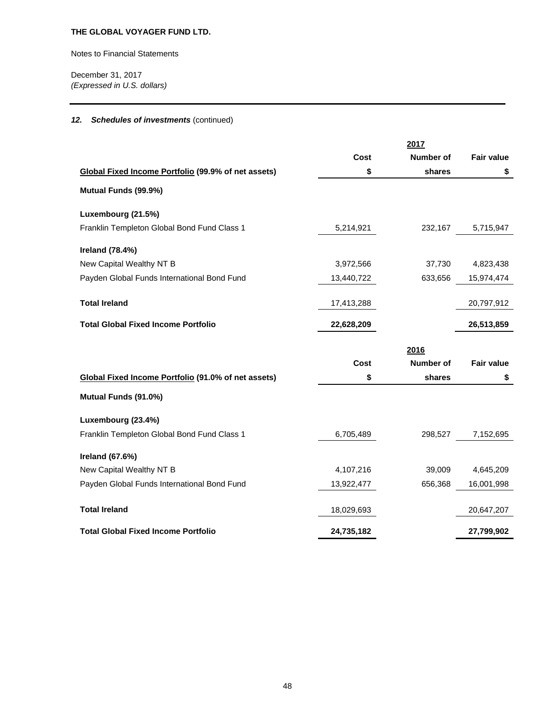Notes to Financial Statements

December 31, 2017 *(Expressed in U.S. dollars)* 

|                                                     |            | 2017             |                   |
|-----------------------------------------------------|------------|------------------|-------------------|
|                                                     | Cost       | <b>Number of</b> | <b>Fair value</b> |
| Global Fixed Income Portfolio (99.9% of net assets) | \$         | shares           | \$                |
| Mutual Funds (99.9%)                                |            |                  |                   |
| Luxembourg (21.5%)                                  |            |                  |                   |
| Franklin Templeton Global Bond Fund Class 1         | 5,214,921  | 232,167          | 5,715,947         |
| <b>Ireland (78.4%)</b>                              |            |                  |                   |
| New Capital Wealthy NT B                            | 3,972,566  | 37,730           | 4,823,438         |
| Payden Global Funds International Bond Fund         | 13,440,722 | 633,656          | 15,974,474        |
| <b>Total Ireland</b>                                | 17,413,288 |                  | 20,797,912        |
| <b>Total Global Fixed Income Portfolio</b>          | 22,628,209 |                  | 26,513,859        |
|                                                     |            | 2016             |                   |
|                                                     | Cost       | <b>Number of</b> | <b>Fair value</b> |
| Global Fixed Income Portfolio (91.0% of net assets) | \$         | shares           | \$                |
| Mutual Funds (91.0%)                                |            |                  |                   |
| Luxembourg (23.4%)                                  |            |                  |                   |
| Franklin Templeton Global Bond Fund Class 1         | 6,705,489  | 298,527          | 7,152,695         |
| Ireland (67.6%)                                     |            |                  |                   |
| New Capital Wealthy NT B                            | 4,107,216  | 39,009           | 4,645,209         |
| Payden Global Funds International Bond Fund         | 13,922,477 | 656,368          | 16,001,998        |
| <b>Total Ireland</b>                                | 18,029,693 |                  | 20,647,207        |
| <b>Total Global Fixed Income Portfolio</b>          | 24,735,182 |                  | 27,799,902        |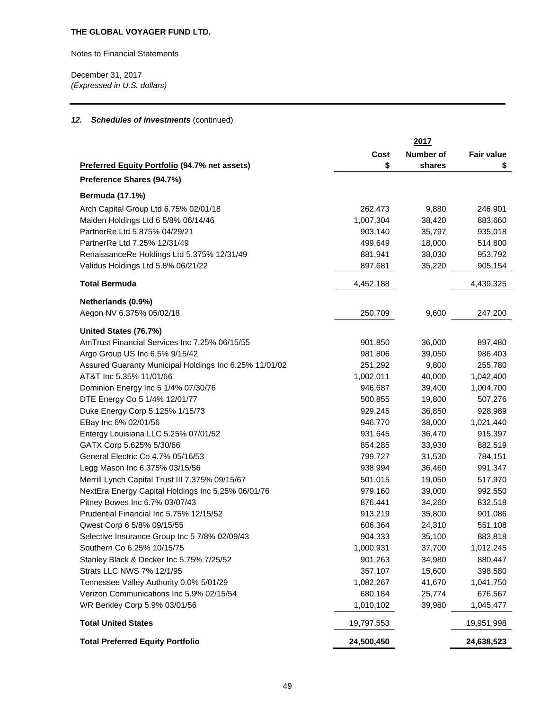Notes to Financial Statements

# December 31, 2017 *(Expressed in U.S. dollars)*

|                                                        |            | 2017      |                   |
|--------------------------------------------------------|------------|-----------|-------------------|
|                                                        | Cost       | Number of | <b>Fair value</b> |
| Preferred Equity Portfolio (94.7% net assets)          | \$         | shares    | \$                |
| Preference Shares (94.7%)                              |            |           |                   |
| <b>Bermuda (17.1%)</b>                                 |            |           |                   |
| Arch Capital Group Ltd 6.75% 02/01/18                  | 262,473    | 9,880     | 246,901           |
| Maiden Holdings Ltd 6 5/8% 06/14/46                    | 1,007,304  | 38,420    | 883,660           |
| PartnerRe Ltd 5.875% 04/29/21                          | 903,140    | 35,797    | 935,018           |
| PartnerRe Ltd 7.25% 12/31/49                           | 499,649    | 18,000    | 514,800           |
| RenaissanceRe Holdings Ltd 5.375% 12/31/49             | 881,941    | 38,030    | 953,792           |
| Validus Holdings Ltd 5.8% 06/21/22                     | 897,681    | 35,220    | 905,154           |
| <b>Total Bermuda</b>                                   | 4,452,188  |           | 4,439,325         |
| Netherlands (0.9%)                                     |            |           |                   |
| Aegon NV 6.375% 05/02/18                               | 250,709    | 9,600     | 247,200           |
| United States (76.7%)                                  |            |           |                   |
| AmTrust Financial Services Inc 7.25% 06/15/55          | 901,850    | 36,000    | 897,480           |
| Argo Group US Inc 6.5% 9/15/42                         | 981,806    | 39,050    | 986,403           |
| Assured Guaranty Municipal Holdings Inc 6.25% 11/01/02 | 251,292    | 9,800     | 255,780           |
| AT&T Inc 5.35% 11/01/66                                | 1,002,011  | 40,000    | 1,042,400         |
| Dominion Energy Inc 5 1/4% 07/30/76                    | 946,687    | 39,400    | 1,004,700         |
| DTE Energy Co 5 1/4% 12/01/77                          | 500,855    | 19,800    | 507,276           |
| Duke Energy Corp 5.125% 1/15/73                        | 929,245    | 36,850    | 928,989           |
| EBay Inc 6% 02/01/56                                   | 946,770    | 38,000    | 1,021,440         |
| Entergy Louisiana LLC 5.25% 07/01/52                   | 931,645    | 36,470    | 915,397           |
| GATX Corp 5.625% 5/30/66                               | 854,285    | 33,930    | 882,519           |
| General Electric Co 4.7% 05/16/53                      | 799,727    | 31,530    | 784,151           |
| Legg Mason Inc 6.375% 03/15/56                         | 938,994    | 36,460    | 991,347           |
| Merrill Lynch Capital Trust III 7.375% 09/15/67        | 501,015    | 19,050    | 517,970           |
| NextEra Energy Capital Holdings Inc 5.25% 06/01/76     | 979,160    | 39,000    | 992,550           |
| Pitney Bowes Inc 6.7% 03/07/43                         | 876,441    | 34,260    | 832,518           |
| Prudential Financial Inc 5.75% 12/15/52                | 913,219    | 35,800    | 901,086           |
| Qwest Corp 6 5/8% 09/15/55                             | 606,364    | 24,310    | 551,108           |
| Selective Insurance Group Inc 5 7/8% 02/09/43          | 904,333    | 35,100    | 883,818           |
| Southern Co 6.25% 10/15/75                             | 1,000,931  | 37,700    | 1,012,245         |
| Stanley Black & Decker Inc 5.75% 7/25/52               | 901,263    | 34,980    | 880,447           |
| Strats LLC NWS 7% 12/1/95                              | 357,107    | 15,600    | 398,580           |
| Tennessee Valley Authority 0.0% 5/01/29                | 1,082,267  | 41,670    | 1,041,750         |
| Verizon Communications Inc 5.9% 02/15/54               | 680,184    | 25,774    | 676,567           |
| WR Berkley Corp 5.9% 03/01/56                          | 1,010,102  | 39,980    | 1,045,477         |
| <b>Total United States</b>                             | 19,797,553 |           | 19,951,998        |
| <b>Total Preferred Equity Portfolio</b>                | 24,500,450 |           | 24,638,523        |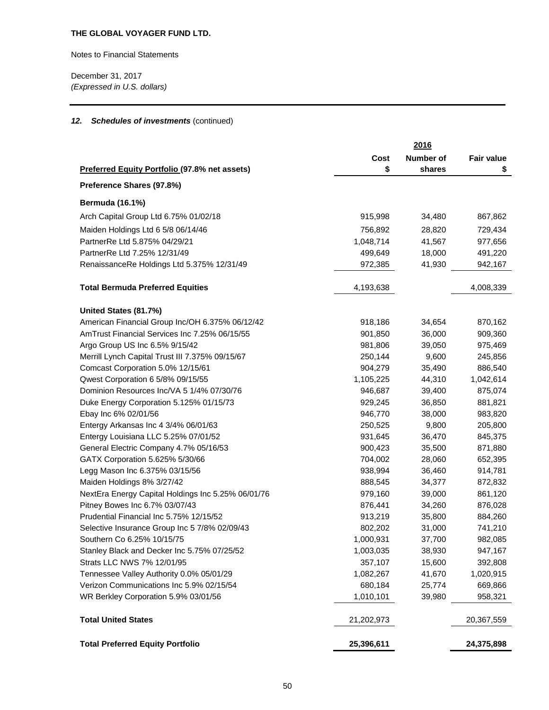Notes to Financial Statements

## December 31, 2017 *(Expressed in U.S. dollars)*

|                                                      |            | 2016      |                   |
|------------------------------------------------------|------------|-----------|-------------------|
|                                                      | Cost       | Number of | <b>Fair value</b> |
| <b>Preferred Equity Portfolio (97.8% net assets)</b> | \$         | shares    | \$                |
| Preference Shares (97.8%)                            |            |           |                   |
| <b>Bermuda (16.1%)</b>                               |            |           |                   |
| Arch Capital Group Ltd 6.75% 01/02/18                | 915,998    | 34,480    | 867,862           |
| Maiden Holdings Ltd 6 5/8 06/14/46                   | 756,892    | 28,820    | 729,434           |
| PartnerRe Ltd 5.875% 04/29/21                        | 1,048,714  | 41,567    | 977,656           |
| PartnerRe Ltd 7.25% 12/31/49                         | 499,649    | 18,000    | 491,220           |
| RenaissanceRe Holdings Ltd 5.375% 12/31/49           | 972,385    | 41,930    | 942,167           |
| <b>Total Bermuda Preferred Equities</b>              | 4,193,638  |           | 4,008,339         |
| United States (81.7%)                                |            |           |                   |
| American Financial Group Inc/OH 6.375% 06/12/42      | 918,186    | 34,654    | 870,162           |
| AmTrust Financial Services Inc 7.25% 06/15/55        | 901,850    | 36,000    | 909,360           |
| Argo Group US Inc 6.5% 9/15/42                       | 981,806    | 39,050    | 975,469           |
| Merrill Lynch Capital Trust III 7.375% 09/15/67      | 250,144    | 9,600     | 245,856           |
| Comcast Corporation 5.0% 12/15/61                    | 904,279    | 35,490    | 886,540           |
| Qwest Corporation 6 5/8% 09/15/55                    | 1,105,225  | 44,310    | 1,042,614         |
| Dominion Resources Inc/VA 5 1/4% 07/30/76            | 946,687    | 39,400    | 875,074           |
| Duke Energy Corporation 5.125% 01/15/73              | 929,245    | 36,850    | 881,821           |
| Ebay Inc 6% 02/01/56                                 | 946,770    | 38,000    | 983,820           |
| Entergy Arkansas Inc 4 3/4% 06/01/63                 | 250,525    | 9,800     | 205,800           |
| Entergy Louisiana LLC 5.25% 07/01/52                 | 931,645    | 36,470    | 845,375           |
| General Electric Company 4.7% 05/16/53               | 900,423    | 35,500    | 871,880           |
| GATX Corporation 5.625% 5/30/66                      | 704,002    | 28,060    | 652,395           |
| Legg Mason Inc 6.375% 03/15/56                       | 938,994    | 36,460    | 914,781           |
| Maiden Holdings 8% 3/27/42                           | 888,545    | 34,377    | 872,832           |
| NextEra Energy Capital Holdings Inc 5.25% 06/01/76   | 979,160    | 39,000    | 861,120           |
| Pitney Bowes Inc 6.7% 03/07/43                       | 876,441    | 34,260    | 876,028           |
| Prudential Financial Inc 5.75% 12/15/52              | 913,219    | 35,800    | 884,260           |
| Selective Insurance Group Inc 5 7/8% 02/09/43        | 802,202    | 31,000    | 741,210           |
| Southern Co 6.25% 10/15/75                           | 1,000,931  | 37,700    | 982,085           |
| Stanley Black and Decker Inc 5.75% 07/25/52          | 1,003,035  | 38,930    | 947,167           |
| Strats LLC NWS 7% 12/01/95                           | 357,107    | 15,600    | 392,808           |
| Tennessee Valley Authority 0.0% 05/01/29             | 1,082,267  | 41,670    | 1,020,915         |
| Verizon Communications Inc 5.9% 02/15/54             | 680,184    | 25,774    | 669,866           |
| WR Berkley Corporation 5.9% 03/01/56                 | 1,010,101  | 39,980    | 958,321           |
| <b>Total United States</b>                           | 21,202,973 |           | 20,367,559        |
| <b>Total Preferred Equity Portfolio</b>              | 25,396,611 |           | 24,375,898        |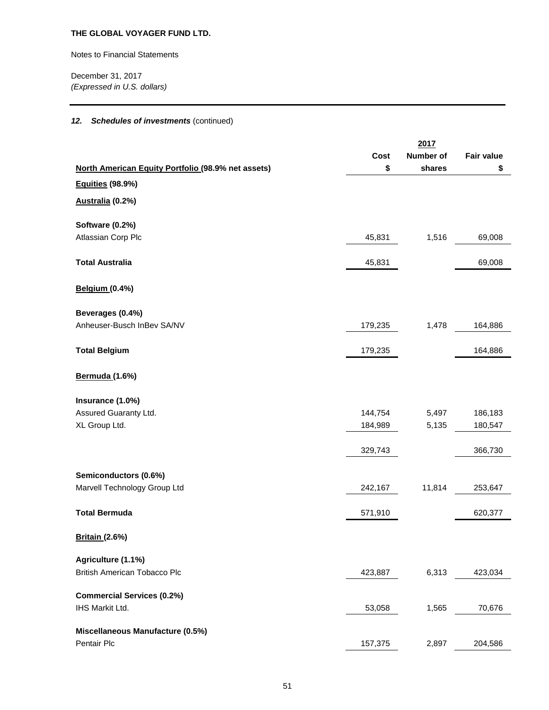Notes to Financial Statements

December 31, 2017 *(Expressed in U.S. dollars)* 

|                                                    |         | 2017      |                   |
|----------------------------------------------------|---------|-----------|-------------------|
|                                                    | Cost    | Number of | <b>Fair value</b> |
| North American Equity Portfolio (98.9% net assets) | \$      | shares    | \$                |
| <b>Equities (98.9%)</b>                            |         |           |                   |
| Australia (0.2%)                                   |         |           |                   |
|                                                    |         |           |                   |
| Software (0.2%)<br>Atlassian Corp Plc              | 45,831  | 1,516     | 69,008            |
|                                                    |         |           |                   |
| <b>Total Australia</b>                             | 45,831  |           | 69,008            |
|                                                    |         |           |                   |
| Belgium (0.4%)                                     |         |           |                   |
| Beverages (0.4%)                                   |         |           |                   |
| Anheuser-Busch InBev SA/NV                         | 179,235 | 1,478     | 164,886           |
|                                                    |         |           |                   |
| <b>Total Belgium</b>                               | 179,235 |           | 164,886           |
| Bermuda (1.6%)                                     |         |           |                   |
|                                                    |         |           |                   |
| Insurance (1.0%)                                   |         |           |                   |
| Assured Guaranty Ltd.                              | 144,754 | 5,497     | 186,183           |
| XL Group Ltd.                                      | 184,989 | 5,135     | 180,547           |
|                                                    | 329,743 |           | 366,730           |
|                                                    |         |           |                   |
| Semiconductors (0.6%)                              |         |           |                   |
| Marvell Technology Group Ltd                       | 242,167 | 11,814    | 253,647           |
| <b>Total Bermuda</b>                               | 571,910 |           | 620,377           |
|                                                    |         |           |                   |
| <b>Britain (2.6%)</b>                              |         |           |                   |
| Agriculture (1.1%)                                 |         |           |                   |
| <b>British American Tobacco Plc</b>                | 423,887 | 6,313     | 423,034           |
|                                                    |         |           |                   |
| <b>Commercial Services (0.2%)</b>                  |         |           |                   |
| IHS Markit Ltd.                                    | 53,058  | 1,565     | 70,676            |
| Miscellaneous Manufacture (0.5%)                   |         |           |                   |
| Pentair Plc                                        | 157,375 | 2,897     | 204,586           |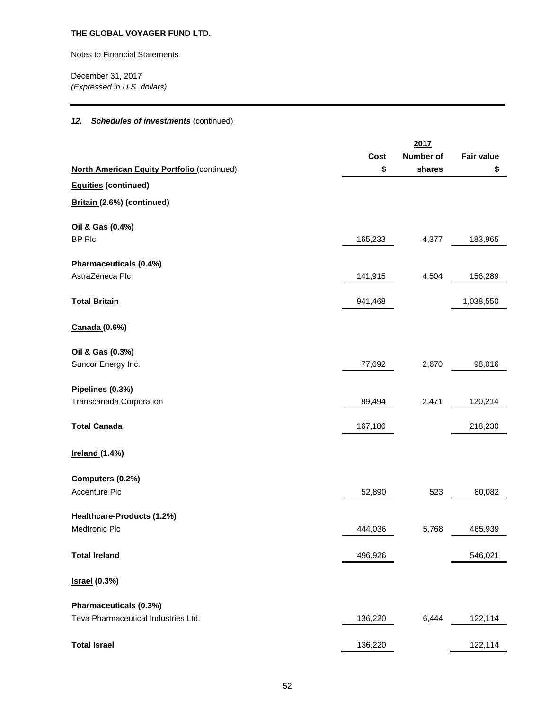Notes to Financial Statements

December 31, 2017 *(Expressed in U.S. dollars)* 

|                                                    |         | 2017      |                   |
|----------------------------------------------------|---------|-----------|-------------------|
|                                                    | Cost    | Number of | <b>Fair value</b> |
| <b>North American Equity Portfolio (continued)</b> | \$      | shares    | \$                |
| <b>Equities (continued)</b>                        |         |           |                   |
| Britain (2.6%) (continued)                         |         |           |                   |
| Oil & Gas (0.4%)                                   |         |           |                   |
| <b>BP Plc</b>                                      | 165,233 | 4,377     | 183,965           |
| Pharmaceuticals (0.4%)                             |         |           |                   |
| AstraZeneca Plc                                    | 141,915 | 4,504     | 156,289           |
| <b>Total Britain</b>                               | 941,468 |           | 1,038,550         |
| Canada (0.6%)                                      |         |           |                   |
| Oil & Gas (0.3%)                                   |         |           |                   |
| Suncor Energy Inc.                                 | 77,692  | 2,670     | 98,016            |
| Pipelines (0.3%)                                   |         |           |                   |
| Transcanada Corporation                            | 89,494  | 2,471     | 120,214           |
| <b>Total Canada</b>                                | 167,186 |           | 218,230           |
| <b>Ireland</b> (1.4%)                              |         |           |                   |
| Computers (0.2%)                                   |         |           |                   |
| Accenture Plc                                      | 52,890  | 523       | 80,082            |
| Healthcare-Products (1.2%)                         |         |           |                   |
| Medtronic Plc                                      | 444,036 | 5,768     | 465,939           |
| <b>Total Ireland</b>                               | 496,926 |           | 546,021           |
| Israel (0.3%)                                      |         |           |                   |
| Pharmaceuticals (0.3%)                             |         |           |                   |
| Teva Pharmaceutical Industries Ltd.                | 136,220 | 6,444     | 122,114           |
| <b>Total Israel</b>                                | 136,220 |           | 122,114           |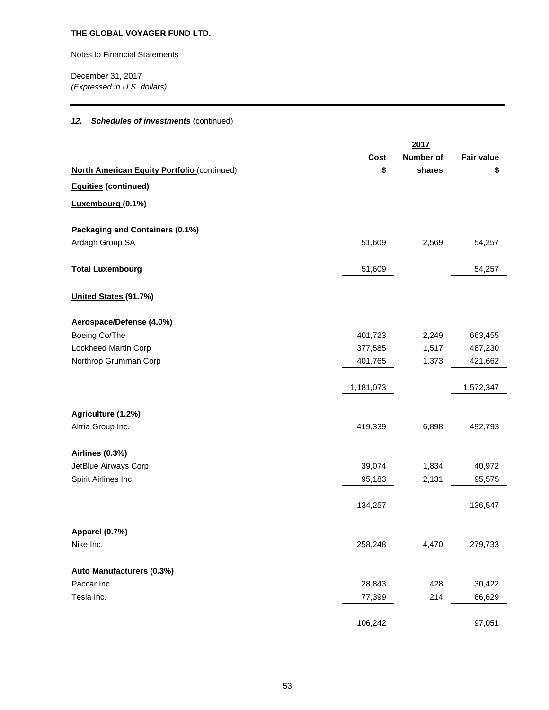Notes to Financial Statements

December 31, 2017 *(Expressed in U.S. dollars)* 

|                                                    |           | 2017      |                   |
|----------------------------------------------------|-----------|-----------|-------------------|
|                                                    | Cost      | Number of | <b>Fair value</b> |
| <b>North American Equity Portfolio (continued)</b> | \$        | shares    | \$                |
| <b>Equities (continued)</b>                        |           |           |                   |
| Luxembourg (0.1%)                                  |           |           |                   |
| Packaging and Containers (0.1%)                    |           |           |                   |
| Ardagh Group SA                                    | 51,609    | 2,569     | 54,257            |
| <b>Total Luxembourg</b>                            | 51,609    |           | 54,257            |
| United States (91.7%)                              |           |           |                   |
| Aerospace/Defense (4.0%)                           |           |           |                   |
| Boeing Co/The                                      | 401,723   | 2,249     | 663,455           |
| Lockheed Martin Corp                               | 377,585   | 1,517     | 487,230           |
| Northrop Grumman Corp                              | 401,765   | 1,373     | 421,662           |
|                                                    | 1,181,073 |           | 1,572,347         |
| Agriculture (1.2%)                                 |           |           |                   |
| Altria Group Inc.                                  | 419,339   | 6,898     | 492,793           |
| <b>Airlines (0.3%)</b>                             |           |           |                   |
| JetBlue Airways Corp                               | 39,074    | 1,834     | 40,972            |
| Spirit Airlines Inc.                               | 95,183    | 2,131     | 95,575            |
|                                                    | 134,257   |           | 136,547           |
|                                                    |           |           |                   |
| Apparel (0.7%)                                     |           |           |                   |
| Nike Inc.                                          | 258,248   | 4,470     | 279,733           |
| Auto Manufacturers (0.3%)                          |           |           |                   |
| Paccar Inc.                                        | 28,843    | 428       | 30,422            |
| Tesla Inc.                                         | 77,399    | 214       | 66,629            |
|                                                    |           |           |                   |
|                                                    | 106,242   |           | 97,051            |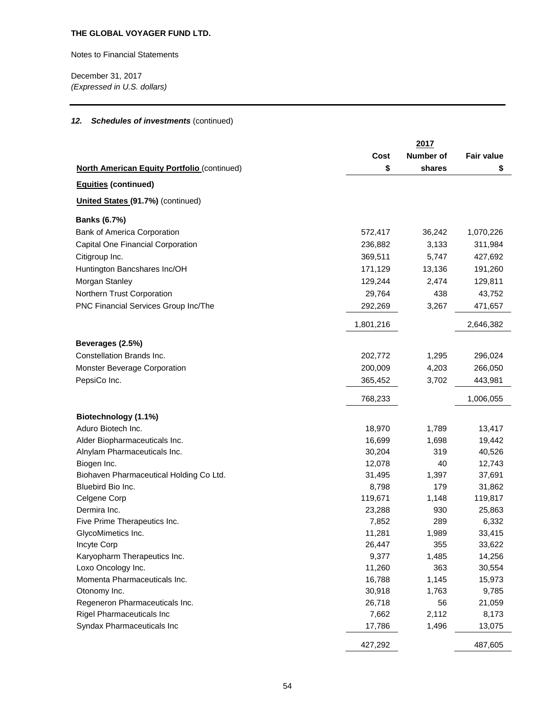Notes to Financial Statements

December 31, 2017 *(Expressed in U.S. dollars)* 

|                                                    |             | 2017             |                   |
|----------------------------------------------------|-------------|------------------|-------------------|
|                                                    | <b>Cost</b> | <b>Number of</b> | <b>Fair value</b> |
| <b>North American Equity Portfolio</b> (continued) | \$          | shares           | \$                |
| <b>Equities (continued)</b>                        |             |                  |                   |
| United States (91.7%) (continued)                  |             |                  |                   |
| <b>Banks (6.7%)</b>                                |             |                  |                   |
| Bank of America Corporation                        | 572,417     | 36,242           | 1,070,226         |
| Capital One Financial Corporation                  | 236,882     | 3,133            | 311,984           |
| Citigroup Inc.                                     | 369,511     | 5,747            | 427,692           |
| Huntington Bancshares Inc/OH                       | 171,129     | 13,136           | 191,260           |
| Morgan Stanley                                     | 129,244     | 2,474            | 129,811           |
| Northern Trust Corporation                         | 29,764      | 438              | 43,752            |
| PNC Financial Services Group Inc/The               | 292,269     | 3,267            | 471,657           |
|                                                    | 1,801,216   |                  | 2,646,382         |
| Beverages (2.5%)                                   |             |                  |                   |
| Constellation Brands Inc.                          | 202,772     | 1,295            | 296,024           |
| Monster Beverage Corporation                       | 200,009     | 4,203            | 266,050           |
| PepsiCo Inc.                                       | 365,452     | 3,702            | 443,981           |
|                                                    | 768,233     |                  | 1,006,055         |
|                                                    |             |                  |                   |
| Biotechnology (1.1%)                               |             |                  |                   |
| Aduro Biotech Inc.                                 | 18,970      | 1,789            | 13,417            |
| Alder Biopharmaceuticals Inc.                      | 16,699      | 1,698            | 19,442            |
| Alnylam Pharmaceuticals Inc.                       | 30,204      | 319              | 40,526            |
| Biogen Inc.                                        | 12,078      | 40               | 12,743            |
| Biohaven Pharmaceutical Holding Co Ltd.            | 31,495      | 1,397            | 37,691            |
| Bluebird Bio Inc.                                  | 8,798       | 179              | 31,862            |
| Celgene Corp                                       | 119,671     | 1,148            | 119,817           |
| Dermira Inc.                                       | 23,288      | 930              | 25,863            |
| Five Prime Therapeutics Inc.                       | 7,852       | 289              | 6,332             |
| GlycoMimetics Inc.                                 | 11,281      | 1,989            | 33,415            |
| Incyte Corp                                        | 26,447      | 355              | 33,622            |
| Karyopharm Therapeutics Inc.                       | 9,377       | 1,485            | 14,256            |
| Loxo Oncology Inc.                                 | 11,260      | 363              | 30,554            |
| Momenta Pharmaceuticals Inc.                       | 16,788      | 1,145            | 15,973            |
| Otonomy Inc.                                       | 30,918      | 1,763            | 9,785             |
| Regeneron Pharmaceuticals Inc.                     | 26,718      | 56               | 21,059            |
| Rigel Pharmaceuticals Inc                          | 7,662       | 2,112            | 8,173             |
| Syndax Pharmaceuticals Inc                         | 17,786      | 1,496            | 13,075            |
|                                                    | 427,292     |                  | 487,605           |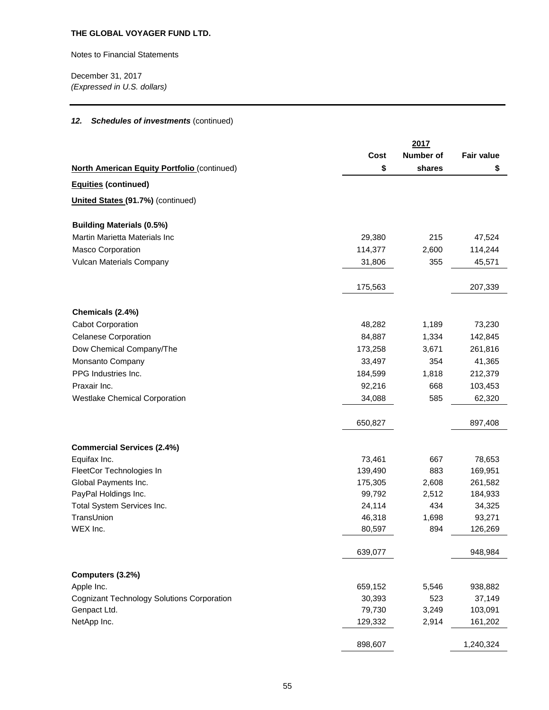Notes to Financial Statements

December 31, 2017 *(Expressed in U.S. dollars)* 

|                                                    |         | 2017      |                   |
|----------------------------------------------------|---------|-----------|-------------------|
|                                                    | Cost    | Number of | <b>Fair value</b> |
| <b>North American Equity Portfolio (continued)</b> | \$      | shares    | \$                |
| <b>Equities (continued)</b>                        |         |           |                   |
| United States (91.7%) (continued)                  |         |           |                   |
| <b>Building Materials (0.5%)</b>                   |         |           |                   |
| Martin Marietta Materials Inc                      | 29,380  | 215       | 47,524            |
| Masco Corporation                                  | 114,377 | 2,600     | 114,244           |
| <b>Vulcan Materials Company</b>                    | 31,806  | 355       | 45,571            |
|                                                    | 175,563 |           | 207,339           |
|                                                    |         |           |                   |
| Chemicals (2.4%)                                   |         |           |                   |
| <b>Cabot Corporation</b>                           | 48,282  | 1,189     | 73,230            |
| <b>Celanese Corporation</b>                        | 84,887  | 1,334     | 142,845           |
| Dow Chemical Company/The                           | 173,258 | 3,671     | 261,816           |
| Monsanto Company                                   | 33,497  | 354       | 41,365            |
| PPG Industries Inc.                                | 184,599 | 1,818     | 212,379           |
| Praxair Inc.                                       | 92,216  | 668       | 103,453           |
| <b>Westlake Chemical Corporation</b>               | 34,088  | 585       | 62,320            |
|                                                    | 650,827 |           | 897,408           |
| <b>Commercial Services (2.4%)</b>                  |         |           |                   |
| Equifax Inc.                                       | 73,461  | 667       | 78,653            |
| FleetCor Technologies In                           | 139,490 | 883       | 169,951           |
| Global Payments Inc.                               | 175,305 | 2,608     | 261,582           |
| PayPal Holdings Inc.                               | 99,792  | 2,512     | 184,933           |
| Total System Services Inc.                         | 24,114  | 434       | 34,325            |
| TransUnion                                         | 46,318  | 1,698     | 93,271            |
| WEX Inc.                                           | 80,597  | 894       | 126,269           |
|                                                    | 639,077 |           | 948,984           |
| Computers (3.2%)                                   |         |           |                   |
| Apple Inc.                                         | 659,152 | 5,546     | 938,882           |
| <b>Cognizant Technology Solutions Corporation</b>  | 30,393  | 523       | 37,149            |
| Genpact Ltd.                                       | 79,730  | 3,249     | 103,091           |
| NetApp Inc.                                        | 129,332 | 2,914     | 161,202           |
|                                                    | 898,607 |           | 1,240,324         |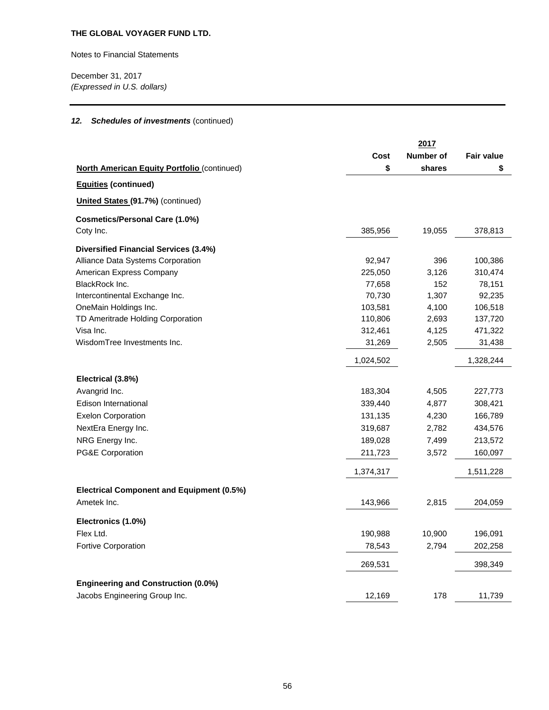Notes to Financial Statements

December 31, 2017 *(Expressed in U.S. dollars)* 

|                                                    |           | 2017      |                   |
|----------------------------------------------------|-----------|-----------|-------------------|
|                                                    | Cost      | Number of | <b>Fair value</b> |
| <b>North American Equity Portfolio (continued)</b> | \$        | shares    | \$                |
| <b>Equities (continued)</b>                        |           |           |                   |
| United States (91.7%) (continued)                  |           |           |                   |
| <b>Cosmetics/Personal Care (1.0%)</b>              |           |           |                   |
| Coty Inc.                                          | 385,956   | 19,055    | 378,813           |
| <b>Diversified Financial Services (3.4%)</b>       |           |           |                   |
| Alliance Data Systems Corporation                  | 92,947    | 396       | 100,386           |
| American Express Company                           | 225,050   | 3,126     | 310,474           |
| BlackRock Inc.                                     | 77,658    | 152       | 78,151            |
| Intercontinental Exchange Inc.                     | 70,730    | 1,307     | 92,235            |
| OneMain Holdings Inc.                              | 103,581   | 4,100     | 106,518           |
| TD Ameritrade Holding Corporation                  | 110,806   | 2,693     | 137,720           |
| Visa Inc.                                          | 312,461   | 4,125     | 471,322           |
| WisdomTree Investments Inc.                        | 31,269    | 2,505     | 31,438            |
|                                                    | 1,024,502 |           | 1,328,244         |
| Electrical (3.8%)                                  |           |           |                   |
| Avangrid Inc.                                      | 183,304   | 4,505     | 227,773           |
| Edison International                               | 339,440   | 4,877     | 308,421           |
| <b>Exelon Corporation</b>                          | 131,135   | 4,230     | 166,789           |
| NextEra Energy Inc.                                | 319,687   | 2,782     | 434,576           |
| NRG Energy Inc.                                    | 189,028   | 7,499     | 213,572           |
| PG&E Corporation                                   | 211,723   | 3,572     | 160,097           |
|                                                    | 1,374,317 |           | 1,511,228         |
| <b>Electrical Component and Equipment (0.5%)</b>   |           |           |                   |
| Ametek Inc.                                        | 143,966   | 2,815     | 204,059           |
| Electronics (1.0%)                                 |           |           |                   |
| Flex Ltd.                                          | 190,988   | 10,900    | 196,091           |
| <b>Fortive Corporation</b>                         | 78,543    | 2,794     | 202,258           |
|                                                    | 269,531   |           | 398,349           |
|                                                    |           |           |                   |
| <b>Engineering and Construction (0.0%)</b>         |           |           |                   |
| Jacobs Engineering Group Inc.                      | 12,169    | 178       | 11,739            |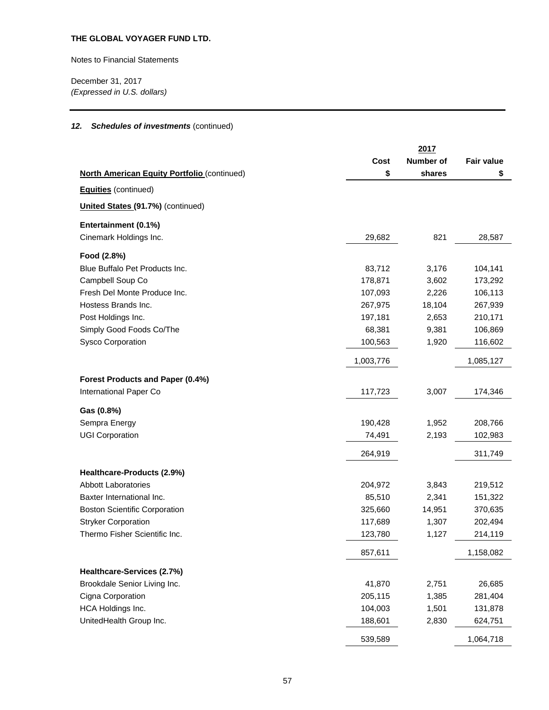## Notes to Financial Statements

December 31, 2017 *(Expressed in U.S. dollars)* 

|                                             |           | 2017             |                   |
|---------------------------------------------|-----------|------------------|-------------------|
|                                             | Cost      | <b>Number of</b> | <b>Fair value</b> |
| North American Equity Portfolio (continued) | \$        | shares           | \$                |
| <b>Equities</b> (continued)                 |           |                  |                   |
| United States (91.7%) (continued)           |           |                  |                   |
| Entertainment (0.1%)                        |           |                  |                   |
| Cinemark Holdings Inc.                      | 29,682    | 821              | 28,587            |
| Food (2.8%)                                 |           |                  |                   |
| Blue Buffalo Pet Products Inc.              | 83,712    | 3,176            | 104,141           |
| Campbell Soup Co                            | 178,871   | 3,602            | 173,292           |
| Fresh Del Monte Produce Inc.                | 107,093   | 2,226            | 106,113           |
| Hostess Brands Inc.                         | 267,975   | 18,104           | 267,939           |
| Post Holdings Inc.                          | 197,181   | 2,653            | 210,171           |
| Simply Good Foods Co/The                    | 68,381    | 9,381            | 106,869           |
| <b>Sysco Corporation</b>                    | 100,563   | 1,920            | 116,602           |
|                                             | 1,003,776 |                  | 1,085,127         |
| Forest Products and Paper (0.4%)            |           |                  |                   |
| International Paper Co                      | 117,723   | 3,007            | 174,346           |
| Gas (0.8%)                                  |           |                  |                   |
| Sempra Energy                               | 190,428   | 1,952            | 208,766           |
| <b>UGI Corporation</b>                      | 74,491    | 2,193            | 102,983           |
|                                             |           |                  |                   |
|                                             | 264,919   |                  | 311,749           |
| Healthcare-Products (2.9%)                  |           |                  |                   |
| <b>Abbott Laboratories</b>                  | 204,972   | 3,843            | 219,512           |
| Baxter International Inc.                   | 85,510    | 2,341            | 151,322           |
| <b>Boston Scientific Corporation</b>        | 325,660   | 14,951           | 370,635           |
| <b>Stryker Corporation</b>                  | 117,689   | 1,307            | 202,494           |
| Thermo Fisher Scientific Inc.               | 123,780   | 1,127            | 214,119           |
|                                             | 857,611   |                  | 1,158,082         |
| Healthcare-Services (2.7%)                  |           |                  |                   |
| Brookdale Senior Living Inc.                | 41,870    | 2,751            | 26,685            |
| Cigna Corporation                           | 205,115   | 1,385            | 281,404           |
| HCA Holdings Inc.                           | 104,003   | 1,501            | 131,878           |
| UnitedHealth Group Inc.                     | 188,601   | 2,830            | 624,751           |
|                                             | 539,589   |                  | 1,064,718         |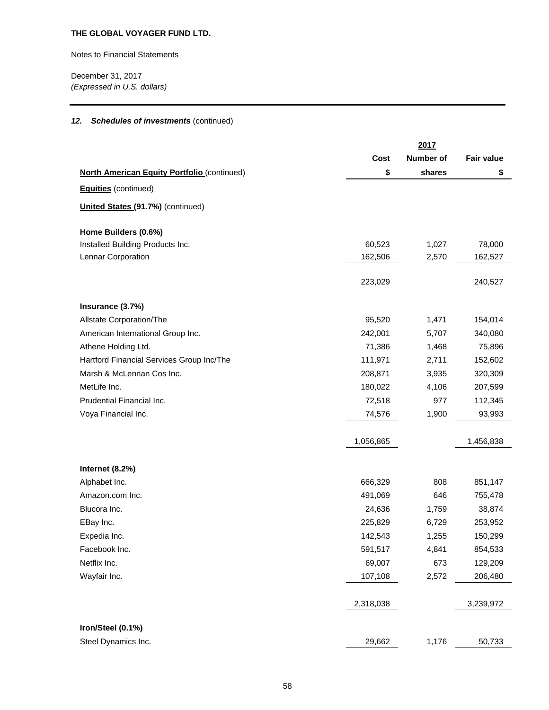Notes to Financial Statements

December 31, 2017 *(Expressed in U.S. dollars)* 

|                                                    |           | 2017      |                   |
|----------------------------------------------------|-----------|-----------|-------------------|
|                                                    | Cost      | Number of | <b>Fair value</b> |
| <b>North American Equity Portfolio</b> (continued) | \$        | shares    | \$                |
| <b>Equities</b> (continued)                        |           |           |                   |
| United States (91.7%) (continued)                  |           |           |                   |
| Home Builders (0.6%)                               |           |           |                   |
| Installed Building Products Inc.                   | 60,523    | 1,027     | 78,000            |
| Lennar Corporation                                 | 162,506   | 2,570     | 162,527           |
|                                                    | 223,029   |           | 240,527           |
|                                                    |           |           |                   |
| Insurance (3.7%)                                   |           |           |                   |
| Allstate Corporation/The                           | 95,520    | 1,471     | 154,014           |
| American International Group Inc.                  | 242,001   | 5,707     | 340,080           |
| Athene Holding Ltd.                                | 71,386    | 1,468     | 75,896            |
| Hartford Financial Services Group Inc/The          | 111,971   | 2,711     | 152,602           |
| Marsh & McLennan Cos Inc.                          | 208,871   | 3,935     | 320,309           |
| MetLife Inc.                                       | 180,022   | 4,106     | 207,599           |
| Prudential Financial Inc.                          | 72,518    | 977       | 112,345           |
| Voya Financial Inc.                                | 74,576    | 1,900     | 93,993            |
|                                                    |           |           |                   |
|                                                    | 1,056,865 |           | 1,456,838         |
| Internet (8.2%)                                    |           |           |                   |
| Alphabet Inc.                                      | 666,329   | 808       | 851,147           |
| Amazon.com Inc.                                    | 491,069   | 646       | 755,478           |
| Blucora Inc.                                       | 24,636    | 1,759     | 38,874            |
| EBay Inc.                                          | 225,829   | 6,729     | 253,952           |
| Expedia Inc.                                       | 142,543   | 1,255     | 150,299           |
| Facebook Inc.                                      | 591,517   | 4,841     | 854,533           |
| Netflix Inc.                                       | 69,007    | 673       | 129,209           |
| Wayfair Inc.                                       | 107,108   | 2,572     | 206,480           |
|                                                    |           |           |                   |
|                                                    | 2,318,038 |           | 3,239,972         |
|                                                    |           |           |                   |
| Iron/Steel (0.1%)                                  |           |           |                   |
| Steel Dynamics Inc.                                | 29,662    | 1,176     | 50,733            |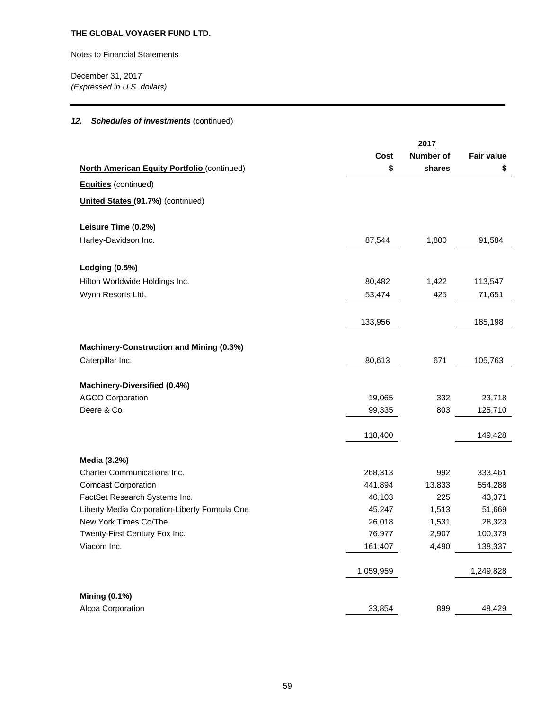Notes to Financial Statements

December 31, 2017 *(Expressed in U.S. dollars)* 

|                                                    |           | 2017      |                   |
|----------------------------------------------------|-----------|-----------|-------------------|
|                                                    | Cost      | Number of | <b>Fair value</b> |
| <b>North American Equity Portfolio (continued)</b> | \$        | shares    | \$                |
| <b>Equities</b> (continued)                        |           |           |                   |
| United States (91.7%) (continued)                  |           |           |                   |
| Leisure Time (0.2%)                                |           |           |                   |
| Harley-Davidson Inc.                               | 87,544    | 1,800     | 91,584            |
| <b>Lodging (0.5%)</b>                              |           |           |                   |
| Hilton Worldwide Holdings Inc.                     | 80,482    | 1,422     | 113,547           |
| Wynn Resorts Ltd.                                  | 53,474    | 425       | 71,651            |
|                                                    |           |           |                   |
|                                                    | 133,956   |           | 185,198           |
| Machinery-Construction and Mining (0.3%)           |           |           |                   |
| Caterpillar Inc.                                   | 80,613    | 671       | 105,763           |
|                                                    |           |           |                   |
| Machinery-Diversified (0.4%)                       |           |           |                   |
| <b>AGCO Corporation</b>                            | 19,065    | 332       | 23,718            |
| Deere & Co                                         | 99,335    | 803       | 125,710           |
|                                                    |           |           |                   |
|                                                    | 118,400   |           | 149,428           |
| Media (3.2%)                                       |           |           |                   |
| Charter Communications Inc.                        | 268,313   | 992       | 333,461           |
| <b>Comcast Corporation</b>                         | 441,894   | 13,833    | 554,288           |
| FactSet Research Systems Inc.                      | 40,103    | 225       | 43,371            |
| Liberty Media Corporation-Liberty Formula One      | 45,247    | 1,513     | 51,669            |
| New York Times Co/The                              | 26,018    | 1,531     | 28,323            |
| Twenty-First Century Fox Inc.                      | 76,977    | 2,907     | 100,379           |
| Viacom Inc.                                        | 161,407   | 4,490     | 138,337           |
|                                                    |           |           |                   |
|                                                    | 1,059,959 |           | 1,249,828         |
|                                                    |           |           |                   |
| Mining (0.1%)                                      |           |           |                   |
| Alcoa Corporation                                  | 33,854    | 899       | 48,429            |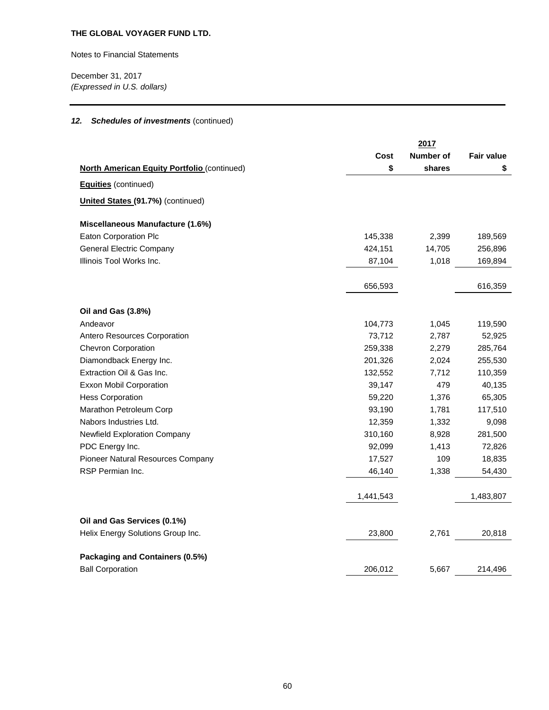Notes to Financial Statements

December 31, 2017 *(Expressed in U.S. dollars)* 

| <b>North American Equity Portfolio (continued)</b> | Cost<br>\$ | 2017<br><b>Number of</b><br>shares | <b>Fair value</b><br>\$ |
|----------------------------------------------------|------------|------------------------------------|-------------------------|
| <b>Equities</b> (continued)                        |            |                                    |                         |
| United States (91.7%) (continued)                  |            |                                    |                         |
| Miscellaneous Manufacture (1.6%)                   |            |                                    |                         |
| Eaton Corporation Plc                              | 145,338    | 2,399                              | 189,569                 |
| <b>General Electric Company</b>                    | 424,151    | 14,705                             | 256,896                 |
| Illinois Tool Works Inc.                           | 87,104     | 1,018                              | 169,894                 |
|                                                    | 656,593    |                                    | 616,359                 |
| Oil and Gas (3.8%)                                 |            |                                    |                         |
| Andeavor                                           | 104,773    | 1,045                              | 119,590                 |
| Antero Resources Corporation                       | 73,712     | 2,787                              | 52,925                  |
| <b>Chevron Corporation</b>                         | 259,338    | 2,279                              | 285,764                 |
| Diamondback Energy Inc.                            | 201,326    | 2,024                              | 255,530                 |
| Extraction Oil & Gas Inc.                          | 132,552    | 7,712                              | 110,359                 |
| Exxon Mobil Corporation                            | 39,147     | 479                                | 40,135                  |
| <b>Hess Corporation</b>                            | 59,220     | 1,376                              | 65,305                  |
| Marathon Petroleum Corp                            | 93,190     | 1,781                              | 117,510                 |
| Nabors Industries Ltd.                             | 12,359     | 1,332                              | 9,098                   |
| Newfield Exploration Company                       | 310,160    | 8,928                              | 281,500                 |
| PDC Energy Inc.                                    | 92,099     | 1,413                              | 72,826                  |
| Pioneer Natural Resources Company                  | 17,527     | 109                                | 18,835                  |
| RSP Permian Inc.                                   | 46,140     | 1,338                              | 54,430                  |
|                                                    | 1,441,543  |                                    | 1,483,807               |
| Oil and Gas Services (0.1%)                        |            |                                    |                         |
| Helix Energy Solutions Group Inc.                  | 23,800     | 2,761                              | 20,818                  |
| Packaging and Containers (0.5%)                    |            |                                    |                         |
| <b>Ball Corporation</b>                            | 206,012    | 5,667                              | 214,496                 |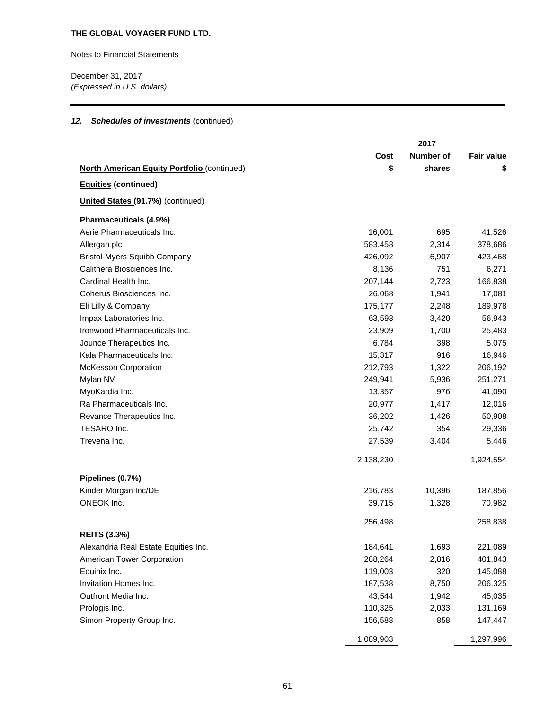Notes to Financial Statements

December 31, 2017 *(Expressed in U.S. dollars)* 

|                                                    |           | 2017             |                   |
|----------------------------------------------------|-----------|------------------|-------------------|
|                                                    | Cost      | <b>Number of</b> | <b>Fair value</b> |
| <b>North American Equity Portfolio</b> (continued) | \$        | shares           | \$                |
| <b>Equities (continued)</b>                        |           |                  |                   |
| United States (91.7%) (continued)                  |           |                  |                   |
| Pharmaceuticals (4.9%)                             |           |                  |                   |
| Aerie Pharmaceuticals Inc.                         | 16,001    | 695              | 41,526            |
| Allergan plc                                       | 583,458   | 2,314            | 378,686           |
| <b>Bristol-Myers Squibb Company</b>                | 426,092   | 6,907            | 423,468           |
| Calithera Biosciences Inc.                         | 8,136     | 751              | 6,271             |
| Cardinal Health Inc.                               | 207,144   | 2,723            | 166,838           |
| Coherus Biosciences Inc.                           | 26,068    | 1,941            | 17,081            |
| Eli Lilly & Company                                | 175,177   | 2,248            | 189,978           |
| Impax Laboratories Inc.                            | 63,593    | 3,420            | 56,943            |
| Ironwood Pharmaceuticals Inc.                      | 23,909    | 1,700            | 25,483            |
| Jounce Therapeutics Inc.                           | 6,784     | 398              | 5,075             |
| Kala Pharmaceuticals Inc.                          | 15,317    | 916              | 16,946            |
| McKesson Corporation                               | 212,793   | 1,322            | 206,192           |
| Mylan NV                                           | 249,941   | 5,936            | 251,271           |
| MyoKardia Inc.                                     | 13,357    | 976              | 41,090            |
| Ra Pharmaceuticals Inc.                            | 20,977    | 1,417            | 12,016            |
| Revance Therapeutics Inc.                          | 36,202    | 1,426            | 50,908            |
| TESARO Inc.                                        | 25,742    | 354              | 29,336            |
| Trevena Inc.                                       | 27,539    | 3,404            | 5,446             |
|                                                    | 2,138,230 |                  | 1,924,554         |
| Pipelines (0.7%)                                   |           |                  |                   |
| Kinder Morgan Inc/DE                               | 216,783   | 10,396           | 187,856           |
| ONEOK Inc.                                         | 39,715    | 1,328            | 70,982            |
|                                                    | 256,498   |                  | 258,838           |
| <b>REITS (3.3%)</b>                                |           |                  |                   |
| Alexandria Real Estate Equities Inc.               | 184,641   | 1,693            | 221,089           |
| American Tower Corporation                         | 288,264   | 2,816            | 401,843           |
| Equinix Inc.                                       | 119,003   | 320              | 145,088           |
| Invitation Homes Inc.                              | 187,538   | 8,750            | 206,325           |
| Outfront Media Inc.                                | 43,544    | 1,942            | 45,035            |
| Prologis Inc.                                      | 110,325   | 2,033            | 131,169           |
| Simon Property Group Inc.                          | 156,588   | 858              | 147,447           |
|                                                    | 1,089,903 |                  | 1,297,996         |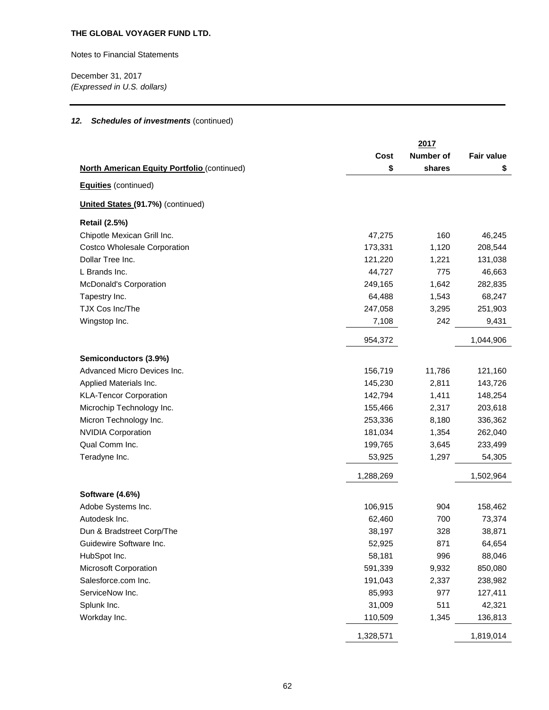Notes to Financial Statements

December 31, 2017 *(Expressed in U.S. dollars)* 

| <b>North American Equity Portfolio (continued)</b> | Cost<br>\$ | 2017<br>Number of<br>shares | <b>Fair value</b><br>\$ |
|----------------------------------------------------|------------|-----------------------------|-------------------------|
| <b>Equities</b> (continued)                        |            |                             |                         |
| United States (91.7%) (continued)                  |            |                             |                         |
| <b>Retail (2.5%)</b>                               |            |                             |                         |
| Chipotle Mexican Grill Inc.                        | 47,275     | 160                         | 46,245                  |
| Costco Wholesale Corporation                       | 173,331    | 1,120                       | 208,544                 |
| Dollar Tree Inc.                                   | 121,220    | 1,221                       | 131,038                 |
| L Brands Inc.                                      | 44,727     | 775                         | 46,663                  |
| McDonald's Corporation                             | 249,165    | 1,642                       | 282,835                 |
| Tapestry Inc.                                      | 64,488     | 1,543                       | 68,247                  |
| TJX Cos Inc/The                                    | 247,058    | 3,295                       | 251,903                 |
| Wingstop Inc.                                      | 7,108      | 242                         | 9,431                   |
|                                                    | 954,372    |                             | 1,044,906               |
| Semiconductors (3.9%)                              |            |                             |                         |
| Advanced Micro Devices Inc.                        | 156,719    | 11,786                      | 121,160                 |
| Applied Materials Inc.                             | 145,230    | 2,811                       | 143,726                 |
| <b>KLA-Tencor Corporation</b>                      | 142,794    | 1,411                       | 148,254                 |
| Microchip Technology Inc.                          | 155,466    | 2,317                       | 203,618                 |
| Micron Technology Inc.                             | 253,336    | 8,180                       | 336,362                 |
| <b>NVIDIA Corporation</b>                          | 181,034    | 1,354                       | 262,040                 |
| Qual Comm Inc.                                     | 199,765    | 3,645                       | 233,499                 |
| Teradyne Inc.                                      | 53,925     | 1,297                       | 54,305                  |
|                                                    | 1,288,269  |                             | 1,502,964               |
| Software (4.6%)                                    |            |                             |                         |
| Adobe Systems Inc.                                 | 106,915    | 904                         | 158,462                 |
| Autodesk Inc.                                      | 62,460     | 700                         | 73,374                  |
| Dun & Bradstreet Corp/The                          | 38,197     | 328                         | 38,871                  |
| Guidewire Software Inc.                            | 52,925     | 871                         | 64,654                  |
| HubSpot Inc.                                       | 58,181     | 996                         | 88,046                  |
| Microsoft Corporation                              | 591,339    | 9,932                       | 850,080                 |
| Salesforce.com Inc.                                | 191,043    | 2,337                       | 238,982                 |
| ServiceNow Inc.                                    | 85,993     | 977                         | 127,411                 |
| Splunk Inc.                                        | 31,009     | 511                         | 42,321                  |
| Workday Inc.                                       | 110,509    | 1,345                       | 136,813                 |
|                                                    | 1,328,571  |                             | 1,819,014               |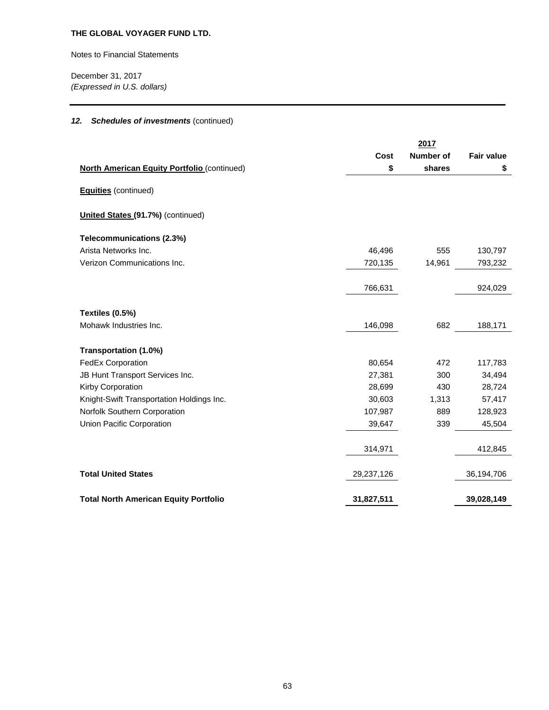Notes to Financial Statements

December 31, 2017 *(Expressed in U.S. dollars)* 

|                                                    | Cost       | 2017<br>Number of | <b>Fair value</b> |
|----------------------------------------------------|------------|-------------------|-------------------|
| <b>North American Equity Portfolio (continued)</b> | \$         | shares            | \$                |
|                                                    |            |                   |                   |
| <b>Equities</b> (continued)                        |            |                   |                   |
| United States (91.7%) (continued)                  |            |                   |                   |
| Telecommunications (2.3%)                          |            |                   |                   |
| Arista Networks Inc.                               | 46,496     | 555               | 130,797           |
| Verizon Communications Inc.                        | 720,135    | 14,961            | 793,232           |
|                                                    | 766,631    |                   | 924,029           |
| Textiles (0.5%)                                    |            |                   |                   |
| Mohawk Industries Inc.                             | 146,098    | 682               | 188,171           |
| Transportation (1.0%)                              |            |                   |                   |
| FedEx Corporation                                  | 80,654     | 472               | 117,783           |
| JB Hunt Transport Services Inc.                    | 27,381     | 300               | 34,494            |
| Kirby Corporation                                  | 28,699     | 430               | 28,724            |
| Knight-Swift Transportation Holdings Inc.          | 30,603     | 1,313             | 57,417            |
| Norfolk Southern Corporation                       | 107,987    | 889               | 128,923           |
| <b>Union Pacific Corporation</b>                   | 39,647     | 339               | 45,504            |
|                                                    | 314,971    |                   | 412,845           |
| <b>Total United States</b>                         | 29,237,126 |                   | 36,194,706        |
| <b>Total North American Equity Portfolio</b>       | 31,827,511 |                   | 39,028,149        |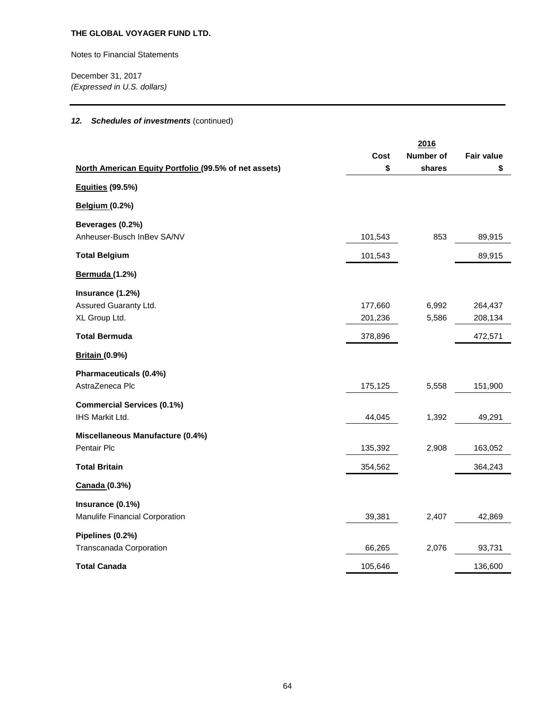Notes to Financial Statements

December 31, 2017 *(Expressed in U.S. dollars)* 

|                                                       |         | 2016             |                   |
|-------------------------------------------------------|---------|------------------|-------------------|
|                                                       | Cost    | <b>Number of</b> | <b>Fair value</b> |
| North American Equity Portfolio (99.5% of net assets) | \$      | shares           | \$                |
| Equities (99.5%)                                      |         |                  |                   |
| Belgium (0.2%)                                        |         |                  |                   |
| Beverages (0.2%)                                      |         |                  |                   |
| Anheuser-Busch InBev SA/NV                            | 101,543 | 853              | 89,915            |
| <b>Total Belgium</b>                                  | 101,543 |                  | 89,915            |
| Bermuda (1.2%)                                        |         |                  |                   |
| Insurance (1.2%)                                      |         |                  |                   |
| Assured Guaranty Ltd.                                 | 177,660 | 6,992            | 264,437           |
| XL Group Ltd.                                         | 201,236 | 5,586            | 208,134           |
| <b>Total Bermuda</b>                                  | 378,896 |                  | 472,571           |
| <b>Britain (0.9%)</b>                                 |         |                  |                   |
| Pharmaceuticals (0.4%)                                |         |                  |                   |
| AstraZeneca Plc                                       | 175,125 | 5,558            | 151,900           |
| <b>Commercial Services (0.1%)</b>                     |         |                  |                   |
| <b>IHS Markit Ltd.</b>                                | 44,045  | 1,392            | 49,291            |
| Miscellaneous Manufacture (0.4%)                      |         |                  |                   |
| Pentair Plc                                           | 135,392 | 2,908            | 163,052           |
| <b>Total Britain</b>                                  | 354,562 |                  | 364,243           |
| Canada (0.3%)                                         |         |                  |                   |
| Insurance (0.1%)                                      |         |                  |                   |
| Manulife Financial Corporation                        | 39,381  | 2,407            | 42,869            |
| Pipelines (0.2%)                                      |         |                  |                   |
| Transcanada Corporation                               | 66,265  | 2,076            | 93,731            |
| <b>Total Canada</b>                                   | 105,646 |                  | 136,600           |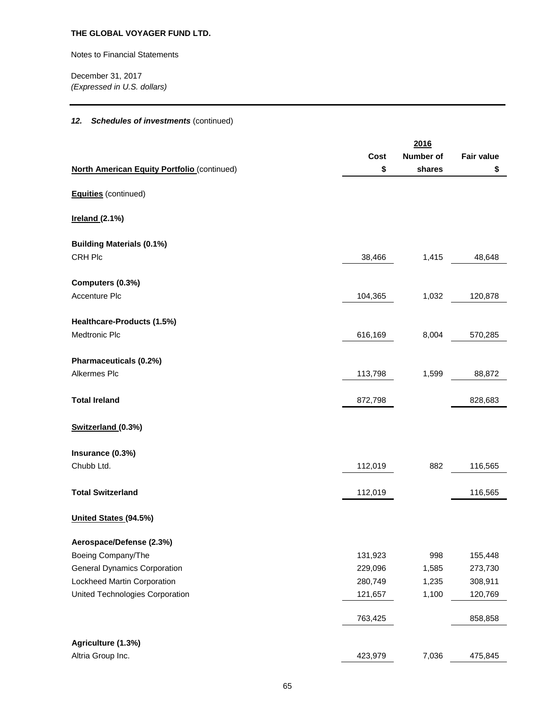Notes to Financial Statements

December 31, 2017 *(Expressed in U.S. dollars)* 

|                                                    |         | 2016      |                   |
|----------------------------------------------------|---------|-----------|-------------------|
|                                                    | Cost    | Number of | <b>Fair value</b> |
| <b>North American Equity Portfolio (continued)</b> | \$      | shares    | \$                |
| <b>Equities</b> (continued)                        |         |           |                   |
| Ireland (2.1%)                                     |         |           |                   |
| <b>Building Materials (0.1%)</b>                   |         |           |                   |
| CRH Plc                                            | 38,466  | 1,415     | 48,648            |
|                                                    |         |           |                   |
| Computers (0.3%)                                   |         |           |                   |
| Accenture Plc                                      | 104,365 | 1,032     | 120,878           |
| Healthcare-Products (1.5%)                         |         |           |                   |
| Medtronic Plc                                      | 616,169 | 8,004     | 570,285           |
|                                                    |         |           |                   |
| Pharmaceuticals (0.2%)                             |         |           |                   |
| Alkermes Plc                                       | 113,798 | 1,599     | 88,872            |
| <b>Total Ireland</b>                               | 872,798 |           | 828,683           |
|                                                    |         |           |                   |
| Switzerland (0.3%)                                 |         |           |                   |
| Insurance (0.3%)                                   |         |           |                   |
| Chubb Ltd.                                         | 112,019 | 882       | 116,565           |
|                                                    |         |           |                   |
| <b>Total Switzerland</b>                           | 112,019 |           | 116,565           |
| United States (94.5%)                              |         |           |                   |
| Aerospace/Defense (2.3%)                           |         |           |                   |
| Boeing Company/The                                 | 131,923 | 998       | 155,448           |
| <b>General Dynamics Corporation</b>                | 229,096 | 1,585     | 273,730           |
| Lockheed Martin Corporation                        | 280,749 | 1,235     | 308,911           |
| United Technologies Corporation                    | 121,657 | 1,100     | 120,769           |
|                                                    | 763,425 |           | 858,858           |
|                                                    |         |           |                   |
| Agriculture (1.3%)                                 |         |           |                   |
| Altria Group Inc.                                  | 423,979 | 7,036     | 475,845           |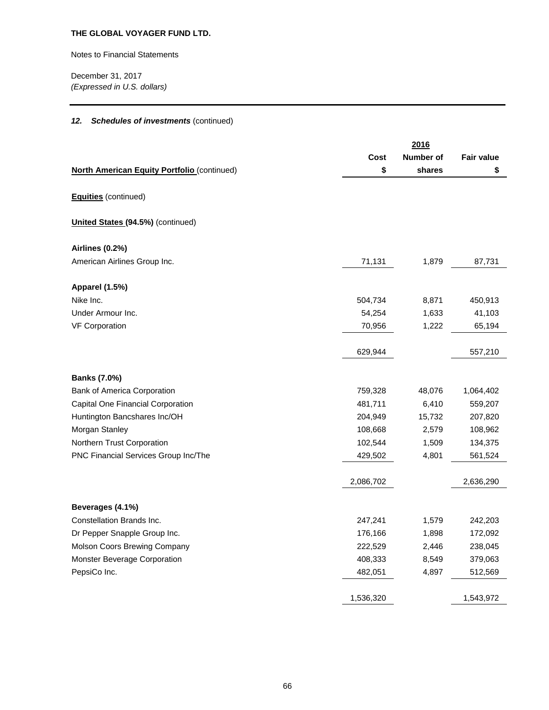Notes to Financial Statements

December 31, 2017 *(Expressed in U.S. dollars)* 

| <b>North American Equity Portfolio (continued)</b> | Cost<br>\$ | 2016<br><b>Number of</b><br>shares | <b>Fair value</b><br>\$ |
|----------------------------------------------------|------------|------------------------------------|-------------------------|
| <b>Equities</b> (continued)                        |            |                                    |                         |
| United States (94.5%) (continued)                  |            |                                    |                         |
| <b>Airlines (0.2%)</b>                             |            |                                    |                         |
| American Airlines Group Inc.                       | 71,131     | 1,879                              | 87,731                  |
| Apparel (1.5%)                                     |            |                                    |                         |
| Nike Inc.                                          | 504,734    | 8,871                              | 450,913                 |
| Under Armour Inc.                                  | 54,254     | 1,633                              | 41,103                  |
| <b>VF Corporation</b>                              | 70,956     | 1,222                              | 65,194                  |
|                                                    | 629,944    |                                    | 557,210                 |
| Banks (7.0%)                                       |            |                                    |                         |
| Bank of America Corporation                        | 759,328    | 48,076                             | 1,064,402               |
| Capital One Financial Corporation                  | 481,711    | 6,410                              | 559,207                 |
| Huntington Bancshares Inc/OH                       | 204,949    | 15,732                             | 207,820                 |
| Morgan Stanley                                     | 108,668    | 2,579                              | 108,962                 |
| Northern Trust Corporation                         | 102,544    | 1,509                              | 134,375                 |
| PNC Financial Services Group Inc/The               | 429,502    | 4,801                              | 561,524                 |
|                                                    | 2,086,702  |                                    | 2,636,290               |
| Beverages (4.1%)                                   |            |                                    |                         |
| Constellation Brands Inc.                          | 247,241    | 1,579                              | 242,203                 |
| Dr Pepper Snapple Group Inc.                       | 176,166    | 1,898                              | 172,092                 |
| Molson Coors Brewing Company                       | 222,529    | 2,446                              | 238,045                 |
| Monster Beverage Corporation                       | 408,333    | 8,549                              | 379,063                 |
| PepsiCo Inc.                                       | 482,051    | 4,897                              | 512,569                 |
|                                                    | 1,536,320  |                                    | 1,543,972               |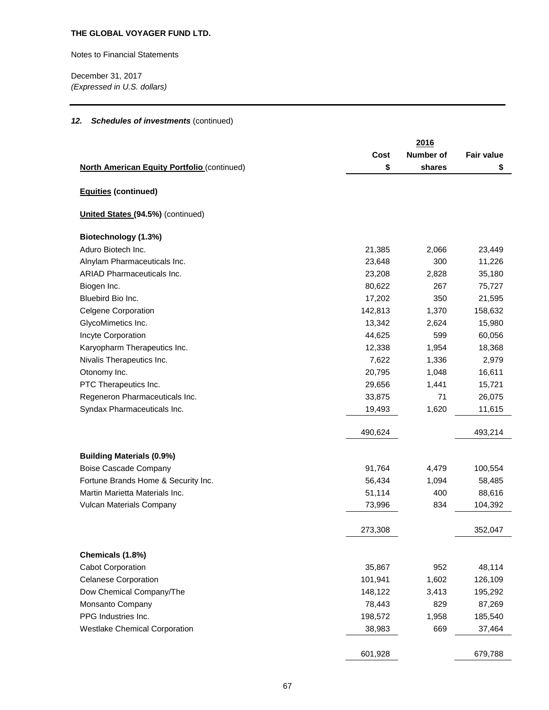Notes to Financial Statements

December 31, 2017 *(Expressed in U.S. dollars)* 

|                                                    |         | 2016             |                   |
|----------------------------------------------------|---------|------------------|-------------------|
|                                                    | Cost    | <b>Number of</b> | <b>Fair value</b> |
| <b>North American Equity Portfolio</b> (continued) | \$      | shares           | \$                |
| <b>Equities (continued)</b>                        |         |                  |                   |
| United States (94.5%) (continued)                  |         |                  |                   |
| Biotechnology (1.3%)                               |         |                  |                   |
| Aduro Biotech Inc.                                 | 21,385  | 2,066            | 23,449            |
| Alnylam Pharmaceuticals Inc.                       | 23,648  | 300              | 11,226            |
| <b>ARIAD Pharmaceuticals Inc.</b>                  | 23,208  | 2,828            | 35,180            |
| Biogen Inc.                                        | 80,622  | 267              | 75,727            |
| Bluebird Bio Inc.                                  | 17,202  | 350              | 21,595            |
| <b>Celgene Corporation</b>                         | 142,813 | 1,370            | 158,632           |
| GlycoMimetics Inc.                                 | 13,342  | 2,624            | 15,980            |
| Incyte Corporation                                 | 44,625  | 599              | 60,056            |
| Karyopharm Therapeutics Inc.                       | 12,338  | 1,954            | 18,368            |
| Nivalis Therapeutics Inc.                          | 7,622   | 1,336            | 2,979             |
| Otonomy Inc.                                       | 20,795  | 1,048            | 16,611            |
| PTC Therapeutics Inc.                              | 29,656  | 1,441            | 15,721            |
| Regeneron Pharmaceuticals Inc.                     | 33,875  | 71               | 26,075            |
| Syndax Pharmaceuticals Inc.                        | 19,493  | 1,620            | 11,615            |
|                                                    |         |                  |                   |
|                                                    | 490,624 |                  | 493,214           |
| <b>Building Materials (0.9%)</b>                   |         |                  |                   |
| Boise Cascade Company                              | 91,764  | 4,479            | 100,554           |
| Fortune Brands Home & Security Inc.                | 56,434  | 1,094            | 58,485            |
| Martin Marietta Materials Inc.                     | 51,114  | 400              | 88,616            |
| Vulcan Materials Company                           | 73,996  | 834              | 104,392           |
|                                                    |         |                  |                   |
|                                                    | 273,308 |                  | 352,047           |
| Chemicals (1.8%)                                   |         |                  |                   |
| <b>Cabot Corporation</b>                           | 35,867  | 952              | 48,114            |
| <b>Celanese Corporation</b>                        | 101,941 | 1,602            | 126,109           |
| Dow Chemical Company/The                           | 148,122 | 3,413            | 195,292           |
| Monsanto Company                                   | 78,443  | 829              | 87,269            |
| PPG Industries Inc.                                | 198,572 | 1,958            | 185,540           |
| <b>Westlake Chemical Corporation</b>               | 38,983  | 669              | 37,464            |
|                                                    |         |                  |                   |
|                                                    | 601,928 |                  | 679,788           |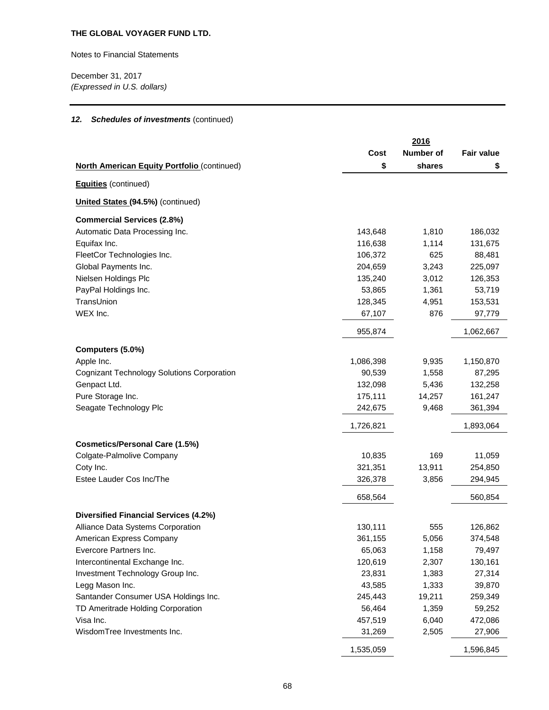Notes to Financial Statements

December 31, 2017 *(Expressed in U.S. dollars)* 

|                                                   |                    | 2016            |                   |
|---------------------------------------------------|--------------------|-----------------|-------------------|
|                                                   | Cost               | Number of       | <b>Fair value</b> |
| North American Equity Portfolio (continued)       | \$                 | shares          | \$                |
| <b>Equities</b> (continued)                       |                    |                 |                   |
| United States (94.5%) (continued)                 |                    |                 |                   |
| <b>Commercial Services (2.8%)</b>                 |                    |                 |                   |
| Automatic Data Processing Inc.                    | 143,648            | 1,810           | 186,032           |
| Equifax Inc.                                      | 116,638            | 1,114           | 131,675           |
| FleetCor Technologies Inc.                        | 106,372            | 625             | 88,481            |
| Global Payments Inc.                              | 204,659            | 3,243           | 225,097           |
| Nielsen Holdings Plc                              | 135,240            | 3,012           | 126,353           |
| PayPal Holdings Inc.                              | 53,865             | 1,361           | 53,719            |
| TransUnion                                        | 128,345            | 4,951           | 153,531           |
| WEX Inc.                                          | 67,107             | 876             | 97,779            |
|                                                   | 955,874            |                 | 1,062,667         |
| Computers (5.0%)                                  |                    |                 |                   |
| Apple Inc.                                        | 1,086,398          | 9,935           | 1,150,870         |
| <b>Cognizant Technology Solutions Corporation</b> | 90,539             | 1,558           | 87,295            |
| Genpact Ltd.                                      | 132,098            | 5,436           | 132,258           |
| Pure Storage Inc.                                 | 175,111            | 14,257          | 161,247           |
| Seagate Technology Plc                            | 242,675            | 9,468           | 361,394           |
|                                                   | 1,726,821          |                 | 1,893,064         |
|                                                   |                    |                 |                   |
| <b>Cosmetics/Personal Care (1.5%)</b>             | 10,835             | 169             |                   |
| Colgate-Palmolive Company                         |                    |                 | 11,059            |
| Coty Inc.<br>Estee Lauder Cos Inc/The             | 321,351<br>326,378 | 13,911<br>3,856 | 254,850           |
|                                                   |                    |                 | 294,945           |
|                                                   | 658,564            |                 | 560,854           |
| <b>Diversified Financial Services (4.2%)</b>      |                    |                 |                   |
| Alliance Data Systems Corporation                 | 130,111            | 555             | 126,862           |
| American Express Company                          | 361,155            | 5,056           | 374,548           |
| Evercore Partners Inc.                            | 65,063             | 1,158           | 79,497            |
| Intercontinental Exchange Inc.                    | 120,619            | 2,307           | 130,161           |
| Investment Technology Group Inc.                  | 23,831             | 1,383           | 27,314            |
| Legg Mason Inc.                                   | 43,585             | 1,333           | 39,870            |
| Santander Consumer USA Holdings Inc.              | 245,443            | 19,211          | 259,349           |
| TD Ameritrade Holding Corporation                 | 56,464             | 1,359           | 59,252            |
| Visa Inc.                                         | 457,519            | 6,040           | 472,086           |
| WisdomTree Investments Inc.                       | 31,269             | 2,505           | 27,906            |
|                                                   | 1,535,059          |                 | 1,596,845         |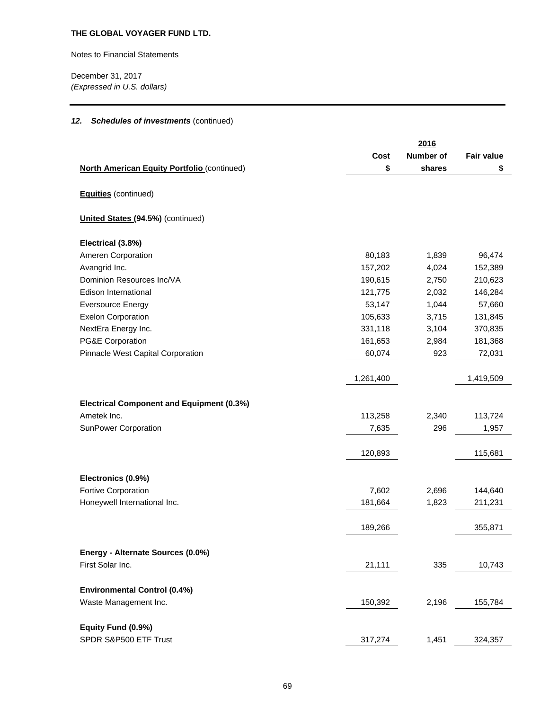Notes to Financial Statements

December 31, 2017 *(Expressed in U.S. dollars)* 

|                                                    |                    | 2016             |                    |
|----------------------------------------------------|--------------------|------------------|--------------------|
|                                                    | Cost               | <b>Number of</b> | <b>Fair value</b>  |
| <b>North American Equity Portfolio (continued)</b> | \$                 | shares           | \$                 |
| <b>Equities</b> (continued)                        |                    |                  |                    |
| United States (94.5%) (continued)                  |                    |                  |                    |
|                                                    |                    |                  |                    |
| Electrical (3.8%)                                  |                    |                  |                    |
| Ameren Corporation                                 | 80,183             | 1,839            | 96,474             |
| Avangrid Inc.                                      | 157,202            | 4,024            | 152,389            |
| Dominion Resources Inc/VA<br>Edison International  | 190,615<br>121,775 | 2,750<br>2,032   | 210,623<br>146,284 |
| <b>Eversource Energy</b>                           | 53,147             | 1,044            | 57,660             |
| <b>Exelon Corporation</b>                          | 105,633            | 3,715            | 131,845            |
| NextEra Energy Inc.                                | 331,118            | 3,104            | 370,835            |
| PG&E Corporation                                   | 161,653            | 2,984            | 181,368            |
| Pinnacle West Capital Corporation                  | 60,074             | 923              | 72,031             |
|                                                    |                    |                  |                    |
|                                                    | 1,261,400          |                  | 1,419,509          |
| <b>Electrical Component and Equipment (0.3%)</b>   |                    |                  |                    |
| Ametek Inc.                                        | 113,258            | 2,340            | 113,724            |
| SunPower Corporation                               | 7,635              | 296              | 1,957              |
|                                                    |                    |                  |                    |
|                                                    | 120,893            |                  | 115,681            |
| Electronics (0.9%)                                 |                    |                  |                    |
| Fortive Corporation                                | 7,602              | 2,696            | 144,640            |
| Honeywell International Inc.                       | 181,664            | 1,823            | 211,231            |
|                                                    |                    |                  |                    |
|                                                    | 189,266            |                  | 355,871            |
| Energy - Alternate Sources (0.0%)                  |                    |                  |                    |
| First Solar Inc.                                   | 21,111             | 335              | 10,743             |
|                                                    |                    |                  |                    |
| <b>Environmental Control (0.4%)</b>                |                    |                  |                    |
| Waste Management Inc.                              | 150,392            | 2,196            | 155,784            |
|                                                    |                    |                  |                    |
| Equity Fund (0.9%)                                 |                    |                  |                    |
| SPDR S&P500 ETF Trust                              | 317,274            | 1,451            | 324,357            |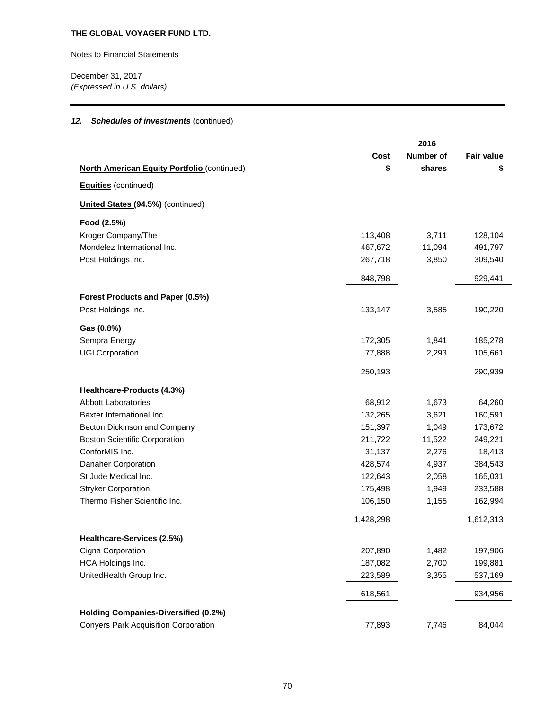Notes to Financial Statements

December 31, 2017 *(Expressed in U.S. dollars)* 

|                                                    |           | 2016             |                   |
|----------------------------------------------------|-----------|------------------|-------------------|
|                                                    | Cost      | <b>Number of</b> | <b>Fair value</b> |
| <b>North American Equity Portfolio</b> (continued) | \$        | shares           | \$                |
| <b>Equities</b> (continued)                        |           |                  |                   |
| United States (94.5%) (continued)                  |           |                  |                   |
| Food (2.5%)                                        |           |                  |                   |
| Kroger Company/The                                 | 113,408   | 3,711            | 128,104           |
| Mondelez International Inc.                        | 467,672   | 11,094           | 491,797           |
| Post Holdings Inc.                                 | 267,718   | 3,850            | 309,540           |
|                                                    | 848,798   |                  | 929,441           |
| Forest Products and Paper (0.5%)                   |           |                  |                   |
| Post Holdings Inc.                                 | 133,147   | 3,585            | 190,220           |
| Gas (0.8%)                                         |           |                  |                   |
| Sempra Energy                                      | 172,305   | 1,841            | 185,278           |
| <b>UGI Corporation</b>                             | 77,888    | 2,293            | 105,661           |
|                                                    | 250,193   |                  | 290,939           |
| Healthcare-Products (4.3%)                         |           |                  |                   |
| <b>Abbott Laboratories</b>                         | 68,912    | 1,673            | 64,260            |
| Baxter International Inc.                          | 132,265   | 3,621            | 160,591           |
| Becton Dickinson and Company                       | 151,397   | 1,049            | 173,672           |
| <b>Boston Scientific Corporation</b>               | 211,722   | 11,522           | 249,221           |
| ConforMIS Inc.                                     | 31,137    | 2,276            | 18,413            |
| Danaher Corporation                                | 428,574   | 4,937            | 384,543           |
| St Jude Medical Inc.                               | 122,643   | 2,058            | 165,031           |
| <b>Stryker Corporation</b>                         | 175,498   | 1,949            | 233,588           |
| Thermo Fisher Scientific Inc.                      | 106,150   | 1,155            | 162,994           |
|                                                    | 1,428,298 |                  | 1,612,313         |
| Healthcare-Services (2.5%)                         |           |                  |                   |
| Cigna Corporation                                  | 207,890   | 1,482            | 197,906           |
| HCA Holdings Inc.                                  | 187,082   | 2,700            | 199,881           |
| UnitedHealth Group Inc.                            | 223,589   | 3,355            | 537,169           |
|                                                    | 618,561   |                  | 934,956           |
| Holding Companies-Diversified (0.2%)               |           |                  |                   |
| <b>Conyers Park Acquisition Corporation</b>        | 77,893    | 7,746            | 84,044            |
|                                                    |           |                  |                   |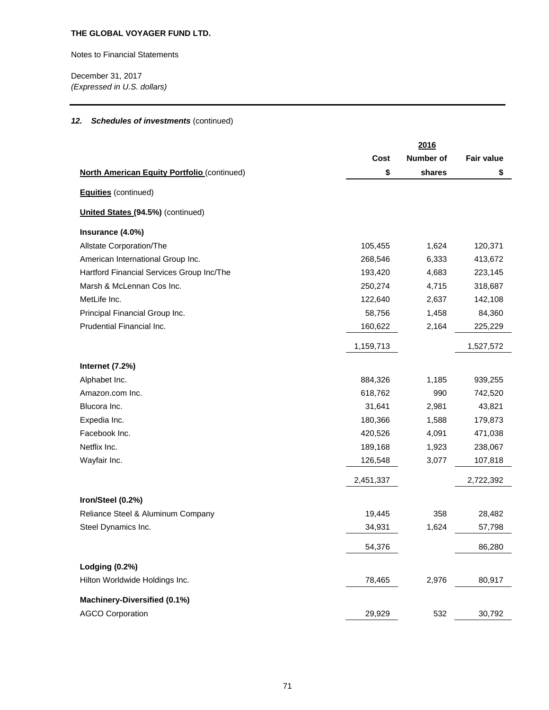Notes to Financial Statements

December 31, 2017 *(Expressed in U.S. dollars)* 

|                                                    |           | 2016             |                   |
|----------------------------------------------------|-----------|------------------|-------------------|
|                                                    | Cost      | <b>Number of</b> | <b>Fair value</b> |
| <b>North American Equity Portfolio (continued)</b> | \$        | shares           | \$                |
| <b>Equities</b> (continued)                        |           |                  |                   |
| United States (94.5%) (continued)                  |           |                  |                   |
| Insurance (4.0%)                                   |           |                  |                   |
| Allstate Corporation/The                           | 105,455   | 1,624            | 120,371           |
| American International Group Inc.                  | 268,546   | 6,333            | 413,672           |
| Hartford Financial Services Group Inc/The          | 193,420   | 4,683            | 223,145           |
| Marsh & McLennan Cos Inc.                          | 250,274   | 4,715            | 318,687           |
| MetLife Inc.                                       | 122,640   | 2,637            | 142,108           |
| Principal Financial Group Inc.                     | 58,756    | 1,458            | 84,360            |
| Prudential Financial Inc.                          | 160,622   | 2,164            | 225,229           |
|                                                    | 1,159,713 |                  | 1,527,572         |
| Internet (7.2%)                                    |           |                  |                   |
| Alphabet Inc.                                      | 884,326   | 1,185            | 939,255           |
| Amazon.com Inc.                                    | 618,762   | 990              | 742,520           |
| Blucora Inc.                                       | 31,641    | 2,981            | 43,821            |
| Expedia Inc.                                       | 180,366   | 1,588            | 179,873           |
| Facebook Inc.                                      | 420,526   | 4,091            | 471,038           |
| Netflix Inc.                                       | 189,168   | 1,923            | 238,067           |
| Wayfair Inc.                                       | 126,548   | 3,077            | 107,818           |
|                                                    | 2,451,337 |                  | 2,722,392         |
| Iron/Steel (0.2%)                                  |           |                  |                   |
| Reliance Steel & Aluminum Company                  | 19,445    | 358              | 28,482            |
| Steel Dynamics Inc.                                | 34,931    | 1,624            | 57,798            |
|                                                    | 54,376    |                  | 86,280            |
| <b>Lodging (0.2%)</b>                              |           |                  |                   |
| Hilton Worldwide Holdings Inc.                     | 78,465    | 2,976            | 80,917            |
| Machinery-Diversified (0.1%)                       |           |                  |                   |
| <b>AGCO Corporation</b>                            | 29,929    | 532              | 30,792            |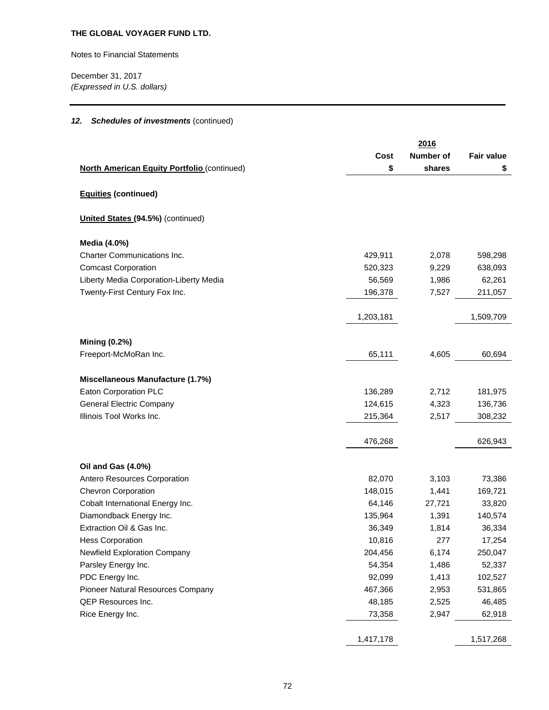Notes to Financial Statements

December 31, 2017 *(Expressed in U.S. dollars)* 

|                                                    |           | 2016             |                   |
|----------------------------------------------------|-----------|------------------|-------------------|
|                                                    | Cost      | <b>Number of</b> | <b>Fair value</b> |
| <b>North American Equity Portfolio</b> (continued) | \$        | shares           | \$                |
| <b>Equities (continued)</b>                        |           |                  |                   |
| United States (94.5%) (continued)                  |           |                  |                   |
| Media (4.0%)                                       |           |                  |                   |
| Charter Communications Inc.                        | 429,911   | 2,078            | 598,298           |
| <b>Comcast Corporation</b>                         | 520,323   | 9,229            | 638,093           |
| Liberty Media Corporation-Liberty Media            | 56,569    | 1,986            | 62,261            |
| Twenty-First Century Fox Inc.                      | 196,378   | 7,527            | 211,057           |
|                                                    | 1,203,181 |                  | 1,509,709         |
|                                                    |           |                  |                   |
| Mining (0.2%)                                      |           |                  |                   |
| Freeport-McMoRan Inc.                              | 65,111    | 4,605            | 60,694            |
| Miscellaneous Manufacture (1.7%)                   |           |                  |                   |
| Eaton Corporation PLC                              | 136,289   | 2,712            | 181,975           |
| <b>General Electric Company</b>                    | 124,615   | 4,323            | 136,736           |
| Illinois Tool Works Inc.                           | 215,364   | 2,517            | 308,232           |
|                                                    |           |                  |                   |
|                                                    | 476,268   |                  | 626,943           |
| Oil and Gas (4.0%)                                 |           |                  |                   |
| Antero Resources Corporation                       | 82,070    | 3,103            | 73,386            |
| <b>Chevron Corporation</b>                         | 148,015   | 1,441            | 169,721           |
| Cobalt International Energy Inc.                   | 64,146    | 27,721           | 33,820            |
| Diamondback Energy Inc.                            | 135,964   | 1,391            | 140,574           |
| Extraction Oil & Gas Inc.                          | 36,349    | 1,814            | 36,334            |
| <b>Hess Corporation</b>                            | 10,816    | 277              | 17,254            |
| Newfield Exploration Company                       | 204,456   | 6,174            | 250,047           |
| Parsley Energy Inc.                                | 54,354    | 1,486            | 52,337            |
| PDC Energy Inc.                                    | 92,099    | 1,413            | 102,527           |
| Pioneer Natural Resources Company                  | 467,366   | 2,953            | 531,865           |
| QEP Resources Inc.                                 | 48,185    | 2,525            | 46,485            |
| Rice Energy Inc.                                   | 73,358    | 2,947            | 62,918            |
|                                                    | 1,417,178 |                  | 1,517,268         |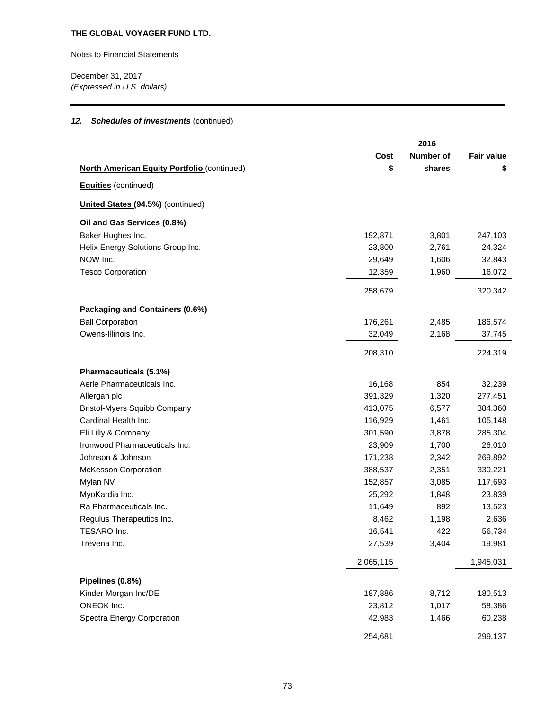Notes to Financial Statements

December 31, 2017 *(Expressed in U.S. dollars)* 

|                                                             |                    | 2016             |                   |
|-------------------------------------------------------------|--------------------|------------------|-------------------|
|                                                             | Cost               | <b>Number of</b> | <b>Fair value</b> |
| <b>North American Equity Portfolio (continued)</b>          | \$                 | shares           | \$                |
| <b>Equities</b> (continued)                                 |                    |                  |                   |
| United States (94.5%) (continued)                           |                    |                  |                   |
| Oil and Gas Services (0.8%)                                 |                    |                  |                   |
| Baker Hughes Inc.                                           | 192,871            | 3,801            | 247,103           |
| Helix Energy Solutions Group Inc.                           | 23,800             | 2,761            | 24,324            |
| NOW Inc.                                                    | 29,649             | 1,606            | 32,843            |
| <b>Tesco Corporation</b>                                    | 12,359             | 1,960            | 16,072            |
|                                                             | 258,679            |                  | 320,342           |
| Packaging and Containers (0.6%)                             |                    |                  |                   |
| <b>Ball Corporation</b>                                     | 176,261            | 2,485            | 186,574           |
| Owens-Illinois Inc.                                         | 32,049             | 2,168            | 37,745            |
|                                                             | 208,310            |                  | 224,319           |
| Pharmaceuticals (5.1%)                                      |                    |                  |                   |
| Aerie Pharmaceuticals Inc.                                  | 16,168             | 854              | 32,239            |
|                                                             |                    | 1,320            |                   |
| Allergan plc                                                | 391,329<br>413,075 | 6,577            | 277,451           |
| <b>Bristol-Myers Squibb Company</b><br>Cardinal Health Inc. | 116,929            |                  | 384,360           |
|                                                             |                    | 1,461            | 105,148           |
| Eli Lilly & Company                                         | 301,590            | 3,878            | 285,304           |
| Ironwood Pharmaceuticals Inc.                               | 23,909             | 1,700            | 26,010            |
| Johnson & Johnson                                           | 171,238            | 2,342            | 269,892           |
| <b>McKesson Corporation</b>                                 | 388,537            | 2,351            | 330,221           |
| Mylan NV                                                    | 152,857            | 3,085            | 117,693           |
| MyoKardia Inc.                                              | 25,292             | 1,848            | 23,839            |
| Ra Pharmaceuticals Inc.                                     | 11,649             | 892              | 13,523            |
| Regulus Therapeutics Inc.                                   | 8,462              | 1,198            | 2,636             |
| TESARO Inc.                                                 | 16,541             | 422              | 56,734            |
| Trevena Inc.                                                | 27,539             | 3,404            | 19,981            |
|                                                             | 2,065,115          |                  | 1,945,031         |
| Pipelines (0.8%)                                            |                    |                  |                   |
| Kinder Morgan Inc/DE                                        | 187,886            | 8,712            | 180,513           |
| ONEOK Inc.                                                  | 23,812             | 1,017            | 58,386            |
| Spectra Energy Corporation                                  | 42,983             | 1,466            | 60,238            |
|                                                             | 254,681            |                  | 299,137           |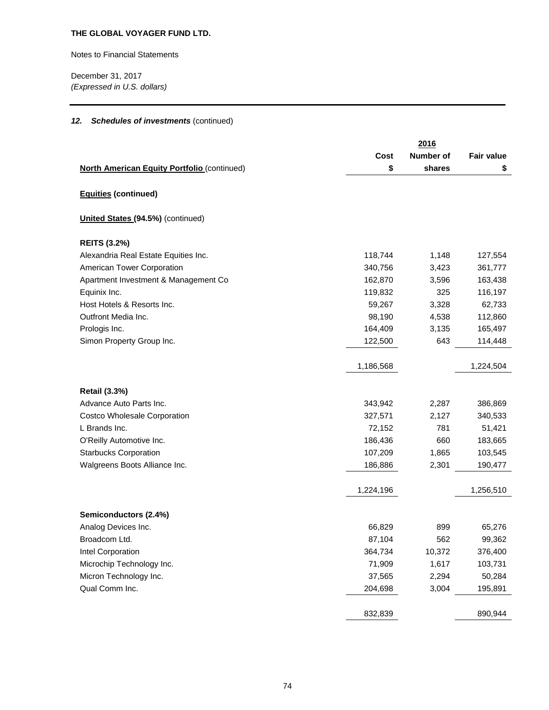Notes to Financial Statements

December 31, 2017 *(Expressed in U.S. dollars)* 

| <b>North American Equity Portfolio</b> (continued) | Cost<br>\$ | 2016<br><b>Number of</b><br>shares | <b>Fair value</b><br>\$ |
|----------------------------------------------------|------------|------------------------------------|-------------------------|
| <b>Equities (continued)</b>                        |            |                                    |                         |
| United States (94.5%) (continued)                  |            |                                    |                         |
| <b>REITS (3.2%)</b>                                |            |                                    |                         |
| Alexandria Real Estate Equities Inc.               | 118,744    | 1,148                              | 127,554                 |
| American Tower Corporation                         | 340,756    | 3,423                              | 361,777                 |
| Apartment Investment & Management Co               | 162,870    | 3,596                              | 163,438                 |
| Equinix Inc.                                       | 119,832    | 325                                | 116,197                 |
| Host Hotels & Resorts Inc.                         | 59,267     | 3,328                              | 62,733                  |
| Outfront Media Inc.                                | 98,190     | 4,538                              | 112,860                 |
| Prologis Inc.                                      | 164,409    | 3,135                              | 165,497                 |
| Simon Property Group Inc.                          | 122,500    | 643                                | 114,448                 |
|                                                    | 1,186,568  |                                    | 1,224,504               |
| <b>Retail (3.3%)</b>                               |            |                                    |                         |
| Advance Auto Parts Inc.                            | 343,942    | 2,287                              | 386,869                 |
| Costco Wholesale Corporation                       | 327,571    | 2,127                              | 340,533                 |
| L Brands Inc.                                      | 72,152     | 781                                | 51,421                  |
| O'Reilly Automotive Inc.                           | 186,436    | 660                                | 183,665                 |
| <b>Starbucks Corporation</b>                       | 107,209    | 1,865                              | 103,545                 |
| Walgreens Boots Alliance Inc.                      | 186,886    | 2,301                              | 190,477                 |
|                                                    | 1,224,196  |                                    | 1,256,510               |
|                                                    |            |                                    |                         |
| Semiconductors (2.4%)                              |            |                                    |                         |
| Analog Devices Inc.                                | 66,829     | 899                                | 65,276                  |
| Broadcom Ltd.                                      | 87,104     | 562                                | 99,362                  |
| Intel Corporation                                  | 364,734    | 10,372                             | 376,400                 |
| Microchip Technology Inc.                          | 71,909     | 1,617                              | 103,731                 |
| Micron Technology Inc.                             | 37,565     | 2,294                              | 50,284                  |
| Qual Comm Inc.                                     | 204,698    | 3,004                              | 195,891                 |
|                                                    | 832,839    |                                    | 890,944                 |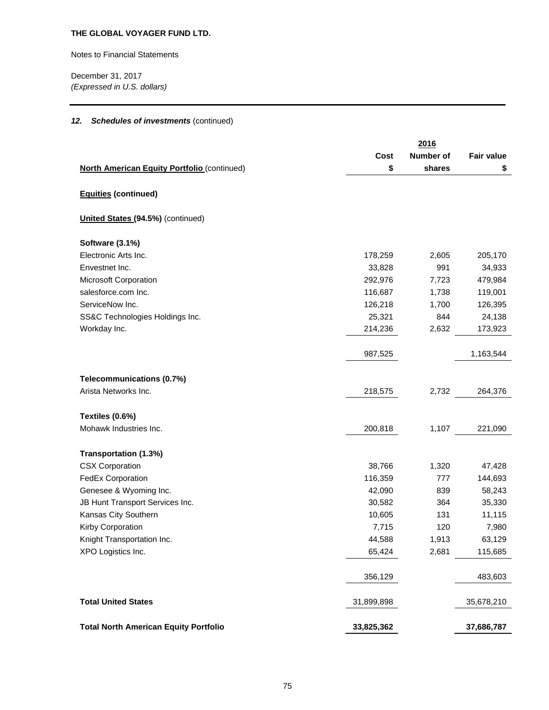Notes to Financial Statements

December 31, 2017 *(Expressed in U.S. dollars)* 

| <b>Cost</b><br><b>Number of</b><br><b>Fair value</b><br><b>North American Equity Portfolio</b> (continued)<br>\$<br>shares<br>\$<br><b>Equities (continued)</b><br>United States (94.5%) (continued)<br>Software (3.1%)<br>Electronic Arts Inc.<br>178,259<br>2,605<br>205,170<br>Envestnet Inc.<br>33,828<br>991<br>34,933<br>Microsoft Corporation<br>292,976<br>7,723<br>479,984<br>salesforce.com Inc.<br>116,687<br>119,001<br>1,738<br>ServiceNow Inc.<br>126,218<br>1,700<br>126,395<br>SS&C Technologies Holdings Inc.<br>25,321<br>844<br>24,138<br>2,632<br>Workday Inc.<br>214,236<br>173,923<br>987,525<br>1,163,544<br>Telecommunications (0.7%)<br>Arista Networks Inc.<br>218,575<br>2,732<br>264,376<br>Textiles (0.6%)<br>Mohawk Industries Inc.<br>200,818<br>1,107<br>221,090<br>Transportation (1.3%)<br><b>CSX Corporation</b><br>38,766<br>1,320<br>47,428<br>FedEx Corporation<br>116,359<br>777<br>144,693<br>Genesee & Wyoming Inc.<br>58,243<br>42,090<br>839<br>JB Hunt Transport Services Inc.<br>30,582<br>35,330<br>364<br>Kansas City Southern<br>10,605<br>11,115<br>131<br>Kirby Corporation<br>7,715<br>120<br>7,980<br>44,588<br>1,913<br>63,129<br>Knight Transportation Inc.<br>XPO Logistics Inc.<br>2,681<br>65,424<br>115,685<br>356,129<br>483,603<br><b>Total United States</b><br>31,899,898<br>35,678,210 |                                              |            | 2016 |            |
|-------------------------------------------------------------------------------------------------------------------------------------------------------------------------------------------------------------------------------------------------------------------------------------------------------------------------------------------------------------------------------------------------------------------------------------------------------------------------------------------------------------------------------------------------------------------------------------------------------------------------------------------------------------------------------------------------------------------------------------------------------------------------------------------------------------------------------------------------------------------------------------------------------------------------------------------------------------------------------------------------------------------------------------------------------------------------------------------------------------------------------------------------------------------------------------------------------------------------------------------------------------------------------------------------------------------------------------------------------|----------------------------------------------|------------|------|------------|
|                                                                                                                                                                                                                                                                                                                                                                                                                                                                                                                                                                                                                                                                                                                                                                                                                                                                                                                                                                                                                                                                                                                                                                                                                                                                                                                                                       |                                              |            |      |            |
|                                                                                                                                                                                                                                                                                                                                                                                                                                                                                                                                                                                                                                                                                                                                                                                                                                                                                                                                                                                                                                                                                                                                                                                                                                                                                                                                                       |                                              |            |      |            |
|                                                                                                                                                                                                                                                                                                                                                                                                                                                                                                                                                                                                                                                                                                                                                                                                                                                                                                                                                                                                                                                                                                                                                                                                                                                                                                                                                       |                                              |            |      |            |
|                                                                                                                                                                                                                                                                                                                                                                                                                                                                                                                                                                                                                                                                                                                                                                                                                                                                                                                                                                                                                                                                                                                                                                                                                                                                                                                                                       |                                              |            |      |            |
|                                                                                                                                                                                                                                                                                                                                                                                                                                                                                                                                                                                                                                                                                                                                                                                                                                                                                                                                                                                                                                                                                                                                                                                                                                                                                                                                                       |                                              |            |      |            |
|                                                                                                                                                                                                                                                                                                                                                                                                                                                                                                                                                                                                                                                                                                                                                                                                                                                                                                                                                                                                                                                                                                                                                                                                                                                                                                                                                       |                                              |            |      |            |
|                                                                                                                                                                                                                                                                                                                                                                                                                                                                                                                                                                                                                                                                                                                                                                                                                                                                                                                                                                                                                                                                                                                                                                                                                                                                                                                                                       |                                              |            |      |            |
|                                                                                                                                                                                                                                                                                                                                                                                                                                                                                                                                                                                                                                                                                                                                                                                                                                                                                                                                                                                                                                                                                                                                                                                                                                                                                                                                                       |                                              |            |      |            |
|                                                                                                                                                                                                                                                                                                                                                                                                                                                                                                                                                                                                                                                                                                                                                                                                                                                                                                                                                                                                                                                                                                                                                                                                                                                                                                                                                       |                                              |            |      |            |
|                                                                                                                                                                                                                                                                                                                                                                                                                                                                                                                                                                                                                                                                                                                                                                                                                                                                                                                                                                                                                                                                                                                                                                                                                                                                                                                                                       |                                              |            |      |            |
|                                                                                                                                                                                                                                                                                                                                                                                                                                                                                                                                                                                                                                                                                                                                                                                                                                                                                                                                                                                                                                                                                                                                                                                                                                                                                                                                                       |                                              |            |      |            |
|                                                                                                                                                                                                                                                                                                                                                                                                                                                                                                                                                                                                                                                                                                                                                                                                                                                                                                                                                                                                                                                                                                                                                                                                                                                                                                                                                       |                                              |            |      |            |
|                                                                                                                                                                                                                                                                                                                                                                                                                                                                                                                                                                                                                                                                                                                                                                                                                                                                                                                                                                                                                                                                                                                                                                                                                                                                                                                                                       |                                              |            |      |            |
|                                                                                                                                                                                                                                                                                                                                                                                                                                                                                                                                                                                                                                                                                                                                                                                                                                                                                                                                                                                                                                                                                                                                                                                                                                                                                                                                                       |                                              |            |      |            |
|                                                                                                                                                                                                                                                                                                                                                                                                                                                                                                                                                                                                                                                                                                                                                                                                                                                                                                                                                                                                                                                                                                                                                                                                                                                                                                                                                       |                                              |            |      |            |
|                                                                                                                                                                                                                                                                                                                                                                                                                                                                                                                                                                                                                                                                                                                                                                                                                                                                                                                                                                                                                                                                                                                                                                                                                                                                                                                                                       |                                              |            |      |            |
|                                                                                                                                                                                                                                                                                                                                                                                                                                                                                                                                                                                                                                                                                                                                                                                                                                                                                                                                                                                                                                                                                                                                                                                                                                                                                                                                                       |                                              |            |      |            |
|                                                                                                                                                                                                                                                                                                                                                                                                                                                                                                                                                                                                                                                                                                                                                                                                                                                                                                                                                                                                                                                                                                                                                                                                                                                                                                                                                       |                                              |            |      |            |
|                                                                                                                                                                                                                                                                                                                                                                                                                                                                                                                                                                                                                                                                                                                                                                                                                                                                                                                                                                                                                                                                                                                                                                                                                                                                                                                                                       |                                              |            |      |            |
|                                                                                                                                                                                                                                                                                                                                                                                                                                                                                                                                                                                                                                                                                                                                                                                                                                                                                                                                                                                                                                                                                                                                                                                                                                                                                                                                                       |                                              |            |      |            |
|                                                                                                                                                                                                                                                                                                                                                                                                                                                                                                                                                                                                                                                                                                                                                                                                                                                                                                                                                                                                                                                                                                                                                                                                                                                                                                                                                       |                                              |            |      |            |
|                                                                                                                                                                                                                                                                                                                                                                                                                                                                                                                                                                                                                                                                                                                                                                                                                                                                                                                                                                                                                                                                                                                                                                                                                                                                                                                                                       |                                              |            |      |            |
|                                                                                                                                                                                                                                                                                                                                                                                                                                                                                                                                                                                                                                                                                                                                                                                                                                                                                                                                                                                                                                                                                                                                                                                                                                                                                                                                                       |                                              |            |      |            |
|                                                                                                                                                                                                                                                                                                                                                                                                                                                                                                                                                                                                                                                                                                                                                                                                                                                                                                                                                                                                                                                                                                                                                                                                                                                                                                                                                       |                                              |            |      |            |
|                                                                                                                                                                                                                                                                                                                                                                                                                                                                                                                                                                                                                                                                                                                                                                                                                                                                                                                                                                                                                                                                                                                                                                                                                                                                                                                                                       |                                              |            |      |            |
|                                                                                                                                                                                                                                                                                                                                                                                                                                                                                                                                                                                                                                                                                                                                                                                                                                                                                                                                                                                                                                                                                                                                                                                                                                                                                                                                                       |                                              |            |      |            |
|                                                                                                                                                                                                                                                                                                                                                                                                                                                                                                                                                                                                                                                                                                                                                                                                                                                                                                                                                                                                                                                                                                                                                                                                                                                                                                                                                       |                                              |            |      |            |
|                                                                                                                                                                                                                                                                                                                                                                                                                                                                                                                                                                                                                                                                                                                                                                                                                                                                                                                                                                                                                                                                                                                                                                                                                                                                                                                                                       |                                              |            |      |            |
|                                                                                                                                                                                                                                                                                                                                                                                                                                                                                                                                                                                                                                                                                                                                                                                                                                                                                                                                                                                                                                                                                                                                                                                                                                                                                                                                                       |                                              |            |      |            |
|                                                                                                                                                                                                                                                                                                                                                                                                                                                                                                                                                                                                                                                                                                                                                                                                                                                                                                                                                                                                                                                                                                                                                                                                                                                                                                                                                       |                                              |            |      |            |
|                                                                                                                                                                                                                                                                                                                                                                                                                                                                                                                                                                                                                                                                                                                                                                                                                                                                                                                                                                                                                                                                                                                                                                                                                                                                                                                                                       |                                              |            |      |            |
|                                                                                                                                                                                                                                                                                                                                                                                                                                                                                                                                                                                                                                                                                                                                                                                                                                                                                                                                                                                                                                                                                                                                                                                                                                                                                                                                                       |                                              |            |      |            |
|                                                                                                                                                                                                                                                                                                                                                                                                                                                                                                                                                                                                                                                                                                                                                                                                                                                                                                                                                                                                                                                                                                                                                                                                                                                                                                                                                       | <b>Total North American Equity Portfolio</b> | 33,825,362 |      | 37,686,787 |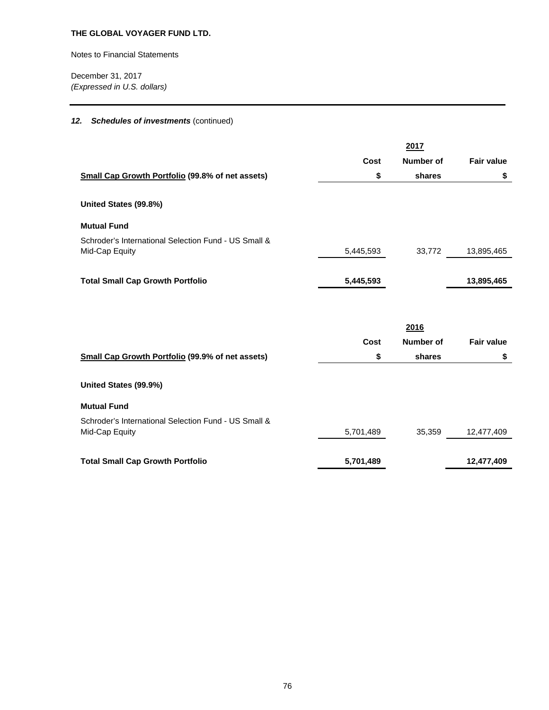Notes to Financial Statements

December 31, 2017 *(Expressed in U.S. dollars)* 

|                                                                        | 2017      |           |                   |  |  |  |  |  |
|------------------------------------------------------------------------|-----------|-----------|-------------------|--|--|--|--|--|
|                                                                        | Cost      | Number of | <b>Fair value</b> |  |  |  |  |  |
| <b>Small Cap Growth Portfolio (99.8% of net assets)</b>                | \$        | shares    | \$                |  |  |  |  |  |
| United States (99.8%)                                                  |           |           |                   |  |  |  |  |  |
| <b>Mutual Fund</b>                                                     |           |           |                   |  |  |  |  |  |
| Schroder's International Selection Fund - US Small &<br>Mid-Cap Equity | 5,445,593 | 33,772    | 13,895,465        |  |  |  |  |  |
| <b>Total Small Cap Growth Portfolio</b>                                | 5,445,593 |           | 13,895,465        |  |  |  |  |  |

|                                                                        | 2016      |           |                   |
|------------------------------------------------------------------------|-----------|-----------|-------------------|
|                                                                        | Cost      | Number of | <b>Fair value</b> |
| Small Cap Growth Portfolio (99.9% of net assets)                       | \$        | shares    | \$                |
| United States (99.9%)                                                  |           |           |                   |
| <b>Mutual Fund</b>                                                     |           |           |                   |
| Schroder's International Selection Fund - US Small &<br>Mid-Cap Equity | 5,701,489 | 35,359    | 12,477,409        |
| <b>Total Small Cap Growth Portfolio</b>                                | 5,701,489 |           | 12,477,409        |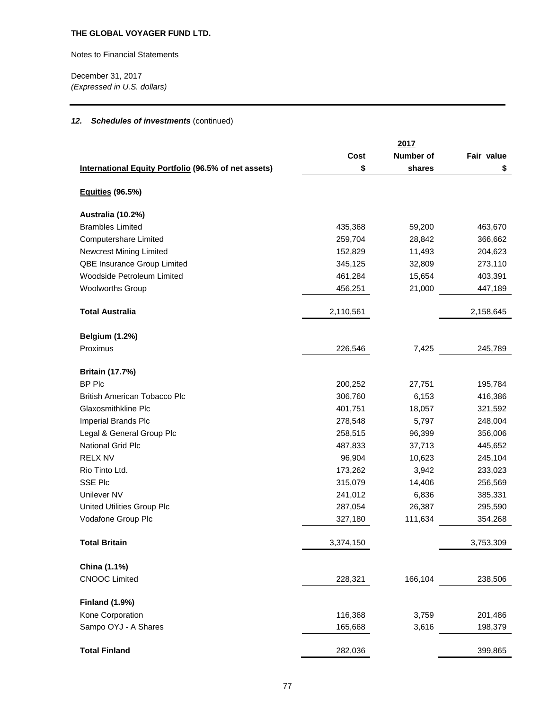Notes to Financial Statements

December 31, 2017 *(Expressed in U.S. dollars)* 

|                                                      |           | 2017      |            |
|------------------------------------------------------|-----------|-----------|------------|
|                                                      | Cost      | Number of | Fair value |
| International Equity Portfolio (96.5% of net assets) | \$        | shares    | \$         |
| Equities (96.5%)                                     |           |           |            |
| Australia (10.2%)                                    |           |           |            |
| <b>Brambles Limited</b>                              | 435,368   | 59,200    | 463,670    |
| Computershare Limited                                | 259,704   | 28,842    | 366,662    |
| <b>Newcrest Mining Limited</b>                       | 152,829   | 11,493    | 204,623    |
| QBE Insurance Group Limited                          | 345,125   | 32,809    | 273,110    |
| Woodside Petroleum Limited                           | 461,284   | 15,654    | 403,391    |
| <b>Woolworths Group</b>                              | 456,251   | 21,000    | 447,189    |
| <b>Total Australia</b>                               | 2,110,561 |           | 2,158,645  |
| <b>Belgium (1.2%)</b>                                |           |           |            |
| Proximus                                             | 226,546   | 7,425     | 245,789    |
| <b>Britain (17.7%)</b>                               |           |           |            |
| <b>BP Plc</b>                                        | 200,252   | 27,751    | 195,784    |
| British American Tobacco Plc                         | 306,760   | 6,153     | 416,386    |
| Glaxosmithkline Plc                                  | 401,751   | 18,057    | 321,592    |
| Imperial Brands Plc                                  | 278,548   | 5,797     | 248,004    |
| Legal & General Group Plc                            | 258,515   | 96,399    | 356,006    |
| National Grid Plc                                    | 487,833   | 37,713    | 445,652    |
| <b>RELX NV</b>                                       | 96,904    | 10,623    | 245,104    |
| Rio Tinto Ltd.                                       | 173,262   | 3,942     | 233,023    |
| SSE Plc                                              | 315,079   | 14,406    | 256,569    |
| Unilever NV                                          | 241,012   | 6,836     | 385,331    |
| United Utilities Group Plc                           | 287,054   | 26,387    | 295,590    |
| Vodafone Group Plc                                   | 327,180   | 111,634   | 354,268    |
| <b>Total Britain</b>                                 | 3,374,150 |           | 3,753,309  |
| China (1.1%)                                         |           |           |            |
| <b>CNOOC Limited</b>                                 | 228,321   | 166,104   | 238,506    |
| <b>Finland (1.9%)</b>                                |           |           |            |
| Kone Corporation                                     | 116,368   | 3,759     | 201,486    |
| Sampo OYJ - A Shares                                 | 165,668   | 3,616     | 198,379    |
| <b>Total Finland</b>                                 | 282,036   |           | 399,865    |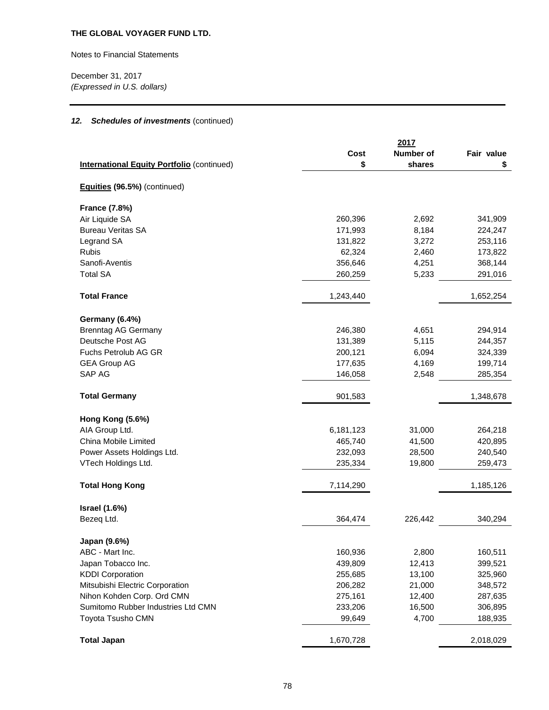Notes to Financial Statements

December 31, 2017 *(Expressed in U.S. dollars)* 

|                                                   | Cost      | 2017<br>Number of | Fair value |
|---------------------------------------------------|-----------|-------------------|------------|
| <b>International Equity Portfolio</b> (continued) | \$        | shares            | \$         |
| Equities (96.5%) (continued)                      |           |                   |            |
| <b>France (7.8%)</b>                              |           |                   |            |
| Air Liquide SA                                    | 260,396   | 2,692             | 341,909    |
| <b>Bureau Veritas SA</b>                          | 171,993   | 8,184             | 224,247    |
| Legrand SA                                        | 131,822   | 3,272             | 253,116    |
| <b>Rubis</b>                                      | 62,324    | 2,460             | 173,822    |
| Sanofi-Aventis                                    | 356,646   | 4,251             | 368,144    |
| <b>Total SA</b>                                   | 260,259   | 5,233             | 291,016    |
| <b>Total France</b>                               | 1,243,440 |                   | 1,652,254  |
| Germany (6.4%)                                    |           |                   |            |
| <b>Brenntag AG Germany</b>                        | 246,380   | 4,651             | 294,914    |
| Deutsche Post AG                                  | 131,389   | 5,115             | 244,357    |
| Fuchs Petrolub AG GR                              | 200,121   | 6,094             | 324,339    |
| <b>GEA Group AG</b>                               | 177,635   | 4,169             | 199,714    |
| SAP AG                                            | 146,058   | 2,548             | 285,354    |
| <b>Total Germany</b>                              | 901,583   |                   | 1,348,678  |
| Hong Kong (5.6%)                                  |           |                   |            |
| AIA Group Ltd.                                    | 6,181,123 | 31,000            | 264,218    |
| China Mobile Limited                              | 465,740   | 41,500            | 420,895    |
| Power Assets Holdings Ltd.                        | 232,093   | 28,500            | 240,540    |
| VTech Holdings Ltd.                               | 235,334   | 19,800            | 259,473    |
| <b>Total Hong Kong</b>                            | 7,114,290 |                   | 1,185,126  |
|                                                   |           |                   |            |
| <b>Israel</b> (1.6%)<br>Bezeg Ltd.                | 364,474   | 226,442           | 340,294    |
| Japan (9.6%)                                      |           |                   |            |
| ABC - Mart Inc.                                   | 160,936   | 2,800             | 160,511    |
| Japan Tobacco Inc.                                | 439,809   | 12,413            | 399,521    |
| <b>KDDI Corporation</b>                           | 255,685   | 13,100            | 325,960    |
| Mitsubishi Electric Corporation                   | 206,282   | 21,000            | 348,572    |
| Nihon Kohden Corp. Ord CMN                        | 275,161   | 12,400            | 287,635    |
| Sumitomo Rubber Industries Ltd CMN                | 233,206   | 16,500            | 306,895    |
| Toyota Tsusho CMN                                 | 99,649    | 4,700             | 188,935    |
| <b>Total Japan</b>                                | 1,670,728 |                   | 2,018,029  |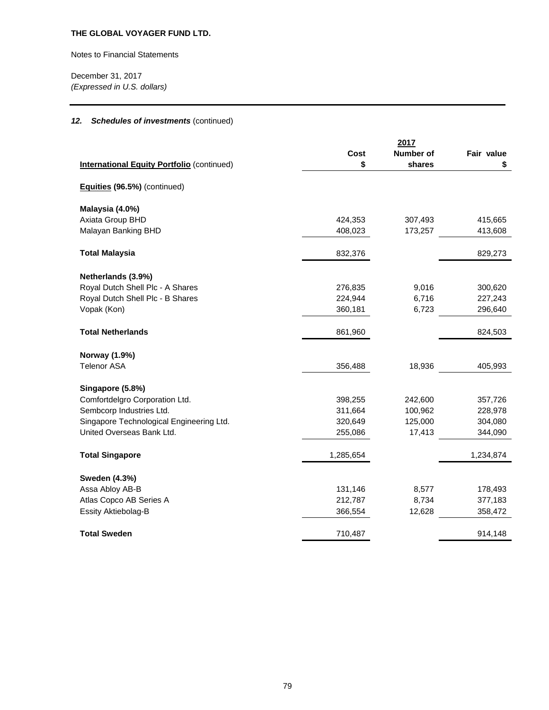Notes to Financial Statements

December 31, 2017 *(Expressed in U.S. dollars)* 

|                                                   |           | 2017             |            |
|---------------------------------------------------|-----------|------------------|------------|
|                                                   | Cost      | <b>Number of</b> | Fair value |
| <b>International Equity Portfolio</b> (continued) | \$        | shares           | \$         |
| Equities (96.5%) (continued)                      |           |                  |            |
| Malaysia (4.0%)                                   |           |                  |            |
| Axiata Group BHD                                  | 424,353   | 307,493          | 415,665    |
| Malayan Banking BHD                               | 408,023   | 173,257          | 413,608    |
| <b>Total Malaysia</b>                             | 832,376   |                  | 829,273    |
| Netherlands (3.9%)                                |           |                  |            |
| Royal Dutch Shell Plc - A Shares                  | 276,835   | 9,016            | 300,620    |
| Royal Dutch Shell Plc - B Shares                  | 224,944   | 6,716            | 227,243    |
| Vopak (Kon)                                       | 360,181   | 6,723            | 296,640    |
| <b>Total Netherlands</b>                          | 861,960   |                  | 824,503    |
| Norway (1.9%)                                     |           |                  |            |
| <b>Telenor ASA</b>                                | 356,488   | 18,936           | 405,993    |
| Singapore (5.8%)                                  |           |                  |            |
| Comfortdelgro Corporation Ltd.                    | 398,255   | 242,600          | 357,726    |
| Sembcorp Industries Ltd.                          | 311,664   | 100,962          | 228,978    |
| Singapore Technological Engineering Ltd.          | 320,649   | 125,000          | 304,080    |
| United Overseas Bank Ltd.                         | 255,086   | 17,413           | 344,090    |
| <b>Total Singapore</b>                            | 1,285,654 |                  | 1,234,874  |
| <b>Sweden (4.3%)</b>                              |           |                  |            |
| Assa Abloy AB-B                                   | 131,146   | 8,577            | 178,493    |
| Atlas Copco AB Series A                           | 212,787   | 8,734            | 377,183    |
| Essity Aktiebolag-B                               | 366,554   | 12,628           | 358,472    |
| <b>Total Sweden</b>                               | 710,487   |                  | 914,148    |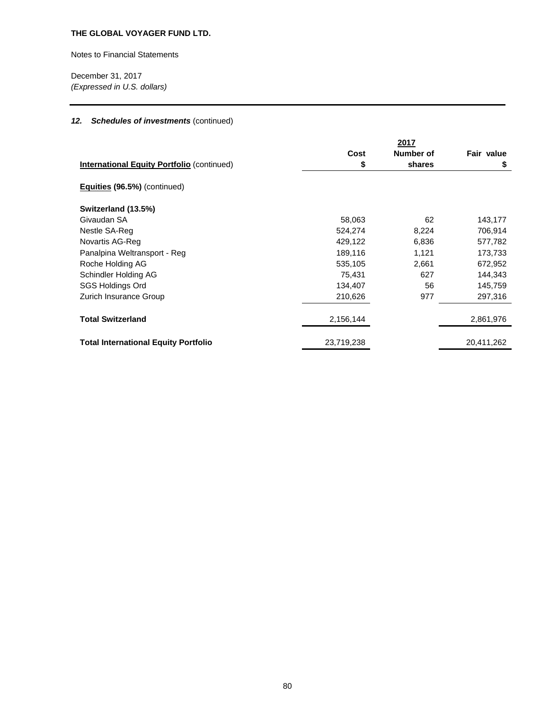Notes to Financial Statements

December 31, 2017 *(Expressed in U.S. dollars)* 

|                                                   |            | 2017      |            |
|---------------------------------------------------|------------|-----------|------------|
|                                                   | Cost       | Number of | Fair value |
| <b>International Equity Portfolio</b> (continued) | \$         | shares    | \$         |
| <b>Equities (96.5%)</b> (continued)               |            |           |            |
| Switzerland (13.5%)                               |            |           |            |
| Givaudan SA                                       | 58,063     | 62        | 143,177    |
| Nestle SA-Reg                                     | 524,274    | 8,224     | 706,914    |
| Novartis AG-Reg                                   | 429,122    | 6,836     | 577,782    |
| Panalpina Weltransport - Reg                      | 189,116    | 1,121     | 173,733    |
| Roche Holding AG                                  | 535,105    | 2,661     | 672,952    |
| Schindler Holding AG                              | 75,431     | 627       | 144,343    |
| SGS Holdings Ord                                  | 134,407    | 56        | 145,759    |
| Zurich Insurance Group                            | 210,626    | 977       | 297,316    |
| <b>Total Switzerland</b>                          | 2,156,144  |           | 2,861,976  |
| <b>Total International Equity Portfolio</b>       | 23,719,238 |           | 20,411,262 |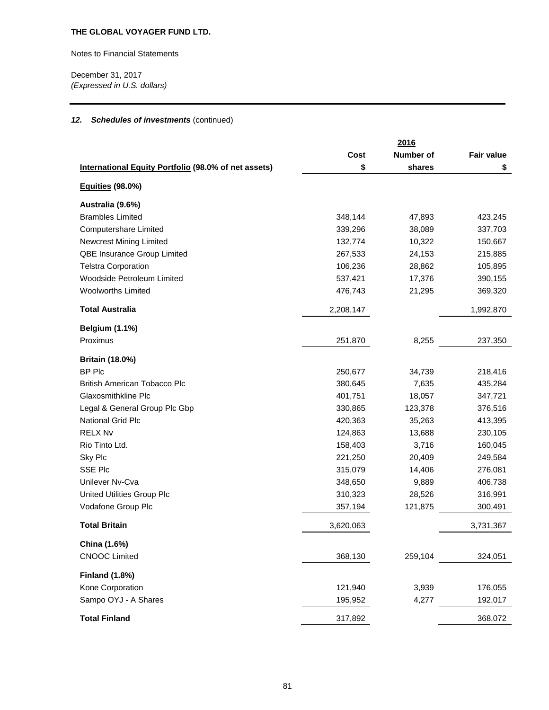Notes to Financial Statements

December 31, 2017 *(Expressed in U.S. dollars)* 

|                                                      |           | 2016      |                   |
|------------------------------------------------------|-----------|-----------|-------------------|
|                                                      | Cost      | Number of | <b>Fair value</b> |
| International Equity Portfolio (98.0% of net assets) | \$        | shares    | \$                |
| Equities (98.0%)                                     |           |           |                   |
| Australia (9.6%)                                     |           |           |                   |
| <b>Brambles Limited</b>                              | 348,144   | 47,893    | 423,245           |
| <b>Computershare Limited</b>                         | 339,296   | 38,089    | 337,703           |
| <b>Newcrest Mining Limited</b>                       | 132,774   | 10,322    | 150,667           |
| QBE Insurance Group Limited                          | 267,533   | 24,153    | 215,885           |
| <b>Telstra Corporation</b>                           | 106,236   | 28,862    | 105,895           |
| Woodside Petroleum Limited                           | 537,421   | 17,376    | 390,155           |
| <b>Woolworths Limited</b>                            | 476,743   | 21,295    | 369,320           |
| <b>Total Australia</b>                               | 2,208,147 |           | 1,992,870         |
| <b>Belgium (1.1%)</b>                                |           |           |                   |
| Proximus                                             | 251,870   | 8,255     | 237,350           |
| <b>Britain (18.0%)</b>                               |           |           |                   |
| BP Plc                                               | 250,677   | 34,739    | 218,416           |
| <b>British American Tobacco Plc</b>                  | 380,645   | 7,635     | 435,284           |
| Glaxosmithkline Plc                                  | 401,751   | 18,057    | 347,721           |
| Legal & General Group Plc Gbp                        | 330,865   | 123,378   | 376,516           |
| National Grid Plc                                    | 420,363   | 35,263    | 413,395           |
| <b>RELX Nv</b>                                       | 124,863   | 13,688    | 230,105           |
| Rio Tinto Ltd.                                       | 158,403   | 3,716     | 160,045           |
| Sky Plc                                              | 221,250   | 20,409    | 249,584           |
| SSE Plc                                              | 315,079   | 14,406    | 276,081           |
| Unilever Nv-Cva                                      | 348,650   | 9,889     | 406,738           |
| United Utilities Group Plc                           | 310,323   | 28,526    | 316,991           |
| Vodafone Group Plc                                   | 357,194   | 121,875   | 300,491           |
| <b>Total Britain</b>                                 | 3,620,063 |           | 3,731,367         |
| China (1.6%)                                         |           |           |                   |
| <b>CNOOC Limited</b>                                 | 368,130   | 259,104   | 324,051           |
| <b>Finland (1.8%)</b>                                |           |           |                   |
| Kone Corporation                                     | 121,940   | 3,939     | 176,055           |
| Sampo OYJ - A Shares                                 | 195,952   | 4,277     | 192,017           |
| <b>Total Finland</b>                                 | 317,892   |           | 368,072           |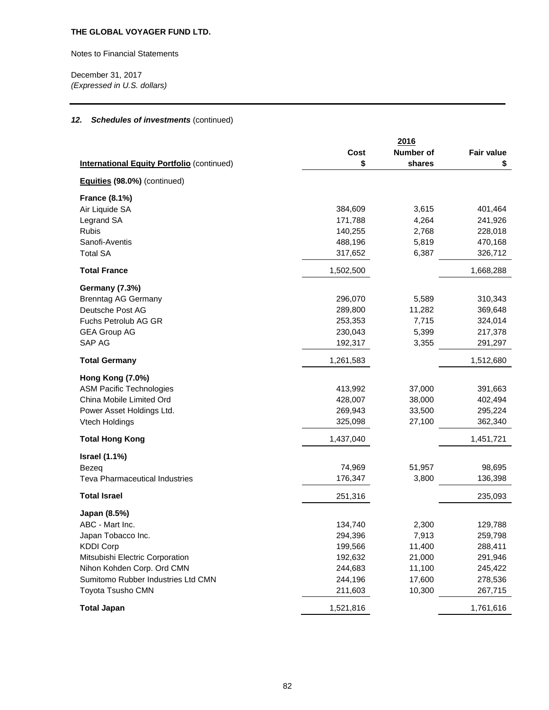Notes to Financial Statements

# December 31, 2017 *(Expressed in U.S. dollars)*

|                                                   |           | 2016      |                   |
|---------------------------------------------------|-----------|-----------|-------------------|
|                                                   | Cost      | Number of | <b>Fair value</b> |
| <b>International Equity Portfolio</b> (continued) | \$        | shares    | \$                |
| Equities (98.0%) (continued)                      |           |           |                   |
| <b>France (8.1%)</b>                              |           |           |                   |
| Air Liquide SA                                    | 384,609   | 3,615     | 401,464           |
| Legrand SA                                        | 171,788   | 4,264     | 241,926           |
| <b>Rubis</b>                                      | 140,255   | 2,768     | 228,018           |
| Sanofi-Aventis                                    | 488,196   | 5,819     | 470,168           |
| <b>Total SA</b>                                   | 317,652   | 6,387     | 326,712           |
| <b>Total France</b>                               | 1,502,500 |           | 1,668,288         |
| <b>Germany (7.3%)</b>                             |           |           |                   |
| <b>Brenntag AG Germany</b>                        | 296,070   | 5,589     | 310,343           |
| Deutsche Post AG                                  | 289,800   | 11,282    | 369,648           |
| Fuchs Petrolub AG GR                              | 253,353   | 7,715     | 324,014           |
| <b>GEA Group AG</b>                               | 230,043   | 5,399     | 217,378           |
| <b>SAP AG</b>                                     | 192,317   | 3,355     | 291,297           |
| <b>Total Germany</b>                              | 1,261,583 |           | 1,512,680         |
| Hong Kong (7.0%)                                  |           |           |                   |
| <b>ASM Pacific Technologies</b>                   | 413,992   | 37,000    | 391,663           |
| China Mobile Limited Ord                          | 428,007   | 38,000    | 402,494           |
| Power Asset Holdings Ltd.                         | 269,943   | 33,500    | 295,224           |
| Vtech Holdings                                    | 325,098   | 27,100    | 362,340           |
| <b>Total Hong Kong</b>                            | 1,437,040 |           | 1,451,721         |
| <b>Israel (1.1%)</b>                              |           |           |                   |
| Bezeg                                             | 74,969    | 51,957    | 98,695            |
| <b>Teva Pharmaceutical Industries</b>             | 176,347   | 3,800     | 136,398           |
| <b>Total Israel</b>                               | 251,316   |           | 235,093           |
| Japan (8.5%)                                      |           |           |                   |
| ABC - Mart Inc.                                   | 134,740   | 2,300     | 129,788           |
| Japan Tobacco Inc.                                | 294,396   | 7,913     | 259,798           |
| <b>KDDI Corp</b>                                  | 199,566   | 11,400    | 288,411           |
| Mitsubishi Electric Corporation                   | 192,632   | 21,000    | 291,946           |
| Nihon Kohden Corp. Ord CMN                        | 244,683   | 11,100    | 245,422           |
| Sumitomo Rubber Industries Ltd CMN                | 244,196   | 17,600    | 278,536           |
| Toyota Tsusho CMN                                 | 211,603   | 10,300    | 267,715           |
| <b>Total Japan</b>                                | 1,521,816 |           | 1,761,616         |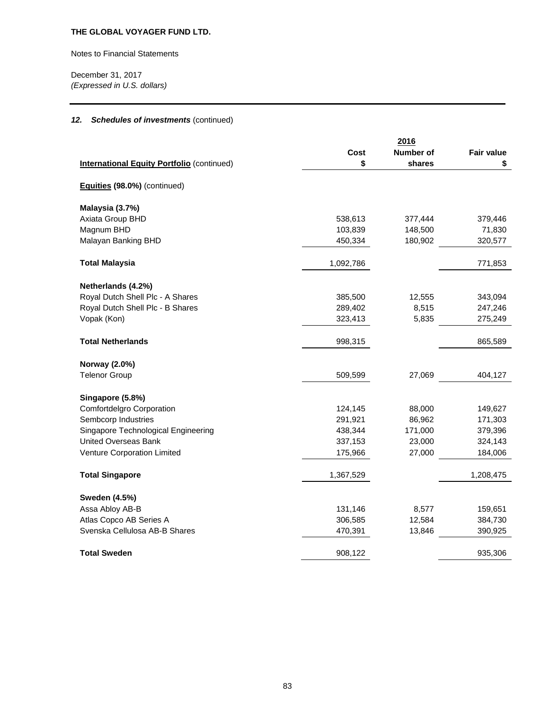Notes to Financial Statements

# December 31, 2017 *(Expressed in U.S. dollars)*

|                                                   | 2016      |           |                   |
|---------------------------------------------------|-----------|-----------|-------------------|
|                                                   | Cost      | Number of | <b>Fair value</b> |
| <b>International Equity Portfolio</b> (continued) | \$        | shares    | \$                |
| Equities (98.0%) (continued)                      |           |           |                   |
| Malaysia (3.7%)                                   |           |           |                   |
| Axiata Group BHD                                  | 538,613   | 377,444   | 379,446           |
| Magnum BHD                                        | 103,839   | 148,500   | 71,830            |
| Malayan Banking BHD                               | 450,334   | 180,902   | 320,577           |
| <b>Total Malaysia</b>                             | 1,092,786 |           | 771,853           |
| Netherlands (4.2%)                                |           |           |                   |
| Royal Dutch Shell Plc - A Shares                  | 385,500   | 12,555    | 343,094           |
| Royal Dutch Shell Plc - B Shares                  | 289,402   | 8,515     | 247,246           |
| Vopak (Kon)                                       | 323,413   | 5,835     | 275,249           |
| <b>Total Netherlands</b>                          | 998,315   |           | 865,589           |
| Norway (2.0%)                                     |           |           |                   |
| <b>Telenor Group</b>                              | 509,599   | 27,069    | 404,127           |
| Singapore (5.8%)                                  |           |           |                   |
| Comfortdelgro Corporation                         | 124,145   | 88,000    | 149,627           |
| Sembcorp Industries                               | 291,921   | 86,962    | 171,303           |
| Singapore Technological Engineering               | 438,344   | 171,000   | 379,396           |
| <b>United Overseas Bank</b>                       | 337,153   | 23,000    | 324,143           |
| Venture Corporation Limited                       | 175,966   | 27,000    | 184,006           |
| <b>Total Singapore</b>                            | 1,367,529 |           | 1,208,475         |
| <b>Sweden (4.5%)</b>                              |           |           |                   |
| Assa Abloy AB-B                                   | 131,146   | 8,577     | 159,651           |
| Atlas Copco AB Series A                           | 306,585   | 12,584    | 384,730           |
| Svenska Cellulosa AB-B Shares                     | 470,391   | 13,846    | 390,925           |
| <b>Total Sweden</b>                               | 908,122   |           | 935,306           |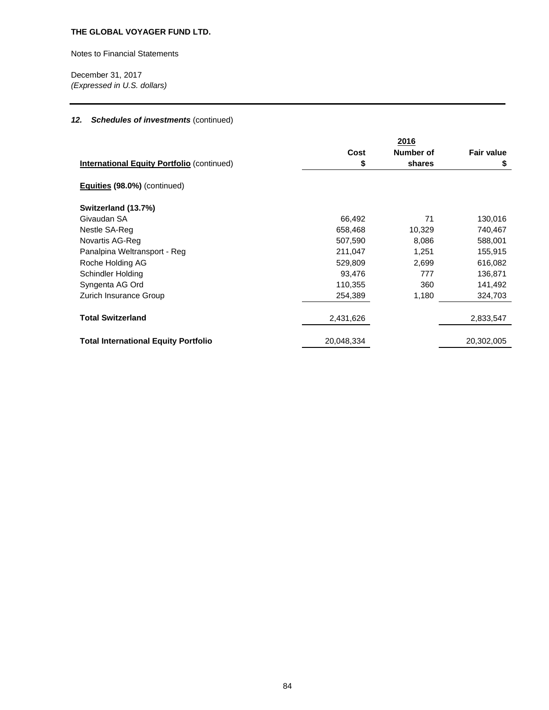Notes to Financial Statements

December 31, 2017 *(Expressed in U.S. dollars)* 

|                                                   | 2016       |           |                   |
|---------------------------------------------------|------------|-----------|-------------------|
|                                                   | Cost       | Number of | <b>Fair value</b> |
| <b>International Equity Portfolio</b> (continued) | S          | shares    | \$                |
| <b>Equities (98.0%)</b> (continued)               |            |           |                   |
| Switzerland (13.7%)                               |            |           |                   |
| Givaudan SA                                       | 66,492     | 71        | 130,016           |
| Nestle SA-Reg                                     | 658,468    | 10,329    | 740,467           |
| Novartis AG-Reg                                   | 507,590    | 8,086     | 588,001           |
| Panalpina Weltransport - Reg                      | 211,047    | 1,251     | 155,915           |
| Roche Holding AG                                  | 529,809    | 2,699     | 616,082           |
| Schindler Holding                                 | 93,476     | 777       | 136,871           |
| Syngenta AG Ord                                   | 110,355    | 360       | 141,492           |
| Zurich Insurance Group                            | 254,389    | 1,180     | 324,703           |
| <b>Total Switzerland</b>                          | 2,431,626  |           | 2,833,547         |
| <b>Total International Equity Portfolio</b>       | 20,048,334 |           | 20,302,005        |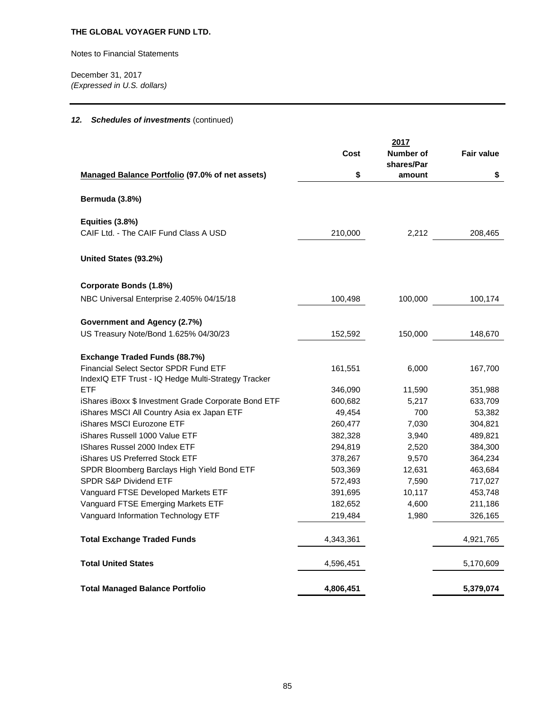Notes to Financial Statements

December 31, 2017 *(Expressed in U.S. dollars)* 

|                                                                                                     | Cost      | Number of  | Fair value |
|-----------------------------------------------------------------------------------------------------|-----------|------------|------------|
|                                                                                                     |           | shares/Par |            |
| Managed Balance Portfolio (97.0% of net assets)                                                     | \$        | amount     | \$         |
| Bermuda (3.8%)                                                                                      |           |            |            |
| Equities (3.8%)                                                                                     |           |            |            |
| CAIF Ltd. - The CAIF Fund Class A USD                                                               | 210,000   | 2,212      | 208,465    |
| United States (93.2%)                                                                               |           |            |            |
| Corporate Bonds (1.8%)                                                                              |           |            |            |
| NBC Universal Enterprise 2.405% 04/15/18                                                            | 100,498   | 100,000    | 100,174    |
| Government and Agency (2.7%)                                                                        |           |            |            |
| US Treasury Note/Bond 1.625% 04/30/23                                                               | 152,592   | 150,000    | 148,670    |
| Exchange Traded Funds (88.7%)                                                                       |           |            |            |
| <b>Financial Select Sector SPDR Fund ETF</b><br>IndexIQ ETF Trust - IQ Hedge Multi-Strategy Tracker | 161,551   | 6,000      | 167,700    |
| <b>ETF</b>                                                                                          | 346,090   | 11,590     | 351,988    |
| iShares iBoxx \$ Investment Grade Corporate Bond ETF                                                | 600,682   | 5,217      | 633,709    |
| iShares MSCI All Country Asia ex Japan ETF                                                          | 49,454    | 700        | 53,382     |
| iShares MSCI Eurozone ETF                                                                           | 260,477   | 7,030      | 304,821    |
| iShares Russell 1000 Value ETF                                                                      | 382,328   | 3,940      | 489,821    |
| IShares Russel 2000 Index ETF                                                                       | 294,819   | 2,520      | 384,300    |
| iShares US Preferred Stock ETF                                                                      | 378,267   | 9,570      | 364,234    |
| SPDR Bloomberg Barclays High Yield Bond ETF                                                         | 503,369   | 12,631     | 463,684    |
| <b>SPDR S&amp;P Dividend ETF</b>                                                                    | 572,493   | 7,590      | 717,027    |
| Vanguard FTSE Developed Markets ETF                                                                 | 391,695   | 10,117     | 453,748    |
| Vanguard FTSE Emerging Markets ETF                                                                  | 182,652   | 4,600      | 211,186    |
| Vanguard Information Technology ETF                                                                 | 219,484   | 1,980      | 326,165    |
| <b>Total Exchange Traded Funds</b>                                                                  | 4,343,361 |            | 4,921,765  |
| <b>Total United States</b>                                                                          | 4,596,451 |            | 5,170,609  |
| <b>Total Managed Balance Portfolio</b>                                                              | 4,806,451 |            | 5,379,074  |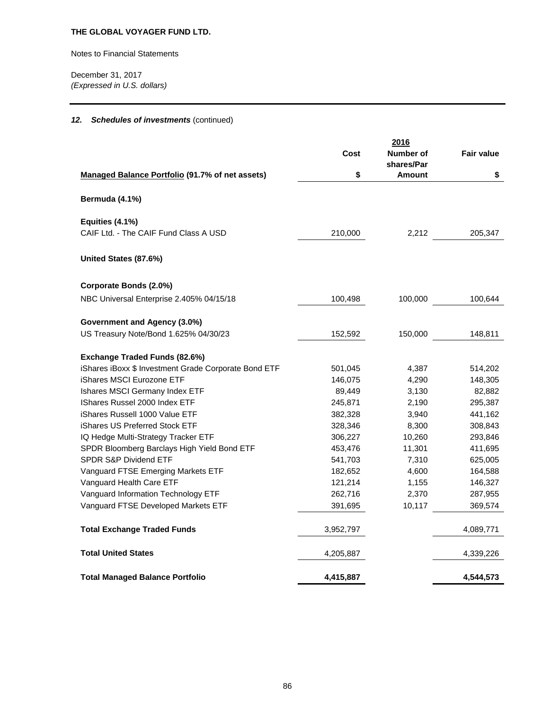Notes to Financial Statements

December 31, 2017 *(Expressed in U.S. dollars)* 

|           | 2016                                                                                                                                             |                                                                                                                      |
|-----------|--------------------------------------------------------------------------------------------------------------------------------------------------|----------------------------------------------------------------------------------------------------------------------|
| Cost      | Number of                                                                                                                                        | <b>Fair value</b>                                                                                                    |
|           | shares/Par                                                                                                                                       |                                                                                                                      |
|           | <b>Amount</b>                                                                                                                                    | \$                                                                                                                   |
|           |                                                                                                                                                  |                                                                                                                      |
|           |                                                                                                                                                  |                                                                                                                      |
| 210,000   | 2,212                                                                                                                                            | 205,347                                                                                                              |
|           |                                                                                                                                                  |                                                                                                                      |
|           |                                                                                                                                                  |                                                                                                                      |
|           |                                                                                                                                                  |                                                                                                                      |
| 100,498   | 100,000                                                                                                                                          | 100,644                                                                                                              |
|           |                                                                                                                                                  |                                                                                                                      |
| 152,592   | 150,000                                                                                                                                          | 148,811                                                                                                              |
|           |                                                                                                                                                  |                                                                                                                      |
|           |                                                                                                                                                  | 514,202                                                                                                              |
|           |                                                                                                                                                  | 148,305                                                                                                              |
|           |                                                                                                                                                  | 82,882                                                                                                               |
|           |                                                                                                                                                  | 295,387                                                                                                              |
|           |                                                                                                                                                  | 441,162                                                                                                              |
|           |                                                                                                                                                  | 308,843                                                                                                              |
|           |                                                                                                                                                  | 293,846                                                                                                              |
|           |                                                                                                                                                  | 411,695                                                                                                              |
|           |                                                                                                                                                  | 625,005                                                                                                              |
|           |                                                                                                                                                  | 164,588                                                                                                              |
|           |                                                                                                                                                  | 146,327                                                                                                              |
|           |                                                                                                                                                  | 287,955                                                                                                              |
|           |                                                                                                                                                  | 369,574                                                                                                              |
|           |                                                                                                                                                  |                                                                                                                      |
| 3,952,797 |                                                                                                                                                  | 4,089,771                                                                                                            |
| 4,205,887 |                                                                                                                                                  | 4,339,226                                                                                                            |
| 4,415,887 |                                                                                                                                                  | 4,544,573                                                                                                            |
|           | \$<br>501,045<br>146,075<br>89,449<br>245,871<br>382,328<br>328,346<br>306,227<br>453,476<br>541,703<br>182,652<br>121,214<br>262,716<br>391,695 | 4,387<br>4,290<br>3,130<br>2,190<br>3,940<br>8,300<br>10,260<br>11,301<br>7,310<br>4,600<br>1,155<br>2,370<br>10,117 |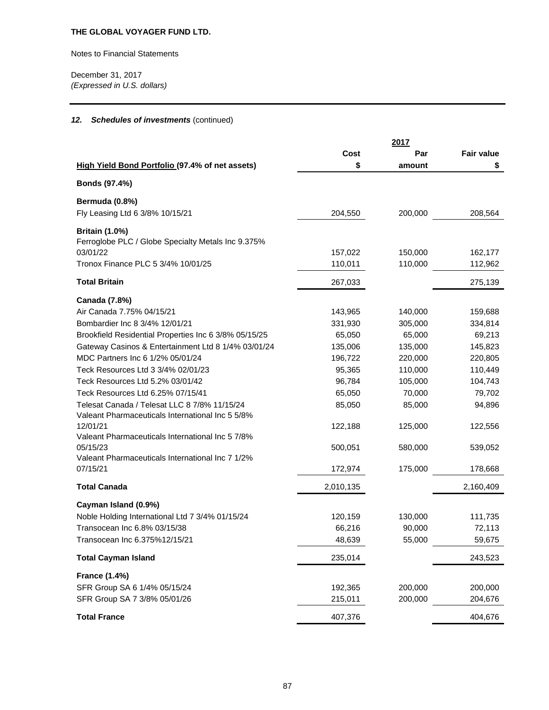Notes to Financial Statements

# December 31, 2017 *(Expressed in U.S. dollars)*

|                                                                                                  | 2017               |                    |                    |
|--------------------------------------------------------------------------------------------------|--------------------|--------------------|--------------------|
|                                                                                                  | Cost               | Par                | <b>Fair value</b>  |
| High Yield Bond Portfolio (97.4% of net assets)                                                  | \$                 | amount             | \$                 |
| Bonds (97.4%)                                                                                    |                    |                    |                    |
| Bermuda (0.8%)                                                                                   |                    |                    |                    |
| Fly Leasing Ltd 6 3/8% 10/15/21                                                                  | 204,550            | 200,000            | 208,564            |
| <b>Britain (1.0%)</b>                                                                            |                    |                    |                    |
| Ferroglobe PLC / Globe Specialty Metals Inc 9.375%<br>03/01/22                                   |                    |                    |                    |
| Tronox Finance PLC 5 3/4% 10/01/25                                                               | 157,022<br>110,011 | 150,000<br>110,000 | 162,177<br>112,962 |
|                                                                                                  |                    |                    |                    |
| <b>Total Britain</b>                                                                             | 267,033            |                    | 275,139            |
| Canada (7.8%)                                                                                    |                    |                    |                    |
| Air Canada 7.75% 04/15/21                                                                        | 143,965            | 140,000            | 159,688            |
| Bombardier Inc 8 3/4% 12/01/21                                                                   | 331,930            | 305,000            | 334,814            |
| Brookfield Residential Properties Inc 6 3/8% 05/15/25                                            | 65,050             | 65,000             | 69,213             |
| Gateway Casinos & Entertainment Ltd 8 1/4% 03/01/24                                              | 135,006            | 135,000            | 145,823            |
| MDC Partners Inc 6 1/2% 05/01/24                                                                 | 196,722            | 220,000            | 220,805            |
| Teck Resources Ltd 3 3/4% 02/01/23                                                               | 95,365             | 110,000            | 110,449            |
| Teck Resources Ltd 5.2% 03/01/42                                                                 | 96,784             | 105,000            | 104,743            |
| Teck Resources Ltd 6.25% 07/15/41                                                                | 65,050             | 70,000             | 79,702             |
| Telesat Canada / Telesat LLC 8 7/8% 11/15/24<br>Valeant Pharmaceuticals International Inc 5 5/8% | 85,050             | 85,000             | 94,896             |
| 12/01/21                                                                                         | 122,188            | 125,000            | 122,556            |
| Valeant Pharmaceuticals International Inc 5 7/8%                                                 |                    |                    |                    |
| 05/15/23                                                                                         | 500,051            | 580,000            | 539,052            |
| Valeant Pharmaceuticals International Inc 7 1/2%<br>07/15/21                                     | 172,974            | 175,000            | 178,668            |
|                                                                                                  |                    |                    |                    |
| <b>Total Canada</b>                                                                              | 2,010,135          |                    | 2,160,409          |
| Cayman Island (0.9%)                                                                             |                    |                    |                    |
| Noble Holding International Ltd 7 3/4% 01/15/24                                                  | 120,159            | 130,000            | 111,735            |
| Transocean Inc 6.8% 03/15/38                                                                     | 66,216             | 90,000             | 72,113             |
| Transocean Inc 6.375%12/15/21                                                                    | 48,639             | 55,000             | 59,675             |
| <b>Total Cayman Island</b>                                                                       | 235,014            |                    | 243,523            |
| <b>France (1.4%)</b>                                                                             |                    |                    |                    |
| SFR Group SA 6 1/4% 05/15/24                                                                     | 192,365            | 200,000            | 200,000            |
| SFR Group SA 7 3/8% 05/01/26                                                                     | 215,011            | 200,000            | 204,676            |
| <b>Total France</b>                                                                              | 407,376            |                    | 404,676            |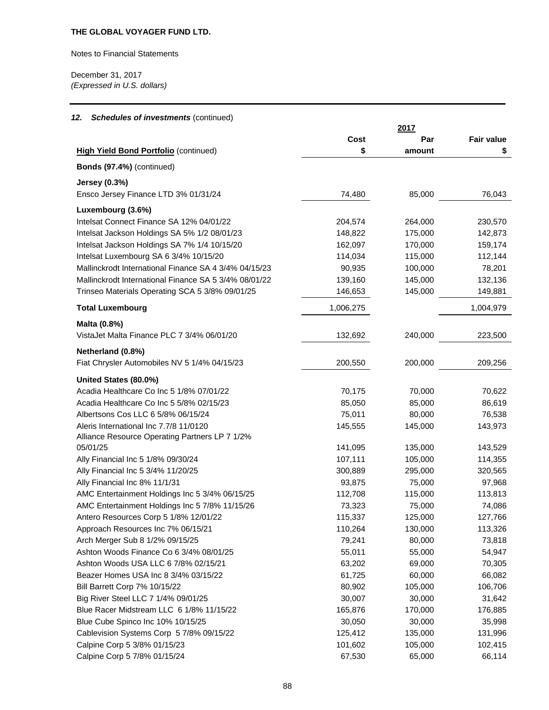Notes to Financial Statements

| <b>Schedules of investments (continued)</b><br>12.    |           |         |                   |
|-------------------------------------------------------|-----------|---------|-------------------|
|                                                       |           | 2017    |                   |
|                                                       | Cost      | Par     | <b>Fair value</b> |
| <b>High Yield Bond Portfolio</b> (continued)          | \$        | amount  | \$                |
| Bonds (97.4%) (continued)                             |           |         |                   |
| <b>Jersey (0.3%)</b>                                  |           |         |                   |
| Ensco Jersey Finance LTD 3% 01/31/24                  | 74,480    | 85,000  | 76,043            |
| Luxembourg (3.6%)                                     |           |         |                   |
| Intelsat Connect Finance SA 12% 04/01/22              | 204,574   | 264,000 | 230,570           |
| Intelsat Jackson Holdings SA 5% 1/2 08/01/23          | 148,822   | 175,000 | 142,873           |
| Intelsat Jackson Holdings SA 7% 1/4 10/15/20          | 162,097   | 170,000 | 159,174           |
| Intelsat Luxembourg SA 6 3/4% 10/15/20                | 114,034   | 115,000 | 112,144           |
| Mallinckrodt International Finance SA 4 3/4% 04/15/23 | 90,935    | 100,000 | 78,201            |
| Mallinckrodt International Finance SA 5 3/4% 08/01/22 | 139,160   | 145,000 | 132,136           |
| Trinseo Materials Operating SCA 5 3/8% 09/01/25       | 146,653   | 145,000 | 149,881           |
| <b>Total Luxembourg</b>                               | 1,006,275 |         | 1,004,979         |
| Malta (0.8%)                                          |           |         |                   |
| VistaJet Malta Finance PLC 7 3/4% 06/01/20            | 132,692   | 240,000 | 223,500           |
| Netherland (0.8%)                                     |           |         |                   |
| Fiat Chrysler Automobiles NV 5 1/4% 04/15/23          | 200,550   | 200,000 | 209,256           |
| United States (80.0%)                                 |           |         |                   |
| Acadia Healthcare Co Inc 5 1/8% 07/01/22              | 70,175    | 70,000  | 70,622            |
| Acadia Healthcare Co Inc 5 5/8% 02/15/23              | 85,050    | 85,000  | 86,619            |
| Albertsons Cos LLC 6 5/8% 06/15/24                    | 75,011    | 80,000  | 76,538            |
| Aleris International Inc 7.7/8 11/0120                | 145,555   | 145,000 | 143,973           |
| Alliance Resource Operating Partners LP 7 1/2%        |           |         |                   |
| 05/01/25                                              | 141,095   | 135,000 | 143,529           |
| Ally Financial Inc 5 1/8% 09/30/24                    | 107,111   | 105,000 | 114,355           |
| Ally Financial Inc 5 3/4% 11/20/25                    | 300,889   | 295,000 | 320,565           |
| Ally Financial Inc 8% 11/1/31                         | 93,875    | 75,000  | 97,968            |
| AMC Entertainment Holdings Inc 5 3/4% 06/15/25        | 112,708   | 115,000 | 113,813           |
| AMC Entertainment Holdings Inc 5 7/8% 11/15/26        | 73,323    | 75,000  | 74,086            |
| Antero Resources Corp 5 1/8% 12/01/22                 | 115,337   | 125,000 | 127,766           |
| Approach Resources Inc 7% 06/15/21                    | 110,264   | 130,000 | 113,326           |
| Arch Merger Sub 8 1/2% 09/15/25                       | 79,241    | 80,000  | 73,818            |
| Ashton Woods Finance Co 6 3/4% 08/01/25               | 55,011    | 55,000  | 54,947            |
| Ashton Woods USA LLC 6 7/8% 02/15/21                  | 63,202    | 69,000  | 70,305            |
| Beazer Homes USA Inc 8 3/4% 03/15/22                  | 61,725    | 60,000  | 66,082            |
| Bill Barrett Corp 7% 10/15/22                         | 80,902    | 105,000 | 106,706           |
| Big River Steel LLC 7 1/4% 09/01/25                   | 30,007    | 30,000  | 31,642            |
| Blue Racer Midstream LLC 6 1/8% 11/15/22              | 165,876   | 170,000 | 176,885           |
| Blue Cube Spinco Inc 10% 10/15/25                     | 30,050    | 30,000  | 35,998            |
| Cablevision Systems Corp 5 7/8% 09/15/22              | 125,412   | 135,000 | 131,996           |
| Calpine Corp 5 3/8% 01/15/23                          | 101,602   | 105,000 | 102,415           |
| Calpine Corp 5 7/8% 01/15/24                          | 67,530    | 65,000  | 66,114            |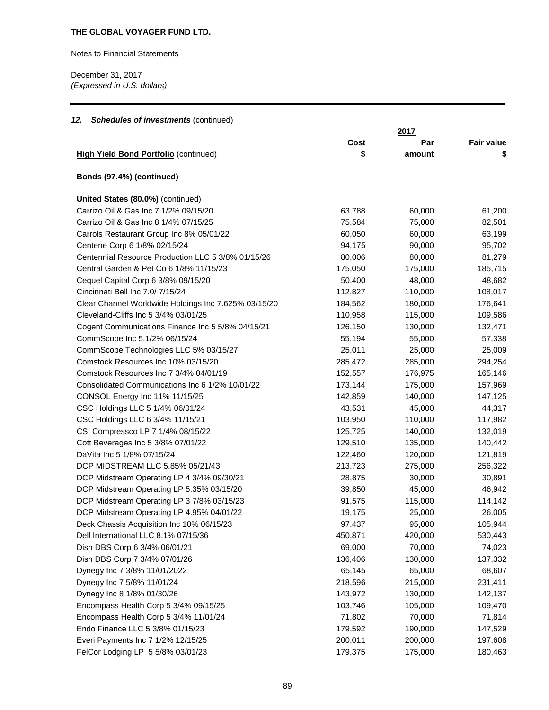Notes to Financial Statements

| Schedules of investments (continued)<br>12.          |         |         |                   |
|------------------------------------------------------|---------|---------|-------------------|
|                                                      |         | 2017    |                   |
|                                                      | Cost    | Par     | <b>Fair value</b> |
| <b>High Yield Bond Portfolio</b> (continued)         | \$      | amount  | \$                |
| Bonds (97.4%) (continued)                            |         |         |                   |
|                                                      |         |         |                   |
| United States (80.0%) (continued)                    |         |         |                   |
| Carrizo Oil & Gas Inc 7 1/2% 09/15/20                | 63,788  | 60,000  | 61,200            |
| Carrizo Oil & Gas Inc 8 1/4% 07/15/25                | 75,584  | 75,000  | 82,501            |
| Carrols Restaurant Group Inc 8% 05/01/22             | 60,050  | 60,000  | 63,199            |
| Centene Corp 6 1/8% 02/15/24                         | 94,175  | 90,000  | 95,702            |
| Centennial Resource Production LLC 5 3/8% 01/15/26   | 80,006  | 80,000  | 81,279            |
| Central Garden & Pet Co 6 1/8% 11/15/23              | 175,050 | 175,000 | 185,715           |
| Cequel Capital Corp 6 3/8% 09/15/20                  | 50,400  | 48,000  | 48,682            |
| Cincinnati Bell Inc 7.0/7/15/24                      | 112,827 | 110,000 | 108,017           |
| Clear Channel Worldwide Holdings Inc 7.625% 03/15/20 | 184,562 | 180,000 | 176,641           |
| Cleveland-Cliffs Inc 5 3/4% 03/01/25                 | 110,958 | 115,000 | 109,586           |
| Cogent Communications Finance Inc 5 5/8% 04/15/21    | 126,150 | 130,000 | 132,471           |
| CommScope Inc 5.1/2% 06/15/24                        | 55,194  | 55,000  | 57,338            |
| CommScope Technologies LLC 5% 03/15/27               | 25,011  | 25,000  | 25,009            |
| Comstock Resources Inc 10% 03/15/20                  | 285,472 | 285,000 | 294,254           |
| Comstock Resources Inc 7 3/4% 04/01/19               | 152,557 | 176,975 | 165,146           |
| Consolidated Communications Inc 6 1/2% 10/01/22      | 173,144 | 175,000 | 157,969           |
| CONSOL Energy Inc 11% 11/15/25                       | 142,859 | 140,000 | 147,125           |
| CSC Holdings LLC 5 1/4% 06/01/24                     | 43,531  | 45,000  | 44,317            |
| CSC Holdings LLC 6 3/4% 11/15/21                     | 103,950 | 110,000 | 117,982           |
| CSI Compressco LP 7 1/4% 08/15/22                    | 125,725 | 140,000 | 132,019           |
| Cott Beverages Inc 5 3/8% 07/01/22                   | 129,510 | 135,000 | 140,442           |
| DaVita Inc 5 1/8% 07/15/24                           | 122,460 | 120,000 | 121,819           |
| DCP MIDSTREAM LLC 5.85% 05/21/43                     | 213,723 | 275,000 | 256,322           |
| DCP Midstream Operating LP 4 3/4% 09/30/21           | 28,875  | 30,000  | 30,891            |
| DCP Midstream Operating LP 5.35% 03/15/20            | 39,850  | 45,000  | 46,942            |
| DCP Midstream Operating LP 3 7/8% 03/15/23           | 91,575  | 115,000 | 114,142           |
| DCP Midstream Operating LP 4.95% 04/01/22            | 19,175  | 25,000  | 26,005            |
| Deck Chassis Acquisition Inc 10% 06/15/23            | 97,437  | 95,000  | 105,944           |
| Dell International LLC 8.1% 07/15/36                 | 450,871 | 420,000 | 530,443           |
| Dish DBS Corp 6 3/4% 06/01/21                        | 69,000  | 70,000  | 74,023            |
| Dish DBS Corp 7 3/4% 07/01/26                        | 136,406 | 130,000 | 137,332           |
| Dynegy Inc 7 3/8% 11/01/2022                         | 65,145  | 65,000  | 68,607            |
| Dynegy Inc 7 5/8% 11/01/24                           | 218,596 | 215,000 | 231,411           |
| Dynegy Inc 8 1/8% 01/30/26                           | 143,972 | 130,000 | 142,137           |
| Encompass Health Corp 5 3/4% 09/15/25                | 103,746 | 105,000 | 109,470           |
| Encompass Health Corp 5 3/4% 11/01/24                | 71,802  | 70,000  | 71,814            |
| Endo Finance LLC 5 3/8% 01/15/23                     | 179,592 | 190,000 | 147,529           |
| Everi Payments Inc 7 1/2% 12/15/25                   | 200,011 | 200,000 | 197,608           |
| FelCor Lodging LP 5 5/8% 03/01/23                    | 179,375 | 175,000 | 180,463           |
|                                                      |         |         |                   |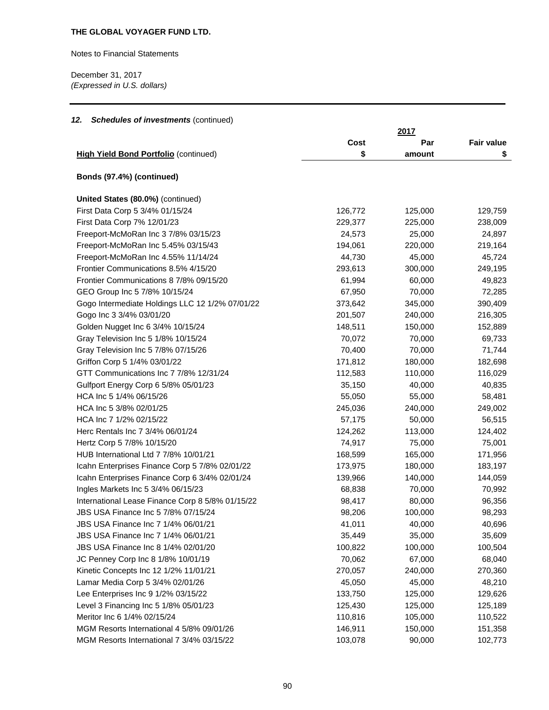Notes to Financial Statements

| <b>Schedules of investments (continued)</b><br>12. |         |         |            |
|----------------------------------------------------|---------|---------|------------|
|                                                    |         |         |            |
|                                                    | Cost    | Par     | Fair value |
| <b>High Yield Bond Portfolio</b> (continued)       | \$      | amount  | \$         |
| Bonds (97.4%) (continued)                          |         |         |            |
| United States (80.0%) (continued)                  |         |         |            |
| First Data Corp 5 3/4% 01/15/24                    | 126,772 | 125,000 | 129,759    |
| First Data Corp 7% 12/01/23                        | 229,377 | 225,000 | 238,009    |
| Freeport-McMoRan Inc 3 7/8% 03/15/23               | 24,573  | 25,000  | 24,897     |
| Freeport-McMoRan Inc 5.45% 03/15/43                | 194,061 | 220,000 | 219,164    |
| Freeport-McMoRan Inc 4.55% 11/14/24                | 44,730  | 45,000  | 45,724     |
| Frontier Communications 8.5% 4/15/20               | 293,613 | 300,000 | 249,195    |
| Frontier Communications 8 7/8% 09/15/20            | 61,994  | 60,000  | 49,823     |
| GEO Group Inc 5 7/8% 10/15/24                      | 67,950  | 70,000  | 72,285     |
| Gogo Intermediate Holdings LLC 12 1/2% 07/01/22    | 373,642 | 345,000 | 390,409    |
| Gogo Inc 3 3/4% 03/01/20                           | 201,507 | 240,000 | 216,305    |
| Golden Nugget Inc 6 3/4% 10/15/24                  | 148,511 | 150,000 | 152,889    |
| Gray Television Inc 5 1/8% 10/15/24                | 70,072  | 70,000  | 69,733     |
| Gray Television Inc 5 7/8% 07/15/26                | 70,400  | 70,000  | 71,744     |
| Griffon Corp 5 1/4% 03/01/22                       | 171,812 | 180,000 | 182,698    |
| GTT Communications Inc 7 7/8% 12/31/24             | 112,583 | 110,000 | 116,029    |
| Gulfport Energy Corp 6 5/8% 05/01/23               | 35,150  | 40,000  | 40,835     |
| HCA Inc 5 1/4% 06/15/26                            | 55,050  | 55,000  | 58,481     |
| HCA Inc 5 3/8% 02/01/25                            | 245,036 | 240,000 | 249,002    |
| HCA Inc 7 1/2% 02/15/22                            | 57,175  | 50,000  | 56,515     |
| Herc Rentals Inc 7 3/4% 06/01/24                   | 124,262 | 113,000 | 124,402    |
| Hertz Corp 5 7/8% 10/15/20                         | 74,917  | 75,000  | 75,001     |
| HUB International Ltd 7 7/8% 10/01/21              | 168,599 | 165,000 | 171,956    |
| Icahn Enterprises Finance Corp 5 7/8% 02/01/22     | 173,975 | 180,000 | 183,197    |
| Icahn Enterprises Finance Corp 6 3/4% 02/01/24     | 139,966 | 140,000 | 144,059    |
| Ingles Markets Inc 5 3/4% 06/15/23                 | 68,838  | 70,000  | 70,992     |
| International Lease Finance Corp 8 5/8% 01/15/22   | 98,417  | 80,000  | 96,356     |
| JBS USA Finance Inc 5 7/8% 07/15/24                | 98,206  | 100,000 | 98,293     |
| JBS USA Finance Inc 7 1/4% 06/01/21                | 41,011  | 40,000  | 40,696     |
| JBS USA Finance Inc 7 1/4% 06/01/21                | 35,449  | 35,000  | 35,609     |
| JBS USA Finance Inc 8 1/4% 02/01/20                | 100,822 | 100,000 | 100,504    |
| JC Penney Corp Inc 8 1/8% 10/01/19                 | 70,062  | 67,000  | 68,040     |
| Kinetic Concepts Inc 12 1/2% 11/01/21              | 270,057 | 240,000 | 270,360    |
| Lamar Media Corp 5 3/4% 02/01/26                   | 45,050  | 45,000  | 48,210     |
| Lee Enterprises Inc 9 1/2% 03/15/22                | 133,750 | 125,000 | 129,626    |
| Level 3 Financing Inc 5 1/8% 05/01/23              | 125,430 | 125,000 | 125,189    |
| Meritor Inc 6 1/4% 02/15/24                        | 110,816 | 105,000 | 110,522    |
| MGM Resorts International 4 5/8% 09/01/26          | 146,911 | 150,000 | 151,358    |
| MGM Resorts International 7 3/4% 03/15/22          | 103,078 | 90,000  | 102,773    |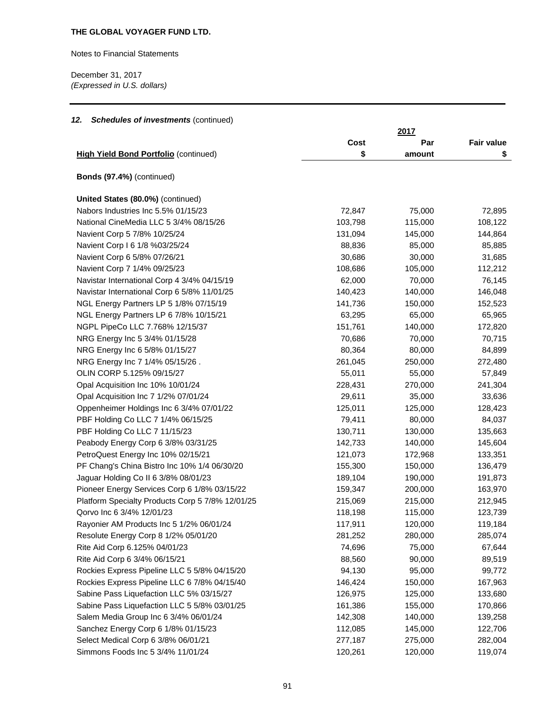Notes to Financial Statements

| <b>Schedules of investments (continued)</b><br>12. |         |             |                   |
|----------------------------------------------------|---------|-------------|-------------------|
|                                                    |         | <u>2017</u> |                   |
|                                                    | Cost    | Par         | <b>Fair value</b> |
| <b>High Yield Bond Portfolio</b> (continued)       | \$      | amount      | \$                |
| Bonds (97.4%) (continued)                          |         |             |                   |
| United States (80.0%) (continued)                  |         |             |                   |
| Nabors Industries Inc 5.5% 01/15/23                | 72,847  | 75,000      | 72,895            |
| National CineMedia LLC 5 3/4% 08/15/26             | 103,798 | 115,000     | 108,122           |
| Navient Corp 5 7/8% 10/25/24                       | 131,094 | 145,000     | 144,864           |
| Navient Corp I 6 1/8 %03/25/24                     | 88,836  | 85,000      | 85,885            |
| Navient Corp 6 5/8% 07/26/21                       | 30,686  | 30,000      | 31,685            |
| Navient Corp 7 1/4% 09/25/23                       | 108,686 | 105,000     | 112,212           |
| Navistar International Corp 4 3/4% 04/15/19        | 62,000  | 70,000      | 76,145            |
| Navistar International Corp 6 5/8% 11/01/25        | 140,423 | 140,000     | 146,048           |
| NGL Energy Partners LP 5 1/8% 07/15/19             | 141,736 | 150,000     | 152,523           |
| NGL Energy Partners LP 6 7/8% 10/15/21             | 63,295  | 65,000      | 65,965            |
| NGPL PipeCo LLC 7.768% 12/15/37                    | 151,761 | 140,000     | 172,820           |
| NRG Energy Inc 5 3/4% 01/15/28                     | 70,686  | 70,000      | 70,715            |
| NRG Energy Inc 6 5/8% 01/15/27                     | 80,364  | 80,000      | 84,899            |
| NRG Energy Inc 7 1/4% 05/15/26.                    | 261,045 | 250,000     | 272,480           |
| OLIN CORP 5.125% 09/15/27                          | 55,011  | 55,000      | 57,849            |
| Opal Acquisition Inc 10% 10/01/24                  | 228,431 | 270,000     | 241,304           |
| Opal Acquisition Inc 7 1/2% 07/01/24               | 29,611  | 35,000      | 33,636            |
| Oppenheimer Holdings Inc 6 3/4% 07/01/22           | 125,011 | 125,000     | 128,423           |
| PBF Holding Co LLC 7 1/4% 06/15/25                 | 79,411  | 80,000      | 84,037            |
| PBF Holding Co LLC 7 11/15/23                      | 130,711 | 130,000     | 135,663           |
| Peabody Energy Corp 6 3/8% 03/31/25                | 142,733 | 140,000     | 145,604           |
| PetroQuest Energy Inc 10% 02/15/21                 | 121,073 | 172,968     | 133,351           |
| PF Chang's China Bistro Inc 10% 1/4 06/30/20       | 155,300 | 150,000     | 136,479           |
| Jaguar Holding Co II 6 3/8% 08/01/23               | 189,104 | 190,000     | 191,873           |
| Pioneer Energy Services Corp 6 1/8% 03/15/22       | 159,347 | 200,000     | 163,970           |
| Platform Specialty Products Corp 5 7/8% 12/01/25   | 215,069 | 215,000     | 212,945           |
| Qorvo Inc 6 3/4% 12/01/23                          | 118,198 | 115,000     | 123,739           |
| Rayonier AM Products Inc 5 1/2% 06/01/24           | 117,911 | 120,000     | 119,184           |
| Resolute Energy Corp 8 1/2% 05/01/20               | 281,252 | 280,000     | 285,074           |
| Rite Aid Corp 6.125% 04/01/23                      | 74,696  | 75,000      | 67,644            |
| Rite Aid Corp 6 3/4% 06/15/21                      | 88,560  | 90,000      | 89,519            |
| Rockies Express Pipeline LLC 5 5/8% 04/15/20       | 94,130  | 95,000      | 99,772            |
| Rockies Express Pipeline LLC 6 7/8% 04/15/40       | 146,424 | 150,000     | 167,963           |
| Sabine Pass Liquefaction LLC 5% 03/15/27           | 126,975 | 125,000     | 133,680           |
| Sabine Pass Liquefaction LLC 5 5/8% 03/01/25       | 161,386 | 155,000     | 170,866           |
| Salem Media Group Inc 6 3/4% 06/01/24              | 142,308 | 140,000     | 139,258           |
| Sanchez Energy Corp 6 1/8% 01/15/23                | 112,085 | 145,000     | 122,706           |
| Select Medical Corp 6 3/8% 06/01/21                | 277,187 | 275,000     | 282,004           |
| Simmons Foods Inc 5 3/4% 11/01/24                  | 120,261 | 120,000     | 119,074           |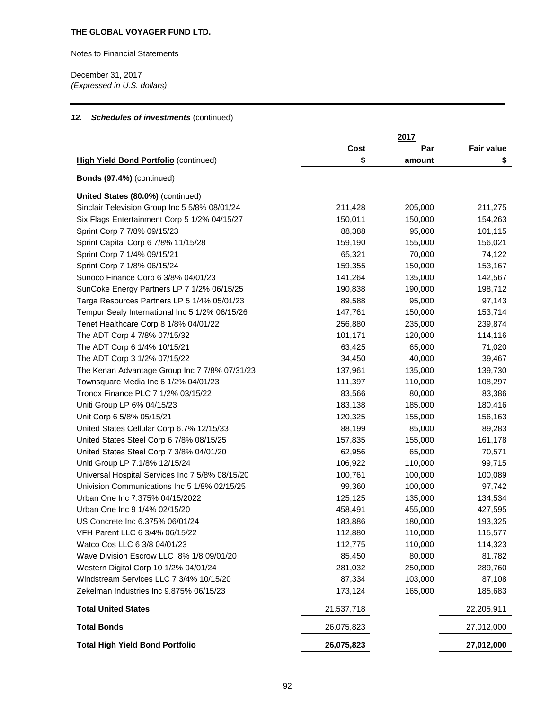Notes to Financial Statements

# December 31, 2017 *(Expressed in U.S. dollars)*

| Cost<br>Par<br><b>Fair value</b><br><b>High Yield Bond Portfolio</b> (continued)<br>\$<br>amount<br>S.<br>Bonds (97.4%) (continued)<br>United States (80.0%) (continued)<br>Sinclair Television Group Inc 5 5/8% 08/01/24<br>211,428<br>205,000<br>211,275<br>Six Flags Entertainment Corp 5 1/2% 04/15/27<br>150,011<br>150,000<br>154,263<br>Sprint Corp 7 7/8% 09/15/23<br>88,388<br>95,000<br>101,115<br>Sprint Capital Corp 6 7/8% 11/15/28<br>159,190<br>155,000<br>156,021<br>Sprint Corp 7 1/4% 09/15/21<br>65,321<br>70,000<br>74,122<br>Sprint Corp 7 1/8% 06/15/24<br>159,355<br>150,000<br>153,167<br>Sunoco Finance Corp 6 3/8% 04/01/23<br>141,264<br>135,000<br>142,567<br>SunCoke Energy Partners LP 7 1/2% 06/15/25<br>190,838<br>190,000<br>198,712<br>Targa Resources Partners LP 5 1/4% 05/01/23<br>89,588<br>95,000<br>97,143<br>Tempur Sealy International Inc 5 1/2% 06/15/26<br>147,761<br>150,000<br>153,714<br>Tenet Healthcare Corp 8 1/8% 04/01/22<br>256,880<br>235,000<br>239,874<br>The ADT Corp 4 7/8% 07/15/32<br>101,171<br>120,000<br>114,116<br>The ADT Corp 6 1/4% 10/15/21<br>63,425<br>65,000<br>71,020<br>34,450<br>The ADT Corp 3 1/2% 07/15/22<br>40,000<br>39,467<br>137,961<br>The Kenan Advantage Group Inc 7 7/8% 07/31/23<br>135,000<br>139,730<br>Townsquare Media Inc 6 1/2% 04/01/23<br>111,397<br>110,000<br>108,297<br>Tronox Finance PLC 7 1/2% 03/15/22<br>83,566<br>80,000<br>83,386<br>Uniti Group LP 6% 04/15/23<br>183,138<br>185,000<br>180,416<br>Unit Corp 6 5/8% 05/15/21<br>120,325<br>155,000<br>156,163<br>United States Cellular Corp 6.7% 12/15/33<br>88,199<br>85,000<br>89,283<br>United States Steel Corp 6 7/8% 08/15/25<br>157,835<br>155,000<br>161,178<br>United States Steel Corp 7 3/8% 04/01/20<br>62,956<br>65,000<br>70,571<br>Uniti Group LP 7.1/8% 12/15/24<br>106,922<br>110,000<br>99,715<br>Universal Hospital Services Inc 7 5/8% 08/15/20<br>100,761<br>100,000<br>100,089<br>Univision Communications Inc 5 1/8% 02/15/25<br>99,360<br>100,000<br>97,742<br>Urban One Inc 7.375% 04/15/2022<br>125,125<br>135,000<br>134,534<br>Urban One Inc 9 1/4% 02/15/20<br>458,491<br>455,000<br>427,595<br>US Concrete Inc 6.375% 06/01/24<br>183,886<br>180,000<br>193,325<br>VFH Parent LLC 6 3/4% 06/15/22<br>112,880<br>110,000<br>115,577<br>Watco Cos LLC 6 3/8 04/01/23<br>110,000<br>112,775<br>114,323<br>Wave Division Escrow LLC 8% 1/8 09/01/20<br>85,450<br>80,000<br>81,782<br>281,032<br>Western Digital Corp 10 1/2% 04/01/24<br>250,000<br>289,760<br>Windstream Services LLC 7 3/4% 10/15/20<br>87,334<br>103,000<br>87,108<br>165,000<br>Zekelman Industries Inc 9.875% 06/15/23<br>173,124<br>185,683<br><b>Total United States</b><br>21,537,718<br>22,205,911<br><b>Total Bonds</b><br>26,075,823<br>27,012,000<br><b>Total High Yield Bond Portfolio</b><br>26,075,823<br>27,012,000 | 2017 |  |  |
|-------------------------------------------------------------------------------------------------------------------------------------------------------------------------------------------------------------------------------------------------------------------------------------------------------------------------------------------------------------------------------------------------------------------------------------------------------------------------------------------------------------------------------------------------------------------------------------------------------------------------------------------------------------------------------------------------------------------------------------------------------------------------------------------------------------------------------------------------------------------------------------------------------------------------------------------------------------------------------------------------------------------------------------------------------------------------------------------------------------------------------------------------------------------------------------------------------------------------------------------------------------------------------------------------------------------------------------------------------------------------------------------------------------------------------------------------------------------------------------------------------------------------------------------------------------------------------------------------------------------------------------------------------------------------------------------------------------------------------------------------------------------------------------------------------------------------------------------------------------------------------------------------------------------------------------------------------------------------------------------------------------------------------------------------------------------------------------------------------------------------------------------------------------------------------------------------------------------------------------------------------------------------------------------------------------------------------------------------------------------------------------------------------------------------------------------------------------------------------------------------------------------------------------------------------------------------------------------------------------------------------------------------------------------------------------------------------------------------------------------------------------------------------------------------------------------------------------------------------------------------------------------|------|--|--|
|                                                                                                                                                                                                                                                                                                                                                                                                                                                                                                                                                                                                                                                                                                                                                                                                                                                                                                                                                                                                                                                                                                                                                                                                                                                                                                                                                                                                                                                                                                                                                                                                                                                                                                                                                                                                                                                                                                                                                                                                                                                                                                                                                                                                                                                                                                                                                                                                                                                                                                                                                                                                                                                                                                                                                                                                                                                                                           |      |  |  |
|                                                                                                                                                                                                                                                                                                                                                                                                                                                                                                                                                                                                                                                                                                                                                                                                                                                                                                                                                                                                                                                                                                                                                                                                                                                                                                                                                                                                                                                                                                                                                                                                                                                                                                                                                                                                                                                                                                                                                                                                                                                                                                                                                                                                                                                                                                                                                                                                                                                                                                                                                                                                                                                                                                                                                                                                                                                                                           |      |  |  |
|                                                                                                                                                                                                                                                                                                                                                                                                                                                                                                                                                                                                                                                                                                                                                                                                                                                                                                                                                                                                                                                                                                                                                                                                                                                                                                                                                                                                                                                                                                                                                                                                                                                                                                                                                                                                                                                                                                                                                                                                                                                                                                                                                                                                                                                                                                                                                                                                                                                                                                                                                                                                                                                                                                                                                                                                                                                                                           |      |  |  |
|                                                                                                                                                                                                                                                                                                                                                                                                                                                                                                                                                                                                                                                                                                                                                                                                                                                                                                                                                                                                                                                                                                                                                                                                                                                                                                                                                                                                                                                                                                                                                                                                                                                                                                                                                                                                                                                                                                                                                                                                                                                                                                                                                                                                                                                                                                                                                                                                                                                                                                                                                                                                                                                                                                                                                                                                                                                                                           |      |  |  |
|                                                                                                                                                                                                                                                                                                                                                                                                                                                                                                                                                                                                                                                                                                                                                                                                                                                                                                                                                                                                                                                                                                                                                                                                                                                                                                                                                                                                                                                                                                                                                                                                                                                                                                                                                                                                                                                                                                                                                                                                                                                                                                                                                                                                                                                                                                                                                                                                                                                                                                                                                                                                                                                                                                                                                                                                                                                                                           |      |  |  |
|                                                                                                                                                                                                                                                                                                                                                                                                                                                                                                                                                                                                                                                                                                                                                                                                                                                                                                                                                                                                                                                                                                                                                                                                                                                                                                                                                                                                                                                                                                                                                                                                                                                                                                                                                                                                                                                                                                                                                                                                                                                                                                                                                                                                                                                                                                                                                                                                                                                                                                                                                                                                                                                                                                                                                                                                                                                                                           |      |  |  |
|                                                                                                                                                                                                                                                                                                                                                                                                                                                                                                                                                                                                                                                                                                                                                                                                                                                                                                                                                                                                                                                                                                                                                                                                                                                                                                                                                                                                                                                                                                                                                                                                                                                                                                                                                                                                                                                                                                                                                                                                                                                                                                                                                                                                                                                                                                                                                                                                                                                                                                                                                                                                                                                                                                                                                                                                                                                                                           |      |  |  |
|                                                                                                                                                                                                                                                                                                                                                                                                                                                                                                                                                                                                                                                                                                                                                                                                                                                                                                                                                                                                                                                                                                                                                                                                                                                                                                                                                                                                                                                                                                                                                                                                                                                                                                                                                                                                                                                                                                                                                                                                                                                                                                                                                                                                                                                                                                                                                                                                                                                                                                                                                                                                                                                                                                                                                                                                                                                                                           |      |  |  |
|                                                                                                                                                                                                                                                                                                                                                                                                                                                                                                                                                                                                                                                                                                                                                                                                                                                                                                                                                                                                                                                                                                                                                                                                                                                                                                                                                                                                                                                                                                                                                                                                                                                                                                                                                                                                                                                                                                                                                                                                                                                                                                                                                                                                                                                                                                                                                                                                                                                                                                                                                                                                                                                                                                                                                                                                                                                                                           |      |  |  |
|                                                                                                                                                                                                                                                                                                                                                                                                                                                                                                                                                                                                                                                                                                                                                                                                                                                                                                                                                                                                                                                                                                                                                                                                                                                                                                                                                                                                                                                                                                                                                                                                                                                                                                                                                                                                                                                                                                                                                                                                                                                                                                                                                                                                                                                                                                                                                                                                                                                                                                                                                                                                                                                                                                                                                                                                                                                                                           |      |  |  |
|                                                                                                                                                                                                                                                                                                                                                                                                                                                                                                                                                                                                                                                                                                                                                                                                                                                                                                                                                                                                                                                                                                                                                                                                                                                                                                                                                                                                                                                                                                                                                                                                                                                                                                                                                                                                                                                                                                                                                                                                                                                                                                                                                                                                                                                                                                                                                                                                                                                                                                                                                                                                                                                                                                                                                                                                                                                                                           |      |  |  |
|                                                                                                                                                                                                                                                                                                                                                                                                                                                                                                                                                                                                                                                                                                                                                                                                                                                                                                                                                                                                                                                                                                                                                                                                                                                                                                                                                                                                                                                                                                                                                                                                                                                                                                                                                                                                                                                                                                                                                                                                                                                                                                                                                                                                                                                                                                                                                                                                                                                                                                                                                                                                                                                                                                                                                                                                                                                                                           |      |  |  |
|                                                                                                                                                                                                                                                                                                                                                                                                                                                                                                                                                                                                                                                                                                                                                                                                                                                                                                                                                                                                                                                                                                                                                                                                                                                                                                                                                                                                                                                                                                                                                                                                                                                                                                                                                                                                                                                                                                                                                                                                                                                                                                                                                                                                                                                                                                                                                                                                                                                                                                                                                                                                                                                                                                                                                                                                                                                                                           |      |  |  |
|                                                                                                                                                                                                                                                                                                                                                                                                                                                                                                                                                                                                                                                                                                                                                                                                                                                                                                                                                                                                                                                                                                                                                                                                                                                                                                                                                                                                                                                                                                                                                                                                                                                                                                                                                                                                                                                                                                                                                                                                                                                                                                                                                                                                                                                                                                                                                                                                                                                                                                                                                                                                                                                                                                                                                                                                                                                                                           |      |  |  |
|                                                                                                                                                                                                                                                                                                                                                                                                                                                                                                                                                                                                                                                                                                                                                                                                                                                                                                                                                                                                                                                                                                                                                                                                                                                                                                                                                                                                                                                                                                                                                                                                                                                                                                                                                                                                                                                                                                                                                                                                                                                                                                                                                                                                                                                                                                                                                                                                                                                                                                                                                                                                                                                                                                                                                                                                                                                                                           |      |  |  |
|                                                                                                                                                                                                                                                                                                                                                                                                                                                                                                                                                                                                                                                                                                                                                                                                                                                                                                                                                                                                                                                                                                                                                                                                                                                                                                                                                                                                                                                                                                                                                                                                                                                                                                                                                                                                                                                                                                                                                                                                                                                                                                                                                                                                                                                                                                                                                                                                                                                                                                                                                                                                                                                                                                                                                                                                                                                                                           |      |  |  |
|                                                                                                                                                                                                                                                                                                                                                                                                                                                                                                                                                                                                                                                                                                                                                                                                                                                                                                                                                                                                                                                                                                                                                                                                                                                                                                                                                                                                                                                                                                                                                                                                                                                                                                                                                                                                                                                                                                                                                                                                                                                                                                                                                                                                                                                                                                                                                                                                                                                                                                                                                                                                                                                                                                                                                                                                                                                                                           |      |  |  |
|                                                                                                                                                                                                                                                                                                                                                                                                                                                                                                                                                                                                                                                                                                                                                                                                                                                                                                                                                                                                                                                                                                                                                                                                                                                                                                                                                                                                                                                                                                                                                                                                                                                                                                                                                                                                                                                                                                                                                                                                                                                                                                                                                                                                                                                                                                                                                                                                                                                                                                                                                                                                                                                                                                                                                                                                                                                                                           |      |  |  |
|                                                                                                                                                                                                                                                                                                                                                                                                                                                                                                                                                                                                                                                                                                                                                                                                                                                                                                                                                                                                                                                                                                                                                                                                                                                                                                                                                                                                                                                                                                                                                                                                                                                                                                                                                                                                                                                                                                                                                                                                                                                                                                                                                                                                                                                                                                                                                                                                                                                                                                                                                                                                                                                                                                                                                                                                                                                                                           |      |  |  |
|                                                                                                                                                                                                                                                                                                                                                                                                                                                                                                                                                                                                                                                                                                                                                                                                                                                                                                                                                                                                                                                                                                                                                                                                                                                                                                                                                                                                                                                                                                                                                                                                                                                                                                                                                                                                                                                                                                                                                                                                                                                                                                                                                                                                                                                                                                                                                                                                                                                                                                                                                                                                                                                                                                                                                                                                                                                                                           |      |  |  |
|                                                                                                                                                                                                                                                                                                                                                                                                                                                                                                                                                                                                                                                                                                                                                                                                                                                                                                                                                                                                                                                                                                                                                                                                                                                                                                                                                                                                                                                                                                                                                                                                                                                                                                                                                                                                                                                                                                                                                                                                                                                                                                                                                                                                                                                                                                                                                                                                                                                                                                                                                                                                                                                                                                                                                                                                                                                                                           |      |  |  |
|                                                                                                                                                                                                                                                                                                                                                                                                                                                                                                                                                                                                                                                                                                                                                                                                                                                                                                                                                                                                                                                                                                                                                                                                                                                                                                                                                                                                                                                                                                                                                                                                                                                                                                                                                                                                                                                                                                                                                                                                                                                                                                                                                                                                                                                                                                                                                                                                                                                                                                                                                                                                                                                                                                                                                                                                                                                                                           |      |  |  |
|                                                                                                                                                                                                                                                                                                                                                                                                                                                                                                                                                                                                                                                                                                                                                                                                                                                                                                                                                                                                                                                                                                                                                                                                                                                                                                                                                                                                                                                                                                                                                                                                                                                                                                                                                                                                                                                                                                                                                                                                                                                                                                                                                                                                                                                                                                                                                                                                                                                                                                                                                                                                                                                                                                                                                                                                                                                                                           |      |  |  |
|                                                                                                                                                                                                                                                                                                                                                                                                                                                                                                                                                                                                                                                                                                                                                                                                                                                                                                                                                                                                                                                                                                                                                                                                                                                                                                                                                                                                                                                                                                                                                                                                                                                                                                                                                                                                                                                                                                                                                                                                                                                                                                                                                                                                                                                                                                                                                                                                                                                                                                                                                                                                                                                                                                                                                                                                                                                                                           |      |  |  |
|                                                                                                                                                                                                                                                                                                                                                                                                                                                                                                                                                                                                                                                                                                                                                                                                                                                                                                                                                                                                                                                                                                                                                                                                                                                                                                                                                                                                                                                                                                                                                                                                                                                                                                                                                                                                                                                                                                                                                                                                                                                                                                                                                                                                                                                                                                                                                                                                                                                                                                                                                                                                                                                                                                                                                                                                                                                                                           |      |  |  |
|                                                                                                                                                                                                                                                                                                                                                                                                                                                                                                                                                                                                                                                                                                                                                                                                                                                                                                                                                                                                                                                                                                                                                                                                                                                                                                                                                                                                                                                                                                                                                                                                                                                                                                                                                                                                                                                                                                                                                                                                                                                                                                                                                                                                                                                                                                                                                                                                                                                                                                                                                                                                                                                                                                                                                                                                                                                                                           |      |  |  |
|                                                                                                                                                                                                                                                                                                                                                                                                                                                                                                                                                                                                                                                                                                                                                                                                                                                                                                                                                                                                                                                                                                                                                                                                                                                                                                                                                                                                                                                                                                                                                                                                                                                                                                                                                                                                                                                                                                                                                                                                                                                                                                                                                                                                                                                                                                                                                                                                                                                                                                                                                                                                                                                                                                                                                                                                                                                                                           |      |  |  |
|                                                                                                                                                                                                                                                                                                                                                                                                                                                                                                                                                                                                                                                                                                                                                                                                                                                                                                                                                                                                                                                                                                                                                                                                                                                                                                                                                                                                                                                                                                                                                                                                                                                                                                                                                                                                                                                                                                                                                                                                                                                                                                                                                                                                                                                                                                                                                                                                                                                                                                                                                                                                                                                                                                                                                                                                                                                                                           |      |  |  |
|                                                                                                                                                                                                                                                                                                                                                                                                                                                                                                                                                                                                                                                                                                                                                                                                                                                                                                                                                                                                                                                                                                                                                                                                                                                                                                                                                                                                                                                                                                                                                                                                                                                                                                                                                                                                                                                                                                                                                                                                                                                                                                                                                                                                                                                                                                                                                                                                                                                                                                                                                                                                                                                                                                                                                                                                                                                                                           |      |  |  |
|                                                                                                                                                                                                                                                                                                                                                                                                                                                                                                                                                                                                                                                                                                                                                                                                                                                                                                                                                                                                                                                                                                                                                                                                                                                                                                                                                                                                                                                                                                                                                                                                                                                                                                                                                                                                                                                                                                                                                                                                                                                                                                                                                                                                                                                                                                                                                                                                                                                                                                                                                                                                                                                                                                                                                                                                                                                                                           |      |  |  |
|                                                                                                                                                                                                                                                                                                                                                                                                                                                                                                                                                                                                                                                                                                                                                                                                                                                                                                                                                                                                                                                                                                                                                                                                                                                                                                                                                                                                                                                                                                                                                                                                                                                                                                                                                                                                                                                                                                                                                                                                                                                                                                                                                                                                                                                                                                                                                                                                                                                                                                                                                                                                                                                                                                                                                                                                                                                                                           |      |  |  |
|                                                                                                                                                                                                                                                                                                                                                                                                                                                                                                                                                                                                                                                                                                                                                                                                                                                                                                                                                                                                                                                                                                                                                                                                                                                                                                                                                                                                                                                                                                                                                                                                                                                                                                                                                                                                                                                                                                                                                                                                                                                                                                                                                                                                                                                                                                                                                                                                                                                                                                                                                                                                                                                                                                                                                                                                                                                                                           |      |  |  |
|                                                                                                                                                                                                                                                                                                                                                                                                                                                                                                                                                                                                                                                                                                                                                                                                                                                                                                                                                                                                                                                                                                                                                                                                                                                                                                                                                                                                                                                                                                                                                                                                                                                                                                                                                                                                                                                                                                                                                                                                                                                                                                                                                                                                                                                                                                                                                                                                                                                                                                                                                                                                                                                                                                                                                                                                                                                                                           |      |  |  |
|                                                                                                                                                                                                                                                                                                                                                                                                                                                                                                                                                                                                                                                                                                                                                                                                                                                                                                                                                                                                                                                                                                                                                                                                                                                                                                                                                                                                                                                                                                                                                                                                                                                                                                                                                                                                                                                                                                                                                                                                                                                                                                                                                                                                                                                                                                                                                                                                                                                                                                                                                                                                                                                                                                                                                                                                                                                                                           |      |  |  |
|                                                                                                                                                                                                                                                                                                                                                                                                                                                                                                                                                                                                                                                                                                                                                                                                                                                                                                                                                                                                                                                                                                                                                                                                                                                                                                                                                                                                                                                                                                                                                                                                                                                                                                                                                                                                                                                                                                                                                                                                                                                                                                                                                                                                                                                                                                                                                                                                                                                                                                                                                                                                                                                                                                                                                                                                                                                                                           |      |  |  |
|                                                                                                                                                                                                                                                                                                                                                                                                                                                                                                                                                                                                                                                                                                                                                                                                                                                                                                                                                                                                                                                                                                                                                                                                                                                                                                                                                                                                                                                                                                                                                                                                                                                                                                                                                                                                                                                                                                                                                                                                                                                                                                                                                                                                                                                                                                                                                                                                                                                                                                                                                                                                                                                                                                                                                                                                                                                                                           |      |  |  |
|                                                                                                                                                                                                                                                                                                                                                                                                                                                                                                                                                                                                                                                                                                                                                                                                                                                                                                                                                                                                                                                                                                                                                                                                                                                                                                                                                                                                                                                                                                                                                                                                                                                                                                                                                                                                                                                                                                                                                                                                                                                                                                                                                                                                                                                                                                                                                                                                                                                                                                                                                                                                                                                                                                                                                                                                                                                                                           |      |  |  |
|                                                                                                                                                                                                                                                                                                                                                                                                                                                                                                                                                                                                                                                                                                                                                                                                                                                                                                                                                                                                                                                                                                                                                                                                                                                                                                                                                                                                                                                                                                                                                                                                                                                                                                                                                                                                                                                                                                                                                                                                                                                                                                                                                                                                                                                                                                                                                                                                                                                                                                                                                                                                                                                                                                                                                                                                                                                                                           |      |  |  |
|                                                                                                                                                                                                                                                                                                                                                                                                                                                                                                                                                                                                                                                                                                                                                                                                                                                                                                                                                                                                                                                                                                                                                                                                                                                                                                                                                                                                                                                                                                                                                                                                                                                                                                                                                                                                                                                                                                                                                                                                                                                                                                                                                                                                                                                                                                                                                                                                                                                                                                                                                                                                                                                                                                                                                                                                                                                                                           |      |  |  |
|                                                                                                                                                                                                                                                                                                                                                                                                                                                                                                                                                                                                                                                                                                                                                                                                                                                                                                                                                                                                                                                                                                                                                                                                                                                                                                                                                                                                                                                                                                                                                                                                                                                                                                                                                                                                                                                                                                                                                                                                                                                                                                                                                                                                                                                                                                                                                                                                                                                                                                                                                                                                                                                                                                                                                                                                                                                                                           |      |  |  |
|                                                                                                                                                                                                                                                                                                                                                                                                                                                                                                                                                                                                                                                                                                                                                                                                                                                                                                                                                                                                                                                                                                                                                                                                                                                                                                                                                                                                                                                                                                                                                                                                                                                                                                                                                                                                                                                                                                                                                                                                                                                                                                                                                                                                                                                                                                                                                                                                                                                                                                                                                                                                                                                                                                                                                                                                                                                                                           |      |  |  |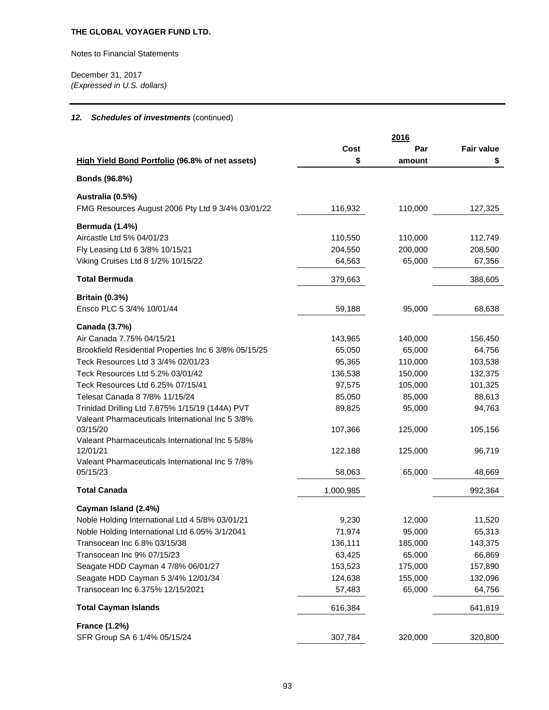Notes to Financial Statements

# December 31, 2017 *(Expressed in U.S. dollars)*

|                                                       | 2016      |         |                   |  |  |
|-------------------------------------------------------|-----------|---------|-------------------|--|--|
|                                                       | Cost      | Par     | <b>Fair value</b> |  |  |
| High Yield Bond Portfolio (96.8% of net assets)       | \$        | amount  | \$                |  |  |
| Bonds (96.8%)                                         |           |         |                   |  |  |
| Australia (0.5%)                                      |           |         |                   |  |  |
| FMG Resources August 2006 Pty Ltd 9 3/4% 03/01/22     | 116,932   | 110,000 | 127,325           |  |  |
| Bermuda (1.4%)                                        |           |         |                   |  |  |
| Aircastle Ltd 5% 04/01/23                             | 110,550   | 110,000 | 112,749           |  |  |
| Fly Leasing Ltd 6 3/8% 10/15/21                       | 204,550   | 200,000 | 208,500           |  |  |
| Viking Cruises Ltd 8 1/2% 10/15/22                    | 64,563    | 65,000  | 67,356            |  |  |
| <b>Total Bermuda</b>                                  | 379,663   |         | 388,605           |  |  |
| <b>Britain (0.3%)</b>                                 |           |         |                   |  |  |
| Ensco PLC 5 3/4% 10/01/44                             | 59,188    | 95,000  | 68,638            |  |  |
| Canada (3.7%)                                         |           |         |                   |  |  |
| Air Canada 7.75% 04/15/21                             | 143,965   | 140,000 | 156,450           |  |  |
| Brookfield Residential Properties Inc 6 3/8% 05/15/25 | 65,050    | 65,000  | 64,756            |  |  |
| Teck Resources Ltd 3 3/4% 02/01/23                    | 95,365    | 110,000 | 103,538           |  |  |
| Teck Resources Ltd 5.2% 03/01/42                      | 136,538   | 150,000 | 132,375           |  |  |
| Teck Resources Ltd 6.25% 07/15/41                     | 97,575    | 105,000 | 101,325           |  |  |
| Telesat Canada 8 7/8% 11/15/24                        | 85,050    | 85,000  | 88,613            |  |  |
| Trinidad Drilling Ltd 7.875% 1/15/19 (144A) PVT       | 89,825    | 95,000  | 94,763            |  |  |
| Valeant Pharmaceuticals International Inc 5 3/8%      |           |         |                   |  |  |
| 03/15/20                                              | 107,366   | 125,000 | 105,156           |  |  |
| Valeant Pharmaceuticals International Inc 5 5/8%      |           |         |                   |  |  |
| 12/01/21                                              | 122,188   | 125,000 | 96,719            |  |  |
| Valeant Pharmaceuticals International Inc 5 7/8%      |           |         |                   |  |  |
| 05/15/23                                              | 58,063    | 65,000  | 48,669            |  |  |
| <b>Total Canada</b>                                   | 1,000,985 |         | 992,364           |  |  |
| Cayman Island (2.4%)                                  |           |         |                   |  |  |
| Noble Holding International Ltd 4 5/8% 03/01/21       | 9,230     | 12,000  | 11,520            |  |  |
| Noble Holding International Ltd 6.05% 3/1/2041        | 71,974    | 95,000  | 65,313            |  |  |
| Transocean Inc 6.8% 03/15/38                          | 136,111   | 185,000 | 143,375           |  |  |
| Transocean Inc 9% 07/15/23                            | 63,425    | 65,000  | 66,869            |  |  |
| Seagate HDD Cayman 4 7/8% 06/01/27                    | 153,523   | 175,000 | 157,890           |  |  |
| Seagate HDD Cayman 5 3/4% 12/01/34                    | 124,638   | 155,000 | 132,096           |  |  |
| Transocean Inc 6.375% 12/15/2021                      | 57,483    | 65,000  | 64,756            |  |  |
| <b>Total Cayman Islands</b>                           | 616,384   |         | 641,819           |  |  |
| <b>France (1.2%)</b>                                  |           |         |                   |  |  |
| SFR Group SA 6 1/4% 05/15/24                          | 307,784   | 320,000 | 320,800           |  |  |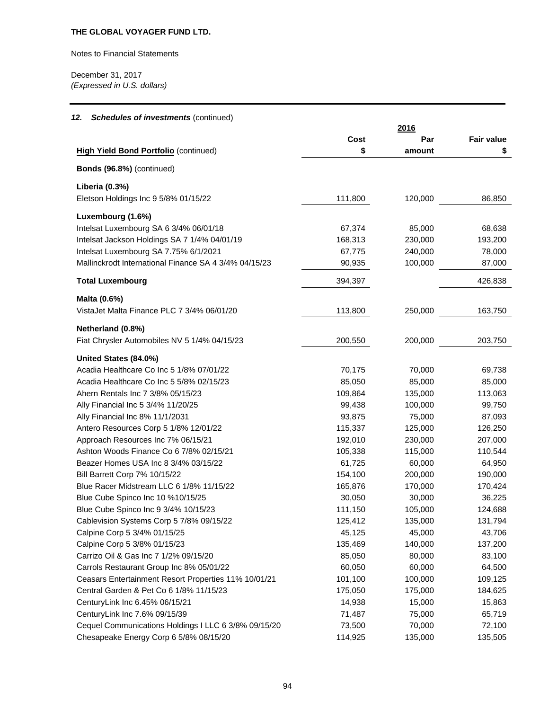Notes to Financial Statements

| <b>Schedules of investments (continued)</b><br>12.    |            |               |                         |
|-------------------------------------------------------|------------|---------------|-------------------------|
|                                                       |            | 2016          |                         |
| <b>High Yield Bond Portfolio</b> (continued)          | Cost<br>\$ | Par<br>amount | <b>Fair value</b><br>\$ |
| Bonds (96.8%) (continued)                             |            |               |                         |
| Liberia (0.3%)                                        |            |               |                         |
| Eletson Holdings Inc 9 5/8% 01/15/22                  | 111,800    | 120,000       | 86,850                  |
| Luxembourg (1.6%)                                     |            |               |                         |
| Intelsat Luxembourg SA 6 3/4% 06/01/18                | 67,374     | 85,000        | 68,638                  |
| Intelsat Jackson Holdings SA 7 1/4% 04/01/19          | 168,313    | 230,000       | 193,200                 |
| Intelsat Luxembourg SA 7.75% 6/1/2021                 | 67,775     | 240,000       | 78,000                  |
| Mallinckrodt International Finance SA 4 3/4% 04/15/23 | 90,935     | 100,000       | 87,000                  |
| <b>Total Luxembourg</b>                               | 394,397    |               | 426,838                 |
| Malta (0.6%)                                          |            |               |                         |
| VistaJet Malta Finance PLC 7 3/4% 06/01/20            | 113,800    | 250,000       | 163,750                 |
| Netherland (0.8%)                                     |            |               |                         |
| Fiat Chrysler Automobiles NV 5 1/4% 04/15/23          | 200,550    | 200,000       | 203,750                 |
| United States (84.0%)                                 |            |               |                         |
| Acadia Healthcare Co Inc 5 1/8% 07/01/22              | 70,175     | 70,000        | 69,738                  |
| Acadia Healthcare Co Inc 5 5/8% 02/15/23              | 85,050     | 85,000        | 85,000                  |
| Ahern Rentals Inc 7 3/8% 05/15/23                     | 109,864    | 135,000       | 113,063                 |
| Ally Financial Inc 5 3/4% 11/20/25                    | 99,438     | 100,000       | 99,750                  |
| Ally Financial Inc 8% 11/1/2031                       | 93,875     | 75,000        | 87,093                  |
| Antero Resources Corp 5 1/8% 12/01/22                 | 115,337    | 125,000       | 126,250                 |
| Approach Resources Inc 7% 06/15/21                    | 192,010    | 230,000       | 207,000                 |
| Ashton Woods Finance Co 6 7/8% 02/15/21               | 105,338    | 115,000       | 110,544                 |
| Beazer Homes USA Inc 8 3/4% 03/15/22                  | 61,725     | 60,000        | 64,950                  |
| Bill Barrett Corp 7% 10/15/22                         | 154,100    | 200,000       | 190,000                 |
| Blue Racer Midstream LLC 6 1/8% 11/15/22              | 165,876    | 170,000       | 170,424                 |
| Blue Cube Spinco Inc 10 %10/15/25                     | 30,050     | 30,000        | 36,225                  |
| Blue Cube Spinco Inc 9 3/4% 10/15/23                  | 111,150    | 105,000       | 124,688                 |
| Cablevision Systems Corp 5 7/8% 09/15/22              | 125,412    | 135,000       | 131,794                 |
| Calpine Corp 5 3/4% 01/15/25                          | 45,125     | 45,000        | 43,706                  |
| Calpine Corp 5 3/8% 01/15/23                          | 135,469    | 140,000       | 137,200                 |
| Carrizo Oil & Gas Inc 7 1/2% 09/15/20                 | 85,050     | 80,000        | 83,100                  |
| Carrols Restaurant Group Inc 8% 05/01/22              | 60,050     | 60,000        | 64,500                  |
| Ceasars Entertainment Resort Properties 11% 10/01/21  | 101,100    | 100,000       | 109,125                 |
| Central Garden & Pet Co 6 1/8% 11/15/23               | 175,050    | 175,000       | 184,625                 |
| CenturyLink Inc 6.45% 06/15/21                        | 14,938     | 15,000        | 15,863                  |
| CenturyLink Inc 7.6% 09/15/39                         | 71,487     | 75,000        | 65,719                  |
| Cequel Communications Holdings I LLC 6 3/8% 09/15/20  | 73,500     | 70,000        | 72,100                  |
| Chesapeake Energy Corp 6 5/8% 08/15/20                | 114,925    | 135,000       | 135,505                 |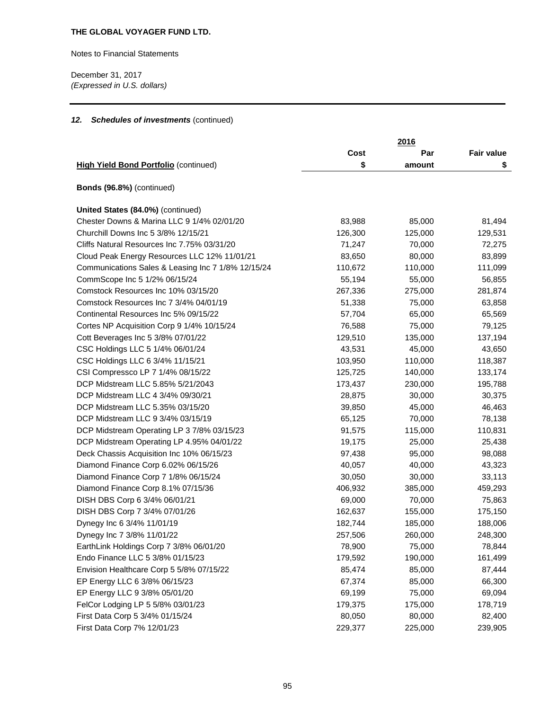Notes to Financial Statements

# December 31, 2017 *(Expressed in U.S. dollars)*

|                                                    | 2016    |         |            |
|----------------------------------------------------|---------|---------|------------|
|                                                    | Cost    | Par     | Fair value |
| <b>High Yield Bond Portfolio</b> (continued)       | \$      | amount  | \$         |
| Bonds (96.8%) (continued)                          |         |         |            |
| United States (84.0%) (continued)                  |         |         |            |
| Chester Downs & Marina LLC 9 1/4% 02/01/20         | 83,988  | 85,000  | 81,494     |
| Churchill Downs Inc 5 3/8% 12/15/21                | 126,300 | 125,000 | 129,531    |
| Cliffs Natural Resources Inc 7.75% 03/31/20        | 71,247  | 70,000  | 72,275     |
| Cloud Peak Energy Resources LLC 12% 11/01/21       | 83,650  | 80,000  | 83,899     |
| Communications Sales & Leasing Inc 7 1/8% 12/15/24 | 110,672 | 110,000 | 111,099    |
| CommScope Inc 5 1/2% 06/15/24                      | 55,194  | 55,000  | 56,855     |
| Comstock Resources Inc 10% 03/15/20                | 267,336 | 275,000 | 281,874    |
| Comstock Resources Inc 7 3/4% 04/01/19             | 51,338  | 75,000  | 63,858     |
| Continental Resources Inc 5% 09/15/22              | 57,704  | 65,000  | 65,569     |
| Cortes NP Acquisition Corp 9 1/4% 10/15/24         | 76,588  | 75,000  | 79,125     |
| Cott Beverages Inc 5 3/8% 07/01/22                 | 129,510 | 135,000 | 137,194    |
| CSC Holdings LLC 5 1/4% 06/01/24                   | 43,531  | 45,000  | 43,650     |
| CSC Holdings LLC 6 3/4% 11/15/21                   | 103,950 | 110,000 | 118,387    |
| CSI Compressco LP 7 1/4% 08/15/22                  | 125,725 | 140,000 | 133,174    |
| DCP Midstream LLC 5.85% 5/21/2043                  | 173,437 | 230,000 | 195,788    |
| DCP Midstream LLC 4 3/4% 09/30/21                  | 28,875  | 30,000  | 30,375     |
| DCP Midstream LLC 5.35% 03/15/20                   | 39,850  | 45,000  | 46,463     |
| DCP Midstream LLC 9 3/4% 03/15/19                  | 65,125  | 70,000  | 78,138     |
| DCP Midstream Operating LP 3 7/8% 03/15/23         | 91,575  | 115,000 | 110,831    |
| DCP Midstream Operating LP 4.95% 04/01/22          | 19,175  | 25,000  | 25,438     |
| Deck Chassis Acquisition Inc 10% 06/15/23          | 97,438  | 95,000  | 98,088     |
| Diamond Finance Corp 6.02% 06/15/26                | 40,057  | 40,000  | 43,323     |
| Diamond Finance Corp 7 1/8% 06/15/24               | 30,050  | 30,000  | 33,113     |
| Diamond Finance Corp 8.1% 07/15/36                 | 406,932 | 385,000 | 459,293    |
| DISH DBS Corp 6 3/4% 06/01/21                      | 69,000  | 70,000  | 75,863     |
| DISH DBS Corp 7 3/4% 07/01/26                      | 162,637 | 155,000 | 175,150    |
| Dynegy Inc 6 3/4% 11/01/19                         | 182,744 | 185,000 | 188,006    |
| Dynegy Inc 7 3/8% 11/01/22                         | 257,506 | 260,000 | 248,300    |
| EarthLink Holdings Corp 7 3/8% 06/01/20            | 78,900  | 75,000  | 78,844     |
| Endo Finance LLC 5 3/8% 01/15/23                   | 179,592 | 190,000 | 161,499    |
| Envision Healthcare Corp 5 5/8% 07/15/22           | 85,474  | 85,000  | 87,444     |
| EP Energy LLC 6 3/8% 06/15/23                      | 67,374  | 85,000  | 66,300     |
| EP Energy LLC 9 3/8% 05/01/20                      | 69,199  | 75,000  | 69,094     |
| FelCor Lodging LP 5 5/8% 03/01/23                  | 179,375 | 175,000 | 178,719    |
| First Data Corp 5 3/4% 01/15/24                    | 80,050  | 80,000  | 82,400     |
| First Data Corp 7% 12/01/23                        | 229,377 | 225,000 | 239,905    |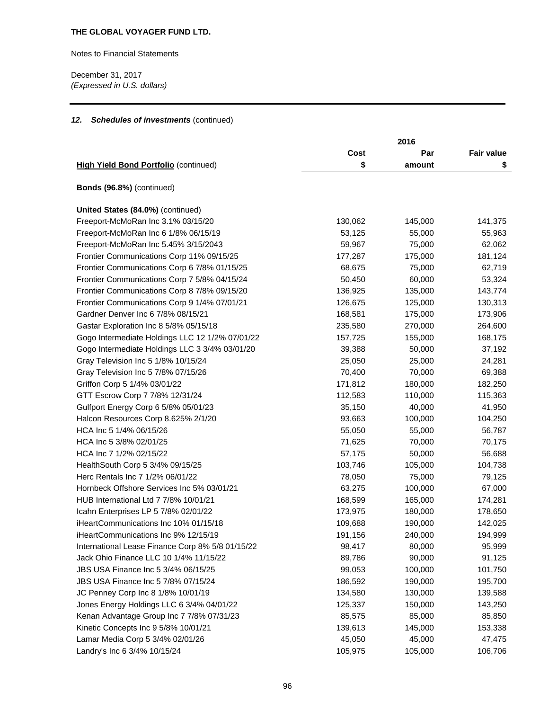Notes to Financial Statements

December 31, 2017 *(Expressed in U.S. dollars)* 

|                                                  | Cost    | Par     | <b>Fair value</b> |
|--------------------------------------------------|---------|---------|-------------------|
| <b>High Yield Bond Portfolio</b> (continued)     | \$      | amount  | \$                |
| Bonds (96.8%) (continued)                        |         |         |                   |
| United States (84.0%) (continued)                |         |         |                   |
| Freeport-McMoRan Inc 3.1% 03/15/20               | 130,062 | 145,000 | 141,375           |
| Freeport-McMoRan Inc 6 1/8% 06/15/19             | 53,125  | 55,000  | 55,963            |
| Freeport-McMoRan Inc 5.45% 3/15/2043             | 59,967  | 75,000  | 62,062            |
| Frontier Communications Corp 11% 09/15/25        | 177,287 | 175,000 | 181,124           |
| Frontier Communications Corp 6 7/8% 01/15/25     | 68,675  | 75,000  | 62,719            |
| Frontier Communications Corp 7 5/8% 04/15/24     | 50,450  | 60,000  | 53,324            |
| Frontier Communications Corp 8 7/8% 09/15/20     | 136,925 | 135,000 | 143,774           |
| Frontier Communications Corp 9 1/4% 07/01/21     | 126,675 | 125,000 | 130,313           |
| Gardner Denver Inc 6 7/8% 08/15/21               | 168,581 | 175,000 | 173,906           |
| Gastar Exploration Inc 8 5/8% 05/15/18           | 235,580 | 270,000 | 264,600           |
| Gogo Intermediate Holdings LLC 12 1/2% 07/01/22  | 157,725 | 155,000 | 168,175           |
| Gogo Intermediate Holdings LLC 3 3/4% 03/01/20   | 39,388  | 50,000  | 37,192            |
| Gray Television Inc 5 1/8% 10/15/24              | 25,050  | 25,000  | 24,281            |
| Gray Television Inc 5 7/8% 07/15/26              | 70,400  | 70,000  | 69,388            |
| Griffon Corp 5 1/4% 03/01/22                     | 171,812 | 180,000 | 182,250           |
| GTT Escrow Corp 7 7/8% 12/31/24                  | 112,583 | 110,000 | 115,363           |
| Gulfport Energy Corp 6 5/8% 05/01/23             | 35,150  | 40,000  | 41,950            |
| Halcon Resources Corp 8.625% 2/1/20              | 93,663  | 100,000 | 104,250           |
| HCA Inc 5 1/4% 06/15/26                          | 55,050  | 55,000  | 56,787            |
| HCA Inc 5 3/8% 02/01/25                          | 71,625  | 70,000  | 70,175            |
| HCA Inc 7 1/2% 02/15/22                          | 57,175  | 50,000  | 56,688            |
| HealthSouth Corp 5 3/4% 09/15/25                 | 103,746 | 105,000 | 104,738           |
| Herc Rentals Inc 7 1/2% 06/01/22                 | 78,050  | 75,000  | 79,125            |
| Hornbeck Offshore Services Inc 5% 03/01/21       | 63,275  | 100,000 | 67,000            |
| HUB International Ltd 7 7/8% 10/01/21            | 168,599 | 165,000 | 174,281           |
| Icahn Enterprises LP 5 7/8% 02/01/22             | 173,975 | 180,000 | 178,650           |
| iHeartCommunications Inc 10% 01/15/18            | 109,688 | 190,000 | 142,025           |
| iHeartCommunications Inc 9% 12/15/19             | 191.156 | 240,000 | 194,999           |
| International Lease Finance Corp 8% 5/8 01/15/22 | 98,417  | 80,000  | 95,999            |
| Jack Ohio Finance LLC 10 1/4% 11/15/22           | 89,786  | 90,000  | 91,125            |
| JBS USA Finance Inc 5 3/4% 06/15/25              | 99,053  | 100,000 | 101,750           |
| JBS USA Finance Inc 5 7/8% 07/15/24              | 186,592 | 190,000 | 195,700           |
| JC Penney Corp Inc 8 1/8% 10/01/19               | 134,580 | 130,000 | 139,588           |
| Jones Energy Holdings LLC 6 3/4% 04/01/22        | 125,337 | 150,000 | 143,250           |
| Kenan Advantage Group Inc 7 7/8% 07/31/23        | 85,575  | 85,000  | 85,850            |
| Kinetic Concepts Inc 9 5/8% 10/01/21             | 139,613 | 145,000 | 153,338           |
| Lamar Media Corp 5 3/4% 02/01/26                 | 45,050  | 45,000  | 47,475            |
| Landry's Inc 6 3/4% 10/15/24                     | 105,975 | 105,000 | 106,706           |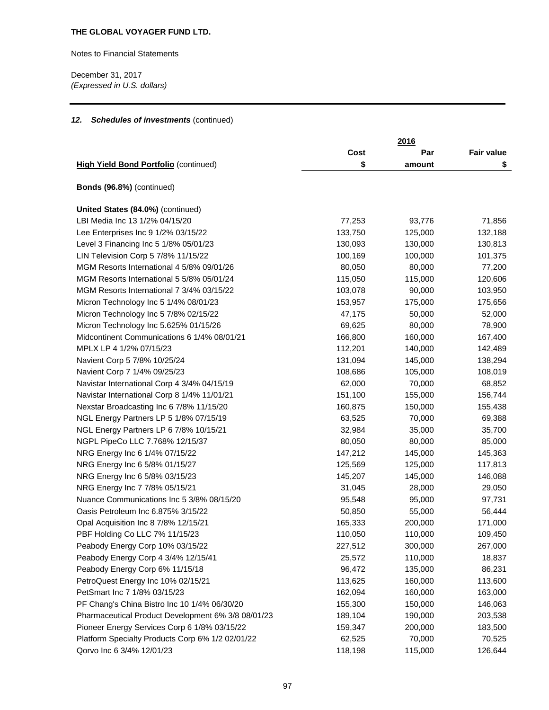Notes to Financial Statements

December 31, 2017 *(Expressed in U.S. dollars)* 

|                                                    |         | 2016    |                   |
|----------------------------------------------------|---------|---------|-------------------|
|                                                    | Cost    | Par     | <b>Fair value</b> |
| <b>High Yield Bond Portfolio</b> (continued)       | \$      | amount  | \$                |
| Bonds (96.8%) (continued)                          |         |         |                   |
| United States (84.0%) (continued)                  |         |         |                   |
| LBI Media Inc 13 1/2% 04/15/20                     | 77,253  | 93,776  | 71,856            |
| Lee Enterprises Inc 9 1/2% 03/15/22                | 133,750 | 125,000 | 132,188           |
| Level 3 Financing Inc 5 1/8% 05/01/23              | 130,093 | 130,000 | 130,813           |
| LIN Television Corp 5 7/8% 11/15/22                | 100,169 | 100,000 | 101,375           |
| MGM Resorts International 4 5/8% 09/01/26          | 80,050  | 80,000  | 77,200            |
| MGM Resorts International 5 5/8% 05/01/24          | 115,050 | 115,000 | 120,606           |
| MGM Resorts International 7 3/4% 03/15/22          | 103,078 | 90,000  | 103,950           |
| Micron Technology Inc 5 1/4% 08/01/23              | 153,957 | 175,000 | 175,656           |
| Micron Technology Inc 5 7/8% 02/15/22              | 47,175  | 50,000  | 52,000            |
| Micron Technology Inc 5.625% 01/15/26              | 69,625  | 80,000  | 78,900            |
| Midcontinent Communications 6 1/4% 08/01/21        | 166,800 | 160,000 | 167,400           |
| MPLX LP 4 1/2% 07/15/23                            | 112,201 | 140,000 | 142,489           |
| Navient Corp 5 7/8% 10/25/24                       | 131,094 | 145,000 | 138,294           |
| Navient Corp 7 1/4% 09/25/23                       | 108,686 | 105,000 | 108,019           |
| Navistar International Corp 4 3/4% 04/15/19        | 62,000  | 70,000  | 68,852            |
| Navistar International Corp 8 1/4% 11/01/21        | 151,100 | 155,000 | 156,744           |
| Nexstar Broadcasting Inc 6 7/8% 11/15/20           | 160,875 | 150,000 | 155,438           |
| NGL Energy Partners LP 5 1/8% 07/15/19             | 63,525  | 70,000  | 69,388            |
| NGL Energy Partners LP 6 7/8% 10/15/21             | 32,984  | 35,000  | 35,700            |
| NGPL PipeCo LLC 7.768% 12/15/37                    | 80,050  | 80,000  | 85,000            |
| NRG Energy Inc 6 1/4% 07/15/22                     | 147,212 | 145,000 | 145,363           |
| NRG Energy Inc 6 5/8% 01/15/27                     | 125,569 | 125,000 | 117,813           |
| NRG Energy Inc 6 5/8% 03/15/23                     | 145,207 | 145,000 | 146,088           |
| NRG Energy Inc 7 7/8% 05/15/21                     | 31,045  | 28,000  | 29,050            |
| Nuance Communications Inc 5 3/8% 08/15/20          | 95,548  | 95,000  | 97,731            |
| Oasis Petroleum Inc 6.875% 3/15/22                 | 50,850  | 55,000  | 56,444            |
| Opal Acquisition Inc 8 7/8% 12/15/21               | 165,333 | 200,000 | 171,000           |
| PBF Holding Co LLC 7% 11/15/23                     | 110,050 | 110,000 | 109,450           |
| Peabody Energy Corp 10% 03/15/22                   | 227,512 | 300,000 | 267,000           |
| Peabody Energy Corp 4 3/4% 12/15/41                | 25,572  | 110,000 | 18,837            |
| Peabody Energy Corp 6% 11/15/18                    | 96,472  | 135,000 | 86,231            |
| PetroQuest Energy Inc 10% 02/15/21                 | 113,625 | 160,000 | 113,600           |
| PetSmart Inc 7 1/8% 03/15/23                       | 162,094 | 160,000 | 163,000           |
| PF Chang's China Bistro Inc 10 1/4% 06/30/20       | 155,300 | 150,000 | 146,063           |
| Pharmaceutical Product Development 6% 3/8 08/01/23 | 189,104 | 190,000 | 203,538           |
| Pioneer Energy Services Corp 6 1/8% 03/15/22       | 159,347 | 200,000 | 183,500           |
| Platform Specialty Products Corp 6% 1/2 02/01/22   | 62,525  | 70,000  | 70,525            |
| Qorvo Inc 6 3/4% 12/01/23                          | 118,198 | 115,000 | 126,644           |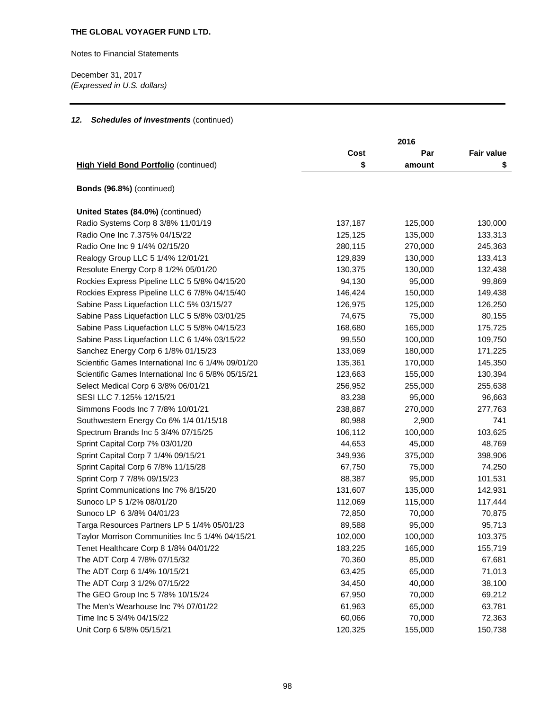Notes to Financial Statements

December 31, 2017 *(Expressed in U.S. dollars)* 

|                                                    | Cost    | Par     | <b>Fair value</b> |
|----------------------------------------------------|---------|---------|-------------------|
| <b>High Yield Bond Portfolio</b> (continued)       | \$      | amount  | \$                |
| Bonds (96.8%) (continued)                          |         |         |                   |
|                                                    |         |         |                   |
| United States (84.0%) (continued)                  |         |         |                   |
| Radio Systems Corp 8 3/8% 11/01/19                 | 137,187 | 125,000 | 130,000           |
| Radio One Inc 7.375% 04/15/22                      | 125,125 | 135,000 | 133,313           |
| Radio One Inc 9 1/4% 02/15/20                      | 280,115 | 270,000 | 245,363           |
| Realogy Group LLC 5 1/4% 12/01/21                  | 129,839 | 130,000 | 133,413           |
| Resolute Energy Corp 8 1/2% 05/01/20               | 130,375 | 130,000 | 132,438           |
| Rockies Express Pipeline LLC 5 5/8% 04/15/20       | 94,130  | 95,000  | 99,869            |
| Rockies Express Pipeline LLC 6 7/8% 04/15/40       | 146,424 | 150,000 | 149,438           |
| Sabine Pass Liquefaction LLC 5% 03/15/27           | 126,975 | 125,000 | 126,250           |
| Sabine Pass Liquefaction LLC 5 5/8% 03/01/25       | 74,675  | 75,000  | 80,155            |
| Sabine Pass Liquefaction LLC 5 5/8% 04/15/23       | 168,680 | 165,000 | 175,725           |
| Sabine Pass Liquefaction LLC 6 1/4% 03/15/22       | 99,550  | 100,000 | 109,750           |
| Sanchez Energy Corp 6 1/8% 01/15/23                | 133,069 | 180,000 | 171,225           |
| Scientific Games International Inc 6 1/4% 09/01/20 | 135,361 | 170,000 | 145,350           |
| Scientific Games International Inc 6 5/8% 05/15/21 | 123,663 | 155,000 | 130,394           |
| Select Medical Corp 6 3/8% 06/01/21                | 256,952 | 255,000 | 255,638           |
| SESI LLC 7.125% 12/15/21                           | 83,238  | 95,000  | 96,663            |
| Simmons Foods Inc 7 7/8% 10/01/21                  | 238,887 | 270,000 | 277,763           |
| Southwestern Energy Co 6% 1/4 01/15/18             | 80,988  | 2,900   | 741               |
| Spectrum Brands Inc 5 3/4% 07/15/25                | 106,112 | 100,000 | 103,625           |
| Sprint Capital Corp 7% 03/01/20                    | 44,653  | 45,000  | 48,769            |
| Sprint Capital Corp 7 1/4% 09/15/21                | 349,936 | 375,000 | 398,906           |
| Sprint Capital Corp 6 7/8% 11/15/28                | 67,750  | 75,000  | 74,250            |
| Sprint Corp 7 7/8% 09/15/23                        | 88,387  | 95,000  | 101,531           |
| Sprint Communications Inc 7% 8/15/20               | 131,607 | 135,000 | 142,931           |
| Sunoco LP 5 1/2% 08/01/20                          | 112,069 | 115,000 | 117,444           |
| Sunoco LP 6 3/8% 04/01/23                          | 72,850  | 70,000  | 70,875            |
| Targa Resources Partners LP 5 1/4% 05/01/23        | 89,588  | 95,000  | 95,713            |
| Taylor Morrison Communities Inc 5 1/4% 04/15/21    | 102,000 | 100,000 | 103,375           |
| Tenet Healthcare Corp 8 1/8% 04/01/22              | 183,225 | 165,000 | 155,719           |
| The ADT Corp 4 7/8% 07/15/32                       | 70,360  | 85,000  | 67,681            |
| The ADT Corp 6 1/4% 10/15/21                       | 63,425  | 65,000  | 71,013            |
| The ADT Corp 3 1/2% 07/15/22                       | 34,450  | 40,000  | 38,100            |
| The GEO Group Inc 5 7/8% 10/15/24                  | 67,950  | 70,000  | 69,212            |
| The Men's Wearhouse Inc 7% 07/01/22                | 61,963  | 65,000  | 63,781            |
| Time Inc 5 3/4% 04/15/22                           | 60,066  | 70,000  | 72,363            |
| Unit Corp 6 5/8% 05/15/21                          | 120,325 | 155,000 | 150,738           |